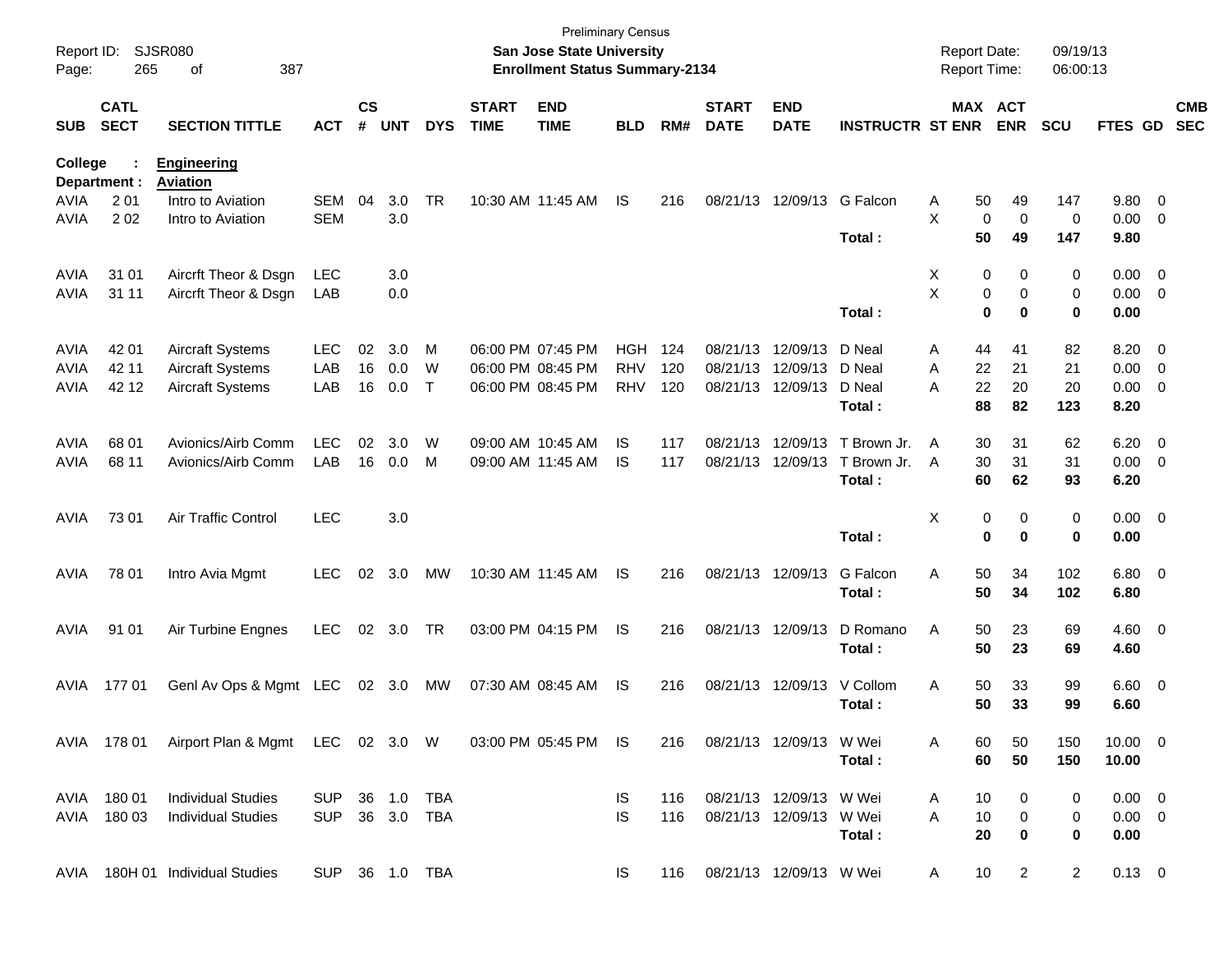| Report ID:<br>Page: | 265                        | <b>SJSR080</b><br>387<br>οf                                       |                |                             |            |            |                             | San Jose State University<br><b>Enrollment Status Summary-2134</b> | <b>Preliminary Census</b> |     |                             |                           |                         | <b>Report Date:</b><br>Report Time: |                 |                       | 09/19/13<br>06:00:13 |              |                          |
|---------------------|----------------------------|-------------------------------------------------------------------|----------------|-----------------------------|------------|------------|-----------------------------|--------------------------------------------------------------------|---------------------------|-----|-----------------------------|---------------------------|-------------------------|-------------------------------------|-----------------|-----------------------|----------------------|--------------|--------------------------|
| <b>SUB</b>          | <b>CATL</b><br><b>SECT</b> | <b>SECTION TITTLE</b>                                             | <b>ACT</b>     | $\mathsf{cs}$<br>$\pmb{\#}$ | <b>UNT</b> | <b>DYS</b> | <b>START</b><br><b>TIME</b> | <b>END</b><br><b>TIME</b>                                          | <b>BLD</b>                | RM# | <b>START</b><br><b>DATE</b> | <b>END</b><br><b>DATE</b> | <b>INSTRUCTR ST ENR</b> |                                     |                 | MAX ACT<br><b>ENR</b> | <b>SCU</b>           | FTES GD      | <b>CMB</b><br><b>SEC</b> |
| <b>College</b>      | Department :               | <b>Engineering</b><br><b>Aviation</b>                             |                |                             |            |            |                             |                                                                    |                           |     |                             |                           |                         |                                     |                 |                       |                      |              |                          |
| <b>AVIA</b>         | 2 0 1                      | Intro to Aviation                                                 | SEM            | 04                          | 3.0        | <b>TR</b>  |                             | 10:30 AM 11:45 AM                                                  | IS                        | 216 |                             | 08/21/13 12/09/13         | G Falcon                | Α                                   | 50              | 49                    | 147                  | 9.80 0       |                          |
| AVIA                | 202                        | Intro to Aviation                                                 | <b>SEM</b>     |                             | 3.0        |            |                             |                                                                    |                           |     |                             |                           |                         | X.                                  | $\mathbf 0$     | $\mathbf 0$           | 0                    | $0.00 \t 0$  |                          |
|                     |                            |                                                                   |                |                             |            |            |                             |                                                                    |                           |     |                             |                           | Total:                  |                                     | 50              | 49                    | 147                  | 9.80         |                          |
| AVIA                | 31 01                      | Aircrft Theor & Dsgn                                              | LEC            |                             | 3.0        |            |                             |                                                                    |                           |     |                             |                           |                         | Χ                                   | 0               | 0                     | 0                    | $0.00 \t 0$  |                          |
| <b>AVIA</b>         | 31 11                      | Aircrft Theor & Dsgn                                              | LAB            |                             | 0.0        |            |                             |                                                                    |                           |     |                             |                           |                         | X                                   | 0               | 0                     | 0                    | $0.00 \t 0$  |                          |
|                     |                            |                                                                   |                |                             |            |            |                             |                                                                    |                           |     |                             |                           | Total:                  |                                     | $\mathbf 0$     | 0                     | 0                    | 0.00         |                          |
| AVIA                | 42 01                      | <b>Aircraft Systems</b>                                           | <b>LEC</b>     | 02                          | 3.0        | M          | 06:00 PM 07:45 PM           |                                                                    | <b>HGH</b>                | 124 |                             | 08/21/13 12/09/13         | D Neal                  | Α                                   | 44              | 41                    | 82                   | 8.20 0       |                          |
| AVIA                | 42 11                      | <b>Aircraft Systems</b>                                           | LAB            | 16                          | 0.0        | W          | 06:00 PM 08:45 PM           |                                                                    | <b>RHV</b>                | 120 |                             | 08/21/13 12/09/13         | D Neal                  | A                                   | 22              | 21                    | 21                   | $0.00 \t 0$  |                          |
| <b>AVIA</b>         | 42 12                      | <b>Aircraft Systems</b>                                           | LAB            | 16                          | 0.0        | T          |                             | 06:00 PM 08:45 PM                                                  | <b>RHV</b>                | 120 |                             | 08/21/13 12/09/13         | D Neal                  | A                                   | 22              | 20                    | 20                   | $0.00 \t 0$  |                          |
|                     |                            |                                                                   |                |                             |            |            |                             |                                                                    |                           |     |                             |                           | Total:                  |                                     | 88              | 82                    | 123                  | 8.20         |                          |
| AVIA                | 68 01                      | Avionics/Airb Comm                                                | <b>LEC</b>     | 02                          | 3.0        | W          | 09:00 AM 10:45 AM           |                                                                    | IS                        | 117 |                             | 08/21/13 12/09/13         | T Brown Jr.             | A                                   | 30              | 31                    | 62                   | $6.20\ 0$    |                          |
| <b>AVIA</b>         | 68 11                      | Avionics/Airb Comm                                                | LAB            |                             | 16 0.0     | M          |                             | 09:00 AM 11:45 AM                                                  | <b>IS</b>                 | 117 |                             | 08/21/13 12/09/13         | T Brown Jr.             | $\overline{A}$                      | 30              | 31                    | 31                   | $0.00 \t 0$  |                          |
|                     |                            |                                                                   |                |                             |            |            |                             |                                                                    |                           |     |                             |                           | Total:                  |                                     | 60              | 62                    | 93                   | 6.20         |                          |
| AVIA                | 73 01                      | Air Traffic Control                                               | <b>LEC</b>     |                             | 3.0        |            |                             |                                                                    |                           |     |                             |                           |                         | Χ                                   | 0               | 0                     | 0                    | $0.00 \t 0$  |                          |
|                     |                            |                                                                   |                |                             |            |            |                             |                                                                    |                           |     |                             |                           | Total:                  |                                     | $\bf{0}$        | $\bf{0}$              | 0                    | 0.00         |                          |
| AVIA                | 78 01                      | Intro Avia Mgmt                                                   | <b>LEC</b>     | 02                          | 3.0        | МW         |                             | 10:30 AM 11:45 AM                                                  | IS                        | 216 |                             | 08/21/13 12/09/13         | G Falcon                | Α                                   | 50              | 34                    | 102                  | $6.80$ 0     |                          |
|                     |                            |                                                                   |                |                             |            |            |                             |                                                                    |                           |     |                             |                           | Total:                  |                                     | 50              | 34                    | 102                  | 6.80         |                          |
| AVIA                | 91 01                      | Air Turbine Engnes                                                | <b>LEC</b>     |                             | 02 3.0     | TR         |                             | 03:00 PM 04:15 PM                                                  | IS                        | 216 |                             | 08/21/13 12/09/13         | D Romano                | Α                                   | 50              | 23                    | 69                   | $4.60$ 0     |                          |
|                     |                            |                                                                   |                |                             |            |            |                             |                                                                    |                           |     |                             |                           | Total:                  |                                     | 50              | 23                    | 69                   | 4.60         |                          |
| AVIA                | 17701                      | Genl Av Ops & Mgmt LEC                                            |                |                             | 02 3.0     | MW         | 07:30 AM 08:45 AM           |                                                                    | IS                        | 216 |                             | 08/21/13 12/09/13         | V Collom                | Α                                   | 50              | 33                    | 99                   | $6.60$ 0     |                          |
|                     |                            |                                                                   |                |                             |            |            |                             |                                                                    |                           |     |                             |                           | Total:                  |                                     | 50              | 33                    | 99                   | 6.60         |                          |
|                     |                            | AVIA 178 01 Airport Plan & Mgmt LEC 02 3.0 W 03:00 PM 05:45 PM IS |                |                             |            |            |                             |                                                                    |                           | 216 |                             | 08/21/13 12/09/13 W Wei   |                         | Α                                   | 60              | 50                    | 150                  | $10.00 \t 0$ |                          |
|                     |                            |                                                                   |                |                             |            |            |                             |                                                                    |                           |     |                             |                           | Total:                  |                                     | 60              | 50                    | 150                  | 10.00        |                          |
|                     | AVIA 180 01                | <b>Individual Studies</b>                                         | SUP 36 1.0 TBA |                             |            |            |                             |                                                                    | IS.                       | 116 |                             | 08/21/13 12/09/13 W Wei   |                         | A                                   | 10              | 0                     | 0                    | $0.00 \t 0$  |                          |
|                     | AVIA 180 03                | <b>Individual Studies</b>                                         | <b>SUP</b>     |                             |            | 36 3.0 TBA |                             |                                                                    | IS.                       | 116 |                             | 08/21/13 12/09/13 W Wei   |                         | Α                                   | 10              | 0                     | 0                    | $0.00 \t 0$  |                          |
|                     |                            |                                                                   |                |                             |            |            |                             |                                                                    |                           |     |                             |                           | Total:                  |                                     | 20              | 0                     | 0                    | 0.00         |                          |
|                     |                            | AVIA 180H 01 Individual Studies                                   | SUP 36 1.0 TBA |                             |            |            |                             |                                                                    | IS.                       | 116 |                             | 08/21/13 12/09/13 W Wei   |                         | A                                   | 10 <sup>°</sup> | $\overline{2}$        | $\overline{2}$       | $0.13 \ 0$   |                          |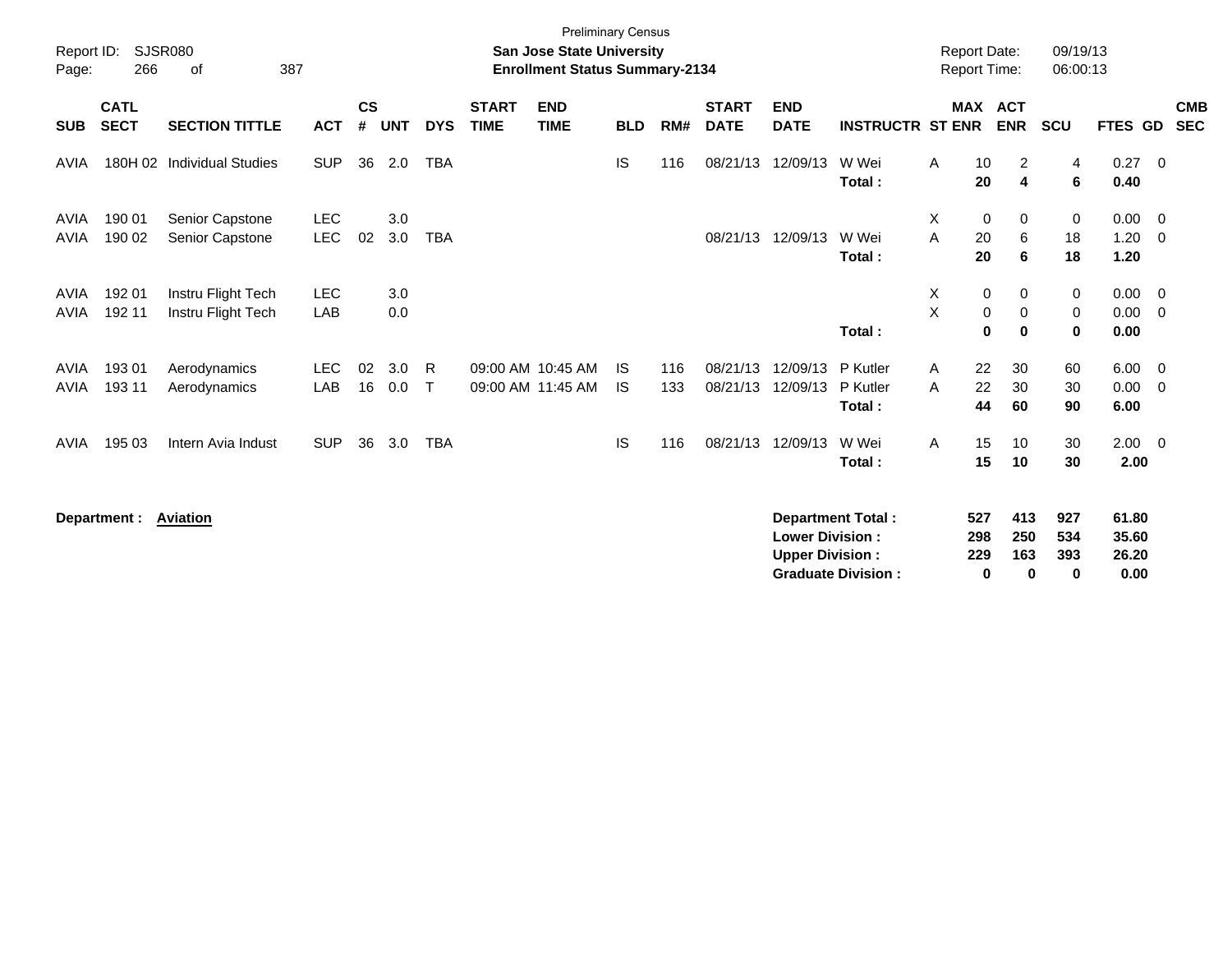| Report ID:<br>Page:        | 266                        | <b>SJSR080</b><br>387<br>οf              |                          |                    |            |                   |                             | <b>Preliminary Census</b><br><b>San Jose State University</b><br><b>Enrollment Status Summary-2134</b> |                 |            |                             |                                                  |                                                       |        |                        | <b>Report Date:</b><br><b>Report Time:</b> | 09/19/13<br>06:00:13          |                                 |                                           |  |
|----------------------------|----------------------------|------------------------------------------|--------------------------|--------------------|------------|-------------------|-----------------------------|--------------------------------------------------------------------------------------------------------|-----------------|------------|-----------------------------|--------------------------------------------------|-------------------------------------------------------|--------|------------------------|--------------------------------------------|-------------------------------|---------------------------------|-------------------------------------------|--|
| <b>SUB</b>                 | <b>CATL</b><br><b>SECT</b> | <b>SECTION TITTLE</b>                    | <b>ACT</b>               | $\mathsf{cs}$<br># | <b>UNT</b> | <b>DYS</b>        | <b>START</b><br><b>TIME</b> | <b>END</b><br><b>TIME</b>                                                                              | <b>BLD</b>      | RM#        | <b>START</b><br><b>DATE</b> | <b>END</b><br><b>DATE</b>                        | <b>INSTRUCTR ST ENR</b>                               |        |                        | <b>MAX ACT</b><br><b>ENR</b>               | <b>SCU</b>                    | FTES GD                         | <b>CMB</b><br><b>SEC</b>                  |  |
| AVIA                       | 180H 02                    | <b>Individual Studies</b>                | <b>SUP</b>               | 36                 | 2.0        | <b>TBA</b>        |                             |                                                                                                        | <b>IS</b>       | 116        | 08/21/13                    | 12/09/13                                         | W Wei<br>Total:                                       | A      | 10<br>20               | 2<br>4                                     | 4<br>6                        | 0.27<br>0.40                    | $\overline{0}$                            |  |
| <b>AVIA</b><br><b>AVIA</b> | 190 01<br>190 02           | Senior Capstone<br>Senior Capstone       | <b>LEC</b><br><b>LEC</b> | 02                 | 3.0<br>3.0 | <b>TBA</b>        |                             |                                                                                                        |                 |            | 08/21/13                    | 12/09/13                                         | W Wei<br>Total:                                       | Χ<br>A | 0<br>20<br>20          | 0<br>6<br>6                                | 0<br>18<br>18                 | 0.00<br>1.20<br>1.20            | $\overline{\mathbf{0}}$<br>$\overline{0}$ |  |
| AVIA<br><b>AVIA</b>        | 192 01<br>192 11           | Instru Flight Tech<br>Instru Flight Tech | <b>LEC</b><br>LAB        |                    | 3.0<br>0.0 |                   |                             |                                                                                                        |                 |            |                             |                                                  | Total:                                                | X<br>X | 0<br>0<br>$\bf{0}$     | 0<br>0<br>$\bf{0}$                         | 0<br>0<br>$\mathbf 0$         | 0.00<br>0.00<br>0.00            | $\overline{\mathbf{0}}$<br>$\overline{0}$ |  |
| <b>AVIA</b><br><b>AVIA</b> | 193 01<br>193 11           | Aerodynamics<br>Aerodynamics             | <b>LEC</b><br>LAB        | 02<br>16           | 3.0<br>0.0 | R<br>$\mathsf{T}$ |                             | 09:00 AM 10:45 AM<br>09:00 AM 11:45 AM                                                                 | IS<br><b>IS</b> | 116<br>133 | 08/21/13<br>08/21/13        | 12/09/13<br>12/09/13                             | P Kutler<br>P Kutler<br>Total:                        | A<br>A | 22<br>22<br>44         | 30<br>30<br>60                             | 60<br>30<br>90                | 6.00<br>0.00<br>6.00            | $\overline{\mathbf{0}}$<br>$\overline{0}$ |  |
| <b>AVIA</b>                | 195 03                     | Intern Avia Indust                       | <b>SUP</b>               | 36                 | 3.0        | <b>TBA</b>        |                             |                                                                                                        | IS              | 116        | 08/21/13                    | 12/09/13                                         | W Wei<br>Total:                                       | A      | 15<br>15               | 10<br>10                                   | 30<br>30                      | $2.00 \t 0$<br>2.00             |                                           |  |
|                            | Department: Aviation       |                                          |                          |                    |            |                   |                             |                                                                                                        |                 |            |                             | <b>Lower Division:</b><br><b>Upper Division:</b> | <b>Department Total:</b><br><b>Graduate Division:</b> |        | 527<br>298<br>229<br>0 | 413<br>250<br>163<br>0                     | 927<br>534<br>393<br>$\bf{0}$ | 61.80<br>35.60<br>26.20<br>0.00 |                                           |  |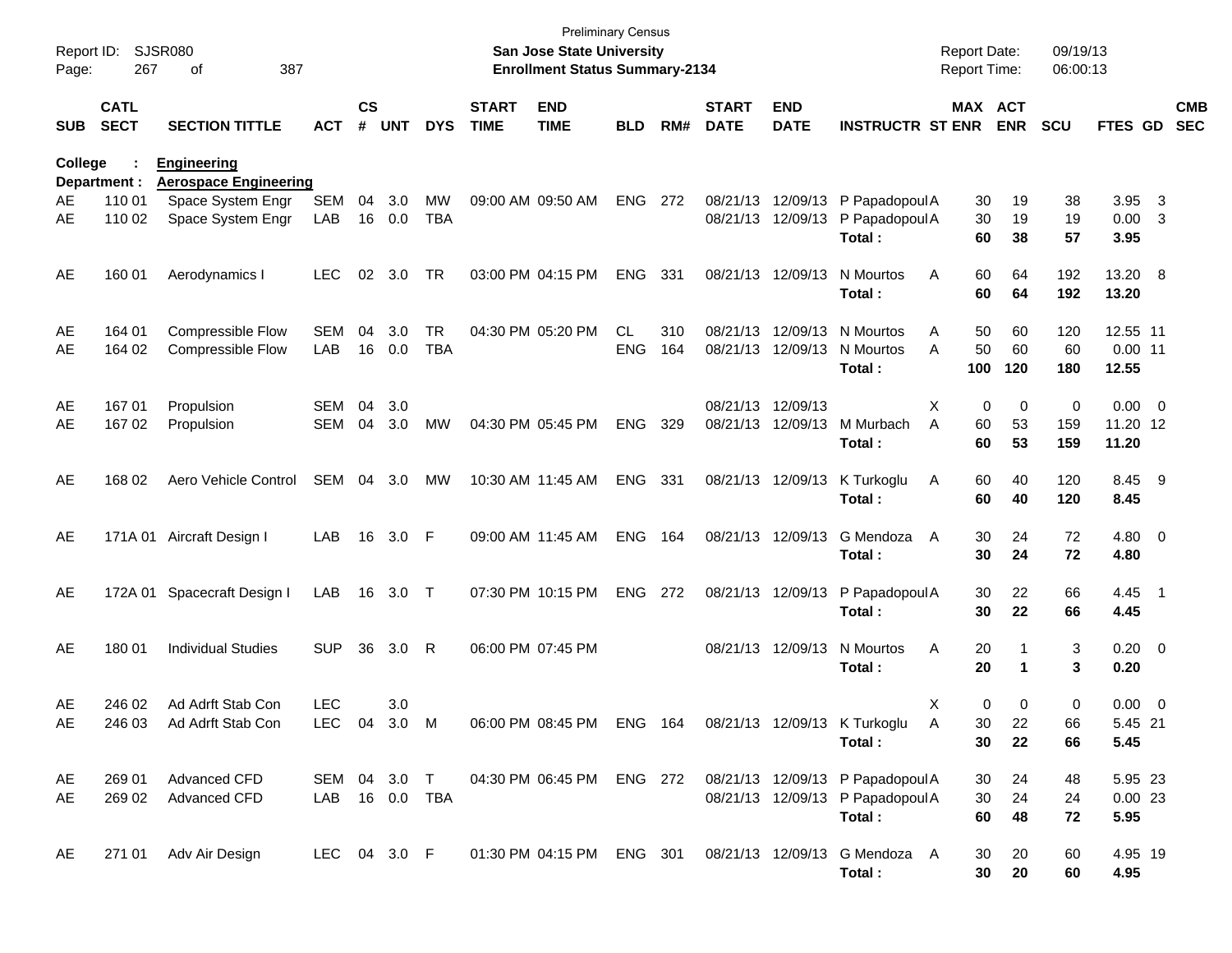| Report ID:<br>Page: | 267                        | <b>SJSR080</b><br>387<br>οf                        |                          |                    |                |                         |                             | <b>Preliminary Census</b><br><b>San Jose State University</b><br><b>Enrollment Status Summary-2134</b> |                  |            |                             |                                        |                                                                                | <b>Report Date:</b><br>Report Time: |                 | 09/19/13<br>06:00:13 |                                  |                               |                          |
|---------------------|----------------------------|----------------------------------------------------|--------------------------|--------------------|----------------|-------------------------|-----------------------------|--------------------------------------------------------------------------------------------------------|------------------|------------|-----------------------------|----------------------------------------|--------------------------------------------------------------------------------|-------------------------------------|-----------------|----------------------|----------------------------------|-------------------------------|--------------------------|
| <b>SUB</b>          | <b>CATL</b><br><b>SECT</b> | <b>SECTION TITTLE</b>                              | <b>ACT</b>               | $\mathsf{cs}$<br># | <b>UNT</b>     | <b>DYS</b>              | <b>START</b><br><b>TIME</b> | <b>END</b><br><b>TIME</b>                                                                              | <b>BLD</b>       | RM#        | <b>START</b><br><b>DATE</b> | <b>END</b><br><b>DATE</b>              | <b>INSTRUCTR ST ENR</b>                                                        | MAX ACT                             | <b>ENR</b>      | <b>SCU</b>           | <b>FTES GD</b>                   |                               | <b>CMB</b><br><b>SEC</b> |
| <b>College</b>      | Department :               | <b>Engineering</b><br><b>Aerospace Engineering</b> |                          |                    |                |                         |                             |                                                                                                        |                  |            |                             |                                        |                                                                                |                                     |                 |                      |                                  |                               |                          |
| AE<br>AE            | 110 01<br>110 02           | Space System Engr<br>Space System Engr             | <b>SEM</b><br>LAB        | 04                 | 3.0<br>16 0.0  | <b>MW</b><br><b>TBA</b> |                             | 09:00 AM 09:50 AM                                                                                      | ENG              | 272        |                             | 08/21/13 12/09/13<br>08/21/13 12/09/13 | P Papadopoul A<br>P Papadopoul A<br>Total:                                     | 30<br>30<br>60                      | 19<br>19<br>38  | 38<br>19<br>57       | 3.95<br>0.00<br>3.95             | $\overline{\mathbf{3}}$<br>-3 |                          |
| AE                  | 160 01                     | Aerodynamics I                                     | <b>LEC</b>               | 02                 | 3.0            | <b>TR</b>               |                             | 03:00 PM 04:15 PM                                                                                      | <b>ENG</b>       | 331        |                             | 08/21/13 12/09/13                      | N Mourtos<br>Total:                                                            | Α<br>60<br>60                       | 64<br>64        | 192<br>192           | 13.20 8<br>13.20                 |                               |                          |
| AE<br>AE            | 164 01<br>164 02           | Compressible Flow<br><b>Compressible Flow</b>      | SEM<br>LAB               | 04<br>16           | 3.0<br>0.0     | <b>TR</b><br><b>TBA</b> |                             | 04:30 PM 05:20 PM                                                                                      | CL<br><b>ENG</b> | 310<br>164 |                             | 08/21/13 12/09/13<br>08/21/13 12/09/13 | N Mourtos<br>N Mourtos<br>Total:                                               | 50<br>A<br>50<br>A<br>100           | 60<br>60<br>120 | 120<br>60<br>180     | 12.55 11<br>$0.00$ 11<br>12.55   |                               |                          |
| AE<br>AE            | 167 01<br>167 02           | Propulsion<br>Propulsion                           | <b>SEM</b><br><b>SEM</b> | 04<br>04           | 3.0<br>3.0     | MW                      |                             | 04:30 PM 05:45 PM                                                                                      | <b>ENG</b>       | 329        | 08/21/13 12/09/13           | 08/21/13 12/09/13                      | M Murbach<br>Total:                                                            | X<br>0<br>60<br>A<br>60             | 0<br>53<br>53   | 0<br>159<br>159      | $0.00 \t 0$<br>11.20 12<br>11.20 |                               |                          |
| AE                  | 168 02                     | Aero Vehicle Control                               | SEM                      | 04                 | 3.0            | МW                      |                             | 10:30 AM 11:45 AM                                                                                      | <b>ENG</b>       | -331       |                             | 08/21/13 12/09/13                      | K Turkoglu<br>Total:                                                           | Α<br>60<br>60                       | 40<br>40        | 120<br>120           | 8.45 9<br>8.45                   |                               |                          |
| AE                  |                            | 171A 01 Aircraft Design I                          | LAB                      | 16                 | 3.0 F          |                         |                             | 09:00 AM 11:45 AM                                                                                      | <b>ENG</b>       | 164        |                             | 08/21/13 12/09/13                      | G Mendoza<br>Total:                                                            | A<br>30<br>30                       | 24<br>24        | 72<br>72             | 4.80 0<br>4.80                   |                               |                          |
| AE                  |                            | 172A 01 Spacecraft Design I                        | LAB                      |                    | 16 3.0         | $\top$                  |                             | 07:30 PM 10:15 PM                                                                                      | <b>ENG</b>       | 272        |                             | 08/21/13 12/09/13                      | P Papadopoul A<br>Total:                                                       | 30<br>30                            | 22<br>22        | 66<br>66             | 4.45 1<br>4.45                   |                               |                          |
| AE                  | 180 01                     | <b>Individual Studies</b>                          | <b>SUP</b>               | 36                 | 3.0            | R                       |                             | 06:00 PM 07:45 PM                                                                                      |                  |            |                             | 08/21/13 12/09/13                      | N Mourtos<br>Total:                                                            | Α<br>20<br>20                       | -1              | 3<br>3               | $0.20 \ 0$<br>0.20               |                               |                          |
| AE<br>AE            | 246 02<br>246 03           | Ad Adrft Stab Con<br>Ad Adrft Stab Con             | <b>LEC</b><br>LEC 04     |                    | 3.0<br>$3.0$ M |                         |                             | 06:00 PM 08:45 PM                                                                                      | ENG 164          |            |                             |                                        | 08/21/13 12/09/13 K Turkoglu<br>Total:                                         | X<br>0<br>30<br>A<br>30             | 0<br>22<br>22   | 0<br>66<br>66        | 0.00<br>5.45 21<br>5.45          | $\overline{\phantom{0}}$      |                          |
| AE<br>AE            | 269 01<br>269 02           | Advanced CFD<br>Advanced CFD                       | SEM 04 3.0 T<br>LAB      |                    | 16 0.0         | <b>TBA</b>              |                             | 04:30 PM 06:45 PM ENG 272                                                                              |                  |            |                             |                                        | 08/21/13 12/09/13 P Papadopoul A<br>08/21/13 12/09/13 P Papadopoul A<br>Total: | 30<br>30<br>60                      | 24<br>24<br>48  | 48<br>24<br>72       | 5.95 23<br>0.0023<br>5.95        |                               |                          |
| AE                  | 271 01                     | Adv Air Design                                     | LEC 04 3.0 F             |                    |                |                         |                             | 01:30 PM 04:15 PM ENG 301                                                                              |                  |            |                             |                                        | 08/21/13 12/09/13 G Mendoza A<br>Total:                                        | 30<br>30                            | 20<br>20        | 60<br>60             | 4.95 19<br>4.95                  |                               |                          |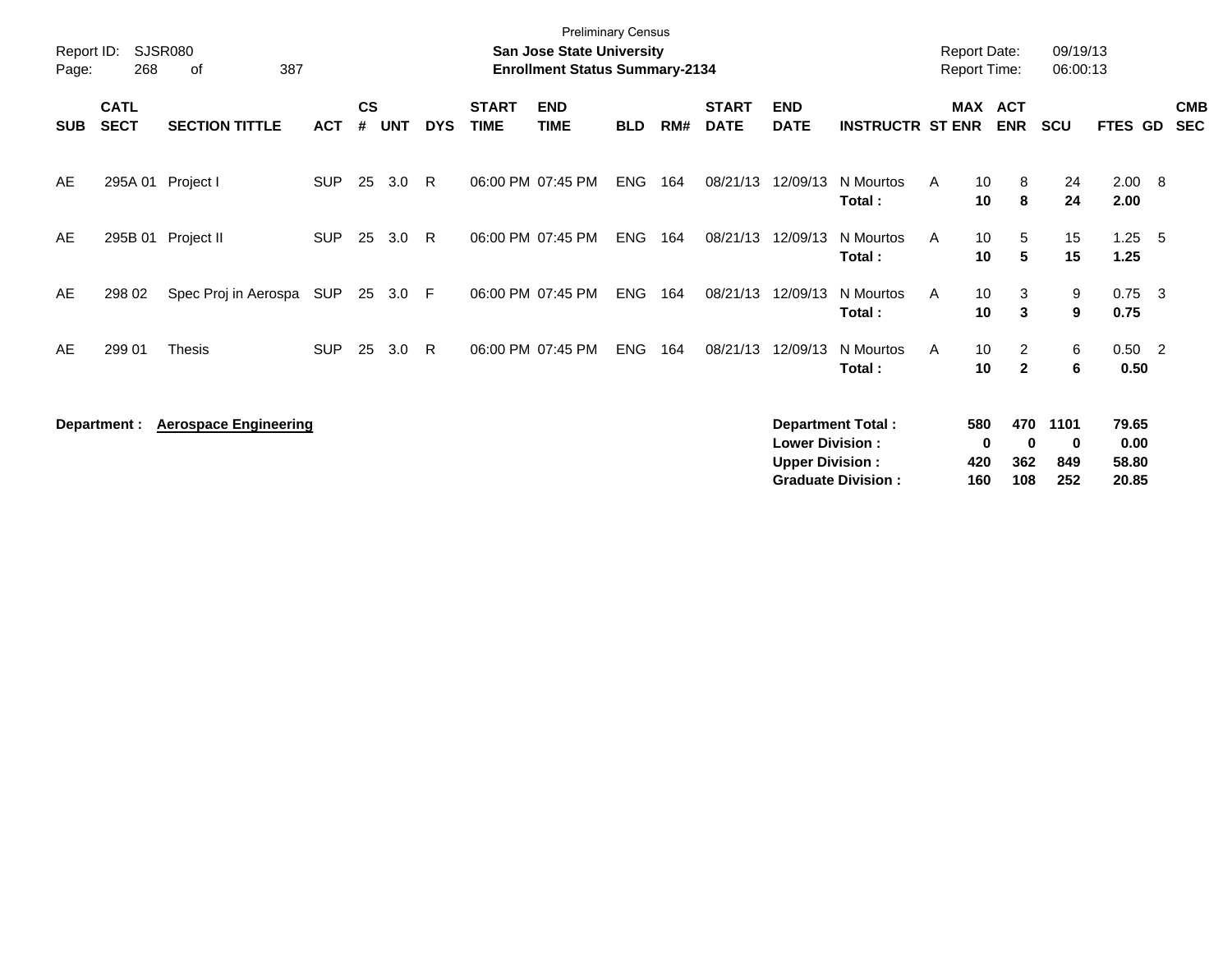| Report ID:<br>Page: | 268                        | <b>SJSR080</b><br>387<br>of  |            |                    |            |            |                             | <b>Preliminary Census</b><br>San Jose State University<br><b>Enrollment Status Summary-2134</b> |            |     |                             |                                                  |                                                       | Report Date:<br><b>Report Time:</b> |                                  | 09/19/13<br>06:00:13    |                                 |                          |
|---------------------|----------------------------|------------------------------|------------|--------------------|------------|------------|-----------------------------|-------------------------------------------------------------------------------------------------|------------|-----|-----------------------------|--------------------------------------------------|-------------------------------------------------------|-------------------------------------|----------------------------------|-------------------------|---------------------------------|--------------------------|
| <b>SUB</b>          | <b>CATL</b><br><b>SECT</b> | <b>SECTION TITTLE</b>        | <b>ACT</b> | $\mathsf{cs}$<br># | <b>UNT</b> | <b>DYS</b> | <b>START</b><br><b>TIME</b> | <b>END</b><br><b>TIME</b>                                                                       | <b>BLD</b> | RM# | <b>START</b><br><b>DATE</b> | <b>END</b><br><b>DATE</b>                        | <b>INSTRUCTR ST ENR</b>                               | <b>MAX</b>                          | <b>ACT</b><br><b>ENR</b>         | <b>SCU</b>              | FTES GD                         | <b>CMB</b><br><b>SEC</b> |
| AE                  | 295A 01                    | Project I                    | <b>SUP</b> | 25                 | 3.0        | R.         |                             | 06:00 PM 07:45 PM                                                                               | <b>ENG</b> | 164 | 08/21/13                    | 12/09/13                                         | N Mourtos<br>Total:                                   | 10<br>A<br>10                       | 8<br>8                           | 24<br>24                | $2.00\quad 8$<br>2.00           |                          |
| AE                  | 295B 01                    | Project II                   | <b>SUP</b> | 25                 | 3.0        | R          |                             | 06:00 PM 07:45 PM                                                                               | <b>ENG</b> | 164 | 08/21/13                    | 12/09/13                                         | N Mourtos<br>Total:                                   | 10<br>A<br>10                       | 5<br>5                           | 15<br>15                | $1.25 - 5$<br>1.25              |                          |
| AE                  | 298 02                     | Spec Proj in Aerospa         | SUP        | 25                 | 3.0        | -F         |                             | 06:00 PM 07:45 PM                                                                               | ENG        | 164 | 08/21/13                    | 12/09/13                                         | N Mourtos<br>Total:                                   | 10<br>A<br>10                       | 3<br>3                           | 9<br>9                  | $0.75 \quad 3$<br>0.75          |                          |
| AE                  | 299 01                     | Thesis                       | <b>SUP</b> | 25                 | 3.0        | R          |                             | 06:00 PM 07:45 PM                                                                               | <b>ENG</b> | 164 | 08/21/13                    | 12/09/13                                         | N Mourtos<br>Total:                                   | 10<br>A<br>10                       | $\overline{2}$<br>$\overline{2}$ | 6<br>6                  | $0.50$ 2<br>0.50                |                          |
|                     | Department :               | <b>Aerospace Engineering</b> |            |                    |            |            |                             |                                                                                                 |            |     |                             | <b>Lower Division:</b><br><b>Upper Division:</b> | <b>Department Total:</b><br><b>Graduate Division:</b> | 580<br>420<br>160                   | 470<br>0<br>0<br>362<br>108      | 1101<br>0<br>849<br>252 | 79.65<br>0.00<br>58.80<br>20.85 |                          |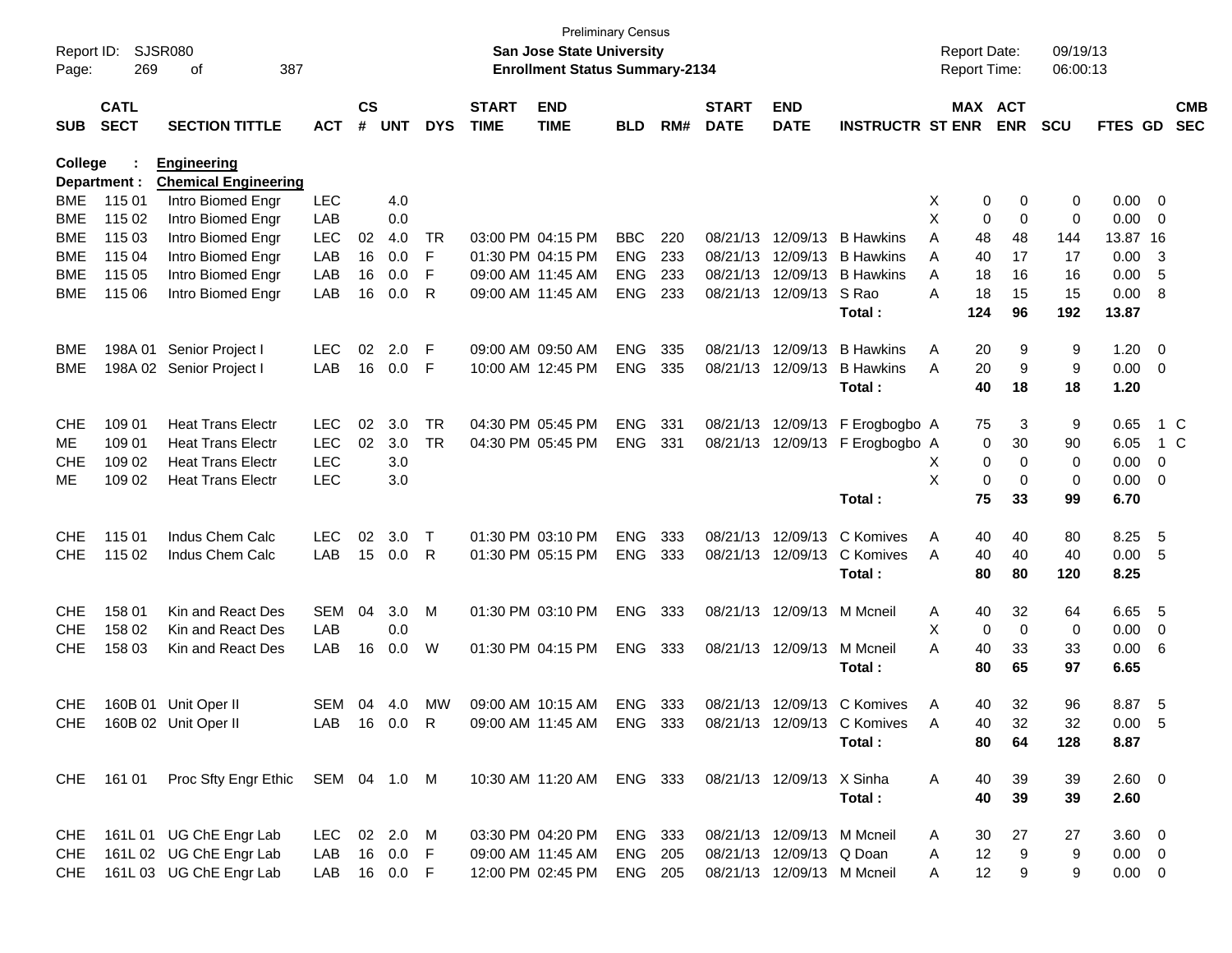| Report ID:<br>Page: | 269                        | <b>SJSR080</b><br>387<br>оf                       |              |                    |            |            |                             | San Jose State University<br><b>Enrollment Status Summary-2134</b> | <b>Preliminary Census</b> |     |                             |                            |                             | <b>Report Date:</b><br>Report Time: |             | 09/19/13<br>06:00:13 |                |                         |                          |
|---------------------|----------------------------|---------------------------------------------------|--------------|--------------------|------------|------------|-----------------------------|--------------------------------------------------------------------|---------------------------|-----|-----------------------------|----------------------------|-----------------------------|-------------------------------------|-------------|----------------------|----------------|-------------------------|--------------------------|
| <b>SUB</b>          | <b>CATL</b><br><b>SECT</b> | <b>SECTION TITTLE</b>                             | <b>ACT</b>   | $\mathsf{cs}$<br># | <b>UNT</b> | <b>DYS</b> | <b>START</b><br><b>TIME</b> | <b>END</b><br><b>TIME</b>                                          | <b>BLD</b>                | RM# | <b>START</b><br><b>DATE</b> | <b>END</b><br><b>DATE</b>  | <b>INSTRUCTR ST ENR</b>     | MAX ACT                             | <b>ENR</b>  | <b>SCU</b>           | <b>FTES GD</b> |                         | <b>CMB</b><br><b>SEC</b> |
| College             | Department :               | <b>Engineering</b><br><b>Chemical Engineering</b> |              |                    |            |            |                             |                                                                    |                           |     |                             |                            |                             |                                     |             |                      |                |                         |                          |
| <b>BME</b>          | 115 01                     | Intro Biomed Engr                                 | <b>LEC</b>   |                    | 4.0        |            |                             |                                                                    |                           |     |                             |                            |                             | Χ<br>0                              | 0           | 0                    | 0.00           | $\overline{\mathbf{0}}$ |                          |
| <b>BME</b>          | 115 02                     | Intro Biomed Engr                                 | LAB          |                    | 0.0        |            |                             |                                                                    |                           |     |                             |                            |                             | X<br>0                              | 0           | 0                    | 0.00           | $\overline{\mathbf{0}}$ |                          |
| <b>BME</b>          | 115 03                     | Intro Biomed Engr                                 | <b>LEC</b>   | 02                 | 4.0        | TR         |                             | 03:00 PM 04:15 PM                                                  | <b>BBC</b>                | 220 |                             | 08/21/13 12/09/13          | <b>B</b> Hawkins            | 48<br>A                             | 48          | 144                  | 13.87 16       |                         |                          |
| <b>BME</b>          | 115 04                     | Intro Biomed Engr                                 | LAB          | 16                 | 0.0        | F          |                             | 01:30 PM 04:15 PM                                                  | <b>ENG</b>                | 233 |                             | 08/21/13 12/09/13          | <b>B</b> Hawkins            | A<br>40                             | 17          | 17                   | 0.00           | -3                      |                          |
| <b>BME</b>          | 115 05                     | Intro Biomed Engr                                 | LAB          | 16                 | 0.0        | F          |                             | 09:00 AM 11:45 AM                                                  | <b>ENG</b>                | 233 |                             | 08/21/13 12/09/13          | <b>B</b> Hawkins            | A<br>18                             | 16          | 16                   | 0.00           | -5                      |                          |
| BME                 | 115 06                     | Intro Biomed Engr                                 | LAB          | 16                 | 0.0        | R          |                             | 09:00 AM 11:45 AM                                                  | <b>ENG</b>                | 233 |                             | 08/21/13 12/09/13          | S Rao                       | 18<br>Α                             | 15          | 15                   | 0.00           | 8                       |                          |
|                     |                            |                                                   |              |                    |            |            |                             |                                                                    |                           |     |                             |                            | Total:                      | 124                                 | 96          | 192                  | 13.87          |                         |                          |
| BME                 | 198A 01                    | Senior Project I                                  | <b>LEC</b>   | 02                 | 2.0        | F          |                             | 09:00 AM 09:50 AM                                                  | <b>ENG</b>                | 335 |                             | 08/21/13 12/09/13          | <b>B</b> Hawkins            | 20<br>A                             | 9           | 9                    | 1.20           | $\overline{\mathbf{0}}$ |                          |
| BME                 |                            | 198A 02 Senior Project I                          | LAB          | 16                 | 0.0        | F          |                             | 10:00 AM 12:45 PM                                                  | <b>ENG</b>                | 335 |                             | 08/21/13 12/09/13          | <b>B</b> Hawkins            | 20<br>A                             | 9           | 9                    | 0.00           | $\overline{\mathbf{0}}$ |                          |
|                     |                            |                                                   |              |                    |            |            |                             |                                                                    |                           |     |                             |                            | Total:                      | 40                                  | 18          | 18                   | 1.20           |                         |                          |
| <b>CHE</b>          | 109 01                     | <b>Heat Trans Electr</b>                          | <b>LEC</b>   | 02                 | 3.0        | TR         |                             | 04:30 PM 05:45 PM                                                  | <b>ENG</b>                | 331 |                             | 08/21/13 12/09/13          | F Erogbogbo A               | 75                                  | 3           | 9                    | 0.65           |                         | 1 C                      |
| ME                  | 109 01                     | <b>Heat Trans Electr</b>                          | <b>LEC</b>   | 02                 | 3.0        | <b>TR</b>  |                             | 04:30 PM 05:45 PM                                                  | <b>ENG</b>                | 331 |                             | 08/21/13 12/09/13          | F Erogbogbo A               | 0                                   | 30          | 90                   | 6.05           |                         | 1 C                      |
| <b>CHE</b>          | 109 02                     | <b>Heat Trans Electr</b>                          | <b>LEC</b>   |                    | 3.0        |            |                             |                                                                    |                           |     |                             |                            |                             | Χ<br>0                              | 0           | 0                    | 0.00           | 0                       |                          |
| ME                  | 109 02                     | <b>Heat Trans Electr</b>                          | <b>LEC</b>   |                    | 3.0        |            |                             |                                                                    |                           |     |                             |                            |                             | X<br>0                              | $\mathbf 0$ | 0                    | 0.00           | - 0                     |                          |
|                     |                            |                                                   |              |                    |            |            |                             |                                                                    |                           |     |                             |                            | Total:                      | 75                                  | 33          | 99                   | 6.70           |                         |                          |
| <b>CHE</b>          | 115 01                     | Indus Chem Calc                                   | <b>LEC</b>   | 02                 | 3.0        | Т          |                             | 01:30 PM 03:10 PM                                                  | <b>ENG</b>                | 333 |                             | 08/21/13 12/09/13          | C Komives                   | 40<br>A                             | 40          | 80                   | 8.25           | - 5                     |                          |
| <b>CHE</b>          | 115 02                     | Indus Chem Calc                                   | LAB          | 15                 | 0.0        | R          |                             | 01:30 PM 05:15 PM                                                  | <b>ENG</b>                | 333 |                             | 08/21/13 12/09/13          | C Komives                   | 40<br>A                             | 40          | 40                   | 0.00           | - 5                     |                          |
|                     |                            |                                                   |              |                    |            |            |                             |                                                                    |                           |     |                             |                            | Total:                      | 80                                  | 80          | 120                  | 8.25           |                         |                          |
| <b>CHE</b>          | 158 01                     | Kin and React Des                                 | SEM          | 04                 | 3.0        | M          |                             | 01:30 PM 03:10 PM                                                  | <b>ENG</b>                | 333 |                             | 08/21/13 12/09/13          | M Mcneil                    | 40<br>A                             | 32          | 64                   | 6.65           | - 5                     |                          |
| <b>CHE</b>          | 158 02                     | Kin and React Des                                 | LAB          |                    | 0.0        |            |                             |                                                                    |                           |     |                             |                            |                             | X<br>0                              | 0           | 0                    | 0.00           | $\overline{\mathbf{0}}$ |                          |
| <b>CHE</b>          | 158 03                     | Kin and React Des                                 | LAB          | 16                 | 0.0        | W          |                             | 01:30 PM 04:15 PM                                                  | ENG                       | 333 |                             | 08/21/13 12/09/13          | M Mcneil                    | 40<br>Α                             | 33          | 33                   | 0.00           | -6                      |                          |
|                     |                            |                                                   |              |                    |            |            |                             |                                                                    |                           |     |                             |                            | Total:                      | 80                                  | 65          | 97                   | 6.65           |                         |                          |
| <b>CHE</b>          |                            | 160B 01 Unit Oper II                              | <b>SEM</b>   | 04                 | 4.0        | MW         |                             | 09:00 AM 10:15 AM                                                  | <b>ENG</b>                | 333 |                             | 08/21/13 12/09/13          | C Komives                   | 40<br>A                             | 32          | 96                   | 8.87           | - 5                     |                          |
| <b>CHE</b>          |                            | 160B 02 Unit Oper II                              | LAB          |                    | 16  0.0    | R          |                             | 09:00 AM 11:45 AM                                                  | ENG 333                   |     |                             |                            | 08/21/13 12/09/13 C Komives | 40<br>A                             | 32          | 32                   | 0.00           | -5                      |                          |
|                     |                            |                                                   |              |                    |            |            |                             |                                                                    |                           |     |                             |                            | Total:                      | 80                                  | 64          | 128                  | 8.87           |                         |                          |
|                     | CHE 161 01                 | Proc Sfty Engr Ethic SEM 04 1.0 M                 |              |                    |            |            |                             | 10:30 AM 11:20 AM                                                  | ENG 333                   |     |                             | 08/21/13 12/09/13 X Sinha  |                             | 40<br>A                             | 39          | 39                   | 2.60 0         |                         |                          |
|                     |                            |                                                   |              |                    |            |            |                             |                                                                    |                           |     |                             |                            | Total:                      | 40                                  | 39          | 39                   | 2.60           |                         |                          |
| <b>CHE</b>          |                            | 161L 01 UG ChE Engr Lab                           | LEC          |                    | 02 2.0     | – M        |                             | 03:30 PM 04:20 PM                                                  | ENG 333                   |     |                             | 08/21/13 12/09/13 M Mcneil |                             | 30<br>A                             | 27          | 27                   | $3.60 \quad 0$ |                         |                          |
| <b>CHE</b>          |                            | 161L 02 UG ChE Engr Lab                           | LAB          |                    | 16 0.0     | -F         |                             | 09:00 AM 11:45 AM                                                  | ENG 205                   |     |                             | 08/21/13 12/09/13 Q Doan   |                             | 12<br>Α                             | 9           | 9                    | $0.00 \t 0$    |                         |                          |
| CHE                 |                            | 161L 03 UG ChE Engr Lab                           | LAB 16 0.0 F |                    |            |            |                             | 12:00 PM 02:45 PM                                                  | ENG 205                   |     |                             | 08/21/13 12/09/13 M Mcneil |                             | 12<br>A                             | 9           | 9                    | $0.00 \t 0$    |                         |                          |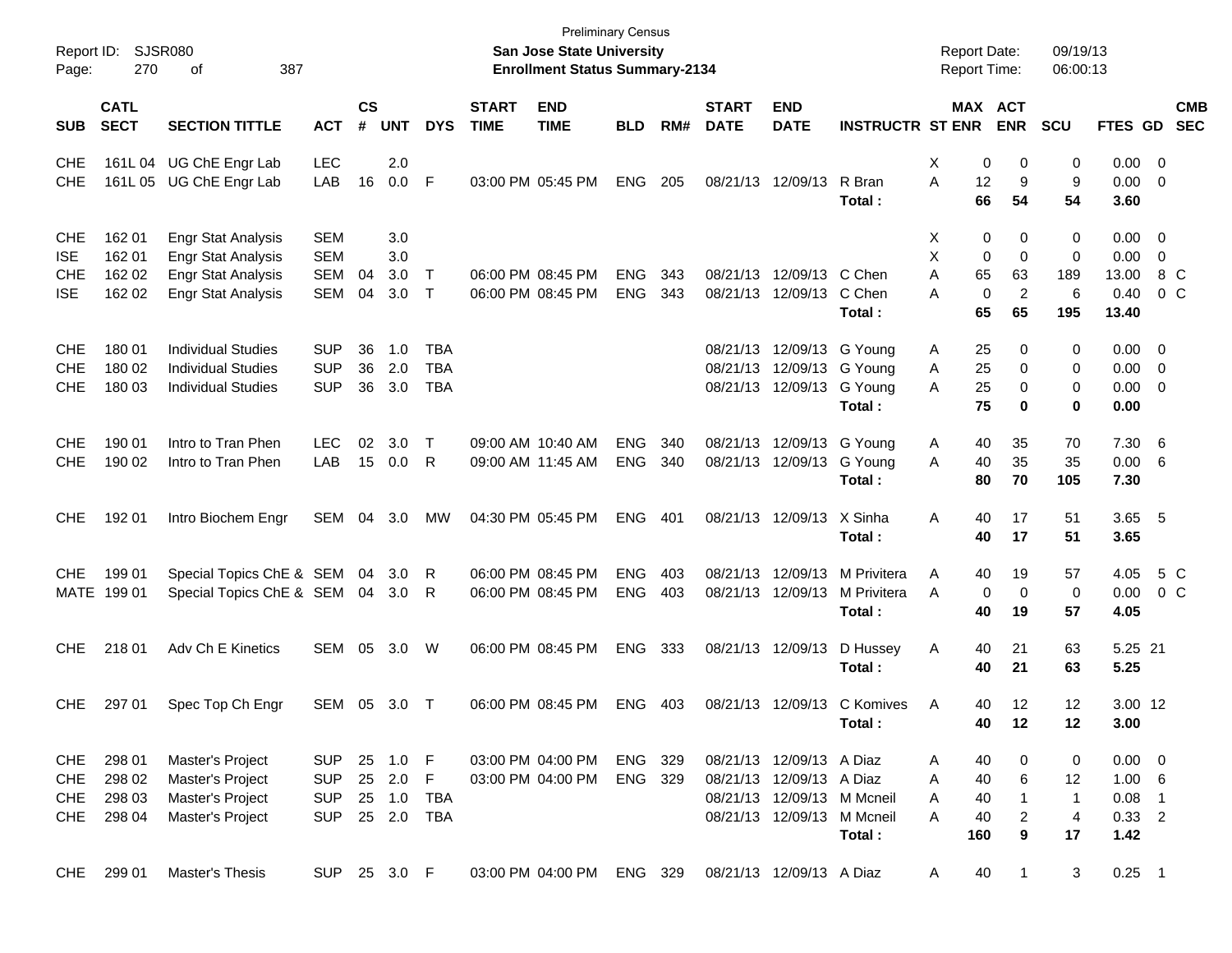| Report ID:<br>Page:                                  | 270                                  | SJSR080<br>387<br>οf                                                                                             |                                                      |                    |                                      |                                 |                                        | <b>Preliminary Census</b><br>San Jose State University<br><b>Enrollment Status Summary-2134</b> |                          |            |                             |                                                                                                                  |                                       | <b>Report Date:</b><br><b>Report Time:</b>      |                                                               | 09/19/13<br>06:00:13                           |                                                       |                                       |  |
|------------------------------------------------------|--------------------------------------|------------------------------------------------------------------------------------------------------------------|------------------------------------------------------|--------------------|--------------------------------------|---------------------------------|----------------------------------------|-------------------------------------------------------------------------------------------------|--------------------------|------------|-----------------------------|------------------------------------------------------------------------------------------------------------------|---------------------------------------|-------------------------------------------------|---------------------------------------------------------------|------------------------------------------------|-------------------------------------------------------|---------------------------------------|--|
| <b>SUB</b>                                           | <b>CATL</b><br><b>SECT</b>           | <b>SECTION TITTLE</b>                                                                                            | <b>ACT</b>                                           | $\mathsf{cs}$<br># | <b>UNT</b>                           | <b>DYS</b>                      | <b>START</b><br><b>TIME</b>            | <b>END</b><br><b>TIME</b>                                                                       | <b>BLD</b>               | RM#        | <b>START</b><br><b>DATE</b> | <b>END</b><br><b>DATE</b>                                                                                        | <b>INSTRUCTR ST ENR</b>               |                                                 | MAX ACT<br><b>ENR</b>                                         | <b>SCU</b>                                     | FTES GD                                               | <b>CMB</b><br><b>SEC</b>              |  |
| <b>CHE</b><br><b>CHE</b>                             |                                      | 161L 04 UG ChE Engr Lab<br>161L 05 UG ChE Engr Lab                                                               | <b>LEC</b><br>LAB                                    | 16                 | 2.0<br>0.0                           | F                               | 03:00 PM 05:45 PM                      |                                                                                                 | <b>ENG</b>               | 205        |                             | 08/21/13 12/09/13                                                                                                | R Bran<br>Total :                     | X<br>12<br>A<br>66                              | 0<br>0<br>9<br>54                                             | 0<br>9<br>54                                   | $0.00 \t 0$<br>$0.00 \t 0$<br>3.60                    |                                       |  |
| <b>CHE</b><br><b>ISE</b><br><b>CHE</b><br><b>ISE</b> | 162 01<br>162 01<br>162 02<br>162 02 | <b>Engr Stat Analysis</b><br><b>Engr Stat Analysis</b><br><b>Engr Stat Analysis</b><br><b>Engr Stat Analysis</b> | <b>SEM</b><br><b>SEM</b><br><b>SEM</b><br>SEM        | 04<br>04           | 3.0<br>3.0<br>3.0<br>3.0             | $\top$<br>$\top$                | 06:00 PM 08:45 PM<br>06:00 PM 08:45 PM |                                                                                                 | <b>ENG</b><br><b>ENG</b> | 343<br>343 |                             | 08/21/13 12/09/13 C Chen<br>08/21/13 12/09/13                                                                    | C Chen<br>Total :                     | Х<br>X<br>Α<br>65<br>Α<br>65                    | 0<br>0<br>0<br>$\mathbf 0$<br>63<br>0<br>$\overline{2}$<br>65 | 0<br>$\mathbf 0$<br>189<br>6<br>195            | $0.00 \t 0$<br>0.00<br>13.00<br>0.40<br>13.40         | $\overline{\mathbf{0}}$<br>8 C<br>0 C |  |
| <b>CHE</b><br><b>CHE</b><br><b>CHE</b>               | 180 01<br>180 02<br>180 03           | <b>Individual Studies</b><br><b>Individual Studies</b><br><b>Individual Studies</b>                              | <b>SUP</b><br><b>SUP</b><br><b>SUP</b>               | 36<br>36<br>36     | 1.0<br>2.0<br>3.0                    | TBA<br><b>TBA</b><br><b>TBA</b> |                                        |                                                                                                 |                          |            |                             | 08/21/13 12/09/13 G Young<br>08/21/13 12/09/13 G Young<br>08/21/13 12/09/13 G Young                              | Total :                               | 25<br>A<br>25<br>Α<br>25<br>Α<br>75             | 0<br>0<br>0<br>0                                              | 0<br>0<br>0<br>0                               | $0.00 \t 0$<br>$0.00 \t 0$<br>$0.00 \t 0$<br>0.00     |                                       |  |
| <b>CHE</b><br><b>CHE</b>                             | 190 01<br>190 02                     | Intro to Tran Phen<br>Intro to Tran Phen                                                                         | <b>LEC</b><br>LAB                                    | 02<br>15           | 3.0<br>0.0                           | $\top$<br>R                     | 09:00 AM 10:40 AM<br>09:00 AM 11:45 AM |                                                                                                 | <b>ENG</b><br><b>ENG</b> | 340<br>340 |                             | 08/21/13 12/09/13 G Young<br>08/21/13 12/09/13 G Young                                                           | Total :                               | 40<br>A<br>40<br>A<br>80                        | 35<br>35<br>70                                                | 70<br>35<br>105                                | 7.30 6<br>0.00<br>7.30                                | - 6                                   |  |
| <b>CHE</b>                                           | 192 01                               | Intro Biochem Engr                                                                                               | SEM                                                  | 04                 | 3.0                                  | MW                              | 04:30 PM 05:45 PM                      |                                                                                                 | <b>ENG</b>               | 401        |                             | 08/21/13 12/09/13                                                                                                | X Sinha<br>Total :                    | 40<br>Α<br>40                                   | 17<br>17                                                      | 51<br>51                                       | 3.65 5<br>3.65                                        |                                       |  |
| <b>CHE</b>                                           | 199 01<br>MATE 199 01                | Special Topics ChE & SEM<br>Special Topics ChE & SEM 04 3.0                                                      |                                                      | 04                 | 3.0                                  | R<br>R                          | 06:00 PM 08:45 PM<br>06:00 PM 08:45 PM |                                                                                                 | <b>ENG</b><br><b>ENG</b> | 403<br>403 |                             | 08/21/13 12/09/13<br>08/21/13 12/09/13                                                                           | M Privitera<br>M Privitera<br>Total : | Α<br>40<br>0<br>A<br>40                         | 19<br>0<br>19                                                 | 57<br>0<br>57                                  | 4.05<br>0.00<br>4.05                                  | 5 C<br>0 C                            |  |
| <b>CHE</b>                                           | 218 01                               | Adv Ch E Kinetics                                                                                                | SEM                                                  | 05                 | 3.0                                  | W                               | 06:00 PM 08:45 PM                      |                                                                                                 | <b>ENG</b>               | 333        |                             | 08/21/13 12/09/13                                                                                                | D Hussey<br>Total :                   | Α<br>40<br>40                                   | 21<br>21                                                      | 63<br>63                                       | 5.25 21<br>5.25                                       |                                       |  |
| <b>CHE</b>                                           | 297 01                               | Spec Top Ch Engr                                                                                                 | SEM                                                  | 05                 | 3.0                                  | $\top$                          | 06:00 PM 08:45 PM                      |                                                                                                 | <b>ENG</b>               | 403        |                             | 08/21/13 12/09/13                                                                                                | C Komives<br>Total:                   | Α<br>40<br>40                                   | 12<br>12                                                      | 12<br>12                                       | 3.00 12<br>3.00                                       |                                       |  |
| <b>CHE</b><br><b>CHE</b><br><b>CHE</b><br>CHE        | 298 01<br>298 02<br>298 03<br>298 04 | Master's Project<br>Master's Project<br>Master's Project<br>Master's Project                                     | <b>SUP</b><br><b>SUP</b><br><b>SUP</b><br><b>SUP</b> |                    | 25 1.0<br>25 2.0<br>25 1.0<br>25 2.0 | - F<br>F<br>TBA<br><b>TBA</b>   |                                        | 03:00 PM 04:00 PM<br>03:00 PM 04:00 PM                                                          | ENG 329<br>ENG 329       |            |                             | 08/21/13 12/09/13 A Diaz<br>08/21/13 12/09/13 A Diaz<br>08/21/13 12/09/13 M Mcneil<br>08/21/13 12/09/13 M Mcneil | Total:                                | 40<br>A<br>40<br>A<br>40<br>A<br>40<br>A<br>160 | 0<br>6<br>1<br>2<br>9                                         | 0<br>12<br>$\mathbf 1$<br>$\overline{4}$<br>17 | $0.00 \t 0$<br>1.00 6<br>$0.08$ 1<br>$0.33$ 2<br>1.42 |                                       |  |
| CHE                                                  | 299 01                               | Master's Thesis                                                                                                  | SUP 25 3.0 F                                         |                    |                                      |                                 |                                        | 03:00 PM 04:00 PM                                                                               | ENG 329                  |            |                             | 08/21/13 12/09/13 A Diaz                                                                                         |                                       | 40<br>A                                         | 1                                                             | 3                                              | $0.25$ 1                                              |                                       |  |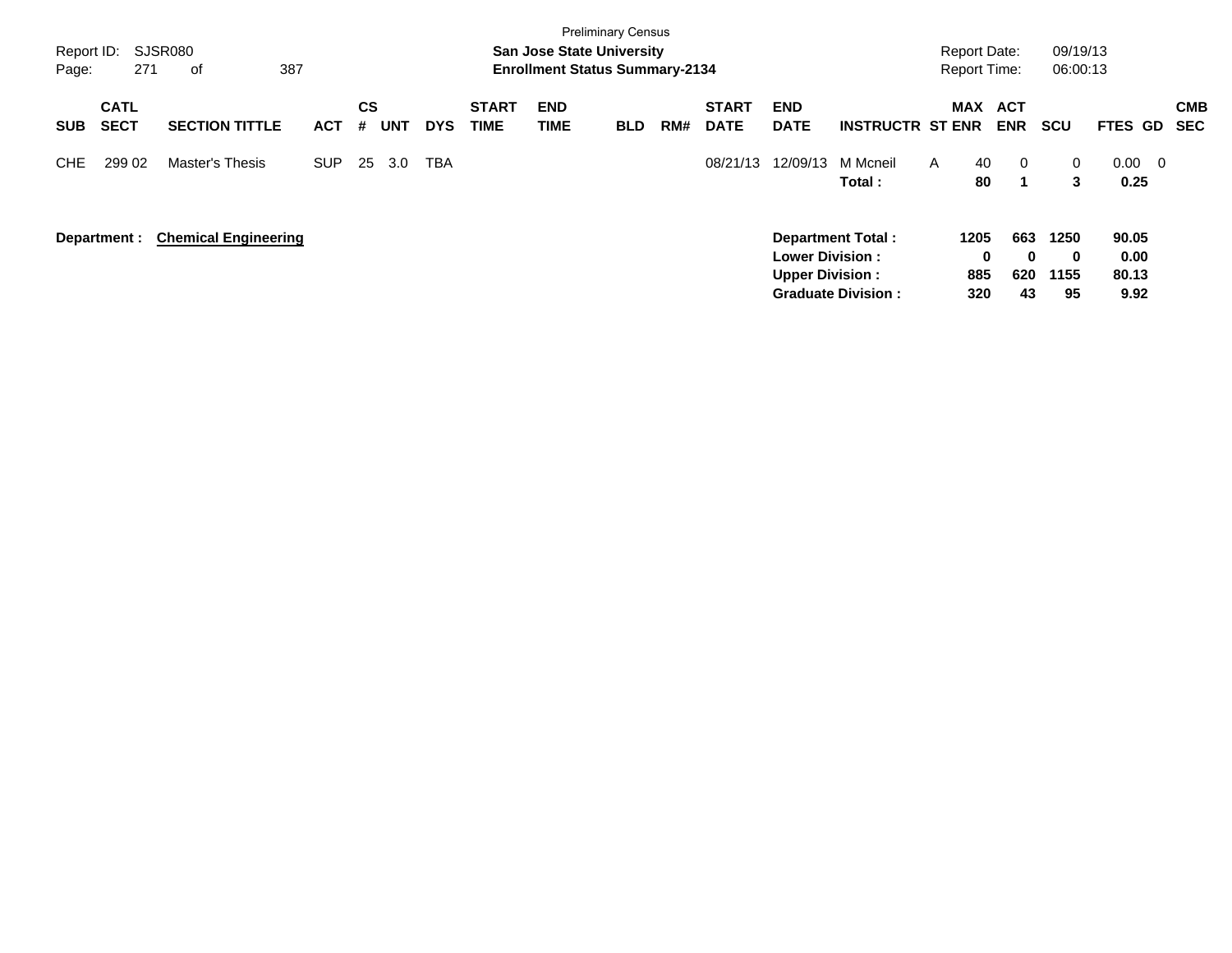|            |              |                             |            |    |            |            |              |            | <b>Preliminary Census</b>             |     |              |                        |                           |   |                     |            |              |                                  |            |
|------------|--------------|-----------------------------|------------|----|------------|------------|--------------|------------|---------------------------------------|-----|--------------|------------------------|---------------------------|---|---------------------|------------|--------------|----------------------------------|------------|
| Report ID: |              | SJSR080                     |            |    |            |            |              |            | <b>San Jose State University</b>      |     |              |                        |                           |   | <b>Report Date:</b> |            | 09/19/13     |                                  |            |
| Page:      | 271          | 387<br>оf                   |            |    |            |            |              |            | <b>Enrollment Status Summary-2134</b> |     |              |                        |                           |   | <b>Report Time:</b> |            | 06:00:13     |                                  |            |
|            | <b>CATL</b>  |                             |            | CS |            |            | <b>START</b> | <b>END</b> |                                       |     | <b>START</b> | <b>END</b>             |                           |   | <b>MAX</b>          | <b>ACT</b> |              |                                  | <b>CMB</b> |
| <b>SUB</b> | <b>SECT</b>  | <b>SECTION TITTLE</b>       | <b>ACT</b> | #  | <b>UNT</b> | <b>DYS</b> | <b>TIME</b>  | TIME       | <b>BLD</b>                            | RM# | <b>DATE</b>  | <b>DATE</b>            | <b>INSTRUCTR ST ENR</b>   |   |                     | <b>ENR</b> | <b>SCU</b>   | <b>FTES GD</b>                   | <b>SEC</b> |
| CHE        | 299 02       | Master's Thesis             | <b>SUP</b> | 25 | 3.0        | TBA        |              |            |                                       |     | 08/21/13     | 12/09/13               | M Mcneil                  | A | 40                  | $\Omega$   | $\mathbf{0}$ | 0.00<br>$\overline{\phantom{0}}$ |            |
|            |              |                             |            |    |            |            |              |            |                                       |     |              |                        | Total :                   |   | 80                  | 1          | 3            | 0.25                             |            |
|            | Department : | <b>Chemical Engineering</b> |            |    |            |            |              |            |                                       |     |              |                        | <b>Department Total:</b>  |   | 1205                | 663        | 1250         | 90.05                            |            |
|            |              |                             |            |    |            |            |              |            |                                       |     |              | <b>Lower Division:</b> |                           |   | $\mathbf 0$         | 0          | $\bf{0}$     | 0.00                             |            |
|            |              |                             |            |    |            |            |              |            |                                       |     |              | <b>Upper Division:</b> |                           |   | 885                 | 620        | 1155         | 80.13                            |            |
|            |              |                             |            |    |            |            |              |            |                                       |     |              |                        | <b>Graduate Division:</b> |   | 320                 | 43         | 95           | 9.92                             |            |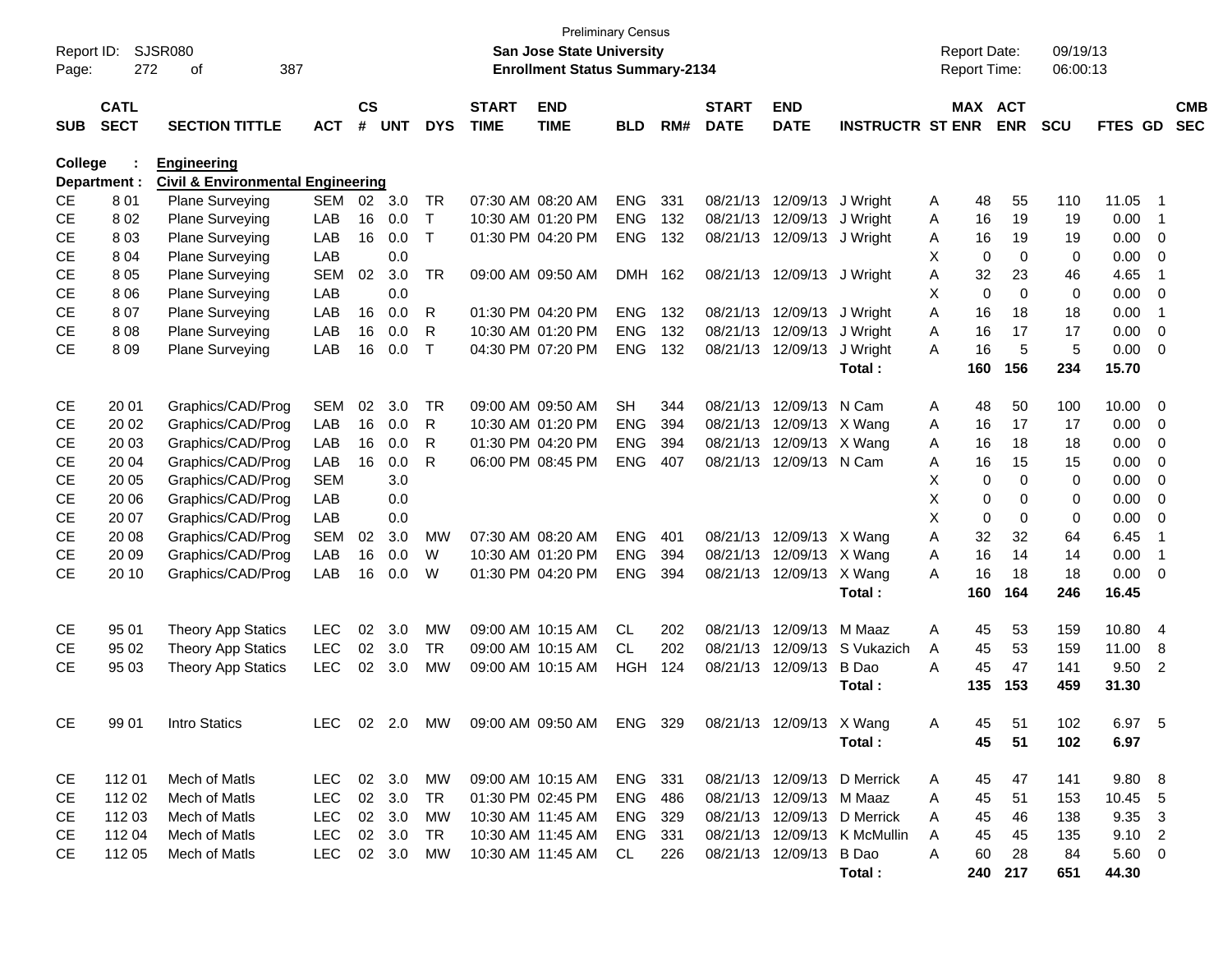| Report ID:<br>Page: | 272          | <b>SJSR080</b><br>387<br>οf                  |            |           |            |              |                   | <b>Preliminary Census</b><br><b>San Jose State University</b><br><b>Enrollment Status Summary-2134</b> |                |     |              |                          |                              |   | <b>Report Date:</b><br><b>Report Time:</b> |             | 09/19/13<br>06:00:13 |             |                |            |
|---------------------|--------------|----------------------------------------------|------------|-----------|------------|--------------|-------------------|--------------------------------------------------------------------------------------------------------|----------------|-----|--------------|--------------------------|------------------------------|---|--------------------------------------------|-------------|----------------------|-------------|----------------|------------|
|                     | <b>CATL</b>  |                                              |            | <b>CS</b> |            |              | <b>START</b>      | <b>END</b>                                                                                             |                |     | <b>START</b> | <b>END</b>               |                              |   | MAX ACT                                    |             |                      |             |                | <b>CMB</b> |
| <b>SUB</b>          | <b>SECT</b>  | <b>SECTION TITTLE</b>                        | <b>ACT</b> | #         | <b>UNT</b> | <b>DYS</b>   | <b>TIME</b>       | <b>TIME</b>                                                                                            | <b>BLD</b>     | RM# | <b>DATE</b>  | <b>DATE</b>              | <b>INSTRUCTR ST ENR</b>      |   |                                            | <b>ENR</b>  | <b>SCU</b>           | FTES GD     |                | <b>SEC</b> |
| <b>College</b>      |              | <b>Engineering</b>                           |            |           |            |              |                   |                                                                                                        |                |     |              |                          |                              |   |                                            |             |                      |             |                |            |
|                     | Department : | <b>Civil &amp; Environmental Engineering</b> |            |           |            |              |                   |                                                                                                        |                |     |              |                          |                              |   |                                            |             |                      |             |                |            |
| <b>CE</b>           | 801          | Plane Surveying                              | SEM        | 02        | 3.0        | TR           | 07:30 AM 08:20 AM |                                                                                                        | <b>ENG</b>     | 331 | 08/21/13     | 12/09/13                 | J Wright                     | A | 48                                         | 55          | 110                  | 11.05       | $\overline{1}$ |            |
| CE                  | 802          | Plane Surveying                              | LAB        | 16        | 0.0        | $\mathsf{T}$ |                   | 10:30 AM 01:20 PM                                                                                      | <b>ENG</b>     | 132 | 08/21/13     | 12/09/13                 | J Wright                     | A | 16                                         | 19          | 19                   | 0.00        | $\overline{1}$ |            |
| <b>CE</b>           | 803          | Plane Surveying                              | LAB        | 16        | 0.0        | $\top$       |                   | 01:30 PM 04:20 PM                                                                                      | <b>ENG</b>     | 132 | 08/21/13     | 12/09/13                 | J Wright                     | A | 16                                         | 19          | 19                   | 0.00        | 0              |            |
| <b>CE</b>           | 8 0 4        | Plane Surveying                              | LAB        |           | 0.0        |              |                   |                                                                                                        |                |     |              |                          |                              | X | 0                                          | 0           | 0                    | 0.00        | 0              |            |
| <b>CE</b>           | 805          | Plane Surveying                              | <b>SEM</b> | 02        | 3.0        | <b>TR</b>    |                   | 09:00 AM 09:50 AM                                                                                      | DMH 162        |     |              | 08/21/13 12/09/13        | J Wright                     | Α | 32                                         | 23          | 46                   | 4.65        | $\overline{1}$ |            |
| <b>CE</b>           | 8 0 6        | Plane Surveying                              | LAB        |           | 0.0        |              |                   |                                                                                                        |                |     |              |                          |                              | X | 0                                          | 0           | 0                    | 0.00        | 0              |            |
| <b>CE</b>           | 807          | Plane Surveying                              | LAB        | 16        | 0.0        | R            |                   | 01:30 PM 04:20 PM                                                                                      | <b>ENG</b>     | 132 |              | 08/21/13 12/09/13        | J Wright                     | Α | 16                                         | 18          | 18                   | 0.00        | $\overline{1}$ |            |
| <b>CE</b>           | 808          | Plane Surveying                              | LAB        | 16        | 0.0        | R            |                   | 10:30 AM 01:20 PM                                                                                      | <b>ENG</b>     | 132 |              | 08/21/13 12/09/13        | J Wright                     | Α | 16                                         | 17          | 17                   | 0.00        | 0              |            |
| CE                  | 809          | Plane Surveying                              | LAB        | 16        | 0.0        | $\top$       |                   | 04:30 PM 07:20 PM                                                                                      | <b>ENG</b>     | 132 |              | 08/21/13 12/09/13        | J Wright                     | A | 16                                         | 5           | 5                    | 0.00        | $\mathbf 0$    |            |
|                     |              |                                              |            |           |            |              |                   |                                                                                                        |                |     |              |                          | Total:                       |   | 160                                        | 156         | 234                  | 15.70       |                |            |
| <b>CE</b>           | 20 01        | Graphics/CAD/Prog                            | <b>SEM</b> | 02        | 3.0        | <b>TR</b>    |                   | 09:00 AM 09:50 AM                                                                                      | <b>SH</b>      | 344 | 08/21/13     | 12/09/13                 | N Cam                        | A | 48                                         | 50          | 100                  | 10.00       | 0              |            |
| <b>CE</b>           | 20 02        | Graphics/CAD/Prog                            | LAB        | 16        | 0.0        | R            |                   | 10:30 AM 01:20 PM                                                                                      | <b>ENG</b>     | 394 | 08/21/13     | 12/09/13 X Wang          |                              | A | 16                                         | 17          | 17                   | 0.00        | 0              |            |
| <b>CE</b>           | 20 03        | Graphics/CAD/Prog                            | LAB        | 16        | 0.0        | R            |                   | 01:30 PM 04:20 PM                                                                                      | <b>ENG</b>     | 394 | 08/21/13     | 12/09/13 X Wang          |                              | Α | 16                                         | 18          | 18                   | 0.00        | 0              |            |
| <b>CE</b>           | 20 04        | Graphics/CAD/Prog                            | LAB        | 16        | 0.0        | R            |                   | 06:00 PM 08:45 PM                                                                                      | <b>ENG</b>     | 407 | 08/21/13     | 12/09/13 N Cam           |                              | A | 16                                         | 15          | 15                   | 0.00        | 0              |            |
| <b>CE</b>           | 20 05        | Graphics/CAD/Prog                            | <b>SEM</b> |           | 3.0        |              |                   |                                                                                                        |                |     |              |                          |                              | Х | 0                                          | $\mathbf 0$ | 0                    | 0.00        | 0              |            |
| <b>CE</b>           | 20 06        | Graphics/CAD/Prog                            | LAB        |           | 0.0        |              |                   |                                                                                                        |                |     |              |                          |                              | X | 0                                          | 0           | 0                    | 0.00        | 0              |            |
| <b>CE</b>           | 20 07        | Graphics/CAD/Prog                            | LAB        |           | 0.0        |              |                   |                                                                                                        |                |     |              |                          |                              | X | 0                                          | 0           | 0                    | 0.00        | 0              |            |
| <b>CE</b>           | 20 08        | Graphics/CAD/Prog                            | <b>SEM</b> | 02        | 3.0        | MW           | 07:30 AM 08:20 AM |                                                                                                        | <b>ENG</b>     | 401 |              | 08/21/13 12/09/13 X Wang |                              | A | 32                                         | 32          | 64                   | 6.45        | $\overline{1}$ |            |
| <b>CE</b>           | 20 09        | Graphics/CAD/Prog                            | LAB        | 16        | 0.0        | W            |                   | 10:30 AM 01:20 PM                                                                                      | <b>ENG</b>     | 394 | 08/21/13     | 12/09/13 X Wang          |                              | Α | 16                                         | 14          | 14                   | 0.00        | $\overline{1}$ |            |
| CE                  | 20 10        | Graphics/CAD/Prog                            | LAB        | 16        | 0.0        | W            |                   | 01:30 PM 04:20 PM                                                                                      | <b>ENG</b>     | 394 |              | 08/21/13 12/09/13 X Wang |                              | A | 16                                         | 18          | 18                   | 0.00        | 0              |            |
|                     |              |                                              |            |           |            |              |                   |                                                                                                        |                |     |              |                          | Total:                       |   | 160                                        | 164         | 246                  | 16.45       |                |            |
| <b>CE</b>           | 95 01        | <b>Theory App Statics</b>                    | <b>LEC</b> | 02        | 3.0        | <b>MW</b>    |                   | 09:00 AM 10:15 AM                                                                                      | <b>CL</b>      | 202 | 08/21/13     | 12/09/13                 | M Maaz                       | Α | 45                                         | 53          | 159                  | 10.80       | $\overline{4}$ |            |
| <b>CE</b>           | 95 02        | <b>Theory App Statics</b>                    | <b>LEC</b> | 02        | 3.0        | <b>TR</b>    |                   | 09:00 AM 10:15 AM                                                                                      | CL.            | 202 | 08/21/13     | 12/09/13                 | S Vukazich                   | A | 45                                         | 53          | 159                  | 11.00       | 8              |            |
| <b>CE</b>           | 95 03        | Theory App Statics                           | <b>LEC</b> | 02        | 3.0        | <b>MW</b>    |                   | 09:00 AM 10:15 AM                                                                                      | <b>HGH</b>     | 124 | 08/21/13     | 12/09/13                 | B Dao                        | A | 45                                         | 47          | 141                  | 9.50        | $\overline{2}$ |            |
|                     |              |                                              |            |           |            |              |                   |                                                                                                        |                |     |              |                          | Total :                      |   | 135                                        | 153         | 459                  | 31.30       |                |            |
| CE                  | 99 01        | Intro Statics                                | LEC I      | 02        | 2.0        | MW           |                   | 09:00 AM 09:50 AM                                                                                      | <b>ENG</b>     | 329 |              | 08/21/13 12/09/13 X Wang |                              | A | 45                                         | 51          | 102                  | 6.97        | -5             |            |
|                     |              |                                              |            |           |            |              |                   |                                                                                                        |                |     |              |                          | Total:                       |   | 45                                         | 51          | 102                  | 6.97        |                |            |
|                     |              |                                              |            |           |            |              |                   |                                                                                                        |                |     |              |                          |                              |   |                                            |             |                      |             |                |            |
| CE                  | 11201        | Mech of Matls                                | LEC 02 3.0 |           |            | МW           |                   | 09:00 AM 10:15 AM                                                                                      | ENG 331        |     |              |                          | 08/21/13 12/09/13 D Merrick  | A | 45                                         | 47          | 141                  | 9.80 8      |                |            |
| CE                  | 112 02       | Mech of Matls                                | LEC        |           | 02 3.0     | TR           |                   | 01:30 PM 02:45 PM                                                                                      | <b>ENG 486</b> |     |              | 08/21/13 12/09/13 M Maaz |                              | A | 45                                         | 51          | 153                  | 10.45 5     |                |            |
| CE                  | 112 03       | Mech of Matls                                | LEC        |           | 02 3.0     | МW           |                   | 10:30 AM 11:45 AM                                                                                      | ENG 329        |     |              |                          | 08/21/13 12/09/13 D Merrick  | A | 45                                         | 46          | 138                  | 9.35 3      |                |            |
| CE                  | 112 04       | Mech of Matls                                | LEC        |           | 02 3.0     | TR           |                   | 10:30 AM 11:45 AM                                                                                      | ENG 331        |     |              |                          | 08/21/13 12/09/13 K McMullin | A | 45                                         | 45          | 135                  | $9.10$ 2    |                |            |
| CE                  | 112 05       | Mech of Matls                                | LEC 02 3.0 |           |            | MW           |                   | 10:30 AM 11:45 AM                                                                                      | CL             | 226 |              | 08/21/13 12/09/13 B Dao  |                              | A | 60                                         | 28          | 84                   | $5.60 \t 0$ |                |            |
|                     |              |                                              |            |           |            |              |                   |                                                                                                        |                |     |              |                          | Total:                       |   |                                            | 240 217     | 651                  | 44.30       |                |            |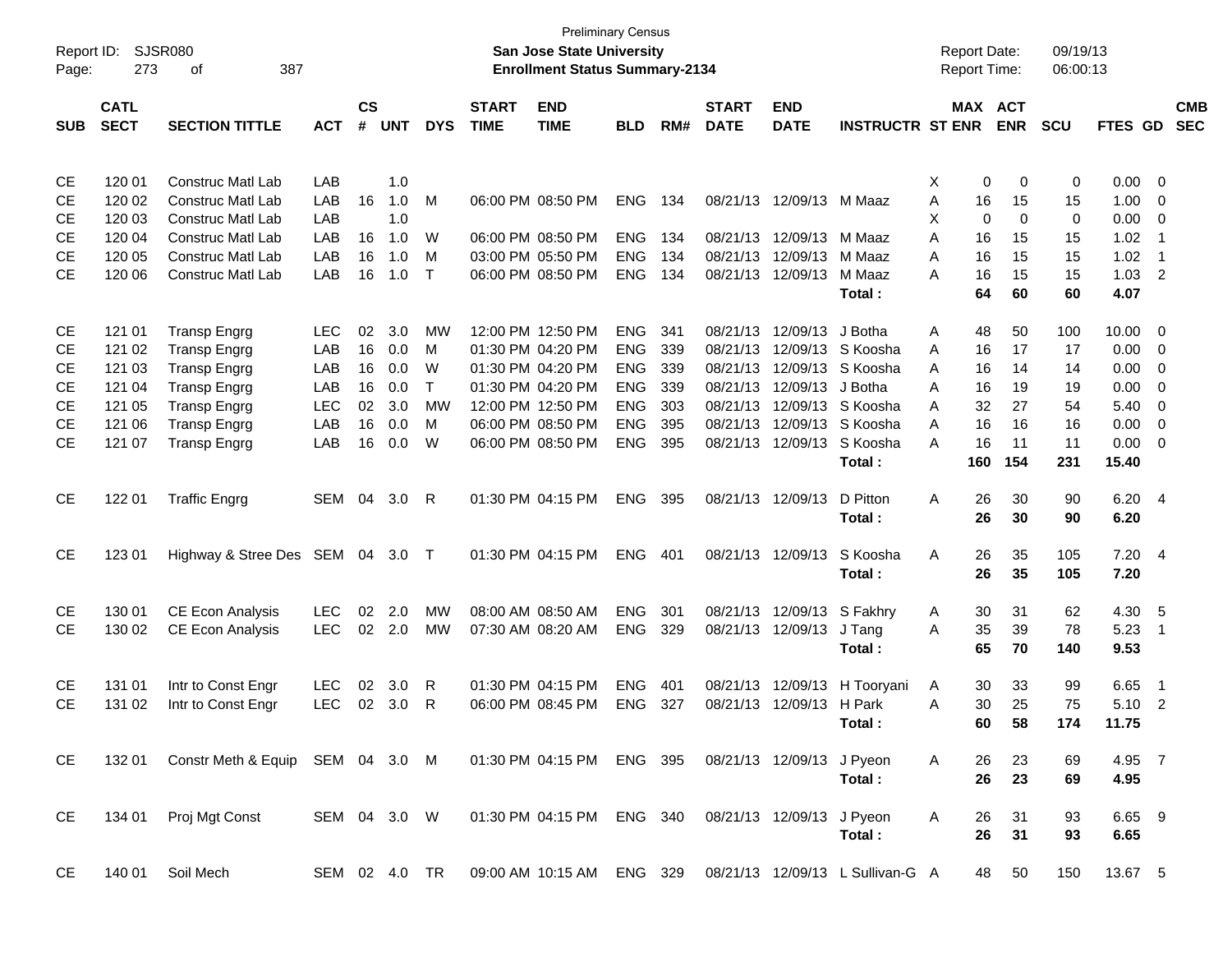| Report ID:<br>Page: | 273         | SJSR080<br>387<br>оf             |               |               |            |              |              | <b>Preliminary Census</b><br><b>San Jose State University</b><br><b>Enrollment Status Summary-2134</b> |            |     |              |                           |                                  |   | <b>Report Date:</b><br><b>Report Time:</b> |             | 09/19/13<br>06:00:13 |                |                         |            |
|---------------------|-------------|----------------------------------|---------------|---------------|------------|--------------|--------------|--------------------------------------------------------------------------------------------------------|------------|-----|--------------|---------------------------|----------------------------------|---|--------------------------------------------|-------------|----------------------|----------------|-------------------------|------------|
|                     | <b>CATL</b> |                                  |               | $\mathsf{cs}$ |            |              | <b>START</b> | <b>END</b>                                                                                             |            |     | <b>START</b> | <b>END</b>                |                                  |   | MAX ACT                                    |             |                      |                |                         | <b>CMB</b> |
| <b>SUB</b>          | <b>SECT</b> | <b>SECTION TITTLE</b>            | <b>ACT</b>    | #             | <b>UNT</b> | <b>DYS</b>   | <b>TIME</b>  | <b>TIME</b>                                                                                            | <b>BLD</b> | RM# | <b>DATE</b>  | <b>DATE</b>               | <b>INSTRUCTR ST ENR</b>          |   |                                            | <b>ENR</b>  | <b>SCU</b>           | <b>FTES GD</b> |                         | <b>SEC</b> |
| CE                  | 120 01      | <b>Construc Matl Lab</b>         | LAB           |               | 1.0        |              |              |                                                                                                        |            |     |              |                           |                                  | X | 0                                          | 0           | 0                    | 0.00           | $\overline{\mathbf{0}}$ |            |
| CЕ                  | 120 02      | <b>Construc Matl Lab</b>         | LAB           | 16            | 1.0        | м            |              | 06:00 PM 08:50 PM                                                                                      | <b>ENG</b> | 134 |              | 08/21/13 12/09/13         | M Maaz                           | Α | 16                                         | 15          | 15                   | 1.00           | 0                       |            |
| CЕ                  | 120 03      | <b>Construc Matl Lab</b>         | LAB           |               | 1.0        |              |              |                                                                                                        |            |     |              |                           |                                  | X | 0                                          | $\mathbf 0$ | 0                    | 0.00           | 0                       |            |
| CЕ                  | 120 04      | <b>Construc Matl Lab</b>         | LAB           | 16            | 1.0        | W            |              | 06:00 PM 08:50 PM                                                                                      | <b>ENG</b> | 134 |              | 08/21/13 12/09/13         | M Maaz                           | Α | 16                                         | 15          | 15                   | 1.02           | -1                      |            |
| CЕ                  | 120 05      | <b>Construc Matl Lab</b>         | LAB           | 16            | 1.0        | M            |              | 03:00 PM 05:50 PM                                                                                      | <b>ENG</b> | 134 |              | 08/21/13 12/09/13         | M Maaz                           | Α | 16                                         | 15          | 15                   | 1.02           | - 1                     |            |
| <b>CE</b>           | 120 06      | <b>Construc Matl Lab</b>         | LAB           | 16            | 1.0        | $\mathsf{T}$ |              | 06:00 PM 08:50 PM                                                                                      | <b>ENG</b> | 134 |              | 08/21/13 12/09/13         | M Maaz                           | А | 16                                         | 15          | 15                   | 1.03           | $\overline{2}$          |            |
|                     |             |                                  |               |               |            |              |              |                                                                                                        |            |     |              |                           | Total:                           |   | 64                                         | 60          | 60                   | 4.07           |                         |            |
| CE                  | 121 01      | <b>Transp Engrg</b>              | <b>LEC</b>    | 02            | 3.0        | МW           |              | 12:00 PM 12:50 PM                                                                                      | <b>ENG</b> | 341 |              | 08/21/13 12/09/13         | J Botha                          | A | 48                                         | 50          | 100                  | 10.00          | $\overline{\mathbf{0}}$ |            |
| <b>CE</b>           | 121 02      | <b>Transp Engrg</b>              | LAB           | 16            | 0.0        | M            |              | 01:30 PM 04:20 PM                                                                                      | <b>ENG</b> | 339 | 08/21/13     | 12/09/13                  | S Koosha                         | A | 16                                         | 17          | 17                   | 0.00           | 0                       |            |
| CЕ                  | 121 03      | <b>Transp Engrg</b>              | LAB           | 16            | 0.0        | W            |              | 01:30 PM 04:20 PM                                                                                      | <b>ENG</b> | 339 |              | 08/21/13 12/09/13         | S Koosha                         | Α | 16                                         | 14          | 14                   | 0.00           | 0                       |            |
| CЕ                  | 121 04      | <b>Transp Engrg</b>              | LAB           | 16            | 0.0        | т            |              | 01:30 PM 04:20 PM                                                                                      | <b>ENG</b> | 339 |              | 08/21/13 12/09/13         | J Botha                          | Α | 16                                         | 19          | 19                   | 0.00           | 0                       |            |
| СE                  | 121 05      | <b>Transp Engrg</b>              | <b>LEC</b>    | 02            | 3.0        | МW           |              | 12:00 PM 12:50 PM                                                                                      | <b>ENG</b> | 303 |              | 08/21/13 12/09/13         | S Koosha                         | Α | 32                                         | 27          | 54                   | 5.40           | 0                       |            |
| CЕ                  | 121 06      | <b>Transp Engrg</b>              | LAB           | 16            | 0.0        | M            |              | 06:00 PM 08:50 PM                                                                                      | <b>ENG</b> | 395 |              | 08/21/13 12/09/13         | S Koosha                         | Α | 16                                         | 16          | 16                   | 0.00           | 0                       |            |
| <b>CE</b>           | 121 07      | <b>Transp Engrg</b>              | LAB           | 16            | 0.0        | W            |              | 06:00 PM 08:50 PM                                                                                      | <b>ENG</b> | 395 |              | 08/21/13 12/09/13         | S Koosha                         | А | 16                                         | 11          | 11                   | 0.00           | 0                       |            |
|                     |             |                                  |               |               |            |              |              |                                                                                                        |            |     |              |                           | Total:                           |   | 160                                        | 154         | 231                  | 15.40          |                         |            |
| <b>CE</b>           | 122 01      | <b>Traffic Engrg</b>             | SEM           | 04            | 3.0        | R            |              | 01:30 PM 04:15 PM                                                                                      | <b>ENG</b> | 395 |              | 08/21/13 12/09/13         | D Pitton                         | Α | 26                                         | 30          | 90                   | 6.20 4         |                         |            |
|                     |             |                                  |               |               |            |              |              |                                                                                                        |            |     |              |                           | Total:                           |   | 26                                         | 30          | 90                   | 6.20           |                         |            |
| <b>CE</b>           | 123 01      | Highway & Stree Des SEM          |               |               | 04 3.0     | $\top$       |              | 01:30 PM 04:15 PM                                                                                      | <b>ENG</b> | 401 |              | 08/21/13 12/09/13         | S Koosha                         | Α | 26                                         | 35          | 105                  | 7.20 4         |                         |            |
|                     |             |                                  |               |               |            |              |              |                                                                                                        |            |     |              |                           | Total:                           |   | 26                                         | 35          | 105                  | 7.20           |                         |            |
| CE                  | 130 01      | <b>CE Econ Analysis</b>          | <b>LEC</b>    | 02            | 2.0        | MW           |              | 08:00 AM 08:50 AM                                                                                      | <b>ENG</b> | 301 |              | 08/21/13 12/09/13         | S Fakhry                         | A | 30                                         | 31          | 62                   | 4.30           | - 5                     |            |
| <b>CE</b>           | 130 02      | <b>CE Econ Analysis</b>          | <b>LEC</b>    |               | 02 2.0     | MW           |              | 07:30 AM 08:20 AM                                                                                      | <b>ENG</b> | 329 |              | 08/21/13 12/09/13         | J Tang                           | Α | 35                                         | 39          | 78                   | 5.23           | -1                      |            |
|                     |             |                                  |               |               |            |              |              |                                                                                                        |            |     |              |                           | Total:                           |   | 65                                         | 70          | 140                  | 9.53           |                         |            |
| CE                  | 131 01      | Intr to Const Engr               | LEC           | 02            | 3.0        | R            |              | 01:30 PM 04:15 PM                                                                                      | <b>ENG</b> | 401 |              | 08/21/13 12/09/13         | H Tooryani                       | A | 30                                         | 33          | 99                   | 6.65           | -1                      |            |
| <b>CE</b>           | 131 02      | Intr to Const Engr               | <b>LEC</b>    | 02            | 3.0        | R            |              | 06:00 PM 08:45 PM                                                                                      | <b>ENG</b> | 327 |              | 08/21/13 12/09/13         | H Park                           | A | 30                                         | 25          | 75                   | 5.10           | $\overline{2}$          |            |
|                     |             |                                  |               |               |            |              |              |                                                                                                        |            |     |              |                           | Total:                           |   | 60                                         | 58          | 174                  | 11.75          |                         |            |
| CE                  | 132 01      | Constr Meth & Equip SEM 04 3.0 M |               |               |            |              |              | 01:30 PM 04:15 PM ENG 395                                                                              |            |     |              | 08/21/13 12/09/13 J Pyeon |                                  | A | 26                                         | 23          | 69                   | 4.95 7         |                         |            |
|                     |             |                                  |               |               |            |              |              |                                                                                                        |            |     |              |                           | Total:                           |   | 26                                         | 23          | 69                   | 4.95           |                         |            |
| CE                  | 134 01      | Proj Mgt Const                   | SEM 04 3.0 W  |               |            |              |              | 01:30 PM 04:15 PM ENG 340                                                                              |            |     |              | 08/21/13 12/09/13 J Pyeon |                                  | A | 26                                         | 31          | 93                   | 6.65 9         |                         |            |
|                     |             |                                  |               |               |            |              |              |                                                                                                        |            |     |              |                           | Total:                           |   | 26                                         | 31          | 93                   | 6.65           |                         |            |
| CE                  | 140 01      | Soil Mech                        | SEM 02 4.0 TR |               |            |              |              | 09:00 AM 10:15 AM ENG 329                                                                              |            |     |              |                           | 08/21/13 12/09/13 L Sullivan-G A |   | 48                                         | 50          | 150                  | 13.67 5        |                         |            |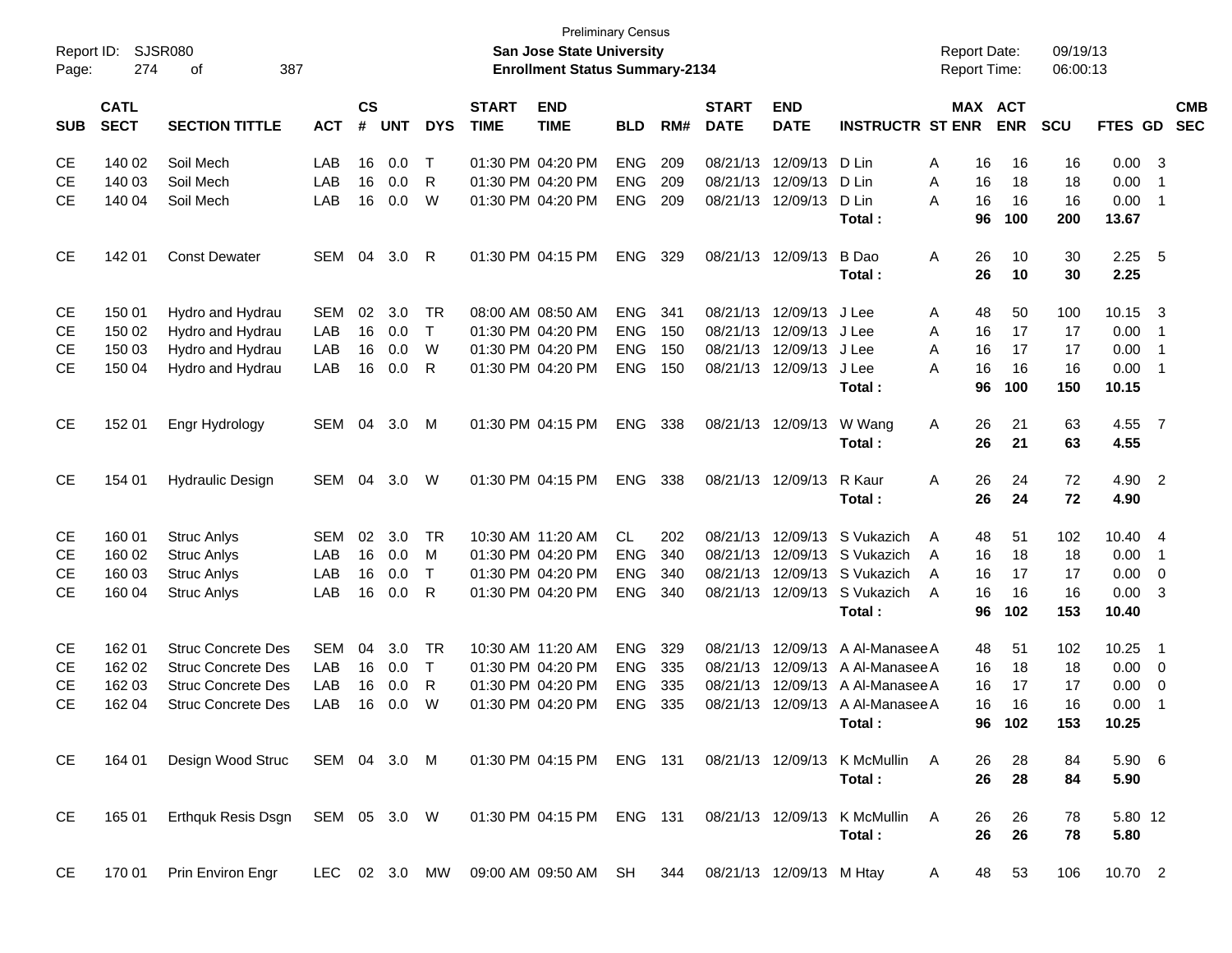| Report ID:<br>Page: | 274                        | <b>SJSR080</b><br>387<br>οf     |            |                |            |              |                             | San Jose State University<br><b>Enrollment Status Summary-2134</b> | <b>Preliminary Census</b> |     |                             |                           |                                                                 | <b>Report Date:</b><br><b>Report Time:</b> |                       | 09/19/13<br>06:00:13 |                |                          |                          |
|---------------------|----------------------------|---------------------------------|------------|----------------|------------|--------------|-----------------------------|--------------------------------------------------------------------|---------------------------|-----|-----------------------------|---------------------------|-----------------------------------------------------------------|--------------------------------------------|-----------------------|----------------------|----------------|--------------------------|--------------------------|
| <b>SUB</b>          | <b>CATL</b><br><b>SECT</b> | <b>SECTION TITTLE</b>           | <b>ACT</b> | <b>CS</b><br># | <b>UNT</b> | <b>DYS</b>   | <b>START</b><br><b>TIME</b> | <b>END</b><br><b>TIME</b>                                          | <b>BLD</b>                | RM# | <b>START</b><br><b>DATE</b> | <b>END</b><br><b>DATE</b> | <b>INSTRUCTR ST ENR</b>                                         |                                            | MAX ACT<br><b>ENR</b> | <b>SCU</b>           | <b>FTES GD</b> |                          | <b>CMB</b><br><b>SEC</b> |
| СE                  | 140 02                     | Soil Mech                       | LAB        | 16             | 0.0        | $\mathsf{T}$ |                             | 01:30 PM 04:20 PM                                                  | <b>ENG</b>                | 209 |                             | 08/21/13 12/09/13         | D Lin                                                           | 16<br>A                                    | 16                    | 16                   | 0.00           | - 3                      |                          |
| СE                  | 140 03                     | Soil Mech                       | LAB        | 16             | 0.0        | R            |                             | 01:30 PM 04:20 PM                                                  | <b>ENG</b>                | 209 | 08/21/13                    | 12/09/13                  | D Lin                                                           | 16<br>Α                                    | 18                    | 18                   | 0.00           | -1                       |                          |
| СE                  | 140 04                     | Soil Mech                       | LAB        | 16             | 0.0        | W            |                             | 01:30 PM 04:20 PM                                                  | <b>ENG</b>                | 209 |                             | 08/21/13 12/09/13         | D Lin                                                           | 16<br>A                                    | 16                    | 16                   | 0.00           | -1                       |                          |
|                     |                            |                                 |            |                |            |              |                             |                                                                    |                           |     |                             |                           | Total:                                                          | 96                                         | 100                   | 200                  | 13.67          |                          |                          |
| СE                  | 142 01                     | <b>Const Dewater</b>            | SEM        | 04             | 3.0        | R            |                             | 01:30 PM 04:15 PM                                                  | <b>ENG</b>                | 329 |                             | 08/21/13 12/09/13         | B Dao                                                           | 26<br>Α                                    | 10                    | 30                   | 2.25           | $-5$                     |                          |
|                     |                            |                                 |            |                |            |              |                             |                                                                    |                           |     |                             |                           | Total:                                                          | 26                                         | 10                    | 30                   | 2.25           |                          |                          |
| СE                  | 150 01                     | Hydro and Hydrau                | <b>SEM</b> | 02             | 3.0        | TR           |                             | 08:00 AM 08:50 AM                                                  | <b>ENG</b>                | 341 |                             | 08/21/13 12/09/13         | J Lee                                                           | 48<br>A                                    | 50                    | 100                  | 10.15          | $\overline{\mathbf{3}}$  |                          |
| СE                  | 150 02                     | Hydro and Hydrau                | LAB        | 16             | 0.0        | $\mathsf{T}$ |                             | 01:30 PM 04:20 PM                                                  | <b>ENG</b>                | 150 | 08/21/13                    | 12/09/13 J Lee            |                                                                 | 16<br>A                                    | 17                    | 17                   | 0.00           | -1                       |                          |
| СE                  | 150 03                     | Hydro and Hydrau                | LAB        | 16             | 0.0        | W            |                             | 01:30 PM 04:20 PM                                                  | <b>ENG</b>                | 150 | 08/21/13                    | 12/09/13 J Lee            |                                                                 | A<br>16                                    | 17                    | 17                   | 0.00           | $\overline{1}$           |                          |
| СE                  | 150 04                     | Hydro and Hydrau                | LAB        | 16             | 0.0        | R            |                             | 01:30 PM 04:20 PM                                                  | <b>ENG</b>                | 150 |                             | 08/21/13 12/09/13         | J Lee                                                           | 16<br>Α                                    | 16                    | 16                   | 0.00           | -1                       |                          |
|                     |                            |                                 |            |                |            |              |                             |                                                                    |                           |     |                             |                           | Total:                                                          | 96                                         | 100                   | 150                  | 10.15          |                          |                          |
| <b>CE</b>           | 152 01                     | Engr Hydrology                  | SEM        | 04             | 3.0        | М            |                             | 01:30 PM 04:15 PM                                                  | <b>ENG</b>                | 338 |                             | 08/21/13 12/09/13         | W Wang                                                          | 26<br>Α                                    | 21                    | 63                   | 4.55           | $\overline{7}$           |                          |
|                     |                            |                                 |            |                |            |              |                             |                                                                    |                           |     |                             |                           | Total:                                                          | 26                                         | 21                    | 63                   | 4.55           |                          |                          |
| <b>CE</b>           | 154 01                     | <b>Hydraulic Design</b>         | SEM        | 04             | 3.0        | W            |                             | 01:30 PM 04:15 PM                                                  | <b>ENG</b>                | 338 |                             | 08/21/13 12/09/13         | R Kaur                                                          | 26<br>Α                                    | 24                    | 72                   | 4.90           | $\overline{\phantom{0}}$ |                          |
|                     |                            |                                 |            |                |            |              |                             |                                                                    |                           |     |                             |                           | Total:                                                          | 26                                         | 24                    | 72                   | 4.90           |                          |                          |
| СE                  | 160 01                     | <b>Struc Anlys</b>              | <b>SEM</b> | 02             | 3.0        | TR           |                             | 10:30 AM 11:20 AM                                                  | CL.                       | 202 | 08/21/13                    | 12/09/13                  | S Vukazich                                                      | 48<br>A                                    | 51                    | 102                  | 10.40          | - 4                      |                          |
| СE                  | 160 02                     | <b>Struc Anlys</b>              | LAB        | 16             | 0.0        | М            |                             | 01:30 PM 04:20 PM                                                  | <b>ENG</b>                | 340 | 08/21/13                    |                           | 12/09/13 S Vukazich                                             | 16<br>A                                    | 18                    | 18                   | 0.00           | $\overline{1}$           |                          |
| СE                  | 160 03                     | <b>Struc Anlys</b>              | LAB        | 16             | 0.0        | $\mathsf{T}$ |                             | 01:30 PM 04:20 PM                                                  | <b>ENG</b>                | 340 | 08/21/13                    |                           | 12/09/13 S Vukazich                                             | 16<br>A                                    | 17                    | 17                   | 0.00           | 0                        |                          |
| СE                  | 160 04                     | <b>Struc Anlys</b>              | LAB        | 16             | 0.0        | R            |                             | 01:30 PM 04:20 PM                                                  | <b>ENG</b>                | 340 |                             |                           | 08/21/13 12/09/13 S Vukazich                                    | 16<br>A                                    | 16                    | 16                   | 0.00           | 3                        |                          |
|                     |                            |                                 |            |                |            |              |                             |                                                                    |                           |     |                             |                           | Total:                                                          | 96                                         | 102                   | 153                  | 10.40          |                          |                          |
| СE                  | 162 01                     | <b>Struc Concrete Des</b>       | <b>SEM</b> | 04             | 3.0        | TR           |                             | 10:30 AM 11:20 AM                                                  | <b>ENG</b>                | 329 | 08/21/13                    | 12/09/13                  | A Al-Manasee A                                                  | 48                                         | 51                    | 102                  | 10.25          | -1                       |                          |
| СE                  | 162 02                     | <b>Struc Concrete Des</b>       | LAB        | 16             | 0.0        | $\mathsf{T}$ |                             | 01:30 PM 04:20 PM                                                  | <b>ENG</b>                | 335 | 08/21/13                    | 12/09/13                  | A Al-Manasee A                                                  | 16                                         | 18                    | 18                   | 0.00           | 0                        |                          |
| СE                  | 162 03                     | <b>Struc Concrete Des</b>       | LAB        | 16             | 0.0        | R            |                             | 01:30 PM 04:20 PM                                                  | <b>ENG</b>                | 335 | 08/21/13                    | 12/09/13                  | A Al-Manasee A                                                  | 16                                         | 17                    | 17                   | 0.00           | 0                        |                          |
| СE                  | 162 04                     | <b>Struc Concrete Des</b>       | LAB        | 16             | 0.0        | W            |                             | 01:30 PM 04:20 PM                                                  | <b>ENG</b>                | 335 |                             | 08/21/13 12/09/13         | A Al-Manasee A                                                  | 16                                         | 16                    | 16                   | 0.00           | -1                       |                          |
|                     |                            |                                 |            |                |            |              |                             |                                                                    |                           |     |                             |                           | Total:                                                          | 96                                         | 102                   | 153                  | 10.25          |                          |                          |
| CE                  | 164 01                     | Design Wood Struc SEM 04 3.0 M  |            |                |            |              |                             |                                                                    |                           |     |                             |                           | 01:30 PM 04:15 PM ENG 131 08/21/13 12/09/13 K McMullin A        | 26                                         | 28                    | 84                   | $5.90\quad 6$  |                          |                          |
|                     |                            |                                 |            |                |            |              |                             |                                                                    |                           |     |                             |                           | Total:                                                          | 26                                         | 28                    | 84                   | 5.90           |                          |                          |
| CE                  | 165 01                     | Erthquk Resis Dsgn SEM 05 3.0 W |            |                |            |              |                             | 01:30 PM 04:15 PM ENG 131                                          |                           |     |                             |                           | 08/21/13 12/09/13 K McMullin A                                  | 26                                         | 26                    | 78                   | 5.80 12        |                          |                          |
|                     |                            |                                 |            |                |            |              |                             |                                                                    |                           |     |                             |                           | Total:                                                          | 26                                         | 26                    | 78                   | 5.80           |                          |                          |
| CE                  | 170 01                     | Prin Environ Engr               |            |                |            |              |                             |                                                                    |                           |     |                             |                           | LEC 02 3.0 MW 09:00 AM 09:50 AM SH 344 08/21/13 12/09/13 M Htay | A                                          | 48<br>53              | 106                  | 10.70 2        |                          |                          |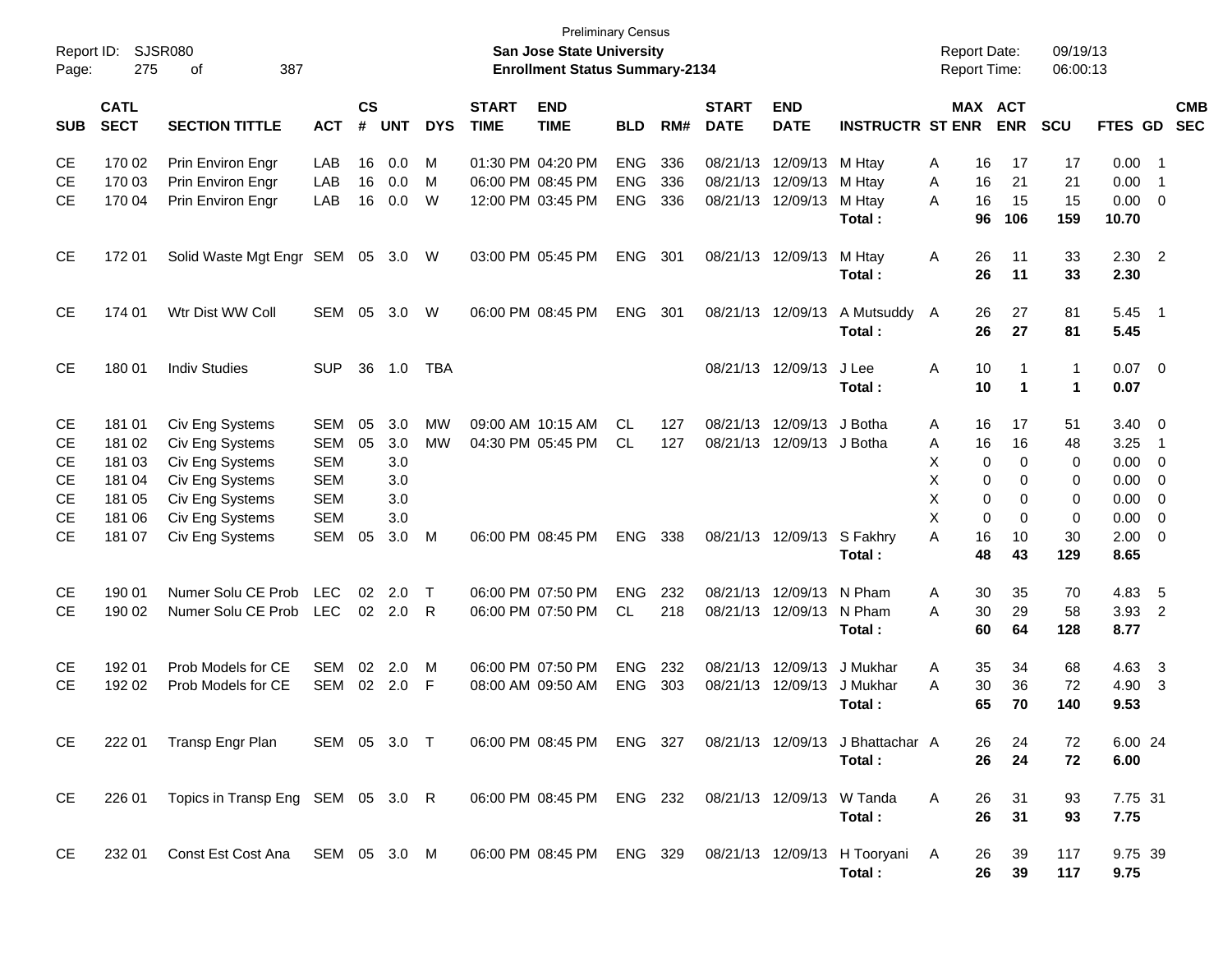| Report ID:<br>Page: | 275                        | SJSR080<br>387<br>οf                   |              |                |            |            |                             | <b>Preliminary Census</b><br><b>San Jose State University</b><br><b>Enrollment Status Summary-2134</b> |                          |            |                             |                           |                                            | <b>Report Date:</b><br><b>Report Time:</b> |                   | 09/19/13<br>06:00:13         |                  |                         |                          |
|---------------------|----------------------------|----------------------------------------|--------------|----------------|------------|------------|-----------------------------|--------------------------------------------------------------------------------------------------------|--------------------------|------------|-----------------------------|---------------------------|--------------------------------------------|--------------------------------------------|-------------------|------------------------------|------------------|-------------------------|--------------------------|
| SUB                 | <b>CATL</b><br><b>SECT</b> | <b>SECTION TITTLE</b>                  | <b>ACT</b>   | <b>CS</b><br># | <b>UNT</b> | <b>DYS</b> | <b>START</b><br><b>TIME</b> | <b>END</b><br><b>TIME</b>                                                                              | <b>BLD</b>               | RM#        | <b>START</b><br><b>DATE</b> | <b>END</b><br><b>DATE</b> | <b>INSTRUCTR ST ENR</b>                    | <b>MAX ACT</b>                             | <b>ENR</b>        | SCU                          | <b>FTES GD</b>   |                         | <b>CMB</b><br><b>SEC</b> |
| CE<br><b>CE</b>     | 170 02<br>170 03           | Prin Environ Engr<br>Prin Environ Engr | LAB<br>LAB   | 16<br>16       | 0.0<br>0.0 | M<br>м     |                             | 01:30 PM 04:20 PM<br>06:00 PM 08:45 PM                                                                 | <b>ENG</b><br><b>ENG</b> | 336<br>336 | 08/21/13 12/09/13           | 08/21/13 12/09/13         | M Htay<br>M Htay                           | Α<br>16<br>16<br>Α                         | 17<br>21          | 17<br>21                     | 0.00<br>0.00     | - 1<br>-1               |                          |
| CE.                 | 170 04                     | Prin Environ Engr                      | LAB          | 16             | 0.0        | W          |                             | 12:00 PM 03:45 PM                                                                                      | <b>ENG</b>               | 336        | 08/21/13 12/09/13           |                           | M Htay<br>Total:                           | 16<br>A<br>96                              | 15<br>106         | 15<br>159                    | 0.00<br>10.70    | $\overline{\mathbf{0}}$ |                          |
| <b>CE</b>           | 17201                      | Solid Waste Mgt Engr                   | <b>SEM</b>   | 05             | 3.0        | W          |                             | 03:00 PM 05:45 PM                                                                                      | <b>ENG</b>               | 301        |                             | 08/21/13 12/09/13         | M Htay<br>Total:                           | Α<br>26<br>26                              | 11<br>11          | 33<br>33                     | $2.30$ 2<br>2.30 |                         |                          |
| <b>CE</b>           | 174 01                     | Wtr Dist WW Coll                       | <b>SEM</b>   | 05             | 3.0        | W          |                             | 06:00 PM 08:45 PM                                                                                      | <b>ENG</b>               | 301        |                             | 08/21/13 12/09/13         | A Mutsuddy<br>Total:                       | 26<br>A<br>26                              | 27<br>27          | 81<br>81                     | 5.45<br>5.45     | - 1                     |                          |
| <b>CE</b>           | 180 01                     | <b>Indiv Studies</b>                   | <b>SUP</b>   | 36             | 1.0        | <b>TBA</b> |                             |                                                                                                        |                          |            |                             | 08/21/13 12/09/13         | J Lee<br>Total:                            | Α<br>10<br>10                              | -1<br>$\mathbf 1$ | $\mathbf{1}$<br>$\mathbf{1}$ | $0.07$ 0<br>0.07 |                         |                          |
| <b>CE</b>           | 181 01                     | Civ Eng Systems                        | <b>SEM</b>   | 05             | 3.0        | <b>MW</b>  |                             | 09:00 AM 10:15 AM                                                                                      | CL.                      | 127        |                             | 08/21/13 12/09/13         | J Botha                                    | Α<br>16                                    | 17                | 51                           | 3.40             | $\overline{\mathbf{0}}$ |                          |
| <b>CE</b>           | 181 02                     | Civ Eng Systems                        | <b>SEM</b>   | 05             | 3.0        | <b>MW</b>  |                             | 04:30 PM 05:45 PM                                                                                      | CL.                      | 127        |                             | 08/21/13 12/09/13         | J Botha                                    | Α<br>16                                    | 16                | 48                           | 3.25             | -1                      |                          |
| СE                  | 181 03                     | Civ Eng Systems                        | <b>SEM</b>   |                | 3.0        |            |                             |                                                                                                        |                          |            |                             |                           |                                            | х<br>0                                     | 0                 | 0                            | 0.00             | 0                       |                          |
| СE                  | 181 04                     | Civ Eng Systems                        | <b>SEM</b>   |                | 3.0        |            |                             |                                                                                                        |                          |            |                             |                           |                                            | Х<br>0                                     | $\Omega$          | 0                            | 0.00             | 0                       |                          |
| СE                  | 181 05                     | Civ Eng Systems                        | <b>SEM</b>   |                | 3.0        |            |                             |                                                                                                        |                          |            |                             |                           |                                            | X<br>0                                     | $\Omega$          | 0                            | 0.00             | 0                       |                          |
| СE                  | 181 06                     | Civ Eng Systems                        | <b>SEM</b>   |                | 3.0        |            |                             |                                                                                                        |                          |            |                             |                           |                                            | X<br>$\mathbf 0$                           | $\Omega$          | 0                            | 0.00             | 0                       |                          |
| <b>CE</b>           | 181 07                     | Civ Eng Systems                        | <b>SEM</b>   | 05             | 3.0        | M          |                             | 06:00 PM 08:45 PM                                                                                      | <b>ENG</b>               | 338        |                             | 08/21/13 12/09/13         | S Fakhry<br>Total:                         | 16<br>A<br>48                              | 10<br>43          | 30<br>129                    | 2.00<br>8.65     | 0                       |                          |
| <b>CE</b>           | 190 01                     | Numer Solu CE Prob                     | <b>LEC</b>   | 02             | 2.0        | $\top$     |                             | 06:00 PM 07:50 PM                                                                                      | <b>ENG</b>               | 232        |                             | 08/21/13 12/09/13         | N Pham                                     | 30<br>Α                                    | 35                | 70                           | 4.83             | - 5                     |                          |
| <b>CE</b>           | 190 02                     | Numer Solu CE Prob                     | <b>LEC</b>   |                | 02 2.0     | -R         |                             | 06:00 PM 07:50 PM                                                                                      | CL.                      | 218        |                             | 08/21/13 12/09/13         | N Pham<br>Total:                           | 30<br>А<br>60                              | 29<br>64          | 58<br>128                    | 3.93<br>8.77     | $\overline{2}$          |                          |
| <b>CE</b>           | 192 01                     | Prob Models for CE                     | <b>SEM</b>   | 02             | 2.0        | M          |                             | 06:00 PM 07:50 PM                                                                                      | <b>ENG</b>               | 232        |                             | 08/21/13 12/09/13         | J Mukhar                                   | Α<br>35                                    | 34                | 68                           | 4.63             | -3                      |                          |
| CE.                 | 192 02                     | Prob Models for CE                     | <b>SEM</b>   |                | 02 2.0     | -F         |                             | 08:00 AM 09:50 AM                                                                                      | <b>ENG</b>               | 303        |                             | 08/21/13 12/09/13         | J Mukhar                                   | 30<br>A                                    | 36                | 72                           | 4.90             | -3                      |                          |
|                     |                            |                                        |              |                |            |            |                             |                                                                                                        |                          |            |                             |                           | Total:                                     | 65                                         | 70                | 140                          | 9.53             |                         |                          |
| CE                  | 222 01                     | Transp Engr Plan                       | SEM 05 3.0 T |                |            |            |                             | 06:00 PM 08:45 PM ENG 327                                                                              |                          |            |                             |                           | 08/21/13 12/09/13 J Bhattachar A<br>Total: | 26<br>26                                   | 24<br>24          | 72<br>72                     | 6.00 24<br>6.00  |                         |                          |
| CE                  | 226 01                     | Topics in Transp Eng SEM 05 3.0 R      |              |                |            |            |                             | 06:00 PM 08:45 PM ENG 232                                                                              |                          |            | 08/21/13 12/09/13 W Tanda   |                           |                                            | A<br>26                                    | 31                | 93                           | 7.75 31          |                         |                          |
|                     |                            |                                        |              |                |            |            |                             |                                                                                                        |                          |            |                             |                           | Total:                                     | 26                                         | 31                | 93                           | 7.75             |                         |                          |
| CE                  | 232 01                     | Const Est Cost Ana                     | SEM 05 3.0 M |                |            |            |                             | 06:00 PM 08:45 PM ENG 329                                                                              |                          |            |                             |                           | 08/21/13 12/09/13 H Tooryani A<br>Total:   | 26<br>26                                   | 39<br>39          | 117<br>117                   | 9.75 39<br>9.75  |                         |                          |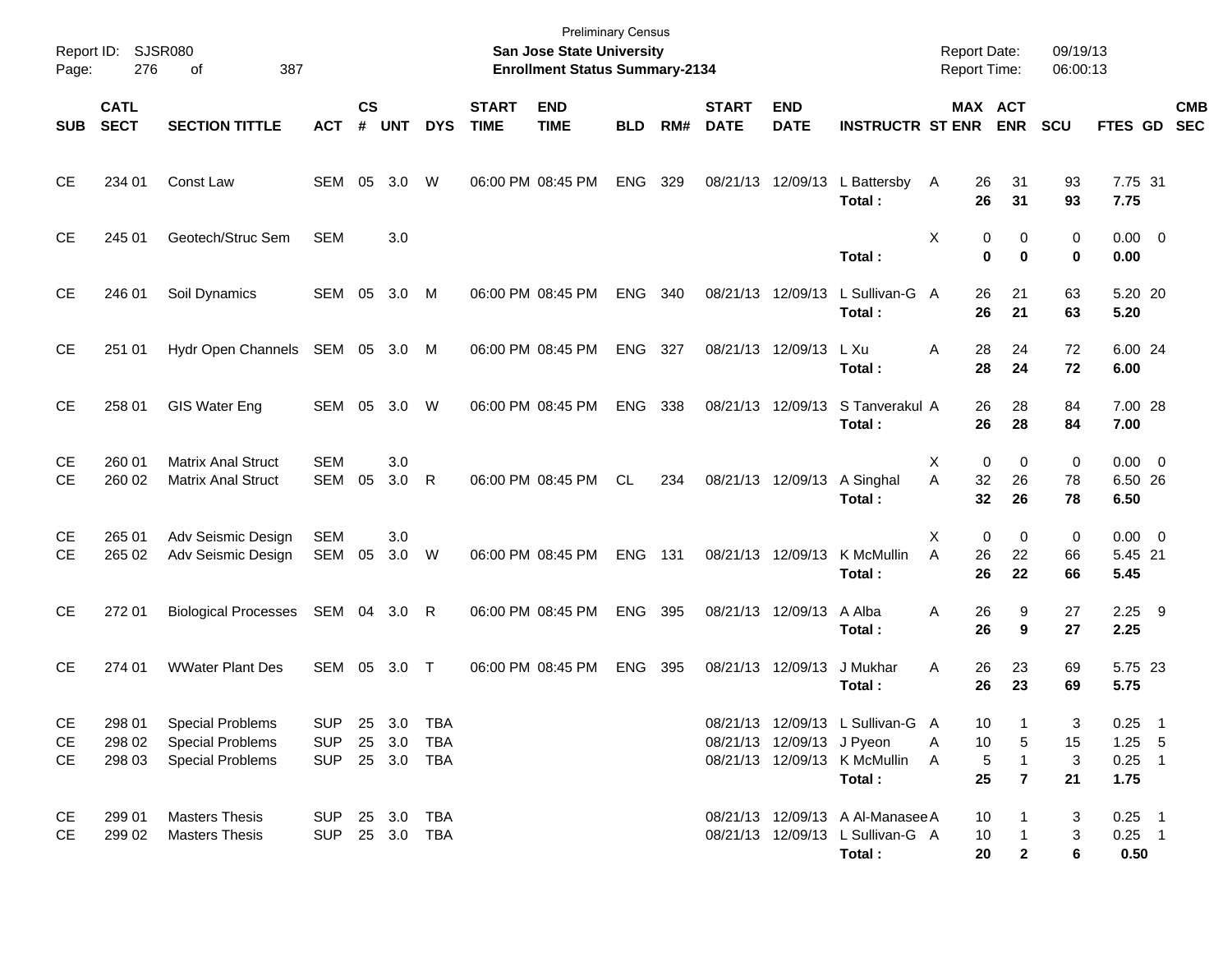| Report ID:<br>Page: | 276                        | SJSR080<br>387<br>οf                                                          |                                                |                         |              |              |                             | <b>Preliminary Census</b><br>San Jose State University<br><b>Enrollment Status Summary-2134</b> |            |     |                             |                           |                                                                                | Report Date:<br><b>Report Time:</b> |                                           | 09/19/13<br>06:00:13 |                                          |            |
|---------------------|----------------------------|-------------------------------------------------------------------------------|------------------------------------------------|-------------------------|--------------|--------------|-----------------------------|-------------------------------------------------------------------------------------------------|------------|-----|-----------------------------|---------------------------|--------------------------------------------------------------------------------|-------------------------------------|-------------------------------------------|----------------------|------------------------------------------|------------|
| <b>SUB</b>          | <b>CATL</b><br><b>SECT</b> | <b>SECTION TITTLE</b>                                                         | <b>ACT</b>                                     | <b>CS</b><br>$\pmb{\#}$ | <b>UNT</b>   | <b>DYS</b>   | <b>START</b><br><b>TIME</b> | <b>END</b><br><b>TIME</b>                                                                       | <b>BLD</b> | RM# | <b>START</b><br><b>DATE</b> | <b>END</b><br><b>DATE</b> | <b>INSTRUCTR ST ENR</b>                                                        |                                     | MAX ACT<br><b>ENR</b>                     | <b>SCU</b>           | FTES GD SEC                              | <b>CMB</b> |
| <b>CE</b>           | 234 01                     | Const Law                                                                     | SEM 05                                         |                         | 3.0          | W            | 06:00 PM 08:45 PM           |                                                                                                 | ENG        | 329 |                             | 08/21/13 12/09/13         | L Battersby<br>Total :                                                         | 26<br>A<br>26                       | 31<br>31                                  | 93<br>93             | 7.75 31<br>7.75                          |            |
| <b>CE</b>           | 245 01                     | Geotech/Struc Sem                                                             | <b>SEM</b>                                     |                         | 3.0          |              |                             |                                                                                                 |            |     |                             |                           | Total:                                                                         | Х                                   | 0<br>0<br>0<br>0                          | 0<br>0               | $0.00 \t 0$<br>0.00                      |            |
| <b>CE</b>           | 246 01                     | Soil Dynamics                                                                 | SEM 05                                         |                         | 3.0          | M            | 06:00 PM 08:45 PM           |                                                                                                 | ENG        | 340 |                             | 08/21/13 12/09/13         | L Sullivan-G<br>Total:                                                         | 26<br>A<br>26                       | 21<br>21                                  | 63<br>63             | 5.20 20<br>5.20                          |            |
| <b>CE</b>           | 251 01                     | Hydr Open Channels                                                            | SEM 05 3.0 M                                   |                         |              |              | 06:00 PM 08:45 PM           |                                                                                                 | ENG        | 327 |                             | 08/21/13 12/09/13         | L Xu<br>Total :                                                                | 28<br>A<br>28                       | 24<br>24                                  | 72<br>72             | 6.00 24<br>6.00                          |            |
| <b>CE</b>           | 258 01                     | <b>GIS Water Eng</b>                                                          | SEM 05                                         |                         | 3.0          | W            | 06:00 PM 08:45 PM           |                                                                                                 | ENG        | 338 |                             | 08/21/13 12/09/13         | S Tanverakul A<br>Total :                                                      | 26<br>26                            | 28<br>28                                  | 84<br>84             | 7.00 28<br>7.00                          |            |
| CЕ<br>СE            | 260 01<br>260 02           | <b>Matrix Anal Struct</b><br><b>Matrix Anal Struct</b>                        | <b>SEM</b><br>SEM                              | 05                      | 3.0<br>3.0   | $\mathsf{R}$ |                             | 06:00 PM 08:45 PM                                                                               | CL.        | 234 |                             | 08/21/13 12/09/13         | A Singhal<br>Total:                                                            | 0<br>Х<br>32<br>A<br>32             | 0<br>26<br>26                             | 0<br>78<br>78        | $0.00 \t 0$<br>6.50 26<br>6.50           |            |
| CЕ<br><b>CE</b>     | 265 01<br>265 02           | Adv Seismic Design<br>Adv Seismic Design                                      | <b>SEM</b><br>SEM 05                           |                         | 3.0<br>3.0 W |              | 06:00 PM 08:45 PM           |                                                                                                 | <b>ENG</b> | 131 |                             | 08/21/13 12/09/13         | K McMullin<br>Total :                                                          | 0<br>X<br>A<br>26<br>26             | 0<br>22<br>22                             | 0<br>66<br>66        | $0.00 \t 0$<br>5.45 21<br>5.45           |            |
| <b>CE</b>           | 272 01                     | <b>Biological Processes</b>                                                   | SEM 04 3.0 R                                   |                         |              |              |                             | 06:00 PM 08:45 PM                                                                               | <b>ENG</b> | 395 |                             | 08/21/13 12/09/13         | A Alba<br>Total :                                                              | 26<br>Α<br>26                       | 9<br>9                                    | 27<br>27             | $2.25$ 9<br>2.25                         |            |
| <b>CE</b>           | 274 01                     | <b>WWater Plant Des</b>                                                       | SEM 05 3.0 T                                   |                         |              |              | 06:00 PM 08:45 PM           |                                                                                                 | <b>ENG</b> | 395 |                             | 08/21/13 12/09/13         | J Mukhar<br>Total :                                                            | 26<br>Α<br>26                       | 23<br>23                                  | 69<br>69             | 5.75 23<br>5.75                          |            |
| CE<br>CЕ<br>CE      | 298 01<br>298 02<br>298 03 | <b>Special Problems</b><br><b>Special Problems</b><br><b>Special Problems</b> | <b>SUP</b><br>SUP 25 3.0 TBA<br>SUP 25 3.0 TBA |                         | 25 3.0 TBA   |              |                             |                                                                                                 |            |     |                             | 08/21/13 12/09/13 J Pyeon | 08/21/13 12/09/13 L Sullivan-G A<br>08/21/13 12/09/13 K McMullin<br>Total:     | 10<br>10<br>A<br>5<br>A<br>25       | -1<br>5<br>$\mathbf{1}$<br>$\overline{7}$ | 3<br>15<br>3<br>21   | $0.25$ 1<br>$1.25$ 5<br>$0.25$ 1<br>1.75 |            |
| CE<br><b>CE</b>     | 299 01<br>299 02           | <b>Masters Thesis</b><br><b>Masters Thesis</b>                                | SUP 25 3.0 TBA<br>SUP 25 3.0 TBA               |                         |              |              |                             |                                                                                                 |            |     |                             |                           | 08/21/13 12/09/13 A Al-Manasee A<br>08/21/13 12/09/13 L Sullivan-G A<br>Total: | 10<br>10<br>20                      | $\mathbf{1}$<br>$\mathbf 2$               | 3<br>3<br>6          | $0.25$ 1<br>$0.25$ 1<br>0.50             |            |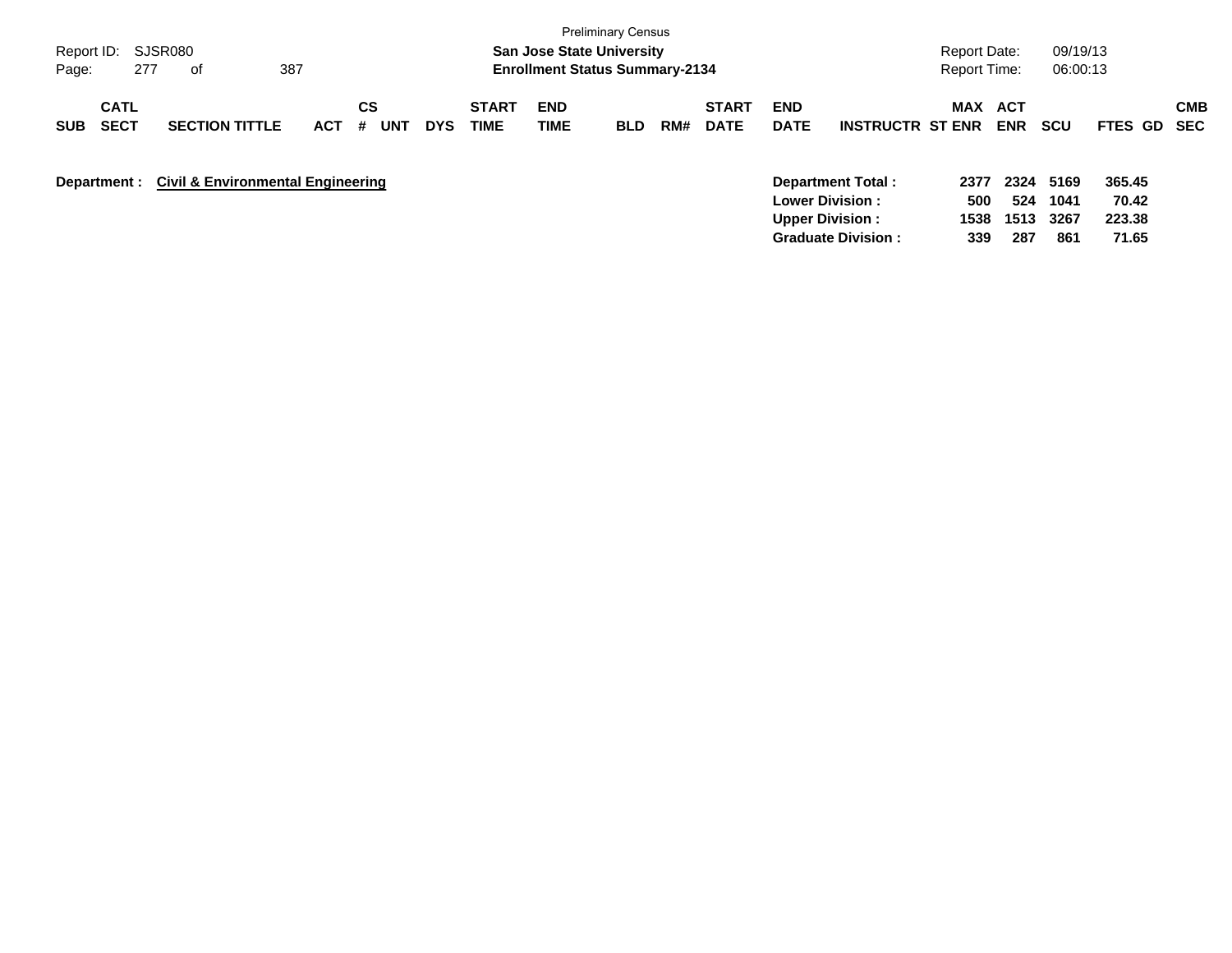| Report ID:<br>277<br>Page:               | SJSR080<br>οf                                | 387        |                |            |                             | <b>San Jose State University</b><br><b>Enrollment Status Summary-2134</b> | <b>Preliminary Census</b> |     |                             |                           |                                                                       | Report Date:<br>Report Time: |                          | 09/19/13<br>06:00:13 |                           |            |
|------------------------------------------|----------------------------------------------|------------|----------------|------------|-----------------------------|---------------------------------------------------------------------------|---------------------------|-----|-----------------------------|---------------------------|-----------------------------------------------------------------------|------------------------------|--------------------------|----------------------|---------------------------|------------|
| <b>CATL</b><br><b>SECT</b><br><b>SUB</b> | <b>SECTION TITTLE</b>                        | <b>ACT</b> | CS<br>#<br>UNT | <b>DYS</b> | <b>START</b><br><b>TIME</b> | <b>END</b><br><b>TIME</b>                                                 | <b>BLD</b>                | RM# | <b>START</b><br><b>DATE</b> | <b>END</b><br><b>DATE</b> | <b>INSTRUCTR ST ENR</b>                                               | MAX                          | <b>ACT</b><br><b>ENR</b> | scu                  | FTES GD SEC               | <b>CMB</b> |
| Department :                             | <b>Civil &amp; Environmental Engineering</b> |            |                |            |                             |                                                                           |                           |     |                             |                           | Department Total:<br><b>Lower Division:</b><br><b>Upper Division:</b> | 2377<br>500<br>1538          | 2324<br>524<br>1513      | 5169<br>1041<br>3267 | 365.45<br>70.42<br>223.38 |            |

**Graduate Division : 339 287 861 71.65**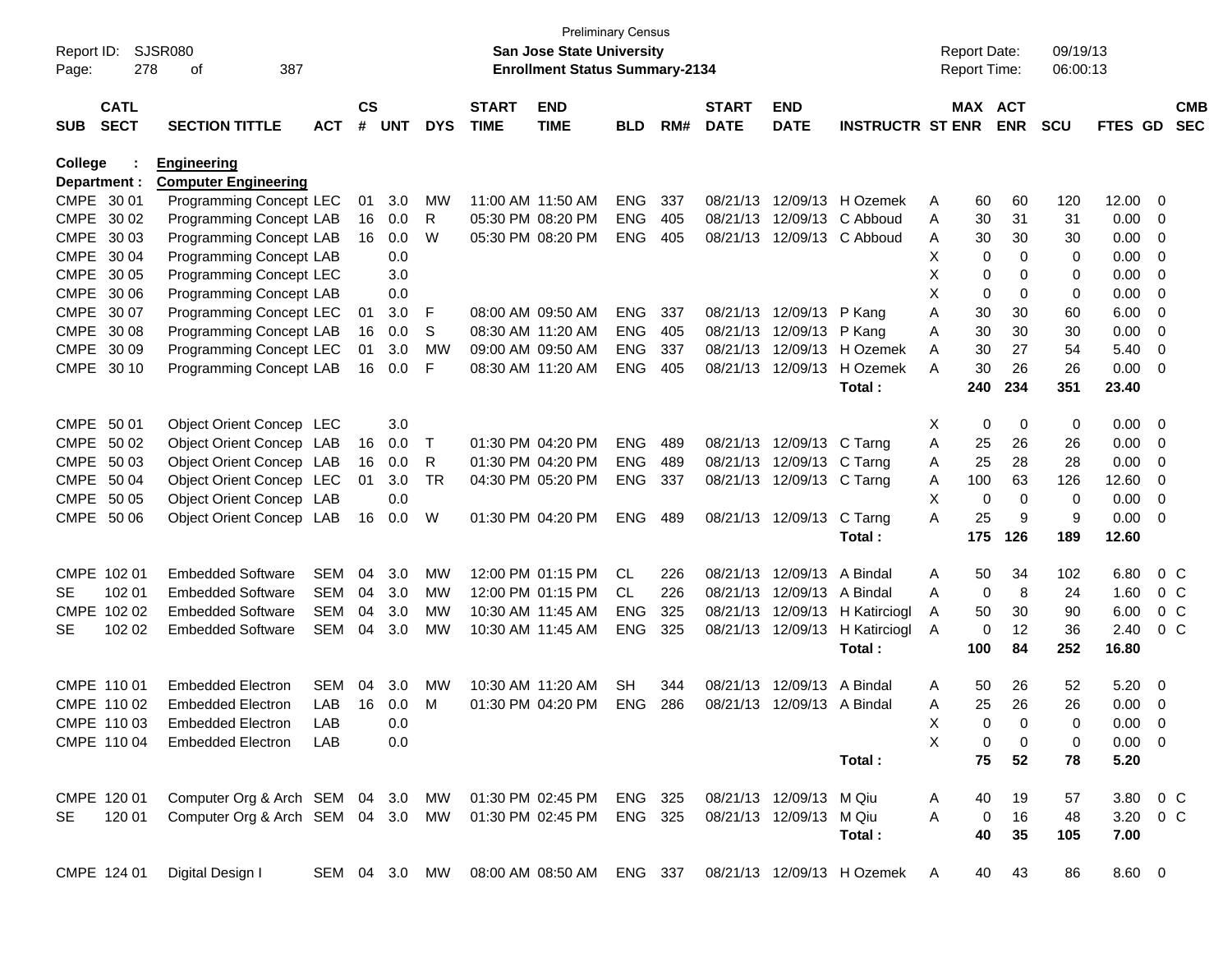| Report ID:<br>Page: | 278                        | <b>SJSR080</b><br>387<br>οf                                 |            |                |            |            |                             | <b>San Jose State University</b><br><b>Enrollment Status Summary-2134</b> | Preliminary Census |     |                             |                            |                                                                      | <b>Report Date:</b><br><b>Report Time:</b> |             |                       | 09/19/13<br>06:00:13 |             |                         |                          |
|---------------------|----------------------------|-------------------------------------------------------------|------------|----------------|------------|------------|-----------------------------|---------------------------------------------------------------------------|--------------------|-----|-----------------------------|----------------------------|----------------------------------------------------------------------|--------------------------------------------|-------------|-----------------------|----------------------|-------------|-------------------------|--------------------------|
| <b>SUB</b>          | <b>CATL</b><br><b>SECT</b> | <b>SECTION TITTLE</b>                                       | <b>ACT</b> | <b>CS</b><br># | <b>UNT</b> | <b>DYS</b> | <b>START</b><br><b>TIME</b> | <b>END</b><br><b>TIME</b>                                                 | <b>BLD</b>         | RM# | <b>START</b><br><b>DATE</b> | <b>END</b><br><b>DATE</b>  | <b>INSTRUCTR ST ENR</b>                                              |                                            |             | MAX ACT<br><b>ENR</b> | <b>SCU</b>           | FTES GD     |                         | <b>CMB</b><br><b>SEC</b> |
| College             |                            | <b>Engineering</b>                                          |            |                |            |            |                             |                                                                           |                    |     |                             |                            |                                                                      |                                            |             |                       |                      |             |                         |                          |
| Department :        |                            | <b>Computer Engineering</b>                                 |            |                |            |            |                             |                                                                           |                    |     |                             |                            |                                                                      |                                            |             |                       |                      |             |                         |                          |
|                     | CMPE 30 01                 | Programming Concept LEC                                     |            | 01             | 3.0        | MW         |                             | 11:00 AM 11:50 AM                                                         | <b>ENG</b>         | 337 |                             |                            | 08/21/13 12/09/13 H Ozemek                                           | A                                          | 60          | 60                    | 120                  | 12.00       | $\overline{0}$          |                          |
|                     | CMPE 30 02                 | Programming Concept LAB                                     |            | 16             | 0.0        | R          |                             | 05:30 PM 08:20 PM                                                         | <b>ENG</b>         | 405 |                             |                            | 08/21/13 12/09/13 C Abboud                                           | Α                                          | 30          | 31                    | 31                   | 0.00        | $\overline{0}$          |                          |
|                     | CMPE 30 03                 | Programming Concept LAB                                     |            | 16             | 0.0        | W          |                             | 05:30 PM 08:20 PM                                                         | <b>ENG</b>         | 405 |                             |                            | 08/21/13 12/09/13 C Abboud                                           | A                                          | 30          | 30                    | 30                   | 0.00        | 0                       |                          |
|                     | CMPE 30 04                 | <b>Programming Concept LAB</b>                              |            |                | 0.0        |            |                             |                                                                           |                    |     |                             |                            |                                                                      | Χ                                          | 0           | $\Omega$              | 0                    | 0.00        | 0                       |                          |
|                     | CMPE 30 05                 | Programming Concept LEC                                     |            |                | 3.0        |            |                             |                                                                           |                    |     |                             |                            |                                                                      | Χ                                          | 0           | 0                     | 0                    | 0.00        | 0                       |                          |
|                     | CMPE 30 06                 | Programming Concept LAB                                     |            |                | 0.0        |            |                             |                                                                           |                    |     |                             |                            |                                                                      | X                                          | 0           | $\mathbf 0$           | 0                    | 0.00        | 0                       |                          |
|                     | CMPE 30 07                 | Programming Concept LEC                                     |            | 01             | 3.0        | F          |                             | 08:00 AM 09:50 AM                                                         | <b>ENG</b>         | 337 |                             | 08/21/13 12/09/13          | P Kang                                                               | Α                                          | 30          | 30                    | 60                   | 6.00        | 0                       |                          |
|                     | CMPE 30 08                 | Programming Concept LAB                                     |            | 16             | 0.0        | S          |                             | 08:30 AM 11:20 AM                                                         | <b>ENG</b>         | 405 |                             | 08/21/13 12/09/13          | P Kang                                                               | Α                                          | 30          | 30                    | 30                   | 0.00        | 0                       |                          |
|                     | CMPE 30 09                 | Programming Concept LEC                                     |            | 01             | 3.0        | <b>MW</b>  |                             | 09:00 AM 09:50 AM                                                         | <b>ENG</b>         | 337 |                             | 08/21/13 12/09/13          | H Ozemek                                                             | A                                          | 30          | 27                    | 54                   | 5.40        | $\overline{0}$          |                          |
| <b>CMPE</b>         | 30 10                      | Programming Concept LAB                                     |            | 16             | 0.0        | F          |                             | 08:30 AM 11:20 AM                                                         | <b>ENG</b>         | 405 |                             | 08/21/13 12/09/13          | H Ozemek                                                             | A                                          | 30          | 26                    | 26                   | 0.00        | $\overline{0}$          |                          |
|                     |                            |                                                             |            |                |            |            |                             |                                                                           |                    |     |                             |                            | Total:                                                               |                                            | 240         | 234                   | 351                  | 23.40       |                         |                          |
| CMPE 50 01          |                            | Object Orient Concep LEC                                    |            |                | 3.0        |            |                             |                                                                           |                    |     |                             |                            |                                                                      | Χ                                          | 0           | 0                     | 0                    | 0.00        | $\overline{\mathbf{0}}$ |                          |
|                     | CMPE 50 02                 | Object Orient Concep LAB                                    |            | 16             | 0.0        | Т          |                             | 01:30 PM 04:20 PM                                                         | <b>ENG</b>         | 489 |                             | 08/21/13 12/09/13 C Tarng  |                                                                      | A                                          | 25          | 26                    | 26                   | 0.00        | $\overline{\mathbf{0}}$ |                          |
|                     | CMPE 50 03                 | Object Orient Concep LAB                                    |            | 16             | 0.0        | R          |                             | 01:30 PM 04:20 PM                                                         | <b>ENG</b>         | 489 |                             | 08/21/13 12/09/13 C Tarng  |                                                                      | A                                          | 25          | 28                    | 28                   | 0.00        | 0                       |                          |
|                     | CMPE 50 04                 | Object Orient Concep LEC                                    |            | 01             | 3.0        | <b>TR</b>  |                             | 04:30 PM 05:20 PM                                                         | <b>ENG</b>         | 337 |                             | 08/21/13 12/09/13 C Tarng  |                                                                      | A                                          | 100         | 63                    | 126                  | 12.60       | 0                       |                          |
|                     | CMPE 50 05                 | Object Orient Concep LAB                                    |            |                | 0.0        |            |                             |                                                                           |                    |     |                             |                            |                                                                      | X                                          | 0           | $\mathbf 0$           | 0                    | 0.00        | $\overline{0}$          |                          |
|                     | CMPE 50 06                 | Object Orient Concep LAB                                    |            | 16             | 0.0        | W          |                             | 01:30 PM 04:20 PM                                                         | <b>ENG</b>         | 489 |                             | 08/21/13 12/09/13          | C Tarng                                                              | A                                          | 25          | 9                     | 9                    | 0.00        | $\overline{0}$          |                          |
|                     |                            |                                                             |            |                |            |            |                             |                                                                           |                    |     |                             |                            | Total:                                                               |                                            | 175         | 126                   | 189                  | 12.60       |                         |                          |
|                     |                            |                                                             |            |                |            |            |                             |                                                                           |                    |     |                             |                            |                                                                      |                                            |             |                       |                      |             |                         |                          |
|                     | CMPE 102 01                | <b>Embedded Software</b>                                    | <b>SEM</b> | 04             | 3.0        | <b>MW</b>  |                             | 12:00 PM 01:15 PM                                                         | <b>CL</b>          | 226 |                             | 08/21/13 12/09/13          | A Bindal                                                             | A                                          | 50          | 34                    | 102                  | 6.80        |                         | 0 <sup>o</sup>           |
| <b>SE</b>           | 102 01                     | <b>Embedded Software</b>                                    | <b>SEM</b> | 04             | 3.0        | MW         |                             | 12:00 PM 01:15 PM                                                         | CL.                | 226 |                             | 08/21/13 12/09/13          | A Bindal                                                             | A                                          | $\mathbf 0$ | 8                     | 24                   | 1.60        |                         | 0 <sup>o</sup>           |
|                     | CMPE 102 02                | <b>Embedded Software</b>                                    | <b>SEM</b> | 04             | 3.0        | MW         |                             | 10:30 AM 11:45 AM                                                         | <b>ENG</b>         | 325 |                             | 08/21/13 12/09/13          | H Katirciogl                                                         | A                                          | 50          | 30                    | 90                   | 6.00        |                         | 0 <sup>o</sup>           |
| <b>SE</b>           | 102 02                     | <b>Embedded Software</b>                                    | SEM        | 04             | 3.0        | MW         |                             | 10:30 AM 11:45 AM                                                         | <b>ENG</b>         | 325 |                             | 08/21/13 12/09/13          | H Katirciogl                                                         | A                                          | 0           | 12                    | 36                   | 2.40        |                         | $0\,C$                   |
|                     |                            |                                                             |            |                |            |            |                             |                                                                           |                    |     |                             |                            | Total:                                                               |                                            | 100         | 84                    | 252                  | 16.80       |                         |                          |
|                     |                            |                                                             |            |                |            |            |                             |                                                                           |                    |     |                             |                            |                                                                      |                                            |             |                       |                      |             |                         |                          |
|                     | CMPE 110 01                | <b>Embedded Electron</b>                                    | <b>SEM</b> | 04             | 3.0        | MW         |                             | 10:30 AM 11:20 AM                                                         | <b>SH</b>          | 344 |                             | 08/21/13 12/09/13          | A Bindal                                                             | A                                          | 50          | 26                    | 52                   | 5.20        | $\overline{\mathbf{0}}$ |                          |
|                     | CMPE 110 02                | <b>Embedded Electron</b>                                    | LAB        | 16             | 0.0        | м          |                             | 01:30 PM 04:20 PM                                                         | <b>ENG</b>         | 286 |                             | 08/21/13 12/09/13 A Bindal |                                                                      | Α                                          | 25          | 26                    | 26                   | 0.00        | $\overline{0}$          |                          |
|                     | CMPE 110 03                | Embedded Electron                                           | LAB        |                | 0.0        |            |                             |                                                                           |                    |     |                             |                            |                                                                      | Х                                          | 0           | 0                     | 0                    | 0.00        | $\overline{0}$          |                          |
|                     | CMPE 110 04                | <b>Embedded Electron</b>                                    | LAB        |                | 0.0        |            |                             |                                                                           |                    |     |                             |                            |                                                                      | X                                          | 0           | 0                     | 0                    | $0.00 \t 0$ |                         |                          |
|                     |                            |                                                             |            |                |            |            |                             |                                                                           |                    |     |                             |                            | Total:                                                               |                                            | 75          | 52                    | 78                   | 5.20        |                         |                          |
|                     | CMPE 120 01                | Computer Org & Arch SEM 04 3.0 MW 01:30 PM 02:45 PM ENG 325 |            |                |            |            |                             |                                                                           |                    |     |                             | 08/21/13 12/09/13 M Qiu    |                                                                      |                                            | 40          |                       |                      | 3.80 0 C    |                         |                          |
| <b>SE</b>           | 120 01                     | Computer Org & Arch SEM 04 3.0 MW 01:30 PM 02:45 PM         |            |                |            |            |                             |                                                                           | ENG 325            |     |                             | 08/21/13 12/09/13 M Qiu    |                                                                      | A<br>A                                     | $\mathbf 0$ | 19<br>16              | 57<br>48             | 3.20 0 C    |                         |                          |
|                     |                            |                                                             |            |                |            |            |                             |                                                                           |                    |     |                             |                            | Total:                                                               |                                            | 40          | 35                    | 105                  | 7.00        |                         |                          |
|                     |                            |                                                             |            |                |            |            |                             |                                                                           |                    |     |                             |                            |                                                                      |                                            |             |                       |                      |             |                         |                          |
|                     | CMPE 124 01                | Digital Design I                                            |            |                |            |            |                             |                                                                           |                    |     |                             |                            | SEM 04 3.0 MW 08:00 AM 08:50 AM ENG 337 08/21/13 12/09/13 H Ozemek A |                                            |             | 40 43                 | 86                   | 8.60 0      |                         |                          |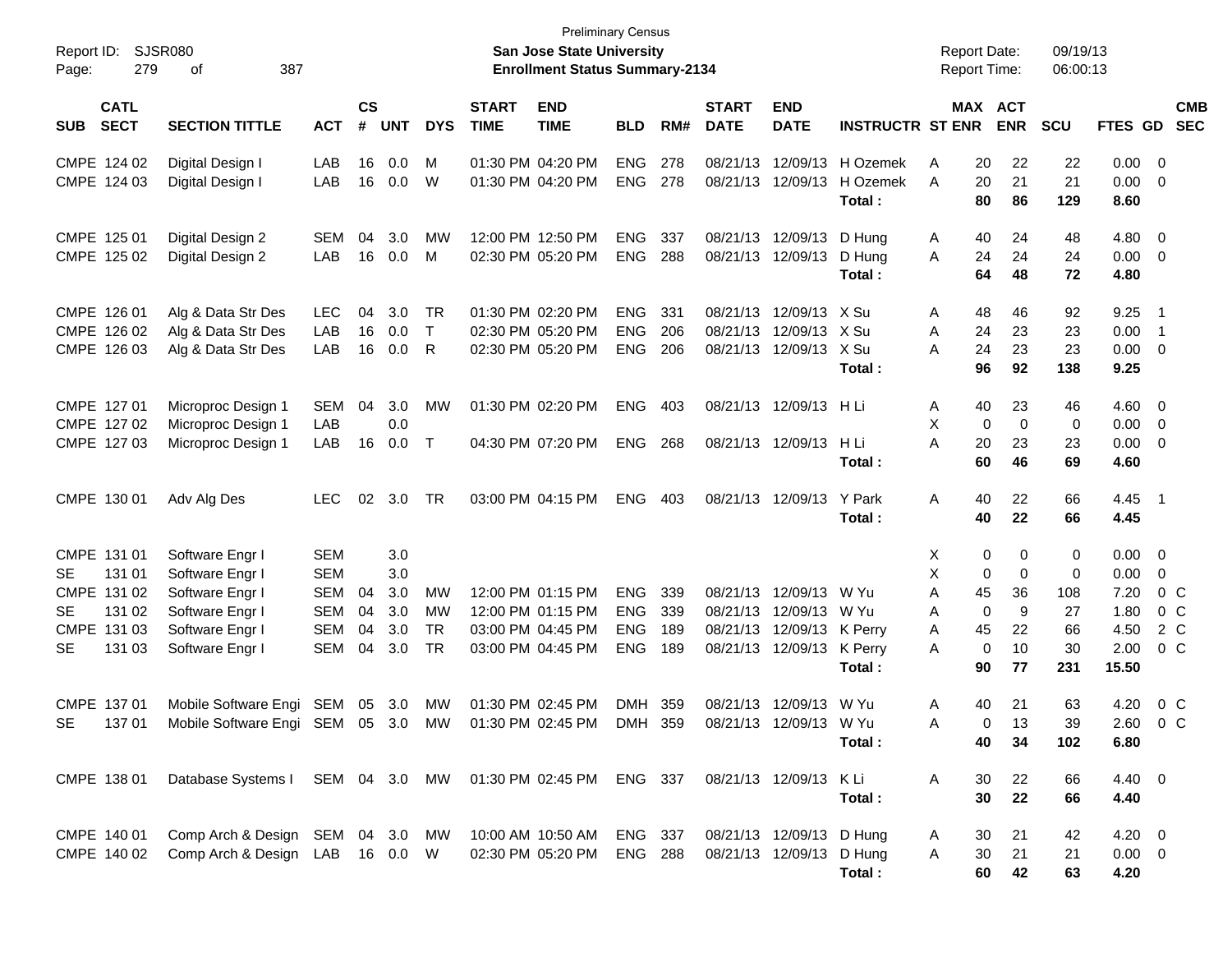| Report ID:<br>Page:                                                                                            | <b>SJSR080</b><br>279<br>387<br>οf                                                                             |                                                             |                      |                                        |                                    |                             | San Jose State University<br><b>Enrollment Status Summary-2134</b>               | <b>Preliminary Census</b>                            |                          |                             |                                                                                                            |                                | <b>Report Date:</b>        |                                              | <b>Report Time:</b>                           | 09/19/13<br>06:00:13                   |                                                       |                                                                    |                          |
|----------------------------------------------------------------------------------------------------------------|----------------------------------------------------------------------------------------------------------------|-------------------------------------------------------------|----------------------|----------------------------------------|------------------------------------|-----------------------------|----------------------------------------------------------------------------------|------------------------------------------------------|--------------------------|-----------------------------|------------------------------------------------------------------------------------------------------------|--------------------------------|----------------------------|----------------------------------------------|-----------------------------------------------|----------------------------------------|-------------------------------------------------------|--------------------------------------------------------------------|--------------------------|
| <b>CATL</b><br><b>SECT</b><br><b>SUB</b>                                                                       | <b>SECTION TITTLE</b>                                                                                          | <b>ACT</b>                                                  | <b>CS</b><br>#       | <b>UNT</b>                             | <b>DYS</b>                         | <b>START</b><br><b>TIME</b> | <b>END</b><br><b>TIME</b>                                                        | <b>BLD</b>                                           | RM#                      | <b>START</b><br><b>DATE</b> | <b>END</b><br><b>DATE</b>                                                                                  | <b>INSTRUCTR ST ENR</b>        |                            |                                              | MAX ACT<br><b>ENR</b>                         | <b>SCU</b>                             | <b>FTES GD</b>                                        |                                                                    | <b>CMB</b><br><b>SEC</b> |
| CMPE 124 02<br>CMPE 124 03                                                                                     | Digital Design I<br>Digital Design I                                                                           | LAB<br>LAB                                                  | 16<br>16             | 0.0<br>0.0                             | М<br>W                             |                             | 01:30 PM 04:20 PM<br>01:30 PM 04:20 PM                                           | <b>ENG</b><br><b>ENG</b>                             | 278<br>278               |                             | 08/21/13 12/09/13<br>08/21/13 12/09/13                                                                     | H Ozemek<br>H Ozemek<br>Total: | A<br>A                     | 20<br>20<br>80                               | 22<br>21<br>86                                | 22<br>21<br>129                        | $0.00 \t 0$<br>0.00<br>8.60                           | $\overline{0}$                                                     |                          |
| CMPE 125 01<br>CMPE 125 02                                                                                     | Digital Design 2<br>Digital Design 2                                                                           | SEM<br>LAB                                                  | 04<br>16             | 3.0<br>0.0                             | MW<br>М                            |                             | 12:00 PM 12:50 PM<br>02:30 PM 05:20 PM                                           | <b>ENG</b><br><b>ENG</b>                             | 337<br>288               |                             | 08/21/13 12/09/13<br>08/21/13 12/09/13                                                                     | D Hung<br>D Hung<br>Total:     | A<br>A                     | 40<br>24<br>64                               | 24<br>24<br>48                                | 48<br>24<br>72                         | $4.80$ 0<br>$0.00 \t 0$<br>4.80                       |                                                                    |                          |
| CMPE 126 01<br>CMPE 126 02<br>CMPE 126 03                                                                      | Alg & Data Str Des<br>Alg & Data Str Des<br>Alg & Data Str Des                                                 | <b>LEC</b><br>LAB<br>LAB                                    | 04<br>16<br>16       | 3.0<br>0.0<br>0.0                      | TR<br>$\top$<br>R                  |                             | 01:30 PM 02:20 PM<br>02:30 PM 05:20 PM<br>02:30 PM 05:20 PM                      | <b>ENG</b><br><b>ENG</b><br><b>ENG</b>               | 331<br>206<br>206        |                             | 08/21/13 12/09/13 X Su<br>08/21/13 12/09/13 X Su<br>08/21/13 12/09/13 X Su                                 | Total:                         | A<br>Α<br>A                | 48<br>24<br>24<br>96                         | 46<br>23<br>23<br>92                          | 92<br>23<br>23<br>138                  | 9.25<br>0.00<br>0.00 0<br>9.25                        | $\overline{\phantom{1}}$<br>$\overline{\phantom{0}}$ 1             |                          |
| CMPE 127 01<br>CMPE 127 02<br>CMPE 127 03                                                                      | Microproc Design 1<br>Microproc Design 1<br>Microproc Design 1                                                 | SEM<br>LAB<br>LAB                                           | 04<br>16             | 3.0<br>0.0<br>0.0                      | <b>MW</b><br>$\top$                |                             | 01:30 PM 02:20 PM<br>04:30 PM 07:20 PM                                           | <b>ENG</b><br><b>ENG</b>                             | 403<br>268               |                             | 08/21/13 12/09/13 H Li<br>08/21/13 12/09/13                                                                | H Li<br>Total:                 | A<br>Χ<br>A                | 40<br>0<br>20<br>60                          | 23<br>$\mathbf 0$<br>23<br>46                 | 46<br>0<br>23<br>69                    | $4.60$ 0<br>$0.00 \t 0$<br>$0.00 \t 0$<br>4.60        |                                                                    |                          |
| CMPE 130 01                                                                                                    | Adv Alg Des                                                                                                    | <b>LEC</b>                                                  | 02                   | 3.0                                    | TR                                 |                             | 03:00 PM 04:15 PM                                                                | <b>ENG</b>                                           | 403                      |                             | 08/21/13 12/09/13                                                                                          | Y Park<br>Total:               | Α                          | 40<br>40                                     | 22<br>22                                      | 66<br>66                               | 4.45 1<br>4.45                                        |                                                                    |                          |
| CMPE 131 01<br>131 01<br><b>SE</b><br>CMPE 131 02<br>131 02<br><b>SE</b><br>CMPE 131 03<br>131 03<br><b>SE</b> | Software Engr I<br>Software Engr I<br>Software Engr I<br>Software Engr I<br>Software Engr I<br>Software Engr I | <b>SEM</b><br><b>SEM</b><br>SEM<br>SEM<br><b>SEM</b><br>SEM | 04<br>04<br>04<br>04 | 3.0<br>3.0<br>3.0<br>3.0<br>3.0<br>3.0 | MW<br><b>MW</b><br><b>TR</b><br>TR |                             | 12:00 PM 01:15 PM<br>12:00 PM 01:15 PM<br>03:00 PM 04:45 PM<br>03:00 PM 04:45 PM | <b>ENG</b><br><b>ENG</b><br><b>ENG</b><br><b>ENG</b> | 339<br>339<br>189<br>189 |                             | 08/21/13 12/09/13 W Yu<br>08/21/13 12/09/13 W Yu<br>08/21/13 12/09/13 K Perry<br>08/21/13 12/09/13 K Perry | Total:                         | X<br>Χ<br>A<br>A<br>Α<br>A | 0<br>0<br>45<br>0<br>45<br>$\mathbf 0$<br>90 | 0<br>$\mathbf 0$<br>36<br>9<br>22<br>10<br>77 | 0<br>0<br>108<br>27<br>66<br>30<br>231 | 0.00<br>0.00<br>7.20<br>1.80<br>4.50<br>2.00<br>15.50 | $\overline{\mathbf{0}}$<br>$\mathbf 0$<br>0 C<br>0 C<br>2 C<br>0 C |                          |
| CMPE 137 01<br>13701<br>SE -                                                                                   | Mobile Software Engi<br>Mobile Software Engi SEM 05 3.0                                                        | SEM                                                         | 05                   | 3.0                                    | <b>MW</b><br>MW                    |                             | 01:30 PM 02:45 PM<br>01:30 PM 02:45 PM                                           | DMH<br>DMH 359                                       | 359                      |                             | 08/21/13 12/09/13 W Yu<br>08/21/13 12/09/13 W Yu                                                           | Total:                         | Α<br>A                     | 40<br>0<br>40                                | 21<br>13<br>34                                | 63<br>39<br>102                        | 4.20<br>2.60<br>6.80                                  | $0\,C$<br>$0\,C$                                                   |                          |
| CMPE 138 01                                                                                                    | Database Systems I SEM 04 3.0 MW 01:30 PM 02:45 PM ENG 337                                                     |                                                             |                      |                                        |                                    |                             |                                                                                  |                                                      |                          |                             | 08/21/13 12/09/13 KLi                                                                                      | Total:                         | A                          | 30<br>30                                     | 22<br>22                                      | 66<br>66                               | 4.40 0<br>4.40                                        |                                                                    |                          |
| CMPE 140 01<br>CMPE 140 02                                                                                     | Comp Arch & Design SEM 04 3.0 MW<br>Comp Arch & Design LAB 16 0.0 W                                            |                                                             |                      |                                        |                                    |                             | 10:00 AM 10:50 AM<br>02:30 PM 05:20 PM                                           | ENG 337<br><b>ENG 288</b>                            |                          |                             | 08/21/13 12/09/13 D Hung<br>08/21/13 12/09/13 D Hung                                                       | Total:                         | A<br>A                     | 30<br>30<br>60                               | 21<br>21<br>42                                | 42<br>21<br>63                         | $4.20 \ 0$<br>$0.00 \t 0$<br>4.20                     |                                                                    |                          |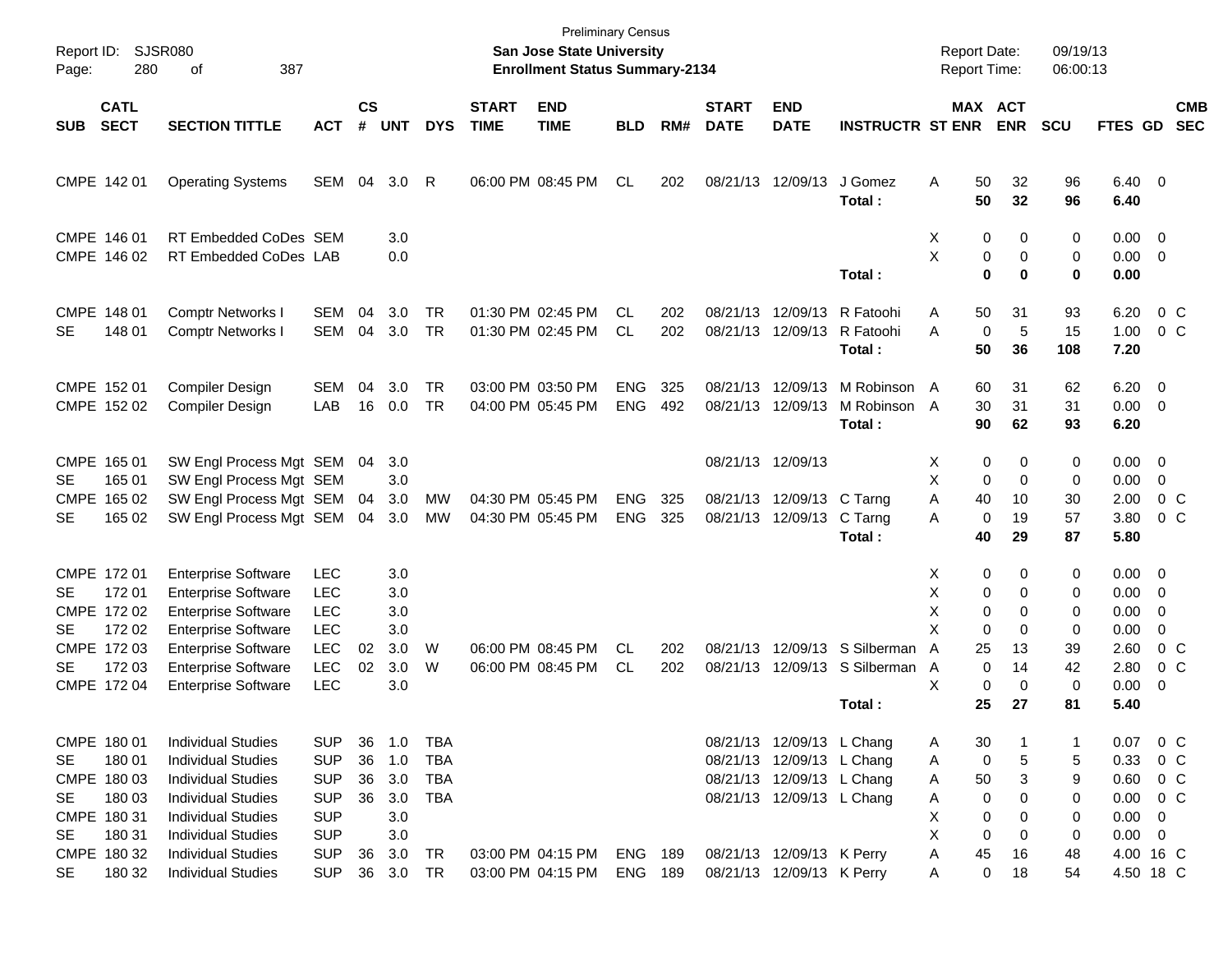| Report ID:<br>Page:             | 280                                                                                              | SJSR080<br>387<br>οf                                                                                                                                                                                                                 |                                                                                                              |                                  |                                                      |                                                                  |                             | San Jose State University<br><b>Enrollment Status Summary-2134</b> | <b>Preliminary Census</b> |            |                             |                                                                                                                                                                            |                                                        | <b>Report Date:</b><br><b>Report Time:</b>             |                                                                                                          | 09/19/13<br>06:00:13                    |                                                                                        |                                                                                            |                          |
|---------------------------------|--------------------------------------------------------------------------------------------------|--------------------------------------------------------------------------------------------------------------------------------------------------------------------------------------------------------------------------------------|--------------------------------------------------------------------------------------------------------------|----------------------------------|------------------------------------------------------|------------------------------------------------------------------|-----------------------------|--------------------------------------------------------------------|---------------------------|------------|-----------------------------|----------------------------------------------------------------------------------------------------------------------------------------------------------------------------|--------------------------------------------------------|--------------------------------------------------------|----------------------------------------------------------------------------------------------------------|-----------------------------------------|----------------------------------------------------------------------------------------|--------------------------------------------------------------------------------------------|--------------------------|
| SUB                             | <b>CATL</b><br><b>SECT</b>                                                                       | <b>SECTION TITTLE</b>                                                                                                                                                                                                                | <b>ACT</b>                                                                                                   | $\mathsf{cs}$<br>#               | <b>UNT</b>                                           | <b>DYS</b>                                                       | <b>START</b><br><b>TIME</b> | <b>END</b><br><b>TIME</b>                                          | <b>BLD</b>                | RM#        | <b>START</b><br><b>DATE</b> | <b>END</b><br><b>DATE</b>                                                                                                                                                  | <b>INSTRUCTR ST ENR</b>                                |                                                        | MAX ACT<br><b>ENR</b>                                                                                    | <b>SCU</b>                              | FTES GD                                                                                |                                                                                            | <b>CMB</b><br><b>SEC</b> |
|                                 | CMPE 142 01                                                                                      | <b>Operating Systems</b>                                                                                                                                                                                                             | SEM                                                                                                          | 04                               | 3.0                                                  | R                                                                |                             | 06:00 PM 08:45 PM                                                  | CL.                       | 202        |                             | 08/21/13 12/09/13                                                                                                                                                          | J Gomez<br>Total:                                      | A<br>50<br>50                                          | 32<br>32                                                                                                 | 96<br>96                                | $6.40 \quad 0$<br>6.40                                                                 |                                                                                            |                          |
|                                 | CMPE 146 01<br>CMPE 146 02                                                                       | RT Embedded CoDes SEM<br>RT Embedded CoDes LAB                                                                                                                                                                                       |                                                                                                              |                                  | 3.0<br>0.0                                           |                                                                  |                             |                                                                    |                           |            |                             |                                                                                                                                                                            | Total:                                                 | Х<br>X                                                 | 0<br>0<br>0<br>0<br>$\mathbf 0$<br>$\bf{0}$                                                              | 0<br>0<br>0                             | $0.00 \t 0$<br>$0.00 \t 0$<br>0.00                                                     |                                                                                            |                          |
| <b>SE</b>                       | CMPE 148 01<br>148 01                                                                            | <b>Comptr Networks I</b><br><b>Comptr Networks I</b>                                                                                                                                                                                 | SEM<br><b>SEM</b>                                                                                            | 04<br>04                         | 3.0<br>3.0                                           | <b>TR</b><br><b>TR</b>                                           |                             | 01:30 PM 02:45 PM<br>01:30 PM 02:45 PM                             | CL<br><b>CL</b>           | 202<br>202 | 08/21/13<br>08/21/13        | 12/09/13<br>12/09/13                                                                                                                                                       | R Fatoohi<br>R Fatoohi<br>Total:                       | 50<br>A<br>A<br>50                                     | 31<br>5<br>$\mathbf 0$<br>36                                                                             | 93<br>15<br>108                         | 6.20<br>1.00<br>7.20                                                                   |                                                                                            | $0\,$ C<br>$0\,$ C       |
|                                 | CMPE 152 01<br>CMPE 152 02                                                                       | Compiler Design<br>Compiler Design                                                                                                                                                                                                   | <b>SEM</b><br>LAB                                                                                            | 04<br>16                         | 3.0<br>0.0                                           | TR<br><b>TR</b>                                                  |                             | 03:00 PM 03:50 PM<br>04:00 PM 05:45 PM                             | <b>ENG</b><br><b>ENG</b>  | 325<br>492 | 08/21/13<br>08/21/13        | 12/09/13<br>12/09/13                                                                                                                                                       | M Robinson A<br>M Robinson A<br>Total:                 | 60<br>30<br>90                                         | 31<br>31<br>62                                                                                           | 62<br>31<br>93                          | $6.20 \quad 0$<br>$0.00 \t 0$<br>6.20                                                  |                                                                                            |                          |
| SE.<br><b>CMPE</b><br><b>SE</b> | CMPE 165 01<br>165 01<br>165 02<br>165 02                                                        | SW Engl Process Mgt SEM 04<br>SW Engl Process Mgt SEM<br>SW Engl Process Mgt SEM<br>SW Engl Process Mgt SEM                                                                                                                          |                                                                                                              | 04<br>04                         | 3.0<br>3.0<br>3.0<br>3.0                             | MW<br><b>MW</b>                                                  |                             | 04:30 PM 05:45 PM<br>04:30 PM 05:45 PM                             | <b>ENG</b><br><b>ENG</b>  | 325<br>325 |                             | 08/21/13 12/09/13<br>08/21/13 12/09/13 C Tarng<br>08/21/13 12/09/13                                                                                                        | C Tarng<br>Total:                                      | Х<br>X<br>A<br>40<br>A<br>40                           | 0<br>0<br>0<br>$\Omega$<br>10<br>19<br>$\mathbf 0$<br>29                                                 | 0<br>0<br>30<br>57<br>87                | $0.00 \t 0$<br>0.00<br>2.00<br>3.80<br>5.80                                            | $\overline{0}$                                                                             | $0\,$ C<br>$0\,$ C       |
| SE<br>SE<br>SE                  | CMPE 172 01<br>172 01<br>CMPE 172 02<br>172 02<br>CMPE 172 03<br>172 03<br>CMPE 172 04           | <b>Enterprise Software</b><br><b>Enterprise Software</b><br><b>Enterprise Software</b><br><b>Enterprise Software</b><br><b>Enterprise Software</b><br><b>Enterprise Software</b><br><b>Enterprise Software</b>                       | <b>LEC</b><br><b>LEC</b><br><b>LEC</b><br><b>LEC</b><br><b>LEC</b><br><b>LEC</b><br><b>LEC</b>               | 02<br>02                         | 3.0<br>3.0<br>3.0<br>3.0<br>3.0<br>3.0<br>3.0        | W<br>W                                                           |                             | 06:00 PM 08:45 PM<br>06:00 PM 08:45 PM                             | CL.<br><b>CL</b>          | 202<br>202 | 08/21/13<br>08/21/13        |                                                                                                                                                                            | 12/09/13 S Silberman<br>12/09/13 S Silberman<br>Total: | Х<br>X<br>X<br>X<br>25<br>A<br>A<br>X<br>25            | 0<br>0<br>0<br>0<br>0<br>$\Omega$<br>$\Omega$<br>$\Omega$<br>13<br>$\Omega$<br>14<br>0<br>$\Omega$<br>27 | 0<br>0<br>0<br>0<br>39<br>42<br>0<br>81 | $0.00 \t 0$<br>0.00<br>0.00<br>0.00<br>2.60<br>2.80<br>0.00<br>5.40                    | $\overline{\phantom{0}}$<br>$\overline{0}$<br>$\Omega$<br>- 0                              | $0\,$ C<br>$0\,$ C       |
| SE<br>SE<br>SE<br>SE            | CMPE 180 01<br>180 01<br>CMPE 180 03<br>180 03<br>CMPE 180 31<br>180 31<br>CMPE 180 32<br>180 32 | <b>Individual Studies</b><br><b>Individual Studies</b><br><b>Individual Studies</b><br><b>Individual Studies</b><br><b>Individual Studies</b><br><b>Individual Studies</b><br><b>Individual Studies</b><br><b>Individual Studies</b> | <b>SUP</b><br><b>SUP</b><br><b>SUP</b><br><b>SUP</b><br><b>SUP</b><br><b>SUP</b><br><b>SUP</b><br><b>SUP</b> | 36<br>36<br>36<br>36<br>36<br>36 | 1.0<br>1.0<br>3.0<br>3.0<br>3.0<br>3.0<br>3.0<br>3.0 | <b>TBA</b><br><b>TBA</b><br>TBA<br><b>TBA</b><br><b>TR</b><br>TR |                             | 03:00 PM 04:15 PM<br>03:00 PM 04:15 PM                             | ENG<br>ENG                | 189<br>189 |                             | 08/21/13 12/09/13 L Chang<br>08/21/13 12/09/13 L Chang<br>08/21/13 12/09/13 L Chang<br>08/21/13 12/09/13 L Chang<br>08/21/13 12/09/13 K Perry<br>08/21/13 12/09/13 K Perry |                                                        | 30<br>A<br>A<br>50<br>A<br>A<br>X<br>X<br>Α<br>45<br>A | 0<br>5<br>3<br>0<br>0<br>0<br>0<br>0<br>0<br>16<br>0<br>18                                               | 1<br>5<br>9<br>0<br>0<br>0<br>48<br>54  | 0.07<br>0.33<br>$0.60 \t 0 C$<br>0.00<br>0.00<br>$0.00 \t 0$<br>4.00 16 C<br>4.50 18 C | $\begin{array}{ccc} & 0 & C \end{array}$<br>$0\,$ C<br>$0\,$ C<br>$\overline{\phantom{0}}$ |                          |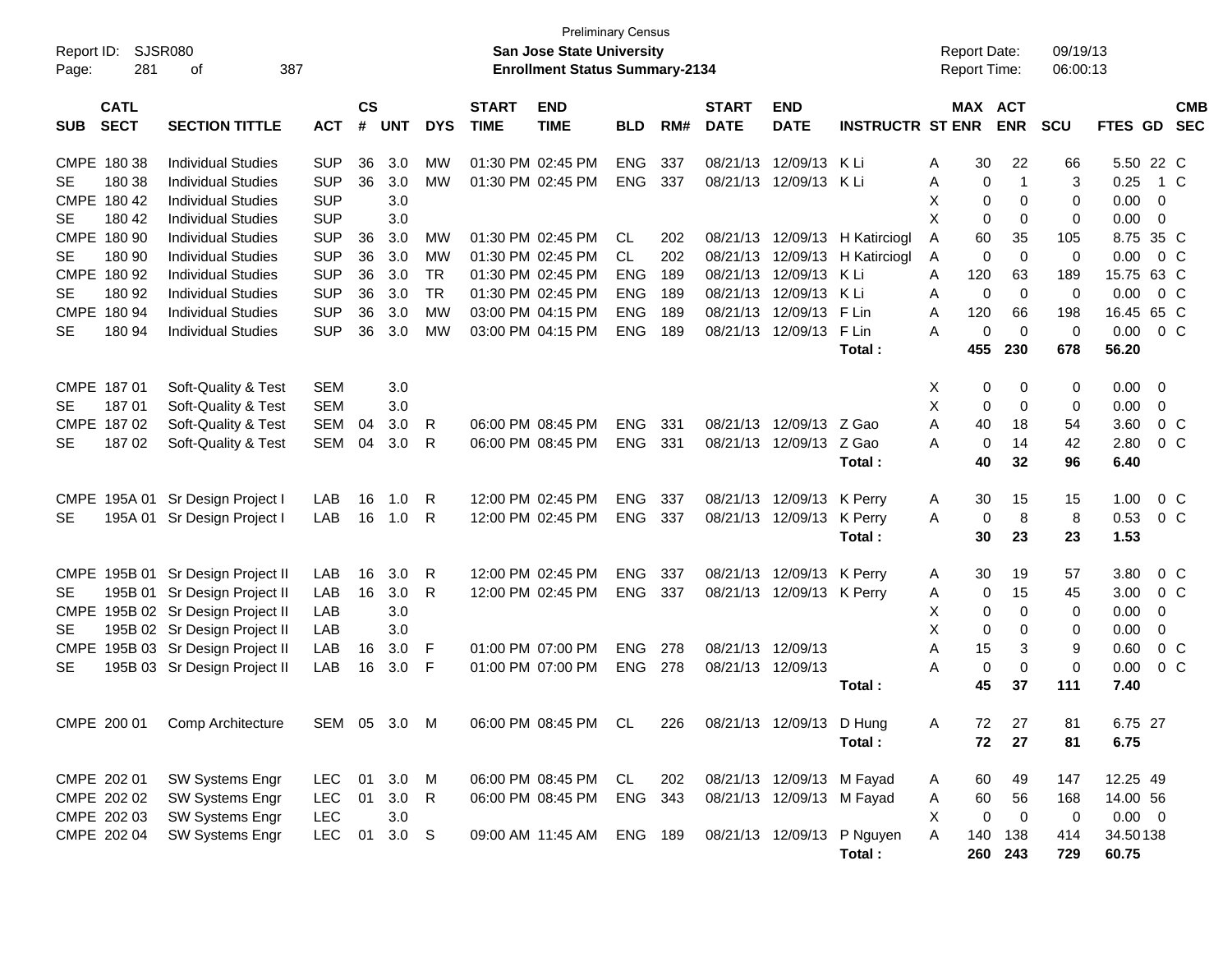| Report ID:<br>Page: | 281                        | SJSR080<br>387<br>οf              |            |                             |                  |            |                             | <b>Preliminary Census</b><br><b>San Jose State University</b><br><b>Enrollment Status Summary-2134</b> |            |     |                             |                           |                                | <b>Report Date:</b><br>Report Time: |                       |              | 09/19/13<br>06:00:13 |                |                          |
|---------------------|----------------------------|-----------------------------------|------------|-----------------------------|------------------|------------|-----------------------------|--------------------------------------------------------------------------------------------------------|------------|-----|-----------------------------|---------------------------|--------------------------------|-------------------------------------|-----------------------|--------------|----------------------|----------------|--------------------------|
| <b>SUB</b>          | <b>CATL</b><br><b>SECT</b> | <b>SECTION TITTLE</b>             | <b>ACT</b> | $\mathsf{cs}$<br>$\pmb{\#}$ | <b>UNT</b>       | <b>DYS</b> | <b>START</b><br><b>TIME</b> | <b>END</b><br><b>TIME</b>                                                                              | <b>BLD</b> | RM# | <b>START</b><br><b>DATE</b> | <b>END</b><br><b>DATE</b> | <b>INSTRUCTR ST ENR</b>        |                                     | MAX ACT<br><b>ENR</b> | <b>SCU</b>   | <b>FTES GD</b>       |                | <b>CMB</b><br><b>SEC</b> |
|                     | CMPE 180 38                | <b>Individual Studies</b>         | <b>SUP</b> | 36                          | 3.0              | MW         |                             | 01:30 PM 02:45 PM                                                                                      | <b>ENG</b> | 337 |                             | 08/21/13 12/09/13 K Li    |                                | Α                                   | 30                    | 22<br>66     |                      | 5.50 22 C      |                          |
| SE                  | 180 38                     | <b>Individual Studies</b>         | <b>SUP</b> | 36                          | 3.0              | <b>MW</b>  |                             | 01:30 PM 02:45 PM                                                                                      | <b>ENG</b> | 337 |                             | 08/21/13 12/09/13 K Li    |                                | Α                                   | $\mathbf 0$           | $\mathbf{1}$ | 3<br>0.25            |                | 1 C                      |
|                     | CMPE 180 42                | <b>Individual Studies</b>         | <b>SUP</b> |                             | 3.0              |            |                             |                                                                                                        |            |     |                             |                           |                                | X                                   | $\mathbf 0$           | 0            | 0.00<br>0            | 0              |                          |
| SE                  | 180 42                     | <b>Individual Studies</b>         | <b>SUP</b> |                             | 3.0              |            |                             |                                                                                                        |            |     |                             |                           |                                | X                                   | $\mathbf 0$           | $\mathbf 0$  | 0.00<br>0            | $\overline{0}$ |                          |
|                     | CMPE 180 90                | <b>Individual Studies</b>         | <b>SUP</b> | 36                          | 3.0              | МW         |                             | 01:30 PM 02:45 PM                                                                                      | CL         | 202 |                             |                           | 08/21/13 12/09/13 H Katirciogl | A                                   | 60                    | 35<br>105    |                      | 8.75 35 C      |                          |
| SE                  | 180 90                     | <b>Individual Studies</b>         | <b>SUP</b> | 36                          | 3.0              | <b>MW</b>  |                             | 01:30 PM 02:45 PM                                                                                      | <b>CL</b>  | 202 |                             |                           | 08/21/13 12/09/13 H Katirciogl | Α                                   | $\mathbf 0$           | $\mathbf 0$  | $\mathbf 0$<br>0.00  |                | $0\,$ C                  |
|                     | CMPE 180 92                | <b>Individual Studies</b>         | <b>SUP</b> | 36                          | 3.0              | <b>TR</b>  |                             | 01:30 PM 02:45 PM                                                                                      | <b>ENG</b> | 189 |                             | 08/21/13 12/09/13 KLi     |                                | 120<br>A                            |                       | 63<br>189    | 15.75 63 C           |                |                          |
| SE                  | 180 92                     | <b>Individual Studies</b>         | <b>SUP</b> | 36                          | 3.0              | <b>TR</b>  |                             | 01:30 PM 02:45 PM                                                                                      | <b>ENG</b> | 189 |                             | 08/21/13 12/09/13 K Li    |                                | A                                   | $\mathbf 0$           | $\Omega$     | $\mathbf 0$<br>0.00  |                | 0 <sup>o</sup>           |
|                     | CMPE 180 94                | <b>Individual Studies</b>         | <b>SUP</b> | 36                          | 3.0              | <b>MW</b>  |                             | 03:00 PM 04:15 PM                                                                                      | <b>ENG</b> | 189 |                             | 08/21/13 12/09/13         | F Lin                          | 120<br>Α                            |                       | 66<br>198    | 16.45 65 C           |                |                          |
| SE                  | 180 94                     | <b>Individual Studies</b>         | <b>SUP</b> | 36                          | 3.0              | <b>MW</b>  |                             | 03:00 PM 04:15 PM                                                                                      | <b>ENG</b> | 189 |                             | 08/21/13 12/09/13 F Lin   |                                | A                                   | $\mathbf 0$           | $\Omega$     | $\mathbf 0$<br>0.00  |                | 0 <sup>o</sup>           |
|                     |                            |                                   |            |                             |                  |            |                             |                                                                                                        |            |     |                             |                           | Total:                         | 455                                 | 230                   | 678          | 56.20                |                |                          |
|                     | CMPE 187 01                | Soft-Quality & Test               | <b>SEM</b> |                             | 3.0              |            |                             |                                                                                                        |            |     |                             |                           |                                | Х                                   | 0                     | 0            | 0.00<br>0            | - 0            |                          |
| SE                  | 18701                      | Soft-Quality & Test               | <b>SEM</b> |                             | 3.0              |            |                             |                                                                                                        |            |     |                             |                           |                                | X                                   | $\mathbf 0$           | 0            | 0.00<br>0            | $\mathbf 0$    |                          |
|                     | CMPE 187 02                | Soft-Quality & Test               | SEM        | 04                          | 3.0              | R          |                             | 06:00 PM 08:45 PM                                                                                      | <b>ENG</b> | 331 |                             | 08/21/13 12/09/13 Z Gao   |                                | A                                   | 40                    | 18<br>54     | 3.60                 |                | $0\,C$                   |
| <b>SE</b>           | 18702                      | Soft-Quality & Test               | SEM        | 04                          | 3.0              | R          |                             | 06:00 PM 08:45 PM                                                                                      | <b>ENG</b> | 331 |                             | 08/21/13 12/09/13 Z Gao   |                                | A                                   | 0                     | 14<br>42     | 2.80                 |                | 0 <sup>o</sup>           |
|                     |                            |                                   |            |                             |                  |            |                             |                                                                                                        |            |     |                             |                           | Total:                         |                                     | 40                    | 32<br>96     | 6.40                 |                |                          |
|                     |                            |                                   |            |                             |                  |            |                             |                                                                                                        |            |     |                             |                           |                                |                                     |                       |              |                      |                |                          |
| <b>CMPE</b>         | 195A 01                    | Sr Design Project I               | LAB        | 16                          | 1.0              | R          |                             | 12:00 PM 02:45 PM                                                                                      | <b>ENG</b> | 337 |                             | 08/21/13 12/09/13 K Perry |                                | A                                   | 30                    | 15<br>15     | 1.00                 |                | $0\,C$                   |
| SE                  |                            | 195A 01 Sr Design Project I       | LAB        | 16                          | 1.0              | R          |                             | 12:00 PM 02:45 PM                                                                                      | <b>ENG</b> | 337 |                             | 08/21/13 12/09/13         | K Perry                        | A                                   | 0                     | 8            | 8<br>0.53            |                | 0 <sup>C</sup>           |
|                     |                            |                                   |            |                             |                  |            |                             |                                                                                                        |            |     |                             |                           | Total:                         |                                     | 30                    | 23<br>23     | 1.53                 |                |                          |
|                     |                            | CMPE 195B 01 Sr Design Project II | LAB        | 16                          | 3.0              | R          |                             | 12:00 PM 02:45 PM                                                                                      | <b>ENG</b> | 337 |                             | 08/21/13 12/09/13 K Perry |                                | A                                   | 30                    | 19<br>57     | 3.80                 |                | $0\,$ C                  |
| <b>SE</b>           |                            | 195B 01 Sr Design Project II      | LAB        | 16                          | 3.0              | R          |                             | 12:00 PM 02:45 PM                                                                                      | ENG        | 337 |                             | 08/21/13 12/09/13 K Perry |                                | Α                                   | $\mathbf 0$           | 15<br>45     | 3.00                 |                | 0 C                      |
|                     |                            | CMPE 195B 02 Sr Design Project II | LAB        |                             | 3.0              |            |                             |                                                                                                        |            |     |                             |                           |                                | X                                   | $\mathbf 0$           | 0            | 0.00<br>0            | 0              |                          |
| <b>SE</b>           |                            | 195B 02 Sr Design Project II      | LAB        |                             | 3.0              |            |                             |                                                                                                        |            |     |                             |                           |                                | X                                   | $\mathbf 0$           | 0            | 0.00<br>0            | 0              |                          |
| <b>CMPE</b>         |                            | 195B 03 Sr Design Project II      | LAB        | 16                          | 3.0              | F          |                             | 01:00 PM 07:00 PM                                                                                      | <b>ENG</b> | 278 |                             | 08/21/13 12/09/13         |                                | Α                                   | 15                    | 3            | 9<br>0.60            |                | $0\,$ C                  |
| SE                  |                            | 195B 03 Sr Design Project II      | LAB        | 16                          | 3.0              | F          |                             | 01:00 PM 07:00 PM                                                                                      | <b>ENG</b> | 278 |                             | 08/21/13 12/09/13         |                                | А                                   | 0                     | $\mathbf 0$  | $\mathbf 0$<br>0.00  |                | 0 <sup>o</sup>           |
|                     |                            |                                   |            |                             |                  |            |                             |                                                                                                        |            |     |                             |                           | Total:                         |                                     | 45                    | 37<br>111    | 7.40                 |                |                          |
|                     |                            |                                   |            |                             |                  |            |                             |                                                                                                        |            |     |                             |                           |                                |                                     |                       |              |                      |                |                          |
|                     |                            | CMPE 200 01 Comp Architecture     |            |                             | SEM 05 3.0 M     |            |                             | 06:00 PM 08:45 PM CL                                                                                   |            | 226 |                             | 08/21/13 12/09/13 D Hung  |                                | Α                                   | 72<br>27              | 81           |                      | 6.75 27        |                          |
|                     |                            |                                   |            |                             |                  |            |                             |                                                                                                        |            |     |                             |                           | Total:                         |                                     | 72<br>27              | 81           | 6.75                 |                |                          |
|                     | CMPE 202 01                | SW Systems Engr                   | <b>LEC</b> | 01                          | 3.0 M            |            |                             | 06:00 PM 08:45 PM                                                                                      | CL         | 202 |                             | 08/21/13 12/09/13 M Fayad |                                | A                                   | 60                    | 49<br>147    | 12.25 49             |                |                          |
|                     | CMPE 202 02                | SW Systems Engr                   | <b>LEC</b> | 01                          | $3.0$ R          |            |                             | 06:00 PM 08:45 PM                                                                                      | ENG        | 343 |                             | 08/21/13 12/09/13 M Fayad |                                | Α                                   | 60                    | 56<br>168    | 14.00 56             |                |                          |
|                     | CMPE 202 03                | SW Systems Engr                   | <b>LEC</b> |                             | 3.0              |            |                             |                                                                                                        |            |     |                             |                           |                                | Χ                                   | 0                     | $\mathbf 0$  | 0                    | $0.00 \t 0$    |                          |
|                     | CMPE 202 04                | SW Systems Engr                   | <b>LEC</b> | 01                          | 3.0 <sub>S</sub> |            |                             | 09:00 AM 11:45 AM                                                                                      | ENG 189    |     |                             |                           | 08/21/13 12/09/13 P Nguyen     | A                                   | 140<br>138            | 414          | 34.50138             |                |                          |
|                     |                            |                                   |            |                             |                  |            |                             |                                                                                                        |            |     |                             |                           | Total:                         |                                     | 260 243               | 729          | 60.75                |                |                          |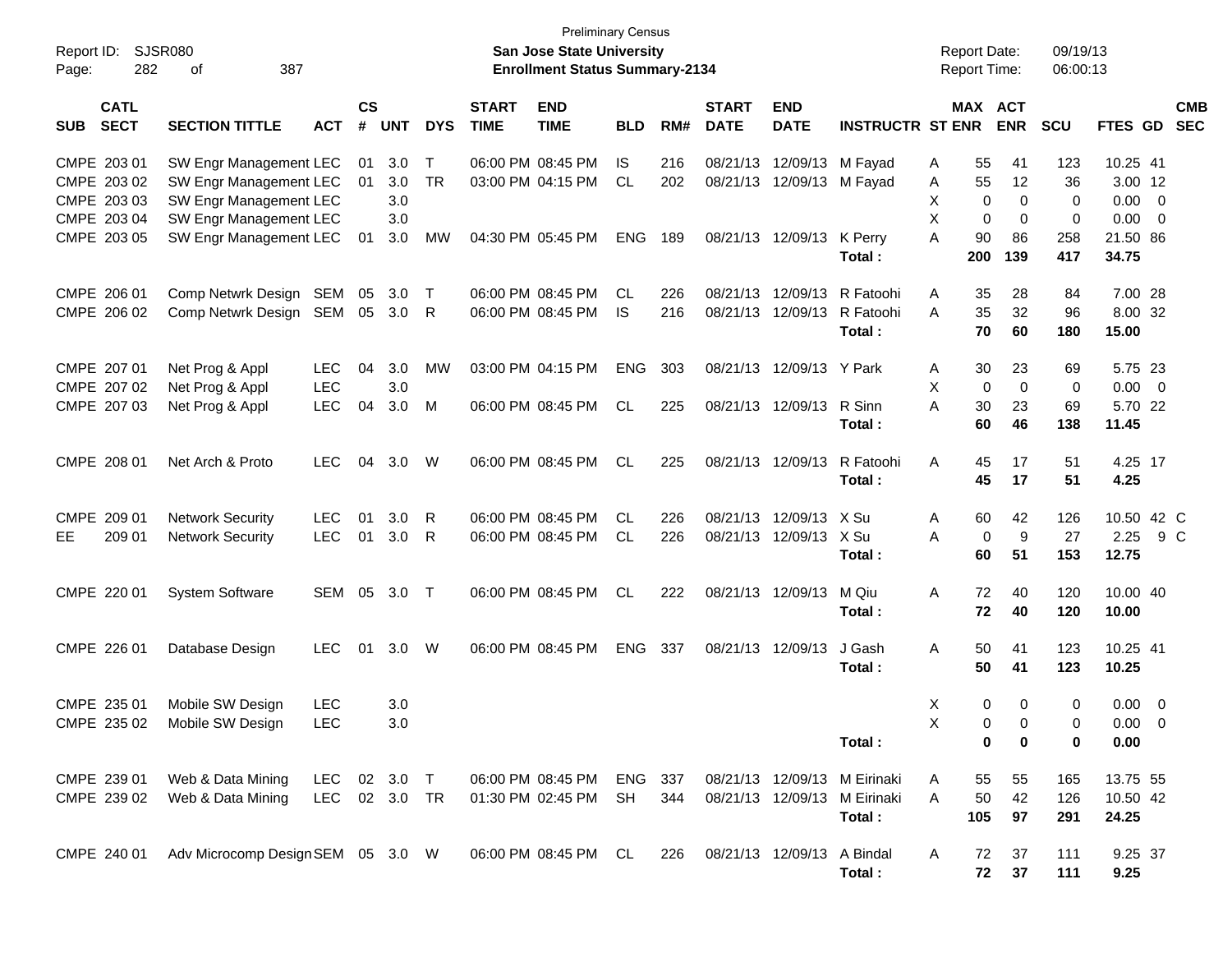| Report ID:<br>Page: | SJSR080<br>282                            | 387<br>of                                                                  |                                        |                |                   |                     |                             | <b>Preliminary Census</b><br>San Jose State University<br><b>Enrollment Status Summary-2134</b> |                  |            |                             |                                                        |                                                                        | <b>Report Date:</b><br>Report Time:    |                                                | 09/19/13<br>06:00:13      |                                       |     |            |
|---------------------|-------------------------------------------|----------------------------------------------------------------------------|----------------------------------------|----------------|-------------------|---------------------|-----------------------------|-------------------------------------------------------------------------------------------------|------------------|------------|-----------------------------|--------------------------------------------------------|------------------------------------------------------------------------|----------------------------------------|------------------------------------------------|---------------------------|---------------------------------------|-----|------------|
| <b>SUB</b>          | <b>CATL</b><br><b>SECT</b>                | <b>SECTION TITTLE</b>                                                      | <b>ACT</b>                             | <b>CS</b><br># | <b>UNT</b>        | <b>DYS</b>          | <b>START</b><br><b>TIME</b> | <b>END</b><br><b>TIME</b>                                                                       | <b>BLD</b>       | RM#        | <b>START</b><br><b>DATE</b> | <b>END</b><br><b>DATE</b>                              | <b>INSTRUCTR ST ENR</b>                                                | MAX ACT                                | <b>ENR</b>                                     | <b>SCU</b>                | FTES GD SEC                           |     | <b>CMB</b> |
|                     | CMPE 203 01<br>CMPE 203 02<br>CMPE 203 03 | SW Engr Management LEC<br>SW Engr Management LEC<br>SW Engr Management LEC |                                        | 01<br>01       | 3.0<br>3.0<br>3.0 | $\top$<br><b>TR</b> |                             | 06:00 PM 08:45 PM<br>03:00 PM 04:15 PM                                                          | IS.<br><b>CL</b> | 216<br>202 |                             | 08/21/13 12/09/13 M Fayad<br>08/21/13 12/09/13 M Fayad |                                                                        | 55<br>Α<br>55<br>A<br>Χ<br>0           | 41<br>12<br>$\mathbf 0$                        | 123<br>36<br>0            | 10.25 41<br>3.00 12<br>$0.00 \quad 0$ |     |            |
|                     | CMPE 203 04<br>CMPE 203 05                | SW Engr Management LEC<br>SW Engr Management LEC                           |                                        | 01             | 3.0<br>3.0        | MW                  |                             | 04:30 PM 05:45 PM                                                                               | ENG              | 189        |                             | 08/21/13 12/09/13                                      | K Perry<br>Total:                                                      | X<br>0<br>90<br>A<br>200               | 0<br>86<br>139                                 | $\mathbf 0$<br>258<br>417 | $0.00 \t 0$<br>21.50 86<br>34.75      |     |            |
|                     | CMPE 206 01<br>CMPE 206 02                | Comp Netwrk Design SEM<br>Comp Netwrk Design SEM 05 3.0                    |                                        | 05             | 3.0               | $\top$<br>R         |                             | 06:00 PM 08:45 PM<br>06:00 PM 08:45 PM                                                          | CL.<br>IS.       | 226<br>216 |                             | 08/21/13 12/09/13<br>08/21/13 12/09/13                 | R Fatoohi<br>R Fatoohi<br>Total:                                       | Α<br>35<br>35<br>A<br>70               | 28<br>32<br>60                                 | 84<br>96<br>180           | 7.00 28<br>8.00 32<br>15.00           |     |            |
|                     | CMPE 207 01<br>CMPE 207 02<br>CMPE 207 03 | Net Prog & Appl<br>Net Prog & Appl<br>Net Prog & Appl                      | <b>LEC</b><br><b>LEC</b><br><b>LEC</b> | 04<br>04       | 3.0<br>3.0<br>3.0 | <b>MW</b><br>M      |                             | 03:00 PM 04:15 PM<br>06:00 PM 08:45 PM                                                          | <b>ENG</b><br>CL | 303<br>225 |                             | 08/21/13 12/09/13 Y Park<br>08/21/13 12/09/13          | R Sinn                                                                 | 30<br>A<br>X<br>$\mathbf 0$<br>A<br>30 | 23<br>$\mathbf 0$<br>23                        | 69<br>$\mathbf 0$<br>69   | 5.75 23<br>$0.00 \t 0$<br>5.70 22     |     |            |
|                     | CMPE 208 01                               | Net Arch & Proto                                                           | <b>LEC</b>                             | 04             | 3.0               | W                   |                             | 06:00 PM 08:45 PM                                                                               | CL.              | 225        |                             | 08/21/13 12/09/13                                      | Total:<br>R Fatoohi<br>Total:                                          | 60<br>45<br>A<br>45                    | 46<br>17<br>17                                 | 138<br>51<br>51           | 11.45<br>4.25 17<br>4.25              |     |            |
| EE.                 | CMPE 209 01<br>209 01                     | <b>Network Security</b><br><b>Network Security</b>                         | <b>LEC</b><br><b>LEC</b>               | 01<br>01       | 3.0<br>3.0        | R<br>R              |                             | 06:00 PM 08:45 PM<br>06:00 PM 08:45 PM                                                          | CL.<br>CL.       | 226<br>226 |                             | 08/21/13 12/09/13<br>08/21/13 12/09/13 X Su            | X Su<br>Total:                                                         | Α<br>60<br>A<br>0<br>60                | 42<br>9<br>51                                  | 126<br>27<br>153          | 10.50 42 C<br>2.25<br>12.75           | 9 C |            |
|                     | CMPE 220 01                               | <b>System Software</b>                                                     | SEM                                    | 05             | 3.0 T             |                     |                             | 06:00 PM 08:45 PM                                                                               | CL               | 222        |                             | 08/21/13 12/09/13                                      | M Qiu<br>Total:                                                        | 72<br>A<br>72                          | 40<br>40                                       | 120<br>120                | 10.00 40<br>10.00                     |     |            |
|                     | CMPE 226 01                               | Database Design                                                            | <b>LEC</b>                             | 01             | 3.0               | W                   |                             | 06:00 PM 08:45 PM                                                                               | ENG              | 337        |                             | 08/21/13 12/09/13                                      | J Gash<br>Total:                                                       | 50<br>A<br>50                          | 41<br>41                                       | 123<br>123                | 10.25 41<br>10.25                     |     |            |
|                     | CMPE 235 01                               | Mobile SW Design<br>CMPE 235 02 Mobile SW Design                           | <b>LEC</b><br>LEC                      |                | 3.0<br>3.0        |                     |                             |                                                                                                 |                  |            |                             |                                                        | Total:                                                                 | X<br>0<br>$\mathsf{X}$<br>0            | 0<br>$\overline{0}$<br>$\mathbf 0$<br>$\bf{0}$ | 0<br>0<br>0               | $0.00 \t 0$<br>$0.00 \t 0$<br>0.00    |     |            |
|                     | CMPE 239 01<br>CMPE 239 02                | Web & Data Mining<br>Web & Data Mining                                     | LEC 02 3.0 T<br>LEC 02 3.0 TR          |                |                   |                     |                             | 06:00 PM 08:45 PM<br>01:30 PM 02:45 PM                                                          | ENG 337<br>SH    | 344        |                             |                                                        | 08/21/13 12/09/13 M Eirinaki<br>08/21/13 12/09/13 M Eirinaki<br>Total: | 55<br>A<br>50<br>Α<br>105              | 55<br>42<br>97                                 | 165<br>126<br>291         | 13.75 55<br>10.50 42<br>24.25         |     |            |
|                     | CMPE 240 01                               | Adv Microcomp Design SEM 05 3.0 W                                          |                                        |                |                   |                     |                             | 06:00 PM 08:45 PM CL                                                                            |                  | 226        |                             | 08/21/13 12/09/13                                      | A Bindal<br>Total:                                                     | A<br>72<br>72                          | 37<br>37                                       | 111<br>111                | 9.25 37<br>9.25                       |     |            |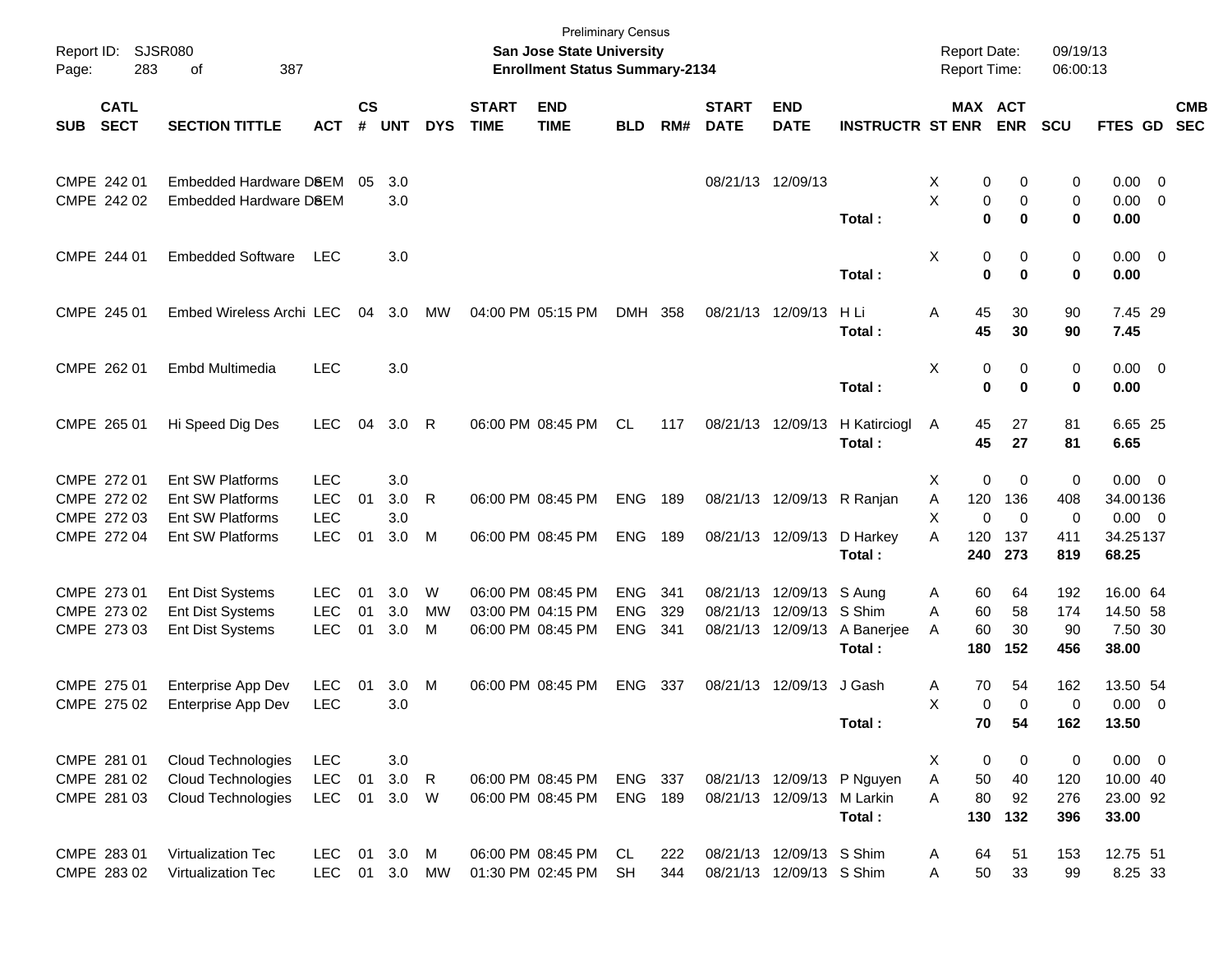| Report ID:<br>Page: | 283                        | <b>SJSR080</b><br>387<br>οf          |                   |                    |            |              |                             | <b>Preliminary Census</b><br>San Jose State University<br><b>Enrollment Status Summary-2134</b> |            |     |                             |                            |                            | <b>Report Date:</b><br>Report Time: |                       |                      | 09/19/13<br>06:00:13 |                        |                          |
|---------------------|----------------------------|--------------------------------------|-------------------|--------------------|------------|--------------|-----------------------------|-------------------------------------------------------------------------------------------------|------------|-----|-----------------------------|----------------------------|----------------------------|-------------------------------------|-----------------------|----------------------|----------------------|------------------------|--------------------------|
| <b>SUB</b>          | <b>CATL</b><br><b>SECT</b> | <b>SECTION TITTLE</b>                | <b>ACT</b>        | $\mathsf{cs}$<br># | <b>UNT</b> | <b>DYS</b>   | <b>START</b><br><b>TIME</b> | <b>END</b><br><b>TIME</b>                                                                       | <b>BLD</b> | RM# | <b>START</b><br><b>DATE</b> | <b>END</b><br><b>DATE</b>  | <b>INSTRUCTR ST ENR</b>    |                                     | MAX ACT<br><b>ENR</b> | SCU                  |                      | FTES GD                | <b>CMB</b><br><b>SEC</b> |
|                     | CMPE 242 01                | Embedded Hardware D8EM               |                   | 05                 | 3.0        |              |                             |                                                                                                 |            |     | 08/21/13 12/09/13           |                            |                            | X                                   | 0                     | 0                    | 0                    | $0.00 \t 0$            |                          |
|                     | CMPE 242 02                | Embedded Hardware D8EM               |                   |                    | 3.0        |              |                             |                                                                                                 |            |     |                             |                            | Total:                     | X                                   | 0<br>$\mathbf 0$      | 0<br>$\bf{0}$        | 0<br>0<br>0.00       | $0.00 \t 0$            |                          |
|                     | CMPE 244 01                | <b>Embedded Software</b>             | LEC               |                    | 3.0        |              |                             |                                                                                                 |            |     |                             |                            |                            | Χ                                   | 0                     | 0                    | 0                    | $0.00 \t 0$            |                          |
|                     |                            |                                      |                   |                    |            |              |                             |                                                                                                 |            |     |                             |                            | Total:                     |                                     | $\mathbf 0$           | $\bf{0}$             | 0.00<br>0            |                        |                          |
|                     | CMPE 245 01                | Embed Wireless Archi LEC             |                   | 04                 | 3.0        | MW           |                             | 04:00 PM 05:15 PM                                                                               | DMH 358    |     |                             | 08/21/13 12/09/13          | H Li<br>Total:             | Α                                   | 45<br>45              | 30<br>90<br>30<br>90 | 7.45                 | 7.45 29                |                          |
|                     | CMPE 262 01                | Embd Multimedia                      | <b>LEC</b>        |                    | 3.0        |              |                             |                                                                                                 |            |     |                             |                            | Total:                     | Χ                                   | 0<br>$\mathbf 0$      | 0<br>$\bf{0}$        | 0<br>0.00<br>0       | $0.00 \t 0$            |                          |
|                     | CMPE 265 01                | Hi Speed Dig Des                     | <b>LEC</b>        | 04                 | 3.0        | $\mathsf{R}$ |                             | 06:00 PM 08:45 PM                                                                               | CL.        | 117 |                             | 08/21/13 12/09/13          | H Katirciogl<br>Total:     | A                                   | 45<br>45              | 81<br>27<br>27<br>81 | 6.65                 | 6.65 25                |                          |
|                     | CMPE 272 01                | Ent SW Platforms                     | <b>LEC</b>        |                    | 3.0        |              |                             |                                                                                                 |            |     |                             |                            |                            | Χ                                   | 0                     | 0                    | 0                    | $0.00 \t 0$            |                          |
|                     | CMPE 272 02                | <b>Ent SW Platforms</b>              | <b>LEC</b>        | 01                 | 3.0        | R            |                             | 06:00 PM 08:45 PM                                                                               | ENG        | 189 |                             |                            | 08/21/13 12/09/13 R Ranjan | 120<br>Α                            | 136                   | 408                  |                      | 34.00136               |                          |
|                     | CMPE 272 03<br>CMPE 272 04 | Ent SW Platforms<br>Ent SW Platforms | LEC<br><b>LEC</b> | 01                 | 3.0<br>3.0 | M            |                             | 06:00 PM 08:45 PM                                                                               | ENG 189    |     |                             |                            | 08/21/13 12/09/13 D Harkey | X<br>120<br>A                       | $\mathbf 0$<br>137    | $\mathbf 0$<br>411   | 0                    | $0.00 \ 0$<br>34.25137 |                          |
|                     |                            |                                      |                   |                    |            |              |                             |                                                                                                 |            |     |                             |                            | Total:                     | 240                                 | 273                   | 819                  | 68.25                |                        |                          |
|                     | CMPE 273 01                | Ent Dist Systems                     | <b>LEC</b>        | 01                 | 3.0        | W            |                             | 06:00 PM 08:45 PM                                                                               | <b>ENG</b> | 341 |                             | 08/21/13 12/09/13 S Aung   |                            | A                                   | 60                    | 64<br>192            |                      | 16.00 64               |                          |
|                     | CMPE 273 02                | <b>Ent Dist Systems</b>              | <b>LEC</b>        | 01                 | 3.0        | <b>MW</b>    |                             | 03:00 PM 04:15 PM                                                                               | <b>ENG</b> | 329 |                             | 08/21/13 12/09/13 S Shim   |                            | A                                   | 60                    | 58<br>174            |                      | 14.50 58               |                          |
|                     | CMPE 273 03                | <b>Ent Dist Systems</b>              | <b>LEC</b>        | 01                 | 3.0        | м            |                             | 06:00 PM 08:45 PM                                                                               | <b>ENG</b> | 341 |                             | 08/21/13 12/09/13          | A Banerjee<br>Total:       | A<br>180                            | 60<br>152             | 30<br>90<br>456      | 38.00                | 7.50 30                |                          |
|                     | CMPE 275 01                | Enterprise App Dev                   | <b>LEC</b>        | 01                 | 3.0        | M            |                             | 06:00 PM 08:45 PM                                                                               | <b>ENG</b> | 337 |                             | 08/21/13 12/09/13 J Gash   |                            | A                                   | 70                    | 54<br>162            |                      | 13.50 54               |                          |
|                     | CMPE 275 02                | Enterprise App Dev                   | <b>LEC</b>        |                    | 3.0        |              |                             |                                                                                                 |            |     |                             |                            |                            | X                                   | $\mathbf 0$           | $\Omega$             | 0                    | $0.00 \ 0$             |                          |
|                     |                            |                                      |                   |                    |            |              |                             |                                                                                                 |            |     |                             |                            | Total:                     |                                     | 70                    | 54<br>162            | 13.50                |                        |                          |
|                     | CMPE 281 01                | Cloud Technologies                   | LEC               |                    | 3.0        |              |                             |                                                                                                 |            |     |                             |                            |                            | X.                                  | 0                     | $\mathbf 0$          | 0                    | $0.00 \t 0$            |                          |
|                     | CMPE 281 02                | <b>Cloud Technologies</b>            | <b>LEC</b>        | 01                 | 3.0        | $\mathsf{R}$ |                             | 06:00 PM 08:45 PM                                                                               | ENG 337    |     |                             |                            | 08/21/13 12/09/13 P Nguyen | Α                                   | 50                    | 40<br>120            |                      | 10.00 40               |                          |
|                     | CMPE 281 03                | <b>Cloud Technologies</b>            | <b>LEC</b>        | 01                 | 3.0        | W            |                             | 06:00 PM 08:45 PM                                                                               | ENG 189    |     |                             | 08/21/13 12/09/13 M Larkin | Total:                     | Α<br>130                            | 80<br>132             | 92<br>276<br>396     | 33.00                | 23.00 92               |                          |
|                     | CMPE 283 01                | Virtualization Tec                   | <b>LEC</b>        |                    | 01 3.0     | M            |                             | 06:00 PM 08:45 PM                                                                               | CL         | 222 |                             | 08/21/13 12/09/13 S Shim   |                            | A                                   | 64                    | 51<br>153            |                      | 12.75 51               |                          |
|                     | CMPE 283 02                | Virtualization Tec                   | <b>LEC</b>        |                    | 01 3.0     | MW           |                             | 01:30 PM 02:45 PM                                                                               | <b>SH</b>  | 344 |                             | 08/21/13 12/09/13 S Shim   |                            | Α                                   | 50                    | 33<br>99             |                      | 8.25 33                |                          |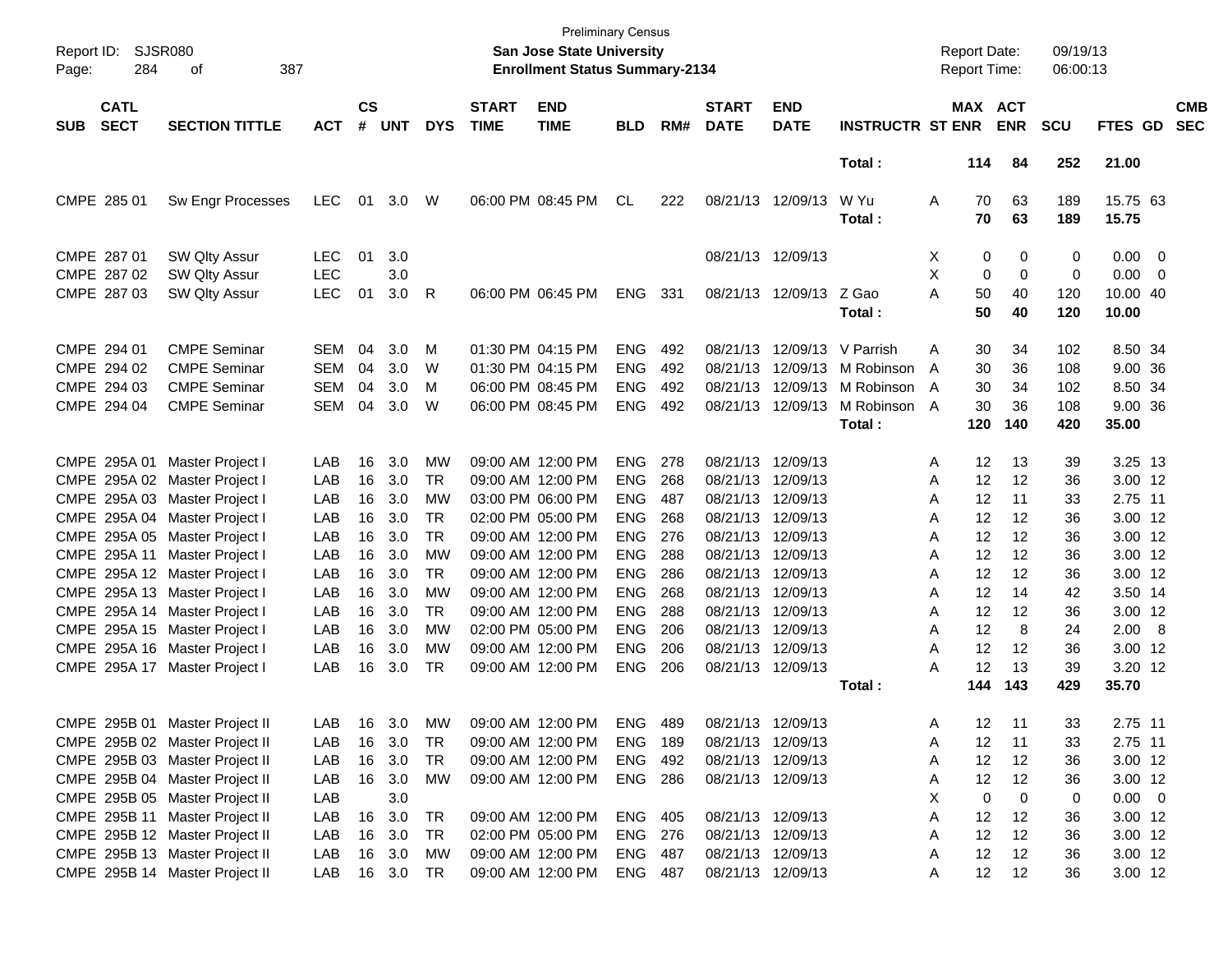| Report ID:<br>Page: | 284                        | <b>SJSR080</b><br>387<br>οf    |            |                    |            |            |                             | <b>Preliminary Census</b><br><b>San Jose State University</b><br><b>Enrollment Status Summary-2134</b> |                |      |                             |                           |                         | <b>Report Date:</b><br><b>Report Time:</b> |          |                       | 09/19/13<br>06:00:13 |                   |     |                          |
|---------------------|----------------------------|--------------------------------|------------|--------------------|------------|------------|-----------------------------|--------------------------------------------------------------------------------------------------------|----------------|------|-----------------------------|---------------------------|-------------------------|--------------------------------------------|----------|-----------------------|----------------------|-------------------|-----|--------------------------|
| <b>SUB</b>          | <b>CATL</b><br><b>SECT</b> | <b>SECTION TITTLE</b>          | <b>ACT</b> | $\mathsf{cs}$<br># | <b>UNT</b> | <b>DYS</b> | <b>START</b><br><b>TIME</b> | <b>END</b><br><b>TIME</b>                                                                              | <b>BLD</b>     | RM#  | <b>START</b><br><b>DATE</b> | <b>END</b><br><b>DATE</b> | <b>INSTRUCTR ST ENR</b> |                                            |          | MAX ACT<br><b>ENR</b> | <b>SCU</b>           | <b>FTES GD</b>    |     | <b>CMB</b><br><b>SEC</b> |
|                     |                            |                                |            |                    |            |            |                             |                                                                                                        |                |      |                             |                           | Total:                  |                                            | 114      | 84                    | 252                  | 21.00             |     |                          |
|                     | CMPE 285 01                | <b>Sw Engr Processes</b>       | <b>LEC</b> | 01                 | 3.0        | W          |                             | 06:00 PM 08:45 PM                                                                                      | <b>CL</b>      | 222  |                             | 08/21/13 12/09/13         | W Yu<br>Total:          | A                                          | 70<br>70 | 63<br>63              | 189<br>189           | 15.75 63<br>15.75 |     |                          |
|                     | CMPE 287 01                | SW Qlty Assur                  | <b>LEC</b> | 01                 | 3.0        |            |                             |                                                                                                        |                |      |                             | 08/21/13 12/09/13         |                         | X                                          | 0        | 0                     | $\mathbf 0$          | 0.00              | - 0 |                          |
|                     | CMPE 287 02                | SW Qlty Assur                  | <b>LEC</b> |                    | 3.0        |            |                             |                                                                                                        |                |      |                             |                           |                         | X                                          | 0        | $\Omega$              | $\mathbf 0$          | 0.00              | - 0 |                          |
|                     | CMPE 287 03                | SW Qlty Assur                  | <b>LEC</b> | 01                 | 3.0        | R          |                             | 06:00 PM 06:45 PM                                                                                      | <b>ENG</b>     | 331  |                             | 08/21/13 12/09/13 Z Gao   | Total:                  | А                                          | 50<br>50 | 40<br>40              | 120<br>120           | 10.00 40<br>10.00 |     |                          |
|                     | CMPE 294 01                | <b>CMPE Seminar</b>            | <b>SEM</b> | 04                 | 3.0        | м          |                             | 01:30 PM 04:15 PM                                                                                      | <b>ENG</b>     | 492  |                             | 08/21/13 12/09/13         | V Parrish               | Α                                          | 30       | 34                    | 102                  | 8.50 34           |     |                          |
|                     | CMPE 294 02                | <b>CMPE Seminar</b>            | <b>SEM</b> | 04                 | 3.0        | W          |                             | 01:30 PM 04:15 PM                                                                                      | <b>ENG</b>     | 492  |                             | 08/21/13 12/09/13         | M Robinson              | A                                          | 30       | 36                    | 108                  | 9.00 36           |     |                          |
|                     | CMPE 294 03                | <b>CMPE Seminar</b>            | <b>SEM</b> | 04                 | 3.0        | м          |                             | 06:00 PM 08:45 PM                                                                                      | <b>ENG</b>     | 492  |                             | 08/21/13 12/09/13         | M Robinson              | A                                          | 30       | 34                    | 102                  | 8.50 34           |     |                          |
|                     | CMPE 294 04                | <b>CMPE Seminar</b>            | <b>SEM</b> | 04                 | 3.0        | W          |                             | 06:00 PM 08:45 PM                                                                                      | <b>ENG</b>     | 492  |                             | 08/21/13 12/09/13         | M Robinson A            |                                            | 30       | 36                    | 108                  | 9.00 36           |     |                          |
|                     |                            |                                |            |                    |            |            |                             |                                                                                                        |                |      |                             |                           | Total:                  |                                            | 120      | 140                   | 420                  | 35.00             |     |                          |
|                     |                            | CMPE 295A 01 Master Project I  | LAB        | 16                 | 3.0        | МW         |                             | 09:00 AM 12:00 PM                                                                                      | ENG.           | -278 |                             | 08/21/13 12/09/13         |                         | A                                          | 12       | 13                    | 39                   | 3.25 13           |     |                          |
|                     |                            | CMPE 295A 02 Master Project I  | LAB        | 16                 | 3.0        | TR         |                             | 09:00 AM 12:00 PM                                                                                      | <b>ENG</b>     | 268  |                             | 08/21/13 12/09/13         |                         | Α                                          | 12       | 12                    | 36                   | 3.00 12           |     |                          |
|                     |                            | CMPE 295A 03 Master Project I  | LAB        | 16                 | 3.0        | МW         |                             | 03:00 PM 06:00 PM                                                                                      | <b>ENG</b>     | 487  |                             | 08/21/13 12/09/13         |                         | Α                                          | 12       | 11                    | 33                   | 2.75 11           |     |                          |
|                     |                            | CMPE 295A 04 Master Project I  | LAB        | 16                 | 3.0        | <b>TR</b>  |                             | 02:00 PM 05:00 PM                                                                                      | <b>ENG</b>     | 268  | 08/21/13 12/09/13           |                           |                         | Α                                          | 12       | 12                    | 36                   | 3.00 12           |     |                          |
|                     |                            | CMPE 295A 05 Master Project I  | LAB        | 16                 | 3.0        | <b>TR</b>  |                             | 09:00 AM 12:00 PM                                                                                      | <b>ENG</b>     | 276  | 08/21/13 12/09/13           |                           |                         | Α                                          | 12       | 12                    | 36                   | 3.00 12           |     |                          |
|                     |                            | CMPE 295A 11 Master Project I  | LAB        | 16                 | 3.0        | МW         |                             | 09:00 AM 12:00 PM                                                                                      | <b>ENG</b>     | 288  | 08/21/13 12/09/13           |                           |                         | Α                                          | 12       | 12                    | 36                   | 3.00 12           |     |                          |
|                     |                            | CMPE 295A 12 Master Project I  | LAB        | 16                 | 3.0        | <b>TR</b>  |                             | 09:00 AM 12:00 PM                                                                                      | <b>ENG</b>     | 286  | 08/21/13 12/09/13           |                           |                         | Α                                          | 12       | 12                    | 36                   | 3.00 12           |     |                          |
|                     |                            | CMPE 295A 13 Master Project I  | LAB        | 16                 | 3.0        | МW         |                             | 09:00 AM 12:00 PM                                                                                      | <b>ENG</b>     | 268  | 08/21/13 12/09/13           |                           |                         | Α                                          | 12       | 14                    | 42                   | 3.50 14           |     |                          |
|                     |                            | CMPE 295A 14 Master Project I  | LAB        | 16                 | 3.0        | TR         |                             | 09:00 AM 12:00 PM                                                                                      | <b>ENG</b>     | 288  | 08/21/13 12/09/13           |                           |                         | Α                                          | 12       | 12                    | 36                   | 3.00 12           |     |                          |
|                     |                            | CMPE 295A 15 Master Project I  | LAB        | 16                 | 3.0        | МW         |                             | 02:00 PM 05:00 PM                                                                                      | <b>ENG</b>     | 206  | 08/21/13 12/09/13           |                           |                         | A                                          | 12       | 8                     | 24                   | 2.00 8            |     |                          |
|                     |                            | CMPE 295A 16 Master Project I  | LAB        | 16                 | 3.0        | МW         |                             | 09:00 AM 12:00 PM                                                                                      | <b>ENG</b>     | 206  | 08/21/13 12/09/13           |                           |                         | Α                                          | 12       | 12                    | 36                   | 3.00 12           |     |                          |
|                     |                            | CMPE 295A 17 Master Project I  | LAB        | 16                 | 3.0        | TR         |                             | 09:00 AM 12:00 PM                                                                                      | <b>ENG</b>     | 206  | 08/21/13 12/09/13           |                           |                         | А                                          | 12       | 13                    | 39                   | 3.20 12           |     |                          |
|                     |                            |                                |            |                    |            |            |                             |                                                                                                        |                |      |                             |                           | Total:                  |                                            | 144      | 143                   | 429                  | 35.70             |     |                          |
|                     |                            | CMPE 295B 01 Master Project II | LAB        | 16                 | 3.0        | MW         |                             | 09:00 AM 12:00 PM                                                                                      | ENG            | 489  | 08/21/13 12/09/13           |                           |                         | A                                          | 12       | 11                    | 33                   | 2.75 11           |     |                          |
|                     |                            | CMPE 295B 02 Master Project II | LAB        |                    | 16 3.0     | TR         |                             | 09:00 AM 12:00 PM                                                                                      | <b>ENG 189</b> |      |                             | 08/21/13 12/09/13         |                         | Α                                          | 12       | 11                    | 33                   | 2.75 11           |     |                          |
|                     |                            | CMPE 295B 03 Master Project II | LAB        |                    | 16 3.0     | TR         |                             | 09:00 AM 12:00 PM                                                                                      | ENG 492        |      |                             | 08/21/13 12/09/13         |                         | Α                                          | 12       | 12                    | 36                   | 3.00 12           |     |                          |
|                     |                            | CMPE 295B 04 Master Project II | LAB        |                    | 16 3.0     | МW         |                             | 09:00 AM 12:00 PM                                                                                      | ENG 286        |      | 08/21/13 12/09/13           |                           |                         | Α                                          | 12       | 12                    | 36                   | 3.00 12           |     |                          |
|                     |                            | CMPE 295B 05 Master Project II | LAB        |                    | 3.0        |            |                             |                                                                                                        |                |      |                             |                           |                         | X                                          | 0        | 0                     | 0                    | $0.00 \t 0$       |     |                          |
|                     |                            | CMPE 295B 11 Master Project II | LAB        | 16                 | 3.0        | TR         |                             | 09:00 AM 12:00 PM                                                                                      | ENG 405        |      | 08/21/13 12/09/13           |                           |                         | Α                                          | 12       | 12                    | 36                   | 3.00 12           |     |                          |
|                     |                            | CMPE 295B 12 Master Project II | LAB        |                    | 16 3.0     | TR         |                             | 02:00 PM 05:00 PM                                                                                      | ENG 276        |      | 08/21/13 12/09/13           |                           |                         | Α                                          | 12       | 12                    | 36                   | 3.00 12           |     |                          |
|                     |                            | CMPE 295B 13 Master Project II | LAB        |                    | 16 3.0     | МW         |                             | 09:00 AM 12:00 PM                                                                                      | ENG 487        |      |                             | 08/21/13 12/09/13         |                         | Α                                          | 12       | 12                    | 36                   | 3.00 12           |     |                          |
|                     |                            | CMPE 295B 14 Master Project II | LAB        |                    | 16 3.0     | TR         |                             | 09:00 AM 12:00 PM                                                                                      | ENG 487        |      |                             | 08/21/13 12/09/13         |                         | A                                          | 12       | 12                    | 36                   | 3.00 12           |     |                          |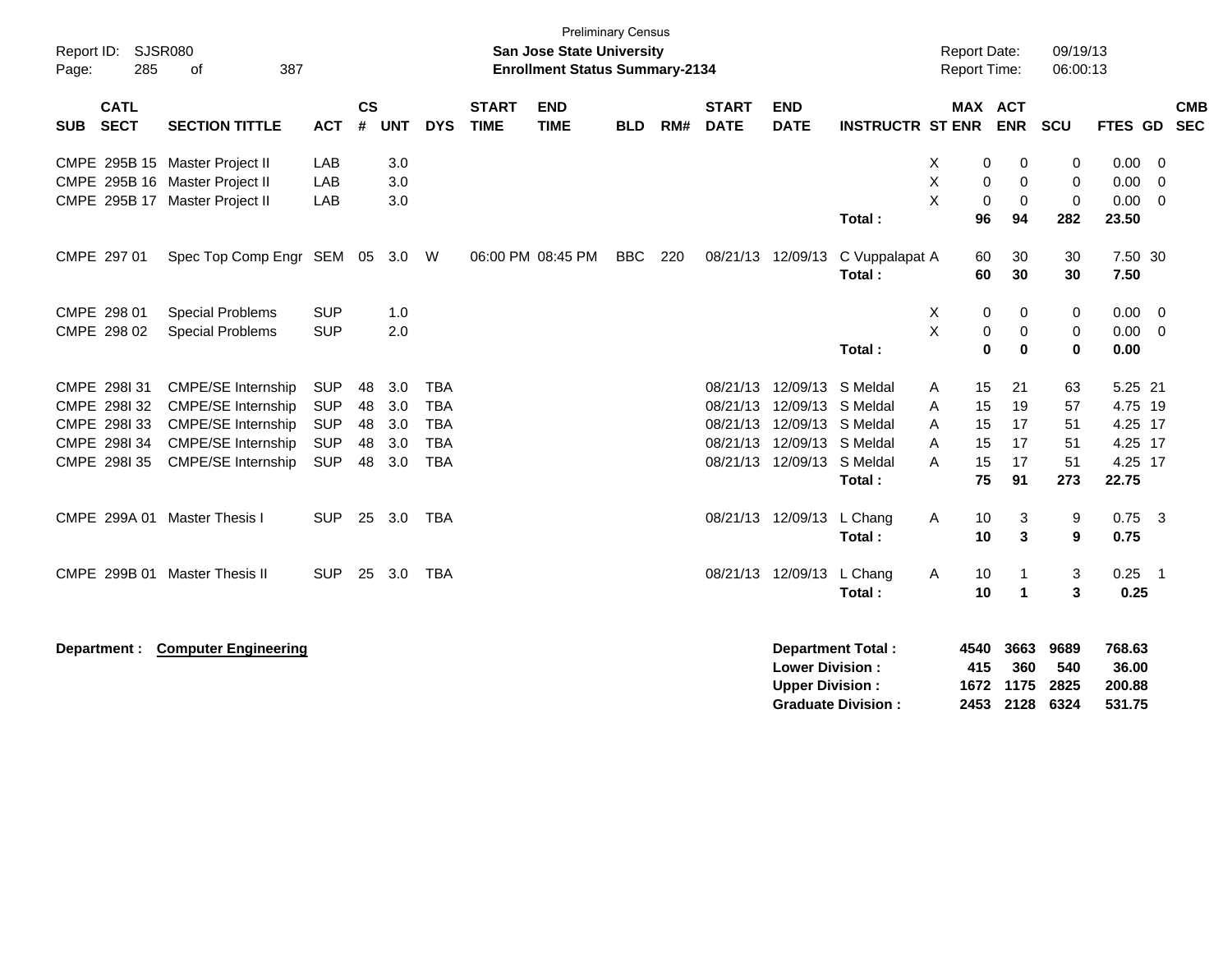| Page: | Report ID: SJSR080<br>285  | 387<br>of                      |            |                    |            |            |                             | <b>Preliminary Census</b><br>San Jose State University<br><b>Enrollment Status Summary-2134</b> |            |     |                             |                                                  |                                                       |   | <b>Report Date:</b><br><b>Report Time:</b> |                             | 09/19/13<br>06:00:13        |                                     |                         |                          |
|-------|----------------------------|--------------------------------|------------|--------------------|------------|------------|-----------------------------|-------------------------------------------------------------------------------------------------|------------|-----|-----------------------------|--------------------------------------------------|-------------------------------------------------------|---|--------------------------------------------|-----------------------------|-----------------------------|-------------------------------------|-------------------------|--------------------------|
| SUB   | <b>CATL</b><br><b>SECT</b> | <b>SECTION TITTLE</b>          | <b>ACT</b> | $\mathsf{cs}$<br># | <b>UNT</b> | <b>DYS</b> | <b>START</b><br><b>TIME</b> | <b>END</b><br><b>TIME</b>                                                                       | <b>BLD</b> | RM# | <b>START</b><br><b>DATE</b> | <b>END</b><br><b>DATE</b>                        | <b>INSTRUCTR ST ENR</b>                               |   | MAX ACT                                    | <b>ENR</b>                  | <b>SCU</b>                  | <b>FTES GD</b>                      |                         | <b>CMB</b><br><b>SEC</b> |
|       |                            | CMPE 295B 15 Master Project II | LAB        |                    | 3.0        |            |                             |                                                                                                 |            |     |                             |                                                  |                                                       | X | 0                                          | $\pmb{0}$                   | 0                           | 0.00                                | $\overline{0}$          |                          |
|       |                            | CMPE 295B 16 Master Project II | LAB        |                    | 3.0        |            |                             |                                                                                                 |            |     |                             |                                                  |                                                       | Χ | 0                                          | $\mathbf 0$                 | $\mathbf 0$                 | 0.00                                | $\overline{\mathbf{0}}$ |                          |
|       |                            | CMPE 295B 17 Master Project II | LAB        |                    | 3.0        |            |                             |                                                                                                 |            |     |                             |                                                  |                                                       | X | $\mathbf 0$                                | $\mathbf 0$                 | $\pmb{0}$                   | 0.00                                | $\overline{0}$          |                          |
|       |                            |                                |            |                    |            |            |                             |                                                                                                 |            |     |                             |                                                  | Total:                                                |   | 96                                         | 94                          | 282                         | 23.50                               |                         |                          |
|       | CMPE 297 01                | Spec Top Comp Engr SEM 05 3.0  |            |                    |            | W          |                             | 06:00 PM 08:45 PM                                                                               | <b>BBC</b> | 220 | 08/21/13 12/09/13           |                                                  | C Vuppalapat A<br>Total:                              |   | 60<br>60                                   | 30<br>30                    | 30<br>30                    | 7.50 30<br>7.50                     |                         |                          |
|       |                            |                                |            |                    |            |            |                             |                                                                                                 |            |     |                             |                                                  |                                                       |   |                                            |                             |                             |                                     |                         |                          |
|       | CMPE 298 01                | <b>Special Problems</b>        | <b>SUP</b> |                    | 1.0        |            |                             |                                                                                                 |            |     |                             |                                                  |                                                       | X | 0                                          | 0                           | 0                           | 0.00                                | - 0                     |                          |
|       | CMPE 298 02                | <b>Special Problems</b>        | <b>SUP</b> |                    | 2.0        |            |                             |                                                                                                 |            |     |                             |                                                  |                                                       | X | 0                                          | 0                           | $\mathbf 0$                 | $0.00 \t 0$                         |                         |                          |
|       |                            |                                |            |                    |            |            |                             |                                                                                                 |            |     |                             |                                                  | Total:                                                |   | 0                                          | $\bf{0}$                    | $\bf{0}$                    | 0.00                                |                         |                          |
|       | CMPE 298131                | CMPE/SE Internship             | <b>SUP</b> | 48                 | 3.0        | <b>TBA</b> |                             |                                                                                                 |            |     |                             | 08/21/13 12/09/13 S Meldal                       |                                                       | A | 15                                         | 21                          | 63                          | 5.25 21                             |                         |                          |
|       | CMPE 298I 32               | CMPE/SE Internship             | <b>SUP</b> | 48                 | 3.0        | <b>TBA</b> |                             |                                                                                                 |            |     |                             | 08/21/13 12/09/13 S Meldal                       |                                                       | A | 15                                         | 19                          | 57                          | 4.75 19                             |                         |                          |
|       | CMPE 2981 33               | <b>CMPE/SE Internship</b>      | <b>SUP</b> | 48                 | 3.0        | <b>TBA</b> |                             |                                                                                                 |            |     |                             | 08/21/13 12/09/13 S Meldal                       |                                                       | A | 15                                         | 17                          | 51                          | 4.25 17                             |                         |                          |
|       | CMPE 298I 34               | <b>CMPE/SE Internship</b>      | <b>SUP</b> | 48                 | 3.0        | <b>TBA</b> |                             |                                                                                                 |            |     |                             | 08/21/13 12/09/13 S Meldal                       |                                                       | A | 15                                         | 17                          | 51                          | 4.25 17                             |                         |                          |
|       | CMPE 2981 35               | <b>CMPE/SE Internship</b>      | <b>SUP</b> | 48                 | 3.0        | <b>TBA</b> |                             |                                                                                                 |            |     |                             | 08/21/13 12/09/13 S Meldal                       |                                                       | A | 15                                         | 17                          | 51                          | 4.25 17                             |                         |                          |
|       |                            |                                |            |                    |            |            |                             |                                                                                                 |            |     |                             |                                                  | Total:                                                |   | 75                                         | 91                          | 273                         | 22.75                               |                         |                          |
|       |                            | CMPE 299A 01 Master Thesis I   | <b>SUP</b> | 25                 | 3.0        | <b>TBA</b> |                             |                                                                                                 |            |     |                             | 08/21/13 12/09/13 L Chang                        |                                                       | Α | 10                                         | 3                           | 9                           | $0.75$ 3                            |                         |                          |
|       |                            |                                |            |                    |            |            |                             |                                                                                                 |            |     |                             |                                                  | Total:                                                |   | 10                                         | 3                           | 9                           | 0.75                                |                         |                          |
|       |                            | CMPE 299B 01 Master Thesis II  | <b>SUP</b> | 25                 | 3.0        | <b>TBA</b> |                             |                                                                                                 |            |     |                             | 08/21/13 12/09/13 L Chang                        |                                                       | Α | 10                                         | -1                          | 3                           | $0.25$ 1                            |                         |                          |
|       |                            |                                |            |                    |            |            |                             |                                                                                                 |            |     |                             |                                                  | Total:                                                |   | 10                                         | $\mathbf{1}$                | 3                           | 0.25                                |                         |                          |
|       | Department :               | <b>Computer Engineering</b>    |            |                    |            |            |                             |                                                                                                 |            |     |                             | <b>Lower Division:</b><br><b>Upper Division:</b> | <b>Department Total:</b><br><b>Graduate Division:</b> |   | 4540<br>415<br>1672<br>2453                | 3663<br>360<br>1175<br>2128 | 9689<br>540<br>2825<br>6324 | 768.63<br>36.00<br>200.88<br>531.75 |                         |                          |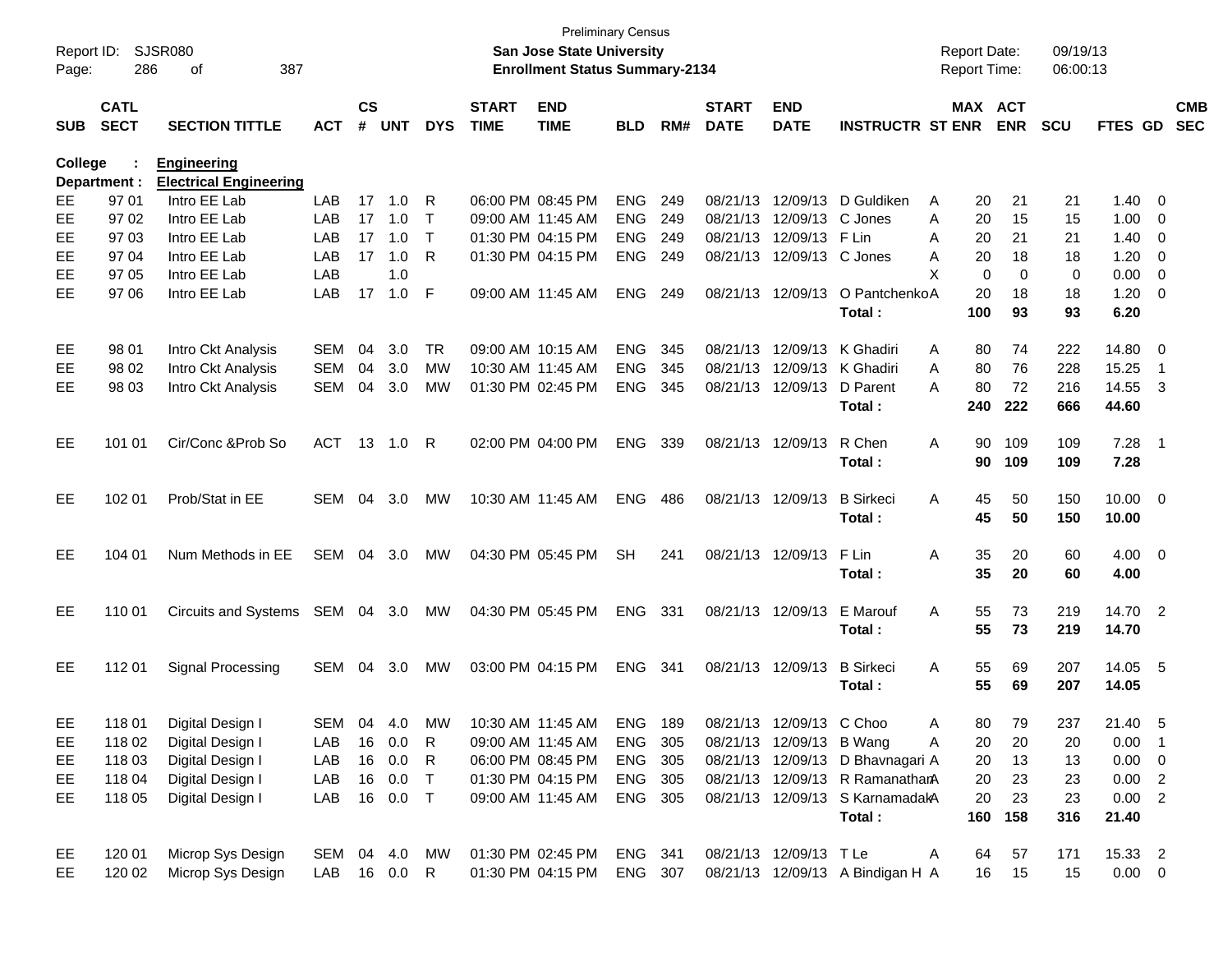| Report ID:<br>Page: | 286                        | SJSR080<br>387<br>οf                                |               |                    |            |            |                             | <b>Preliminary Census</b><br><b>San Jose State University</b><br><b>Enrollment Status Summary-2134</b> |            |     |                             |                             |                                  | <b>Report Date:</b><br><b>Report Time:</b> |            | 09/19/13<br>06:00:13 |                |                         |                          |
|---------------------|----------------------------|-----------------------------------------------------|---------------|--------------------|------------|------------|-----------------------------|--------------------------------------------------------------------------------------------------------|------------|-----|-----------------------------|-----------------------------|----------------------------------|--------------------------------------------|------------|----------------------|----------------|-------------------------|--------------------------|
| <b>SUB</b>          | <b>CATL</b><br><b>SECT</b> | <b>SECTION TITTLE</b>                               | <b>ACT</b>    | $\mathsf{cs}$<br># | <b>UNT</b> | <b>DYS</b> | <b>START</b><br><b>TIME</b> | <b>END</b><br><b>TIME</b>                                                                              | <b>BLD</b> | RM# | <b>START</b><br><b>DATE</b> | <b>END</b><br><b>DATE</b>   | <b>INSTRUCTR ST ENR</b>          | MAX ACT                                    | <b>ENR</b> | <b>SCU</b>           | <b>FTES GD</b> |                         | <b>CMB</b><br><b>SEC</b> |
| College             |                            | <b>Engineering</b><br><b>Electrical Engineering</b> |               |                    |            |            |                             |                                                                                                        |            |     |                             |                             |                                  |                                            |            |                      |                |                         |                          |
| EE.                 | Department :<br>97 01      | Intro EE Lab                                        | LAB           | 17                 | 1.0        | R          |                             | 06:00 PM 08:45 PM                                                                                      | <b>ENG</b> | 249 |                             |                             | 08/21/13 12/09/13 D Guldiken     | 20<br>A                                    | 21         | 21                   | 1.40           | $\overline{\mathbf{0}}$ |                          |
| EЕ                  | 97 02                      | Intro EE Lab                                        | LAB           | 17                 | 1.0        | $\top$     |                             | 09:00 AM 11:45 AM                                                                                      | <b>ENG</b> | 249 |                             | 08/21/13 12/09/13 C Jones   |                                  | 20<br>Α                                    | 15         | 15                   | 1.00           | 0                       |                          |
| EЕ                  | 97 03                      | Intro EE Lab                                        | LAB           | 17                 | 1.0        | $\top$     |                             | 01:30 PM 04:15 PM                                                                                      | <b>ENG</b> | 249 |                             | 08/21/13 12/09/13 F Lin     |                                  | 20<br>Α                                    | 21         | 21                   | 1.40           | 0                       |                          |
| EЕ                  | 97 04                      | Intro EE Lab                                        | LAB           | 17                 | 1.0        | R          |                             | 01:30 PM 04:15 PM                                                                                      | <b>ENG</b> | 249 |                             | 08/21/13 12/09/13 C Jones   |                                  | 20<br>Α                                    | 18         | 18                   | 1.20           | 0                       |                          |
| EЕ                  | 97 05                      | Intro EE Lab                                        | LAB           |                    | 1.0        |            |                             |                                                                                                        |            |     |                             |                             |                                  | X<br>0                                     | 0          | 0                    | 0.00           | 0                       |                          |
| EE.                 | 97 06                      | Intro EE Lab                                        | LAB           | 17                 | 1.0        | F          |                             | 09:00 AM 11:45 AM                                                                                      | <b>ENG</b> | 249 |                             | 08/21/13 12/09/13           | O PantchenkoA                    | 20                                         | 18         | 18                   | 1.20           | $\overline{\mathbf{0}}$ |                          |
|                     |                            |                                                     |               |                    |            |            |                             |                                                                                                        |            |     |                             |                             | Total:                           | 100                                        | 93         | 93                   | 6.20           |                         |                          |
| EE.                 | 98 01                      | Intro Ckt Analysis                                  | <b>SEM</b>    | 04                 | 3.0        | TR         |                             | 09:00 AM 10:15 AM                                                                                      | <b>ENG</b> | 345 |                             | 08/21/13 12/09/13 K Ghadiri |                                  | 80<br>Α                                    | 74         | 222                  | 14.80          | $\overline{\mathbf{0}}$ |                          |
| EЕ                  | 98 02                      | Intro Ckt Analysis                                  | <b>SEM</b>    | 04                 | 3.0        | MW         |                             | 10:30 AM 11:45 AM                                                                                      | <b>ENG</b> | 345 |                             | 08/21/13 12/09/13 K Ghadiri |                                  | 80<br>Α                                    | 76         | 228                  | 15.25          | $\overline{1}$          |                          |
| EE.                 | 98 03                      | Intro Ckt Analysis                                  | SEM           | 04                 | 3.0        | MW         |                             | 01:30 PM 02:45 PM                                                                                      | <b>ENG</b> | 345 |                             | 08/21/13 12/09/13           | D Parent                         | 80<br>A                                    | 72         | 216                  | 14.55          | $\overline{\mathbf{3}}$ |                          |
|                     |                            |                                                     |               |                    |            |            |                             |                                                                                                        |            |     |                             |                             | Total:                           | 240                                        | 222        | 666                  | 44.60          |                         |                          |
| EE                  | 101 01                     | Cir/Conc & Prob So                                  | ACT 13 1.0    |                    |            | R          |                             | 02:00 PM 04:00 PM                                                                                      | <b>ENG</b> | 339 |                             | 08/21/13 12/09/13           | R Chen                           | Α<br>90                                    | 109        | 109                  | 7.28           | - 1                     |                          |
|                     |                            |                                                     |               |                    |            |            |                             |                                                                                                        |            |     |                             |                             | Total:                           | 90                                         | 109        | 109                  | 7.28           |                         |                          |
| EE                  | 102 01                     | Prob/Stat in EE                                     | SEM           |                    | 04 3.0     | МW         |                             | 10:30 AM 11:45 AM                                                                                      | <b>ENG</b> | 486 |                             | 08/21/13 12/09/13           | <b>B</b> Sirkeci                 | 45<br>A                                    | 50         | 150                  | $10.00 \t 0$   |                         |                          |
|                     |                            |                                                     |               |                    |            |            |                             |                                                                                                        |            |     |                             |                             | Total:                           | 45                                         | 50         | 150                  | 10.00          |                         |                          |
| EE                  | 104 01                     | Num Methods in EE                                   | SEM 04 3.0    |                    |            | МW         |                             | 04:30 PM 05:45 PM                                                                                      | <b>SH</b>  | 241 |                             | 08/21/13 12/09/13           | F Lin                            | Α<br>35                                    | 20         | 60                   | $4.00 \ 0$     |                         |                          |
|                     |                            |                                                     |               |                    |            |            |                             |                                                                                                        |            |     |                             |                             | Total:                           | 35                                         | 20         | 60                   | 4.00           |                         |                          |
| EE                  | 110 01                     | Circuits and Systems SEM 04 3.0                     |               |                    |            | МW         |                             | 04:30 PM 05:45 PM                                                                                      | ENG 331    |     |                             | 08/21/13 12/09/13           | E Marouf                         | 55<br>A                                    | 73         | 219                  | 14.70 2        |                         |                          |
|                     |                            |                                                     |               |                    |            |            |                             |                                                                                                        |            |     |                             |                             | Total:                           | 55                                         | 73         | 219                  | 14.70          |                         |                          |
| EE                  | 112 01                     | Signal Processing                                   | SEM 04 3.0    |                    |            | МW         |                             | 03:00 PM 04:15 PM                                                                                      | ENG 341    |     |                             | 08/21/13 12/09/13           | <b>B</b> Sirkeci                 | 55<br>A                                    | 69         | 207                  | 14.05 5        |                         |                          |
|                     |                            |                                                     |               |                    |            |            |                             |                                                                                                        |            |     |                             |                             | Total:                           | 55                                         | 69         | 207                  | 14.05          |                         |                          |
| EE                  | 11801                      | Digital Design I                                    | SEM           |                    | 04 4.0     | MW         |                             | 10:30 AM_11:45 AM                                                                                      | ENG 189    |     |                             | 08/21/13 12/09/13 C Choo    |                                  | 80<br>A                                    | 79         | 237                  | 21.40 5        |                         |                          |
| EE                  | 118 02                     | Digital Design I                                    | LAB           | 16                 | 0.0        | R          |                             | 09:00 AM 11:45 AM                                                                                      | ENG 305    |     |                             | 08/21/13 12/09/13 B Wang    |                                  | 20<br>A                                    | 20         | 20                   | $0.00$ 1       |                         |                          |
| EE                  | 11803                      | Digital Design I                                    | LAB           | 16                 | 0.0        | R          |                             | 06:00 PM 08:45 PM                                                                                      | ENG 305    |     |                             |                             | 08/21/13 12/09/13 D Bhavnagari A | 20                                         | 13         | 13                   | $0.00 \t 0$    |                         |                          |
| EE                  | 118 04                     | Digital Design I                                    | LAB           | 16                 | 0.0        | $\top$     |                             | 01:30 PM 04:15 PM                                                                                      | ENG 305    |     |                             |                             | 08/21/13 12/09/13 R RamanathanA  | 20                                         | 23         | 23                   | 0.00 2         |                         |                          |
| EE.                 | 118 05                     | Digital Design I                                    | LAB           |                    | 16  0.0  T |            |                             | 09:00 AM 11:45 AM                                                                                      | ENG 305    |     |                             |                             | 08/21/13 12/09/13 S KarnamadakA  | 20                                         | 23         | 23                   | $0.00$ 2       |                         |                          |
|                     |                            |                                                     |               |                    |            |            |                             |                                                                                                        |            |     |                             |                             | Total:                           | 160                                        | 158        | 316                  | 21.40          |                         |                          |
| EE                  | 120 01                     | Microp Sys Design                                   | SEM 04 4.0 MW |                    |            |            |                             | 01:30 PM 02:45 PM                                                                                      | ENG 341    |     |                             | 08/21/13 12/09/13 TLe       |                                  | 64<br>A                                    | 57         | 171                  | 15.33 2        |                         |                          |
| EE                  | 120 02                     | Microp Sys Design                                   | LAB 16 0.0 R  |                    |            |            |                             | 01:30 PM 04:15 PM                                                                                      | ENG 307    |     |                             |                             | 08/21/13 12/09/13 A Bindigan H A | 16                                         | 15         | 15                   | $0.00 \t 0$    |                         |                          |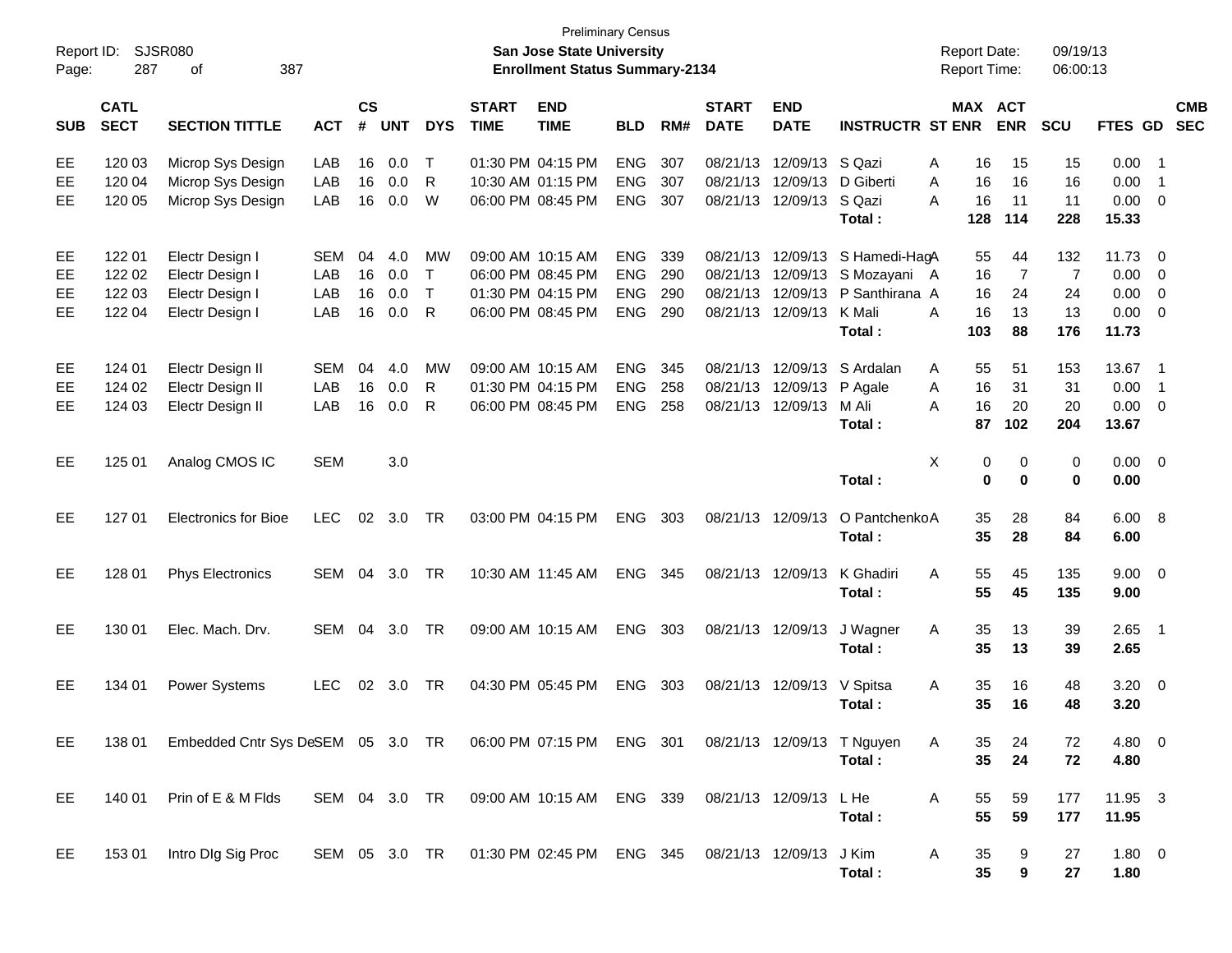| Report ID:<br>Page:  | 287                                  | <b>SJSR080</b><br>387<br>οf                                                                   |                                 |                      |                          |                                         |                             | <b>Preliminary Census</b><br>San Jose State University<br><b>Enrollment Status Summary-2134</b> |                                                      |                          |                                  |                                                    |                                                                              | <b>Report Date:</b><br>Report Time:  |                                        | 09/19/13<br>06:00:13                     |                                        |                                                                                 |
|----------------------|--------------------------------------|-----------------------------------------------------------------------------------------------|---------------------------------|----------------------|--------------------------|-----------------------------------------|-----------------------------|-------------------------------------------------------------------------------------------------|------------------------------------------------------|--------------------------|----------------------------------|----------------------------------------------------|------------------------------------------------------------------------------|--------------------------------------|----------------------------------------|------------------------------------------|----------------------------------------|---------------------------------------------------------------------------------|
| <b>SUB</b>           | <b>CATL</b><br><b>SECT</b>           | <b>SECTION TITTLE</b>                                                                         | <b>ACT</b>                      | $\mathsf{cs}$<br>#   | <b>UNT</b>               | <b>DYS</b>                              | <b>START</b><br><b>TIME</b> | <b>END</b><br><b>TIME</b>                                                                       | <b>BLD</b>                                           | RM#                      | <b>START</b><br><b>DATE</b>      | <b>END</b><br><b>DATE</b>                          | <b>INSTRUCTR ST ENR</b>                                                      |                                      | MAX ACT<br><b>ENR</b>                  | SCU                                      |                                        | <b>CMB</b><br>FTES GD SEC                                                       |
| EE<br>EE<br>EE       | 120 03<br>120 04<br>120 05           | Microp Sys Design<br>Microp Sys Design<br>Microp Sys Design                                   | LAB<br>LAB<br>LAB               | 16<br>16<br>16       | 0.0<br>0.0<br>0.0        | Т<br>R<br>W                             |                             | 01:30 PM 04:15 PM<br>10:30 AM 01:15 PM<br>06:00 PM 08:45 PM                                     | <b>ENG</b><br><b>ENG</b><br><b>ENG</b>               | 307<br>307<br>307        | 08/21/13<br>08/21/13<br>08/21/13 | 12/09/13<br>12/09/13<br>12/09/13                   | S Qazi<br>D Giberti<br>S Qazi<br>Total:                                      | 16<br>Α<br>16<br>A<br>А<br>16<br>128 | 15<br>16<br>11<br>114                  | 15<br>16<br>11<br>228                    | 0.00<br>0.00<br>0.00<br>15.33          | $\overline{\phantom{1}}$<br>$\overline{\phantom{0}}$<br>$\overline{\mathbf{0}}$ |
| EE<br>EE<br>EЕ<br>EE | 122 01<br>122 02<br>122 03<br>122 04 | Electr Design I<br>Electr Design I<br>Electr Design I<br>Electr Design I                      | <b>SEM</b><br>LAB<br>LAB<br>LAB | 04<br>16<br>16<br>16 | 4.0<br>0.0<br>0.0<br>0.0 | МW<br>$\mathsf{T}$<br>T<br>$\mathsf{R}$ |                             | 09:00 AM 10:15 AM<br>06:00 PM 08:45 PM<br>01:30 PM 04:15 PM<br>06:00 PM 08:45 PM                | <b>ENG</b><br><b>ENG</b><br><b>ENG</b><br><b>ENG</b> | 339<br>290<br>290<br>290 | 08/21/13<br>08/21/13             | 08/21/13 12/09/13<br>12/09/13<br>08/21/13 12/09/13 | 12/09/13 S Hamedi-HagA<br>S Mozayani A<br>P Santhirana A<br>K Mali<br>Total: | 55<br>16<br>16<br>A<br>16<br>103     | 44<br>$\overline{7}$<br>24<br>13<br>88 | 132<br>$\overline{7}$<br>24<br>13<br>176 | 11.73<br>0.00<br>0.00<br>0.00<br>11.73 | $\overline{0}$<br>$\overline{0}$<br>0<br>$\overline{0}$                         |
| EE<br>EE<br>EЕ       | 124 01<br>124 02<br>124 03           | Electr Design II<br>Electr Design II<br>Electr Design II                                      | SEM<br>LAB<br>LAB               | 04<br>16<br>16       | 4.0<br>0.0<br>0.0        | МW<br>R<br>R                            |                             | 09:00 AM 10:15 AM<br>01:30 PM 04:15 PM<br>06:00 PM 08:45 PM                                     | <b>ENG</b><br><b>ENG</b><br><b>ENG</b>               | 345<br>258<br>258        | 08/21/13<br>08/21/13             | 12/09/13<br>12/09/13<br>08/21/13 12/09/13          | S Ardalan<br>P Agale<br>M Ali<br>Total:                                      | 55<br>A<br>16<br>A<br>16<br>A<br>87  | 51<br>31<br>20<br>102                  | 153<br>31<br>20<br>204                   | 13.67<br>0.00<br>0.00<br>13.67         | $\overline{\phantom{0}}$ 1<br>$\overline{1}$<br>$\overline{\mathbf{0}}$         |
| EE                   | 125 01                               | Analog CMOS IC                                                                                | <b>SEM</b>                      |                      | 3.0                      |                                         |                             |                                                                                                 |                                                      |                          |                                  |                                                    | Total:                                                                       | X<br>0<br>$\bf{0}$                   | $\mathbf 0$<br>$\bf{0}$                | $\mathbf 0$<br>$\bf{0}$                  | 0.00<br>0.00                           | $\overline{0}$                                                                  |
| EE                   | 127 01                               | <b>Electronics for Bioe</b>                                                                   | <b>LEC</b>                      | 02                   | 3.0                      | <b>TR</b>                               |                             | 03:00 PM 04:15 PM                                                                               | <b>ENG</b>                                           | 303                      |                                  | 08/21/13 12/09/13                                  | O PantchenkoA<br>Total:                                                      | 35<br>35                             | 28<br>28                               | 84<br>84                                 | 6.00<br>6.00                           | - 8                                                                             |
| EE                   | 128 01                               | <b>Phys Electronics</b>                                                                       | SEM                             | 04                   | 3.0                      | <b>TR</b>                               |                             | 10:30 AM 11:45 AM                                                                               | <b>ENG</b>                                           | 345                      |                                  | 08/21/13 12/09/13                                  | K Ghadiri<br>Total:                                                          | 55<br>A<br>55                        | 45<br>45                               | 135<br>135                               | 9.00<br>9.00                           | $\overline{0}$                                                                  |
| EE                   | 130 01                               | Elec. Mach. Drv.                                                                              | <b>SEM</b>                      | 04                   | 3.0                      | <b>TR</b>                               |                             | 09:00 AM 10:15 AM                                                                               | <b>ENG</b>                                           | 303                      |                                  | 08/21/13 12/09/13                                  | J Wagner<br>Total:                                                           | 35<br>A<br>35                        | 13<br>13                               | 39<br>39                                 | 2.65<br>2.65                           | $\overline{\phantom{0}}$ 1                                                      |
| EE                   | 134 01                               | <b>Power Systems</b>                                                                          | <b>LEC</b>                      | 02                   | 3.0                      | TR                                      |                             | 04:30 PM 05:45 PM                                                                               | <b>ENG</b>                                           | 303                      |                                  | 08/21/13 12/09/13                                  | V Spitsa<br>Total:                                                           | 35<br>A<br>35                        | 16<br>16                               | 48<br>48                                 | 3.20<br>3.20                           | $\overline{\mathbf{0}}$                                                         |
| EE.                  |                                      | 138 01 Embedded Cntr Sys DeSEM 05 3.0 TR 06:00 PM 07:15 PM ENG 301 08/21/13 12/09/13 T Nguyen |                                 |                      |                          |                                         |                             |                                                                                                 |                                                      |                          |                                  |                                                    | Total:                                                                       | 35<br>A<br>35                        | 24<br>24                               | 72<br>72                                 | 4.80 0<br>4.80                         |                                                                                 |
| EE                   | 140 01                               | Prin of E & M Flds                                                                            |                                 |                      |                          |                                         |                             | SEM 04 3.0 TR  09:00 AM 10:15 AM  ENG  339                                                      |                                                      |                          | 08/21/13 12/09/13 L He           |                                                    | Total:                                                                       | A<br>55<br>55                        | 59<br>59                               | 177<br>177                               | 11.95 3<br>11.95                       |                                                                                 |
| EE                   |                                      | 153 01 Intro DIg Sig Proc                                                                     |                                 |                      |                          |                                         |                             | SEM 05 3.0 TR  01:30 PM 02:45 PM  ENG  345  08/21/13  12/09/13  J Kim                           |                                                      |                          |                                  |                                                    | Total:                                                                       | A<br>35<br>35                        | 9<br>$\boldsymbol{9}$                  | 27<br>27                                 | $1.80 \t 0$<br>1.80                    |                                                                                 |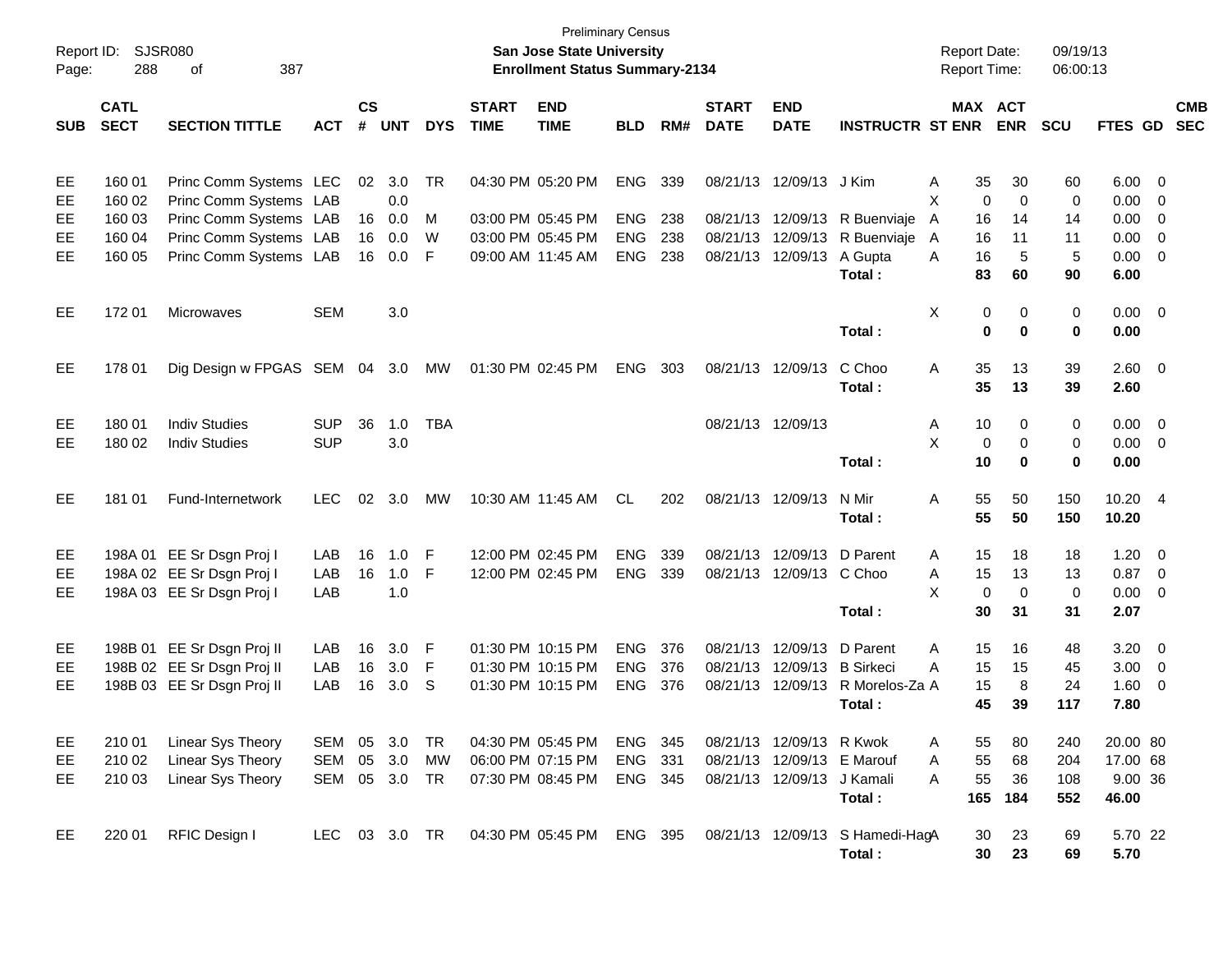| Report ID:<br>Page:        | 288                                            | <b>SJSR080</b><br>387<br>οf                                                                                                    |                          |                      |                                 |                       |                             | <b>Preliminary Census</b><br>San Jose State University<br><b>Enrollment Status Summary-2134</b> |                                                      |                          |                             |                                                                         |                                                          | <b>Report Date:</b><br><b>Report Time:</b>                         |                                       | 09/19/13<br>06:00:13           |                                              |                                                                      |                          |
|----------------------------|------------------------------------------------|--------------------------------------------------------------------------------------------------------------------------------|--------------------------|----------------------|---------------------------------|-----------------------|-----------------------------|-------------------------------------------------------------------------------------------------|------------------------------------------------------|--------------------------|-----------------------------|-------------------------------------------------------------------------|----------------------------------------------------------|--------------------------------------------------------------------|---------------------------------------|--------------------------------|----------------------------------------------|----------------------------------------------------------------------|--------------------------|
| <b>SUB</b>                 | <b>CATL</b><br><b>SECT</b>                     | <b>SECTION TITTLE</b>                                                                                                          | <b>ACT</b>               | $\mathsf{cs}$<br>#   | <b>UNT</b>                      | <b>DYS</b>            | <b>START</b><br><b>TIME</b> | <b>END</b><br><b>TIME</b>                                                                       | <b>BLD</b>                                           | RM#                      | <b>START</b><br><b>DATE</b> | <b>END</b><br><b>DATE</b>                                               | <b>INSTRUCTR ST ENR</b>                                  |                                                                    | MAX ACT<br><b>ENR</b>                 | <b>SCU</b>                     | FTES GD                                      |                                                                      | <b>CMB</b><br><b>SEC</b> |
| EE<br>EE<br>EE<br>EE<br>EE | 160 01<br>160 02<br>160 03<br>160 04<br>160 05 | Princ Comm Systems LEC<br>Princ Comm Systems LAB<br>Princ Comm Systems LAB<br>Princ Comm Systems LAB<br>Princ Comm Systems LAB |                          | 02<br>16<br>16<br>16 | 3.0<br>0.0<br>0.0<br>0.0<br>0.0 | TR<br>М<br>W<br>F     |                             | 04:30 PM 05:20 PM<br>03:00 PM 05:45 PM<br>03:00 PM 05:45 PM<br>09:00 AM 11:45 AM                | <b>ENG</b><br><b>ENG</b><br><b>ENG</b><br><b>ENG</b> | 339<br>238<br>238<br>238 | 08/21/13                    | 08/21/13 12/09/13<br>08/21/13 12/09/13<br>12/09/13<br>08/21/13 12/09/13 | J Kim<br>R Buenviaje<br>R Buenviaje<br>A Gupta<br>Total: | Α<br>35<br>X<br>$\mathbf 0$<br>A<br>16<br>A<br>16<br>16<br>A<br>83 | 30<br>$\Omega$<br>14<br>11<br>5<br>60 | 60<br>0<br>14<br>11<br>5<br>90 | 6.00<br>0.00<br>0.00<br>0.00<br>0.00<br>6.00 | - 0<br>0<br>0<br>0<br>$\overline{0}$                                 |                          |
| EE                         | 17201                                          | <b>Microwaves</b>                                                                                                              | <b>SEM</b>               |                      | 3.0                             |                       |                             |                                                                                                 |                                                      |                          |                             |                                                                         | Total:                                                   | X                                                                  | 0<br>0<br>$\bf{0}$<br>$\bf{0}$        | 0<br>0                         | $0.00 \t 0$<br>0.00                          |                                                                      |                          |
| EE                         | 178 01                                         | Dig Design w FPGAS SEM                                                                                                         |                          | 04                   | 3.0                             | MW                    | 01:30 PM 02:45 PM           |                                                                                                 | <b>ENG</b>                                           | 303                      | 08/21/13 12/09/13           |                                                                         | C Choo<br>Total:                                         | 35<br>Α<br>35                                                      | 13<br>13                              | 39<br>39                       | 2.60 0<br>2.60                               |                                                                      |                          |
| EE<br>EE                   | 180 01<br>180 02                               | <b>Indiv Studies</b><br><b>Indiv Studies</b>                                                                                   | <b>SUP</b><br><b>SUP</b> | 36                   | 1.0<br>3.0                      | <b>TBA</b>            |                             |                                                                                                 |                                                      |                          | 08/21/13 12/09/13           |                                                                         | Total:                                                   | Α<br>10<br>X<br>0<br>10                                            | 0<br>0<br>$\bf{0}$                    | 0<br>0<br>0                    | 0.00<br>0.00<br>0.00                         | $\overline{\mathbf{0}}$<br>$\overline{\mathbf{0}}$                   |                          |
| EE                         | 181 01                                         | Fund-Internetwork                                                                                                              | <b>LEC</b>               | 02                   | 3.0                             | MW                    |                             | 10:30 AM 11:45 AM                                                                               | CL.                                                  | 202                      | 08/21/13 12/09/13           |                                                                         | N Mir<br>Total:                                          | 55<br>Α<br>55                                                      | 50<br>50                              | 150<br>150                     | 10.20 4<br>10.20                             |                                                                      |                          |
| EE<br>EE<br>EE             |                                                | 198A 01 EE Sr Dsgn Proj I<br>198A 02 EE Sr Dsgn Proj I<br>198A 03 EE Sr Dsgn Proj I                                            | LAB<br>LAB<br>LAB        | 16<br>16             | 1.0<br>1.0<br>1.0               | F<br>F                | 12:00 PM 02:45 PM           | 12:00 PM 02:45 PM                                                                               | <b>ENG</b><br><b>ENG</b>                             | 339<br>339               | 08/21/13                    | 12/09/13<br>08/21/13 12/09/13                                           | D Parent<br>C Choo<br>Total:                             | Α<br>15<br>15<br>Α<br>X<br>$\mathbf 0$<br>30                       | 18<br>13<br>$\mathbf 0$<br>31         | 18<br>13<br>$\mathbf 0$<br>31  | 1.20<br>0.87<br>0.00<br>2.07                 | $\overline{\mathbf{0}}$<br>$\overline{\mathbf{0}}$<br>$\overline{0}$ |                          |
| EE<br>EE<br>EE             |                                                | 198B 01 EE Sr Dsgn Proj II<br>198B 02 EE Sr Dsgn Proj II<br>198B 03 EE Sr Dsgn Proj II                                         | LAB<br>LAB<br>LAB        | 16<br>16<br>16       | 3.0<br>3.0<br>3.0               | F<br>F<br>S           |                             | 01:30 PM 10:15 PM<br>01:30 PM 10:15 PM<br>01:30 PM 10:15 PM                                     | <b>ENG</b><br><b>ENG</b><br><b>ENG</b>               | 376<br>376<br>376        | 08/21/13                    | 08/21/13 12/09/13<br>12/09/13<br>08/21/13 12/09/13                      | D Parent<br><b>B</b> Sirkeci<br>R Morelos-Za A<br>Total: | A<br>15<br>A<br>15<br>15<br>45                                     | 16<br>15<br>8<br>39                   | 48<br>45<br>24<br>117          | 3.20<br>3.00<br>1.60<br>7.80                 | $\overline{\mathbf{0}}$<br>$\mathbf 0$<br>$\mathbf 0$                |                          |
| EE<br>EE<br>EE             | 210 01<br>210 02<br>210 03                     | Linear Sys Theory<br>Linear Sys Theory<br>Linear Sys Theory                                                                    | SEM<br>SEM<br>SEM 05 3.0 | 05<br>05             | 3.0<br>3.0                      | TR<br><b>MW</b><br>TR |                             | 04:30 PM 05:45 PM<br>06:00 PM 07:15 PM<br>07:30 PM 08:45 PM                                     | ENG<br><b>ENG</b><br>ENG 345                         | 345<br>331               |                             | 08/21/13 12/09/13 R Kwok<br>08/21/13 12/09/13<br>08/21/13 12/09/13      | E Marouf<br>J Kamali<br>Total:                           | Α<br>55<br>55<br>Α<br>55<br>Α<br>165                               | 80<br>68<br>36<br>184                 | 240<br>204<br>108<br>552       | 20.00 80<br>17.00 68<br>9.00 36<br>46.00     |                                                                      |                          |
| EE                         | 220 01                                         | RFIC Design I                                                                                                                  | LEC.                     |                      | 03 3.0 TR                       |                       |                             | 04:30 PM 05:45 PM                                                                               | ENG 395                                              |                          |                             |                                                                         | 08/21/13 12/09/13 S Hamedi-HagA<br>Total:                | 30<br>30                                                           | 23<br>23                              | 69<br>69                       | 5.70 22<br>5.70                              |                                                                      |                          |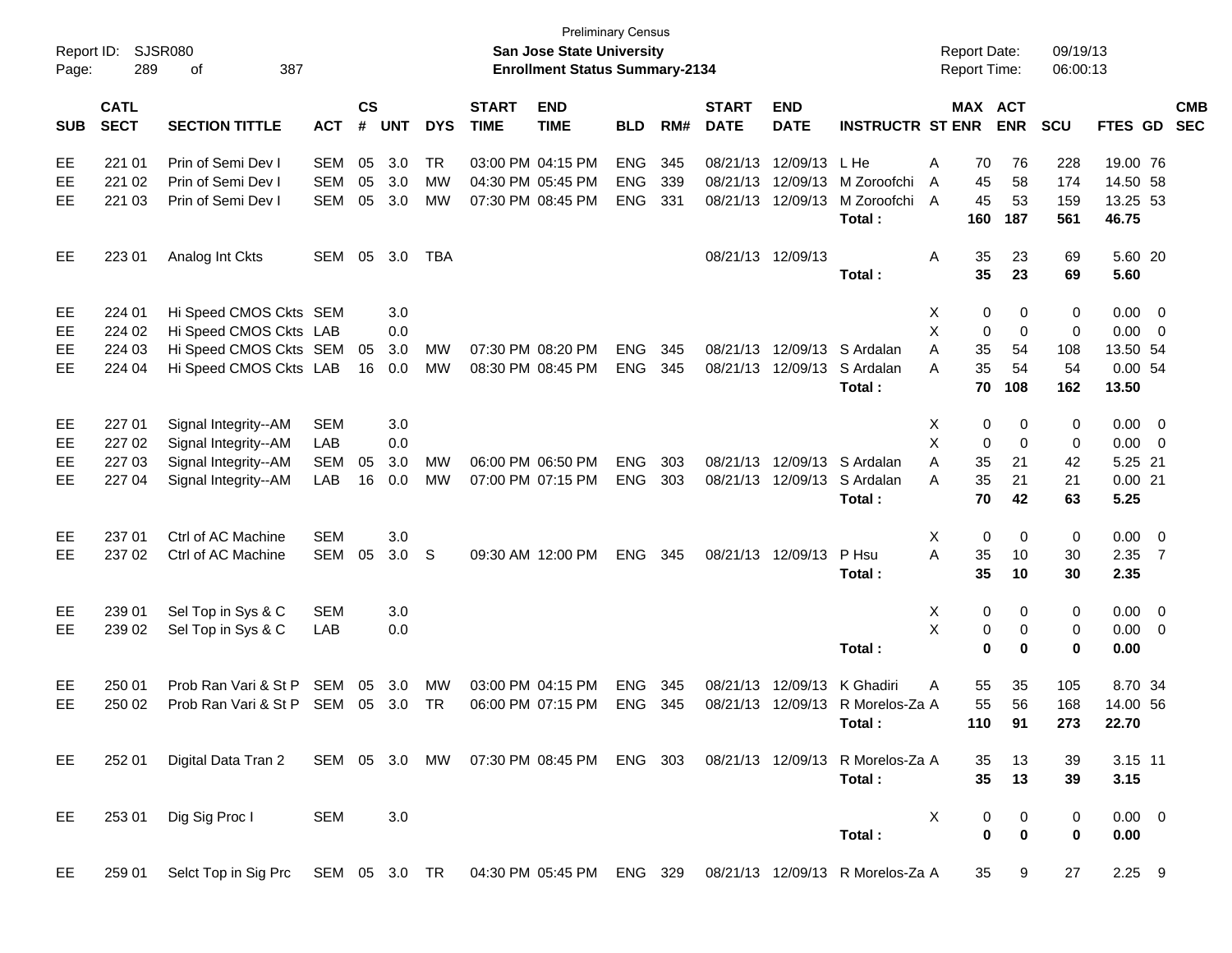| Report ID:<br>Page: | 289                        | <b>SJSR080</b><br>387<br>οf                                                                  |            |                |            |            |                             | San Jose State University<br><b>Enrollment Status Summary-2134</b> | <b>Preliminary Census</b> |     |                             |                           |                                  | <b>Report Date:</b><br>Report Time: |          |            | 09/19/13<br>06:00:13 |             |                         |                          |
|---------------------|----------------------------|----------------------------------------------------------------------------------------------|------------|----------------|------------|------------|-----------------------------|--------------------------------------------------------------------|---------------------------|-----|-----------------------------|---------------------------|----------------------------------|-------------------------------------|----------|------------|----------------------|-------------|-------------------------|--------------------------|
| <b>SUB</b>          | <b>CATL</b><br><b>SECT</b> | <b>SECTION TITTLE</b>                                                                        | <b>ACT</b> | <b>CS</b><br># | <b>UNT</b> | <b>DYS</b> | <b>START</b><br><b>TIME</b> | <b>END</b><br><b>TIME</b>                                          | <b>BLD</b>                | RM# | <b>START</b><br><b>DATE</b> | <b>END</b><br><b>DATE</b> | <b>INSTRUCTR ST ENR</b>          | <b>MAX ACT</b>                      |          | <b>ENR</b> | <b>SCU</b>           | FTES GD     |                         | <b>CMB</b><br><b>SEC</b> |
| EE                  | 221 01                     | Prin of Semi Dev I                                                                           | <b>SEM</b> | 05             | 3.0        | TR         |                             | 03:00 PM 04:15 PM                                                  | <b>ENG</b>                | 345 | 08/21/13                    | 12/09/13                  | L He                             | Α                                   | 70       | 76         | 228                  | 19.00 76    |                         |                          |
| EE                  | 221 02                     | Prin of Semi Dev I                                                                           | <b>SEM</b> | 05             | 3.0        | МW         |                             | 04:30 PM 05:45 PM                                                  | <b>ENG</b>                | 339 | 08/21/13                    | 12/09/13                  | M Zoroofchi                      | A                                   | 45       | 58         | 174                  | 14.50 58    |                         |                          |
| EE                  | 221 03                     | Prin of Semi Dev I                                                                           | <b>SEM</b> | 05             | 3.0        | MW         |                             | 07:30 PM 08:45 PM                                                  | <b>ENG</b>                | 331 | 08/21/13                    | 12/09/13                  | M Zoroofchi                      | A                                   | 45       | 53         | 159                  | 13.25 53    |                         |                          |
|                     |                            |                                                                                              |            |                |            |            |                             |                                                                    |                           |     |                             |                           | Total:                           |                                     | 160      | 187        | 561                  | 46.75       |                         |                          |
| EE                  | 223 01                     | Analog Int Ckts                                                                              | SEM        | 05             | 3.0        | TBA        |                             |                                                                    |                           |     |                             | 08/21/13 12/09/13         |                                  | Α                                   | 35       | 23         | 69                   | 5.60 20     |                         |                          |
|                     |                            |                                                                                              |            |                |            |            |                             |                                                                    |                           |     |                             |                           | Total:                           |                                     | 35       | 23         | 69                   | 5.60        |                         |                          |
| EE                  | 224 01                     | Hi Speed CMOS Ckts SEM                                                                       |            |                | 3.0        |            |                             |                                                                    |                           |     |                             |                           |                                  | X                                   | 0        | 0          | 0                    | 0.00        | $\overline{\mathbf{0}}$ |                          |
| EE                  | 224 02                     | Hi Speed CMOS Ckts LAB                                                                       |            |                | 0.0        |            |                             |                                                                    |                           |     |                             |                           |                                  | X                                   | 0        | 0          | 0                    | 0.00        | $\overline{\mathbf{0}}$ |                          |
| EE                  | 224 03                     | Hi Speed CMOS Ckts SEM                                                                       |            | 05             | 3.0        | MW         |                             | 07:30 PM 08:20 PM                                                  | <b>ENG</b>                | 345 | 08/21/13                    | 12/09/13                  | S Ardalan                        | A                                   | 35       | 54         | 108                  | 13.50 54    |                         |                          |
| EE                  | 224 04                     | Hi Speed CMOS Ckts LAB                                                                       |            | 16             | 0.0        | MW         |                             | 08:30 PM 08:45 PM                                                  | <b>ENG</b>                | 345 | 08/21/13                    | 12/09/13                  | S Ardalan                        | A                                   | 35       | 54         | 54                   | 0.0054      |                         |                          |
|                     |                            |                                                                                              |            |                |            |            |                             |                                                                    |                           |     |                             |                           | Total:                           |                                     | 70       | 108        | 162                  | 13.50       |                         |                          |
| EE                  | 227 01                     | Signal Integrity--AM                                                                         | <b>SEM</b> |                | 3.0        |            |                             |                                                                    |                           |     |                             |                           |                                  | X                                   | 0        | 0          | 0                    | 0.00        | $\overline{\mathbf{0}}$ |                          |
| EE                  | 227 02                     | Signal Integrity--AM                                                                         | LAB        |                | 0.0        |            |                             |                                                                    |                           |     |                             |                           |                                  | X                                   | 0        | 0          | 0                    | 0.00        | $\overline{\mathbf{0}}$ |                          |
| EE                  | 227 03                     | Signal Integrity--AM                                                                         | <b>SEM</b> | 05             | 3.0        | MW         |                             | 06:00 PM 06:50 PM                                                  | <b>ENG</b>                | 303 | 08/21/13                    | 12/09/13                  | S Ardalan                        | A                                   | 35       | 21         | 42                   | 5.25 21     |                         |                          |
| EE                  | 227 04                     | Signal Integrity--AM                                                                         | LAB        | 16             | 0.0        | MW         |                             | 07:00 PM 07:15 PM                                                  | <b>ENG</b>                | 303 | 08/21/13                    | 12/09/13                  | S Ardalan                        | Α                                   | 35       | 21         | 21                   | 0.0021      |                         |                          |
|                     |                            |                                                                                              |            |                |            |            |                             |                                                                    |                           |     |                             |                           | Total:                           |                                     | 70       | 42         | 63                   | 5.25        |                         |                          |
| EE                  | 237 01                     | Ctrl of AC Machine                                                                           | <b>SEM</b> |                | 3.0        |            |                             |                                                                    |                           |     |                             |                           |                                  | Χ                                   | 0        | 0          | 0                    | 0.00        | $\overline{0}$          |                          |
| EE                  | 237 02                     | Ctrl of AC Machine                                                                           | <b>SEM</b> | 05             | 3.0        | -S         |                             | 09:30 AM 12:00 PM                                                  | <b>ENG</b>                | 345 |                             | 08/21/13 12/09/13         | P Hsu                            | A                                   | 35       | 10         | 30                   | 2.35        | $\overline{7}$          |                          |
|                     |                            |                                                                                              |            |                |            |            |                             |                                                                    |                           |     |                             |                           | Total:                           |                                     | 35       | 10         | 30                   | 2.35        |                         |                          |
| EE                  | 239 01                     | Sel Top in Sys & C                                                                           | <b>SEM</b> |                | 3.0        |            |                             |                                                                    |                           |     |                             |                           |                                  | X                                   | 0        | 0          | 0                    | 0.00        | $\overline{0}$          |                          |
| EE                  | 239 02                     | Sel Top in Sys & C                                                                           | LAB        |                | 0.0        |            |                             |                                                                    |                           |     |                             |                           |                                  | X                                   | 0        | 0          | 0                    | 0.00        | 0                       |                          |
|                     |                            |                                                                                              |            |                |            |            |                             |                                                                    |                           |     |                             |                           | Total:                           |                                     | 0        | $\bf{0}$   | 0                    | 0.00        |                         |                          |
| EE                  | 250 01                     | Prob Ran Vari & St P                                                                         | SEM        | 05             | 3.0        | MW         |                             | 03:00 PM 04:15 PM                                                  | <b>ENG</b>                | 345 | 08/21/13                    | 12/09/13                  | K Ghadiri                        | Α                                   | 55       | 35         | 105                  | 8.70 34     |                         |                          |
| EE                  | 250 02                     | Prob Ran Vari & St P                                                                         | SEM        | 05             | 3.0        | TR         |                             | 06:00 PM 07:15 PM                                                  | <b>ENG</b>                | 345 | 08/21/13                    | 12/09/13                  | R Morelos-Za A                   |                                     | 55       | 56         | 168                  | 14.00 56    |                         |                          |
|                     |                            |                                                                                              |            |                |            |            |                             |                                                                    |                           |     |                             |                           | Total:                           |                                     | 110      | 91         | 273                  | 22.70       |                         |                          |
| EE                  | 252 01                     | Digital Data Tran 2 SEM 05 3.0 MW 07:30 PM 08:45 PM ENG 303 08/21/13 12/09/13 R Morelos-Za A |            |                |            |            |                             |                                                                    |                           |     |                             |                           |                                  |                                     | 35       | 13         | 39                   | 3.15 11     |                         |                          |
|                     |                            |                                                                                              |            |                |            |            |                             |                                                                    |                           |     |                             |                           | Total:                           |                                     | 35       | 13         | 39                   | 3.15        |                         |                          |
| EE                  | 253 01                     | Dig Sig Proc I                                                                               | <b>SEM</b> |                | 3.0        |            |                             |                                                                    |                           |     |                             |                           |                                  | X                                   | 0        | 0          | 0                    | $0.00 \t 0$ |                         |                          |
|                     |                            |                                                                                              |            |                |            |            |                             |                                                                    |                           |     |                             |                           | Total:                           |                                     | $\bf{0}$ | $\bf{0}$   | $\mathbf 0$          | 0.00        |                         |                          |
| EE                  | 259 01                     | Selct Top in Sig Prc SEM 05 3.0 TR 04:30 PM 05:45 PM ENG 329                                 |            |                |            |            |                             |                                                                    |                           |     |                             |                           | 08/21/13 12/09/13 R Morelos-Za A |                                     | 35       | 9          | 27                   | $2.25$ 9    |                         |                          |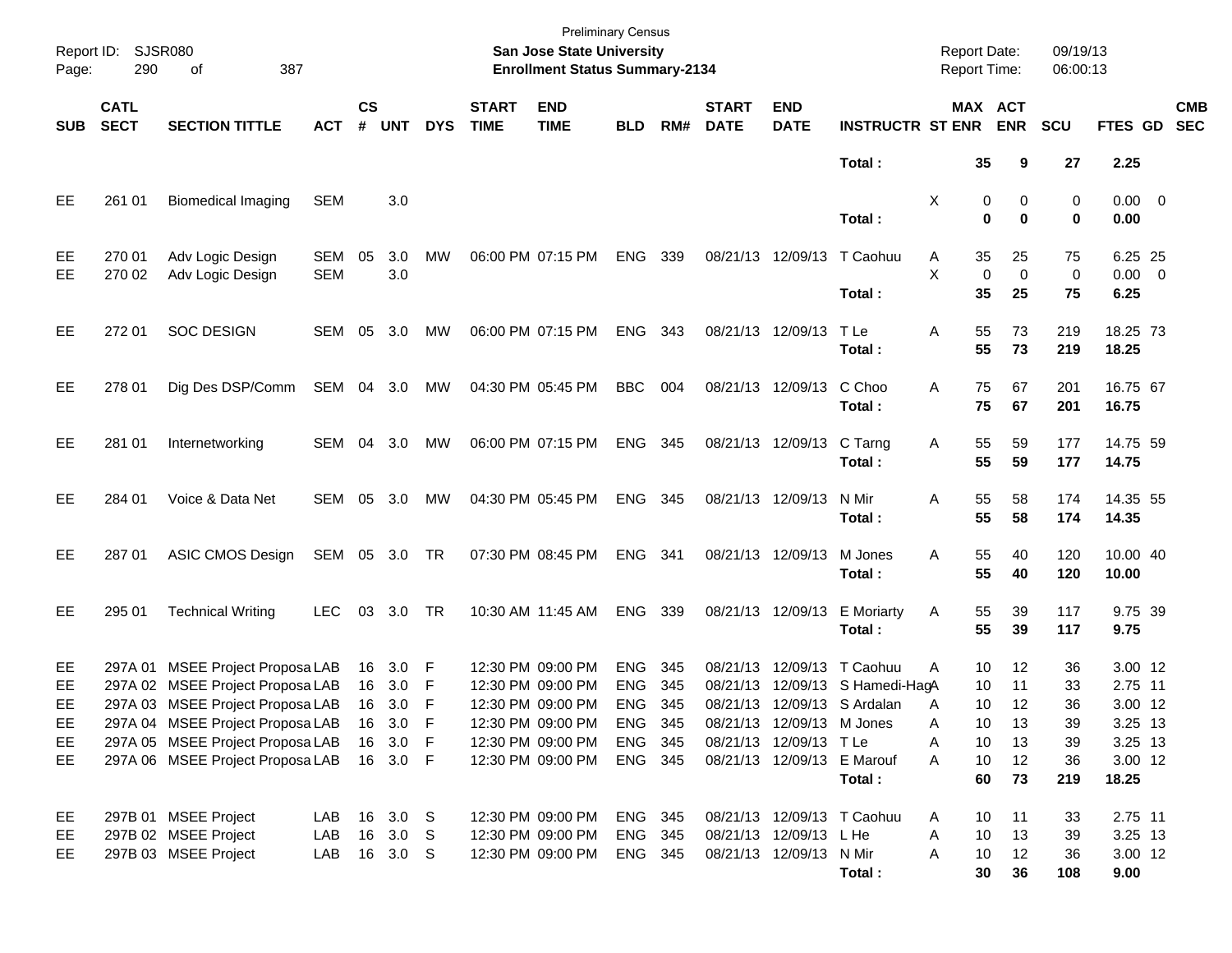| Report ID:<br>Page: | SJSR080<br>290             | 387<br>of                                                            |                   |                    |                  |            |                             | San Jose State University<br><b>Enrollment Status Summary-2134</b> | <b>Preliminary Census</b> |            |                             |                            |                                    | <b>Report Date:</b><br><b>Report Time:</b> |                   | 09/19/13<br>06:00:13 |                        |                          |
|---------------------|----------------------------|----------------------------------------------------------------------|-------------------|--------------------|------------------|------------|-----------------------------|--------------------------------------------------------------------|---------------------------|------------|-----------------------------|----------------------------|------------------------------------|--------------------------------------------|-------------------|----------------------|------------------------|--------------------------|
| <b>SUB</b>          | <b>CATL</b><br><b>SECT</b> | <b>SECTION TITTLE</b>                                                | <b>ACT</b>        | $\mathsf{cs}$<br># | <b>UNT</b>       | <b>DYS</b> | <b>START</b><br><b>TIME</b> | <b>END</b><br><b>TIME</b>                                          | <b>BLD</b>                | RM#        | <b>START</b><br><b>DATE</b> | <b>END</b><br><b>DATE</b>  | <b>INSTRUCTR ST ENR</b>            | MAX ACT                                    | <b>ENR</b>        | SCU                  | FTES GD                | <b>CMB</b><br><b>SEC</b> |
|                     |                            |                                                                      |                   |                    |                  |            |                             |                                                                    |                           |            |                             |                            | Total:                             | 35                                         | 9                 | 27                   | 2.25                   |                          |
| EE                  | 261 01                     | <b>Biomedical Imaging</b>                                            | <b>SEM</b>        |                    | 3.0              |            |                             |                                                                    |                           |            |                             |                            | Total:                             | X<br>0<br>$\bf{0}$                         | 0<br>$\bf{0}$     | 0<br>0               | $0.00 \t 0$<br>0.00    |                          |
| EE<br>EE            | 270 01<br>270 02           | Adv Logic Design<br>Adv Logic Design                                 | SEM<br><b>SEM</b> | 05                 | 3.0<br>3.0       | MW         |                             | 06:00 PM 07:15 PM                                                  | ENG                       | 339        |                             |                            | 08/21/13 12/09/13 T Caohuu         | 35<br>A<br>X<br>$\mathbf 0$                | 25<br>$\mathbf 0$ | 75<br>0              | 6.25 25<br>$0.00 \t 0$ |                          |
|                     |                            |                                                                      |                   |                    |                  |            |                             |                                                                    |                           |            |                             |                            | Total:                             | 35                                         | 25                | 75                   | 6.25                   |                          |
| EE                  | 272 01                     | <b>SOC DESIGN</b>                                                    | SEM 05            |                    | 3.0              | MW         |                             | 06:00 PM 07:15 PM                                                  | ENG                       | 343        |                             | 08/21/13 12/09/13          | T Le<br>Total:                     | 55<br>Α<br>55                              | 73<br>73          | 219<br>219           | 18.25 73<br>18.25      |                          |
| EE                  | 278 01                     | Dig Des DSP/Comm                                                     | SEM 04 3.0        |                    |                  | MW         |                             | 04:30 PM 05:45 PM                                                  | <b>BBC</b>                | 004        |                             | 08/21/13 12/09/13          | C Choo<br>Total:                   | 75<br>A<br>75                              | 67<br>67          | 201<br>201           | 16.75 67<br>16.75      |                          |
| EE                  | 281 01                     | Internetworking                                                      | SEM 04 3.0        |                    |                  | МW         |                             | 06:00 PM 07:15 PM                                                  | ENG 345                   |            |                             | 08/21/13 12/09/13          | C Tarng<br>Total:                  | 55<br>Α<br>55                              | 59<br>59          | 177<br>177           | 14.75 59<br>14.75      |                          |
| EE                  | 284 01                     | Voice & Data Net                                                     | SEM               |                    | 05 3.0           | <b>MW</b>  |                             | 04:30 PM 05:45 PM                                                  | ENG 345                   |            |                             | 08/21/13 12/09/13          | N Mir<br>Total:                    | 55<br>Α<br>55                              | 58<br>58          | 174<br>174           | 14.35 55<br>14.35      |                          |
| EE                  | 287 01                     | ASIC CMOS Design                                                     | SEM 05 3.0 TR     |                    |                  |            |                             | 07:30 PM 08:45 PM                                                  | ENG 341                   |            | 08/21/13 12/09/13           |                            | M Jones<br>Total:                  | 55<br>Α<br>55                              | 40<br>40          | 120<br>120           | 10.00 40<br>10.00      |                          |
| EE                  | 295 01                     | <b>Technical Writing</b>                                             | <b>LEC</b>        | 03                 | 3.0              | TR         |                             | 10:30 AM 11:45 AM                                                  | ENG                       | 339        | 08/21/13 12/09/13           |                            | <b>E</b> Moriarty<br>Total:        | 55<br>A<br>55                              | 39<br>39          | 117<br>117           | 9.75 39<br>9.75        |                          |
| EE<br>EE            |                            | 297A 01 MSEE Project Proposa LAB<br>297A 02 MSEE Project Proposa LAB |                   | 16<br>16           | 3.0<br>3.0       | F<br>F     |                             | 12:30 PM 09:00 PM<br>12:30 PM 09:00 PM                             | <b>ENG</b><br><b>ENG</b>  | 345<br>345 | 08/21/13<br>08/21/13        | 12/09/13                   | T Caohuu<br>12/09/13 S Hamedi-HagA | 10<br>A<br>10                              | 12<br>11          | 36<br>33             | 3.00 12<br>2.75 11     |                          |
| EE.                 |                            | 297A 03 MSEE Project Proposa LAB                                     |                   | 16                 | 3.0              | F          |                             | 12:30 PM 09:00 PM                                                  | <b>ENG</b>                | 345        |                             |                            | 08/21/13 12/09/13 S Ardalan        | 10<br>A                                    | 12                | 36                   | 3.00 12                |                          |
| EE                  |                            | 297A 04 MSEE Project Proposa LAB                                     |                   | 16                 | 3.0              | - F        |                             | 12:30 PM 09:00 PM                                                  | ENG.                      | - 345      |                             | 08/21/13 12/09/13 M Jones  |                                    | Α<br>10                                    | 13                | 39                   | 3.25 13                |                          |
| EE                  |                            | 297A 05 MSEE Project Proposa LAB                                     |                   | 16                 | 3.0              | - F        |                             | 12:30 PM 09:00 PM                                                  | <b>ENG</b>                | 345        |                             | 08/21/13 12/09/13 T Le     |                                    | Α<br>10                                    | 13                | 39                   | 3.25 13                |                          |
| EE                  |                            | 297A 06 MSEE Project Proposa LAB                                     |                   |                    | 16 3.0 F         |            |                             | 12:30 PM 09:00 PM                                                  | ENG 345                   |            |                             | 08/21/13 12/09/13 E Marouf | Total:                             | A<br>10<br>60                              | 12<br>73          | 36<br>219            | 3.00 12<br>18.25       |                          |
| EE                  |                            | 297B 01 MSEE Project                                                 | LAB               |                    | 16 3.0 S         |            |                             | 12:30 PM 09:00 PM                                                  | ENG 345                   |            |                             |                            | 08/21/13 12/09/13 T Caohuu         | 10<br>A                                    | 11                | 33                   | 2.75 11                |                          |
| EE                  |                            | 297B 02 MSEE Project                                                 | LAB               | 16                 | 3.0 <sub>S</sub> |            |                             | 12:30 PM 09:00 PM                                                  | ENG 345                   |            |                             | 08/21/13 12/09/13 L He     |                                    | Α<br>10                                    | 13                | 39                   | 3.25 13                |                          |
| EE                  |                            | 297B 03 MSEE Project                                                 | LAB               |                    | 16 3.0 S         |            |                             | 12:30 PM 09:00 PM                                                  | ENG 345                   |            |                             | 08/21/13 12/09/13 N Mir    |                                    | Α<br>10                                    | 12                | 36                   | 3.00 12                |                          |
|                     |                            |                                                                      |                   |                    |                  |            |                             |                                                                    |                           |            |                             |                            | Total:                             | 30                                         | 36                | 108                  | 9.00                   |                          |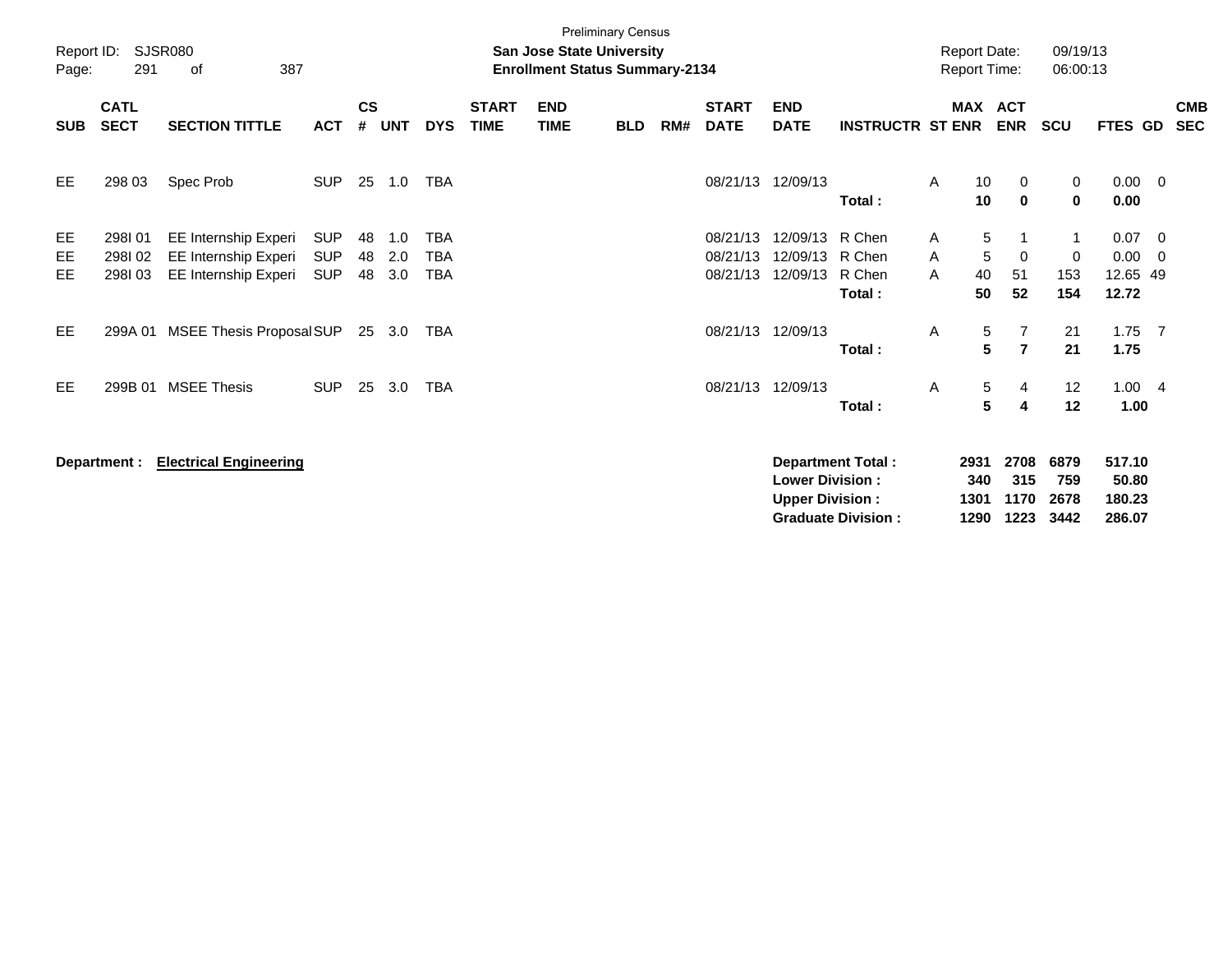| Report ID:<br>Page: | 291                        | <b>SJSR080</b><br>387<br>оf                                          |                                        |                    |                   |                                        |                             | San Jose State University<br><b>Enrollment Status Summary-2134</b> | <b>Preliminary Census</b> |     |                                  |                                                  |                                                       | <b>Report Date:</b><br><b>Report Time:</b> |                             |                               | 09/19/13<br>06:00:13        |                                     |                                 |                          |
|---------------------|----------------------------|----------------------------------------------------------------------|----------------------------------------|--------------------|-------------------|----------------------------------------|-----------------------------|--------------------------------------------------------------------|---------------------------|-----|----------------------------------|--------------------------------------------------|-------------------------------------------------------|--------------------------------------------|-----------------------------|-------------------------------|-----------------------------|-------------------------------------|---------------------------------|--------------------------|
| <b>SUB</b>          | <b>CATL</b><br><b>SECT</b> | <b>SECTION TITTLE</b>                                                | <b>ACT</b>                             | $\mathsf{cs}$<br># | <b>UNT</b>        | <b>DYS</b>                             | <b>START</b><br><b>TIME</b> | <b>END</b><br><b>TIME</b>                                          | <b>BLD</b>                | RM# | <b>START</b><br><b>DATE</b>      | <b>END</b><br><b>DATE</b>                        | <b>INSTRUCTR ST ENR</b>                               |                                            |                             | <b>MAX ACT</b><br><b>ENR</b>  | <b>SCU</b>                  | FTES GD                             |                                 | <b>CMB</b><br><b>SEC</b> |
| EE                  | 298 03                     | Spec Prob                                                            | <b>SUP</b>                             | 25                 | 1.0               | TBA                                    |                             |                                                                    |                           |     | 08/21/13 12/09/13                |                                                  | Total:                                                | A                                          | 10<br>10                    | 0<br>$\mathbf 0$              | 0<br>0                      | $0.00 \t 0$<br>0.00                 |                                 |                          |
| EE<br>EE<br>EE      | 298101<br>298102<br>298103 | EE Internship Experi<br>EE Internship Experi<br>EE Internship Experi | <b>SUP</b><br><b>SUP</b><br><b>SUP</b> | 48<br>48<br>48     | 1.0<br>2.0<br>3.0 | <b>TBA</b><br><b>TBA</b><br><b>TBA</b> |                             |                                                                    |                           |     | 08/21/13<br>08/21/13<br>08/21/13 | 12/09/13<br>12/09/13<br>12/09/13                 | R Chen<br>R Chen<br>R Chen<br>Total:                  | A<br>A<br>A                                | 5<br>5<br>40<br>50          | -1<br>$\mathbf 0$<br>51<br>52 | 1<br>0<br>153<br>154        | 0.07<br>0.00<br>12.65 49<br>12.72   | $\overline{\phantom{0}}$<br>- 0 |                          |
| <b>EE</b>           | 299A 01                    | MSEE Thesis Proposal SUP                                             |                                        |                    | 25 3.0            | TBA                                    |                             |                                                                    |                           |     | 08/21/13                         | 12/09/13                                         | Total:                                                | Α                                          | 5<br>$5\phantom{.0}$        | 7<br>$\overline{7}$           | 21<br>21                    | 1.75<br>1.75                        | $\overline{7}$                  |                          |
| <b>EE</b>           | 299B 01                    | <b>MSEE Thesis</b>                                                   | <b>SUP</b>                             | 25                 | 3.0               | TBA                                    |                             |                                                                    |                           |     | 08/21/13                         | 12/09/13                                         | Total:                                                | A                                          | 5<br>5                      | 4<br>4                        | 12<br>12                    | 1.004<br>1.00                       |                                 |                          |
|                     | Department :               | <b>Electrical Engineering</b>                                        |                                        |                    |                   |                                        |                             |                                                                    |                           |     |                                  | <b>Lower Division:</b><br><b>Upper Division:</b> | <b>Department Total:</b><br><b>Graduate Division:</b> |                                            | 2931<br>340<br>1301<br>1290 | 2708<br>315<br>1170<br>1223   | 6879<br>759<br>2678<br>3442 | 517.10<br>50.80<br>180.23<br>286.07 |                                 |                          |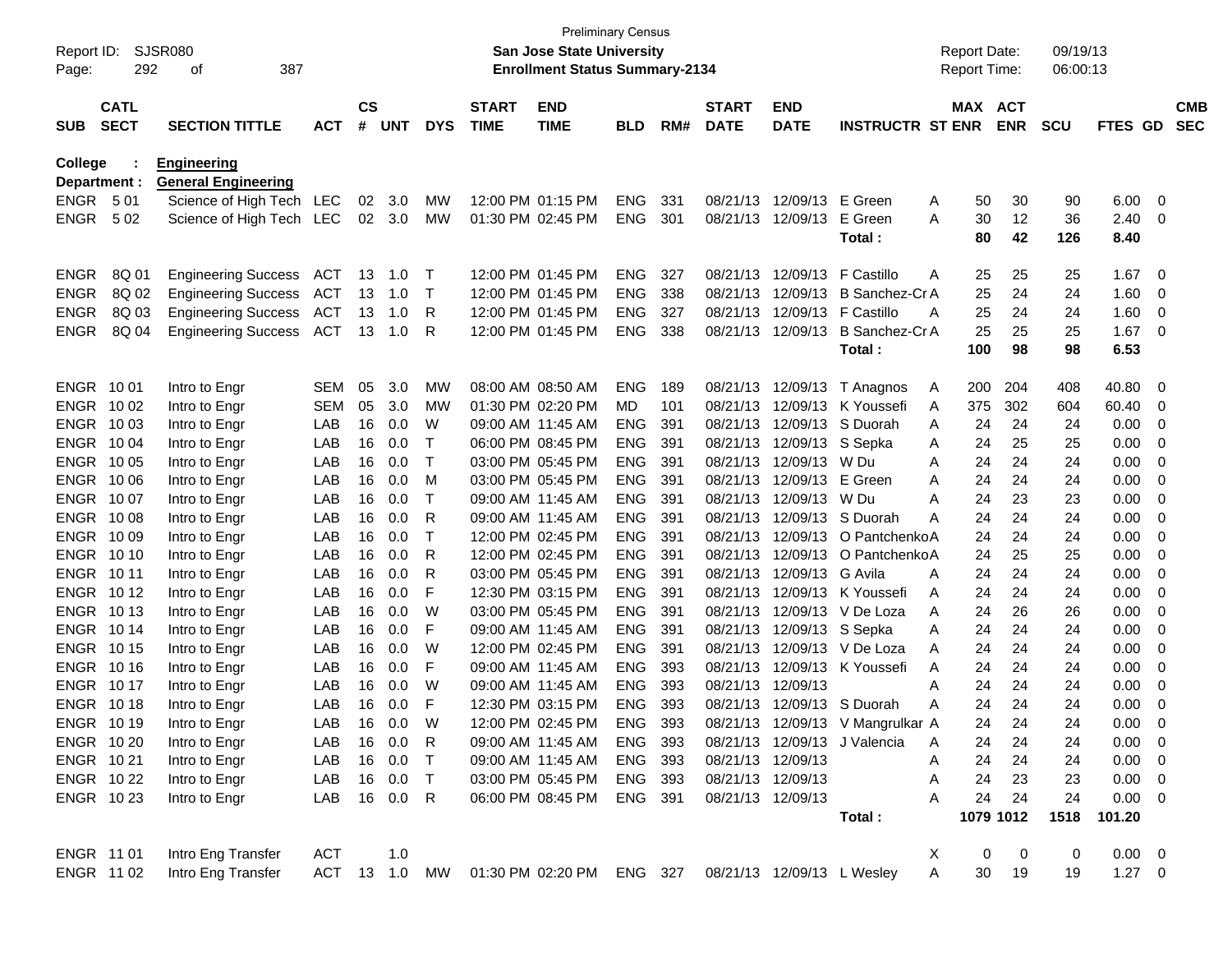| Report ID:<br>Page:        | 292                        | <b>SJSR080</b><br>387<br>οf    |            |                |               |                 |                             | <b>Preliminary Census</b><br>San Jose State University<br><b>Enrollment Status Summary-2134</b> |                          |            |                             |                            |                                  |        | <b>Report Date:</b><br><b>Report Time:</b> |            | 09/19/13<br>06:00:13 |                |                          |                          |
|----------------------------|----------------------------|--------------------------------|------------|----------------|---------------|-----------------|-----------------------------|-------------------------------------------------------------------------------------------------|--------------------------|------------|-----------------------------|----------------------------|----------------------------------|--------|--------------------------------------------|------------|----------------------|----------------|--------------------------|--------------------------|
| <b>SUB</b>                 | <b>CATL</b><br><b>SECT</b> | <b>SECTION TITTLE</b>          | <b>ACT</b> | <b>CS</b><br># | <b>UNT</b>    | <b>DYS</b>      | <b>START</b><br><b>TIME</b> | <b>END</b><br><b>TIME</b>                                                                       | <b>BLD</b>               | RM#        | <b>START</b><br><b>DATE</b> | <b>END</b><br><b>DATE</b>  | <b>INSTRUCTR ST ENR</b>          |        | MAX ACT                                    | <b>ENR</b> | <b>SCU</b>           | FTES GD        |                          | <b>CMB</b><br><b>SEC</b> |
| College                    |                            | <b>Engineering</b>             |            |                |               |                 |                             |                                                                                                 |                          |            |                             |                            |                                  |        |                                            |            |                      |                |                          |                          |
| Department :               |                            | <b>General Engineering</b>     |            |                |               |                 |                             |                                                                                                 |                          |            |                             |                            |                                  |        |                                            |            |                      |                |                          |                          |
| ENGR 501<br><b>ENGR</b>    |                            | Science of High Tech           | LEC        | 02             | 3.0<br>02 3.0 | <b>MW</b><br>MW |                             | 12:00 PM 01:15 PM<br>01:30 PM 02:45 PM                                                          | ENG<br><b>ENG</b>        | 331<br>301 | 08/21/13<br>08/21/13        | 12/09/13<br>12/09/13       | E Green<br>E Green               | A<br>A | 50                                         | 30         | 90<br>36             | 6.00<br>2.40   | - 0<br>0                 |                          |
|                            | 502                        | Science of High Tech           | LEC        |                |               |                 |                             |                                                                                                 |                          |            |                             |                            | Total :                          |        | 30<br>80                                   | 12<br>42   | 126                  | 8.40           |                          |                          |
| <b>ENGR</b>                | 8Q 01                      | <b>Engineering Success</b>     | ACT        | 13             | 1.0           | T               |                             | 12:00 PM 01:45 PM                                                                               | ENG                      | 327        | 08/21/13                    | 12/09/13                   | F Castillo                       | Α      | 25                                         | 25         | 25                   | 1.67           | 0                        |                          |
| <b>ENGR</b>                | 8Q 02                      | <b>Engineering Success</b>     | <b>ACT</b> | 13             | $-1.0$        | Т               |                             | 12:00 PM 01:45 PM                                                                               | <b>ENG</b>               | 338        | 08/21/13                    | 12/09/13                   | B Sanchez-Cr A                   |        | 25                                         | 24         | 24                   | 1.60           | 0                        |                          |
| <b>ENGR</b>                | 8Q 03                      | <b>Engineering Success</b>     | ACT        | 13             | $-1.0$        | R               |                             | 12:00 PM 01:45 PM                                                                               | <b>ENG</b>               | 327        | 08/21/13                    | 12/09/13                   | F Castillo                       | A      | 25                                         | 24         | 24                   | 1.60           | 0                        |                          |
| <b>ENGR</b>                | 8Q 04                      | <b>Engineering Success</b>     | ACT        | 13             | $-1.0$        | R               |                             | 12:00 PM 01:45 PM                                                                               | <b>ENG</b>               | 338        | 08/21/13                    | 12/09/13                   | <b>B</b> Sanchez-Cr A            |        | 25                                         | 25         | 25                   | 1.67           | 0                        |                          |
|                            |                            |                                |            |                |               |                 |                             |                                                                                                 |                          |            |                             |                            | Total:                           |        | 100                                        | 98         | 98                   | 6.53           |                          |                          |
| <b>ENGR 1001</b>           |                            | Intro to Engr                  | SEM        | 05             | 3.0           | MW              |                             | 08:00 AM 08:50 AM                                                                               | <b>ENG</b>               | 189        | 08/21/13                    | 12/09/13                   | T Anagnos                        | A      | 200                                        | 204        | 408                  | 40.80          | 0                        |                          |
| ENGR 1002                  |                            | Intro to Engr                  | SEM        | 05             | 3.0           | MW              |                             | 01:30 PM 02:20 PM                                                                               | MD.                      | 101        | 08/21/13                    | 12/09/13                   | K Youssefi                       | A      | 375                                        | 302        | 604                  | 60.40          | 0                        |                          |
| <b>ENGR</b>                | 10 03                      | Intro to Engr                  | LAB        | 16             | 0.0           | W               |                             | 09:00 AM 11:45 AM                                                                               | <b>ENG</b>               | 391        | 08/21/13                    | 12/09/13                   | S Duorah                         | Α      | 24                                         | 24         | 24                   | 0.00           | 0                        |                          |
| <b>ENGR</b>                | 10 04                      | Intro to Engr                  | LAB        | 16             | 0.0           | Т               |                             | 06:00 PM 08:45 PM                                                                               | <b>ENG</b>               | 391        | 08/21/13                    | 12/09/13                   | S Sepka                          | Α      | 24                                         | 25         | 25                   | 0.00           | 0                        |                          |
| <b>ENGR</b>                | 10 05                      | Intro to Engr                  | LAB        | 16             | 0.0           | Т               |                             | 03:00 PM 05:45 PM                                                                               | <b>ENG</b>               | 391        | 08/21/13                    | 12/09/13                   | W Du                             | Α      | 24                                         | 24         | 24                   | 0.00           | 0                        |                          |
| <b>ENGR</b>                | 10 06                      | Intro to Engr                  | LAB        | 16             | 0.0           | м               |                             | 03:00 PM 05:45 PM                                                                               | <b>ENG</b>               | 391        | 08/21/13                    | 12/09/13                   | E Green                          | A      | 24                                         | 24         | 24                   | 0.00           | 0                        |                          |
| <b>ENGR</b>                | 10 07                      | Intro to Engr                  | LAB        | 16             | 0.0           | Т               |                             | 09:00 AM 11:45 AM                                                                               | <b>ENG</b>               | 391        | 08/21/13                    | 12/09/13                   | W Du                             | A      | 24                                         | 23         | 23                   | 0.00           | 0                        |                          |
| <b>ENGR</b>                | 1008                       | Intro to Engr                  | LAB        | 16             | 0.0           | R               |                             | 09:00 AM 11:45 AM                                                                               | <b>ENG</b>               | 391        | 08/21/13                    | 12/09/13                   | S Duorah                         | A      | 24                                         | 24         | 24                   | 0.00           | 0                        |                          |
| <b>ENGR</b>                | 10 09                      | Intro to Engr                  | LAB        | 16             | 0.0           | Т               |                             | 12:00 PM 02:45 PM                                                                               | <b>ENG</b>               | 391        | 08/21/13                    | 12/09/13                   | O PantchenkoA                    |        | 24                                         | 24         | 24                   | 0.00           | 0                        |                          |
| <b>ENGR</b>                | 10 10                      | Intro to Engr                  | LAB        | 16             | 0.0           | R               |                             | 12:00 PM 02:45 PM                                                                               | <b>ENG</b>               | 391        | 08/21/13                    | 12/09/13                   | O PantchenkoA                    |        | 24                                         | 25         | 25                   | 0.00           | 0                        |                          |
| <b>ENGR</b>                | 10 11                      | Intro to Engr                  | LAB        | 16             | 0.0           | R               |                             | 03:00 PM 05:45 PM                                                                               | <b>ENG</b>               | 391        | 08/21/13                    | 12/09/13                   | G Avila                          | Α      | 24                                         | 24         | 24                   | 0.00           | 0                        |                          |
| <b>ENGR</b>                | 10 12                      | Intro to Engr                  | LAB        | 16             | 0.0           | F               |                             | 12:30 PM 03:15 PM                                                                               | <b>ENG</b>               | 391        | 08/21/13                    | 12/09/13                   | K Youssefi                       | Α      | 24                                         | 24         | 24                   | 0.00           | 0                        |                          |
| <b>ENGR</b><br><b>ENGR</b> | 10 13<br>10 14             | Intro to Engr                  | LAB<br>LAB | 16<br>16       | 0.0<br>0.0    | W<br>F          |                             | 03:00 PM 05:45 PM<br>09:00 AM 11:45 AM                                                          | <b>ENG</b><br><b>ENG</b> | 391<br>391 | 08/21/13<br>08/21/13        |                            | 12/09/13 V De Loza               | A      | 24<br>24                                   | 26<br>24   | 26<br>24             | 0.00           | 0                        |                          |
| <b>ENGR</b>                | 10 15                      | Intro to Engr<br>Intro to Engr | LAB        | 16             | 0.0           | W               |                             | 12:00 PM 02:45 PM                                                                               | <b>ENG</b>               | 391        | 08/21/13                    | 12/09/13                   | S Sepka<br>12/09/13 V De Loza    | Α<br>Α | 24                                         | 24         | 24                   | 0.00<br>0.00   | 0<br>0                   |                          |
| <b>ENGR</b>                | 10 16                      | Intro to Engr                  | LAB        | 16             | 0.0           | F               |                             | 09:00 AM 11:45 AM                                                                               | <b>ENG</b>               | 393        | 08/21/13                    | 12/09/13                   | K Youssefi                       | A      | 24                                         | 24         | 24                   | 0.00           | 0                        |                          |
| <b>ENGR</b>                | 10 17                      | Intro to Engr                  | LAB        | 16             | 0.0           | w               |                             | 09:00 AM 11:45 AM                                                                               | <b>ENG</b>               | 393        | 08/21/13                    | 12/09/13                   |                                  | A      | 24                                         | 24         | 24                   | 0.00           | 0                        |                          |
| ENGR 1018                  |                            | Intro to Engr                  | LAB        | 16             | 0.0           | F               |                             | 12:30 PM 03:15 PM                                                                               | <b>ENG</b>               | 393        | 08/21/13                    |                            | 12/09/13 S Duorah                | Α      | 24                                         | 24         | 24                   | 0.00           | 0                        |                          |
| ENGR 1019                  |                            | Intro to Engr                  | LAB        |                | 16  0.0       | W               |                             | 12:00 PM 02:45 PM                                                                               | <b>ENG</b>               | 393        |                             |                            | 08/21/13 12/09/13 V Mangrulkar A |        | 24                                         | 24         | 24                   | 0.00           | $\Omega$                 |                          |
| ENGR 10 20                 |                            | Intro to Engr                  | LAB        | 16             | 0.0           | R               |                             | 09:00 AM 11:45 AM                                                                               | ENG 393                  |            |                             |                            | 08/21/13 12/09/13 J Valencia     | A      | 24                                         | 24         | 24                   | 0.00           | - 0                      |                          |
| ENGR 1021                  |                            | Intro to Engr                  | LAB        |                | 16 0.0        | $\top$          |                             | 09:00 AM 11:45 AM                                                                               | ENG 393                  |            |                             | 08/21/13 12/09/13          |                                  | Α      | 24                                         | 24         | 24                   | 0.00           | - 0                      |                          |
| ENGR 1022                  |                            | Intro to Engr                  | LAB        |                | 16 0.0        | $\top$          |                             | 03:00 PM 05:45 PM                                                                               | ENG 393                  |            |                             | 08/21/13 12/09/13          |                                  | A      | 24                                         | 23         | 23                   | 0.00           | - 0                      |                          |
| ENGR 1023                  |                            | Intro to Engr                  | LAB        |                | 16 0.0        | R               |                             | 06:00 PM 08:45 PM                                                                               | ENG 391                  |            |                             | 08/21/13 12/09/13          |                                  | Α      | 24                                         | 24         | 24                   | 0.00           | $\overline{\phantom{0}}$ |                          |
|                            |                            |                                |            |                |               |                 |                             |                                                                                                 |                          |            |                             |                            | Total:                           |        | 1079 1012                                  |            | 1518                 | 101.20         |                          |                          |
| ENGR 1101                  |                            | Intro Eng Transfer             | ACT        |                | 1.0           |                 |                             |                                                                                                 |                          |            |                             |                            |                                  | X      | 0                                          | 0          | 0                    | $0.00 \quad 0$ |                          |                          |
| ENGR 1102                  |                            | Intro Eng Transfer             | ACT 13 1.0 |                |               | MW              |                             | 01:30 PM 02:20 PM ENG 327                                                                       |                          |            |                             | 08/21/13 12/09/13 L Wesley |                                  | A      | 30                                         | 19         | 19                   | $1.27 \t 0$    |                          |                          |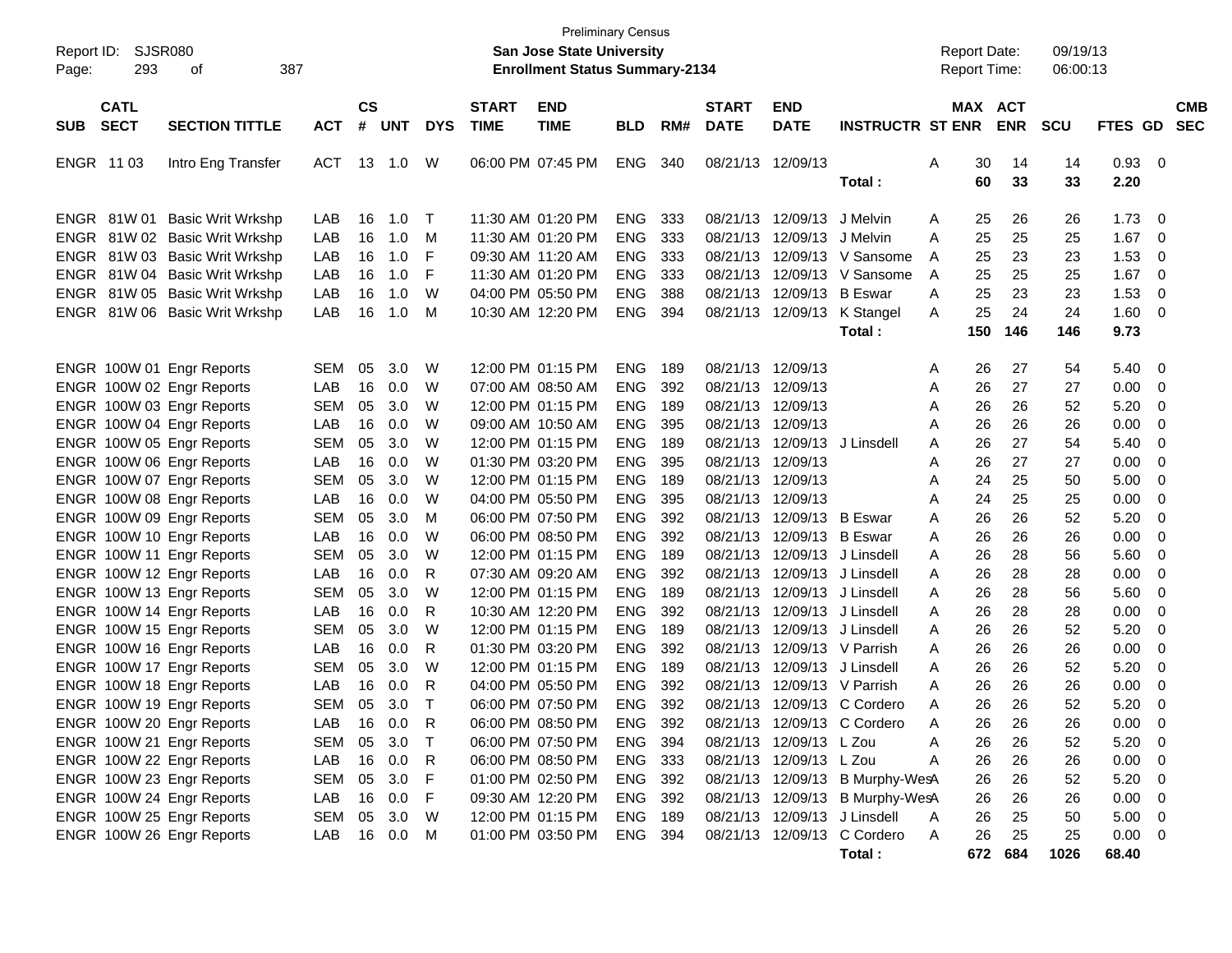| Report ID:<br>SJSR080<br>293<br>387<br>οf<br>Page:                                                                                         |                                        |                      |                                     |                       |                             | <b>San Jose State University</b><br><b>Enrollment Status Summary-2134</b>        | <b>Preliminary Census</b>                            |                          |                                                                                  |                                                        |                                                                                                                                             |                  | <b>Report Date:</b><br><b>Report Time:</b> |                                 | 09/19/13<br>06:00:13         |                                                                  |                              |
|--------------------------------------------------------------------------------------------------------------------------------------------|----------------------------------------|----------------------|-------------------------------------|-----------------------|-----------------------------|----------------------------------------------------------------------------------|------------------------------------------------------|--------------------------|----------------------------------------------------------------------------------|--------------------------------------------------------|---------------------------------------------------------------------------------------------------------------------------------------------|------------------|--------------------------------------------|---------------------------------|------------------------------|------------------------------------------------------------------|------------------------------|
| <b>CATL</b><br><b>SECT</b><br><b>SECTION TITTLE</b><br><b>SUB</b>                                                                          | <b>ACT</b>                             | $\mathsf{cs}$<br>#   | <b>UNT</b>                          | <b>DYS</b>            | <b>START</b><br><b>TIME</b> | <b>END</b><br><b>TIME</b>                                                        | <b>BLD</b>                                           | RM#                      | <b>START</b><br><b>DATE</b>                                                      | <b>END</b><br><b>DATE</b>                              | <b>INSTRUCTR ST ENR</b>                                                                                                                     |                  | MAX ACT                                    | <b>ENR</b>                      | <b>SCU</b>                   | FTES GD                                                          | <b>CMB</b><br><b>SEC</b>     |
| ENGR 1103<br>Intro Eng Transfer                                                                                                            | <b>ACT</b>                             |                      | 13 1.0                              | W                     |                             | 06:00 PM 07:45 PM                                                                | <b>ENG</b>                                           | 340                      | 08/21/13 12/09/13                                                                |                                                        | Total :                                                                                                                                     | A                | 30<br>60                                   | 14<br>33                        | 14<br>33                     | 0.93<br>2.20                                                     | - 0                          |
| ENGR 81W 01<br><b>Basic Writ Wrkshp</b><br>ENGR 81W 02 Basic Writ Wrkshp<br>ENGR 81W 03 Basic Writ Wrkshp<br>ENGR 81W 04 Basic Writ Wrkshp | LAB<br>LAB<br>LAB<br>LAB               | 16<br>16<br>16<br>16 | 1.0<br>1.0<br>1.0<br>1.0            | $\top$<br>M<br>F<br>F |                             | 11:30 AM 01:20 PM<br>11:30 AM 01:20 PM<br>09:30 AM 11:20 AM<br>11:30 AM 01:20 PM | <b>ENG</b><br><b>ENG</b><br><b>ENG</b><br><b>ENG</b> | 333<br>333<br>333<br>333 |                                                                                  | 08/21/13 12/09/13<br>08/21/13 12/09/13 J Melvin        | J Melvin<br>08/21/13 12/09/13 V Sansome<br>08/21/13 12/09/13 V Sansome                                                                      | A<br>A<br>A<br>A | 25<br>25<br>25<br>25                       | 26<br>25<br>23<br>25            | 26<br>25<br>23<br>25         | 1.73<br>1.67<br>1.53<br>1.67                                     | - 0<br>- 0<br>0<br>- 0       |
| ENGR 81W 05 Basic Writ Wrkshp<br>ENGR 81W 06 Basic Writ Wrkshp                                                                             | LAB<br>LAB                             | 16<br>16             | 1.0<br>1.0                          | W<br>M                |                             | 04:00 PM 05:50 PM<br>10:30 AM 12:20 PM                                           | <b>ENG</b><br><b>ENG</b>                             | 388<br>394               |                                                                                  | 08/21/13 12/09/13 B Eswar                              | 08/21/13 12/09/13 K Stangel<br>Total :                                                                                                      | A<br>A           | 25<br>25<br>150                            | 23<br>24<br>146                 | 23<br>24<br>146              | 1.53<br>1.60<br>9.73                                             | 0<br>- 0                     |
| ENGR 100W 01 Engr Reports<br>ENGR 100W 02 Engr Reports<br>ENGR 100W 03 Engr Reports<br>ENGR 100W 04 Engr Reports                           | <b>SEM</b><br>LAB<br><b>SEM</b><br>LAB | 05<br>16<br>05<br>16 | 3.0<br>0.0<br>3.0<br>0.0            | W<br>W<br>W<br>W      |                             | 12:00 PM 01:15 PM<br>07:00 AM 08:50 AM<br>12:00 PM 01:15 PM<br>09:00 AM 10:50 AM | <b>ENG</b><br><b>ENG</b><br><b>ENG</b><br><b>ENG</b> | 189<br>392<br>189<br>395 | 08/21/13 12/09/13<br>08/21/13 12/09/13<br>08/21/13 12/09/13<br>08/21/13 12/09/13 |                                                        |                                                                                                                                             | A<br>A<br>A<br>A | 26<br>26<br>26<br>26                       | 27<br>27<br>26<br>26            | 54<br>27<br>52<br>26         | 5.40<br>0.00<br>5.20<br>0.00                                     | 0<br>0<br>0<br>0             |
| ENGR 100W 05 Engr Reports<br>ENGR 100W 06 Engr Reports<br>ENGR 100W 07 Engr Reports                                                        | <b>SEM</b><br>LAB<br><b>SEM</b>        | 05<br>16<br>05       | 3.0<br>0.0<br>3.0                   | W<br>W<br>W           |                             | 12:00 PM 01:15 PM<br>01:30 PM 03:20 PM<br>12:00 PM 01:15 PM                      | <b>ENG</b><br><b>ENG</b><br><b>ENG</b>               | 189<br>395<br>189        | 08/21/13 12/09/13<br>08/21/13 12/09/13                                           | 08/21/13 12/09/13                                      | J Linsdell                                                                                                                                  | A<br>A<br>A      | 26<br>26<br>24                             | 27<br>27<br>25                  | 54<br>27<br>50               | 5.40<br>0.00<br>5.00                                             | 0<br>0<br>0                  |
| ENGR 100W 08 Engr Reports<br>ENGR 100W 09 Engr Reports<br>ENGR 100W 10 Engr Reports<br>ENGR 100W 11 Engr Reports                           | LAB<br><b>SEM</b><br>LAB<br><b>SEM</b> | 16<br>05<br>16<br>05 | 0.0<br>3.0<br>0.0<br>3.0            | W<br>M<br>W<br>W      |                             | 04:00 PM 05:50 PM<br>06:00 PM 07:50 PM<br>06:00 PM 08:50 PM<br>12:00 PM 01:15 PM | <b>ENG</b><br><b>ENG</b><br><b>ENG</b><br><b>ENG</b> | 395<br>392<br>392<br>189 | 08/21/13 12/09/13                                                                | 08/21/13 12/09/13 B Eswar<br>08/21/13 12/09/13 B Eswar | 08/21/13 12/09/13 J Linsdell                                                                                                                | A<br>A<br>A<br>A | 24<br>26<br>26<br>26                       | 25<br>26<br>26<br>28            | 25<br>52<br>26<br>56         | 0.00<br>5.20<br>0.00<br>5.60                                     | 0<br>0<br>0<br>0             |
| ENGR 100W 12 Engr Reports<br>ENGR 100W 13 Engr Reports<br>ENGR 100W 14 Engr Reports<br>ENGR 100W 15 Engr Reports                           | LAB<br><b>SEM</b><br>LAB<br><b>SEM</b> | 16<br>05<br>16<br>05 | 0.0<br>3.0<br>0.0<br>3.0            | R<br>W<br>R<br>W      |                             | 07:30 AM 09:20 AM<br>12:00 PM 01:15 PM<br>10:30 AM 12:20 PM<br>12:00 PM 01:15 PM | <b>ENG</b><br><b>ENG</b><br><b>ENG</b><br><b>ENG</b> | 392<br>189<br>392<br>189 |                                                                                  |                                                        | 08/21/13 12/09/13 J Linsdell<br>08/21/13 12/09/13 J Linsdell<br>08/21/13 12/09/13 J Linsdell<br>08/21/13 12/09/13 J Linsdell                | A<br>A<br>A<br>A | 26<br>26<br>26<br>26                       | 28<br>28<br>28<br>26            | 28<br>56<br>28<br>52         | 0.00<br>5.60<br>0.00<br>5.20                                     | 0<br>0<br>0<br>0             |
| ENGR 100W 16 Engr Reports<br>ENGR 100W 17 Engr Reports<br>ENGR 100W 18 Engr Reports<br>ENGR 100W 19 Engr Reports                           | LAB<br><b>SEM</b><br>LAB<br><b>SEM</b> | 16<br>05<br>16<br>05 | 0.0<br>3.0<br>0.0<br>3.0            | R<br>W<br>R<br>$\top$ |                             | 01:30 PM 03:20 PM<br>12:00 PM 01:15 PM<br>04:00 PM 05:50 PM<br>06:00 PM 07:50 PM | <b>ENG</b><br><b>ENG</b><br><b>ENG</b><br><b>ENG</b> | 392<br>189<br>392<br>392 |                                                                                  |                                                        | 08/21/13 12/09/13 V Parrish<br>08/21/13 12/09/13 J Linsdell<br>08/21/13 12/09/13 V Parrish<br>08/21/13 12/09/13 C Cordero                   | A<br>A<br>A<br>A | 26<br>26<br>26<br>26                       | 26<br>26<br>26<br>26            | 26<br>52<br>26<br>52         | 0.00<br>5.20<br>0.00<br>5.20                                     | 0<br>0<br>0<br>0             |
| ENGR 100W 20 Engr Reports<br>ENGR 100W 21 Engr Reports<br>ENGR 100W 22 Engr Reports                                                        | LAB<br>SEM<br>LAB                      | 16                   | $0.0\,$<br>05 3.0<br>16 0.0         | R<br>$\top$<br>-R     |                             | 06:00 PM 08:50 PM<br>06:00 PM 07:50 PM<br>06:00 PM 08:50 PM                      | <b>ENG</b><br>ENG 394<br>ENG 333                     | 392                      |                                                                                  | 08/21/13 12/09/13 L Zou<br>08/21/13 12/09/13 L Zou     | 08/21/13 12/09/13 C Cordero                                                                                                                 | А<br>A<br>A      | 26<br>26<br>26                             | 26<br>26<br>26                  | 26<br>52<br>26               | 0.00<br>5.20<br>$0.00 \t 0$                                      | 0<br>$\overline{\mathbf{0}}$ |
| ENGR 100W 23 Engr Reports<br>ENGR 100W 24 Engr Reports<br>ENGR 100W 25 Engr Reports<br>ENGR 100W 26 Engr Reports                           | <b>SEM</b><br>LAB<br>SEM<br>LAB        | 05<br>05             | 3.0<br>16  0.0<br>3.0<br>16  0.0  M | -F<br>- F<br>W        |                             | 01:00 PM 02:50 PM<br>09:30 AM 12:20 PM<br>12:00 PM 01:15 PM<br>01:00 PM 03:50 PM | ENG 392<br>ENG 392<br>ENG 189<br>ENG 394             |                          |                                                                                  |                                                        | 08/21/13 12/09/13 B Murphy-WesA<br>08/21/13 12/09/13 B Murphy-WesA<br>08/21/13 12/09/13 J Linsdell<br>08/21/13 12/09/13 C Cordero<br>Total: | A<br>A           | 26<br>26<br>26<br>26                       | 26<br>26<br>25<br>25<br>672 684 | 52<br>26<br>50<br>25<br>1026 | $5.20 \ 0$<br>$0.00 \t 0$<br>$5.00 \t 0$<br>$0.00 \t 0$<br>68.40 |                              |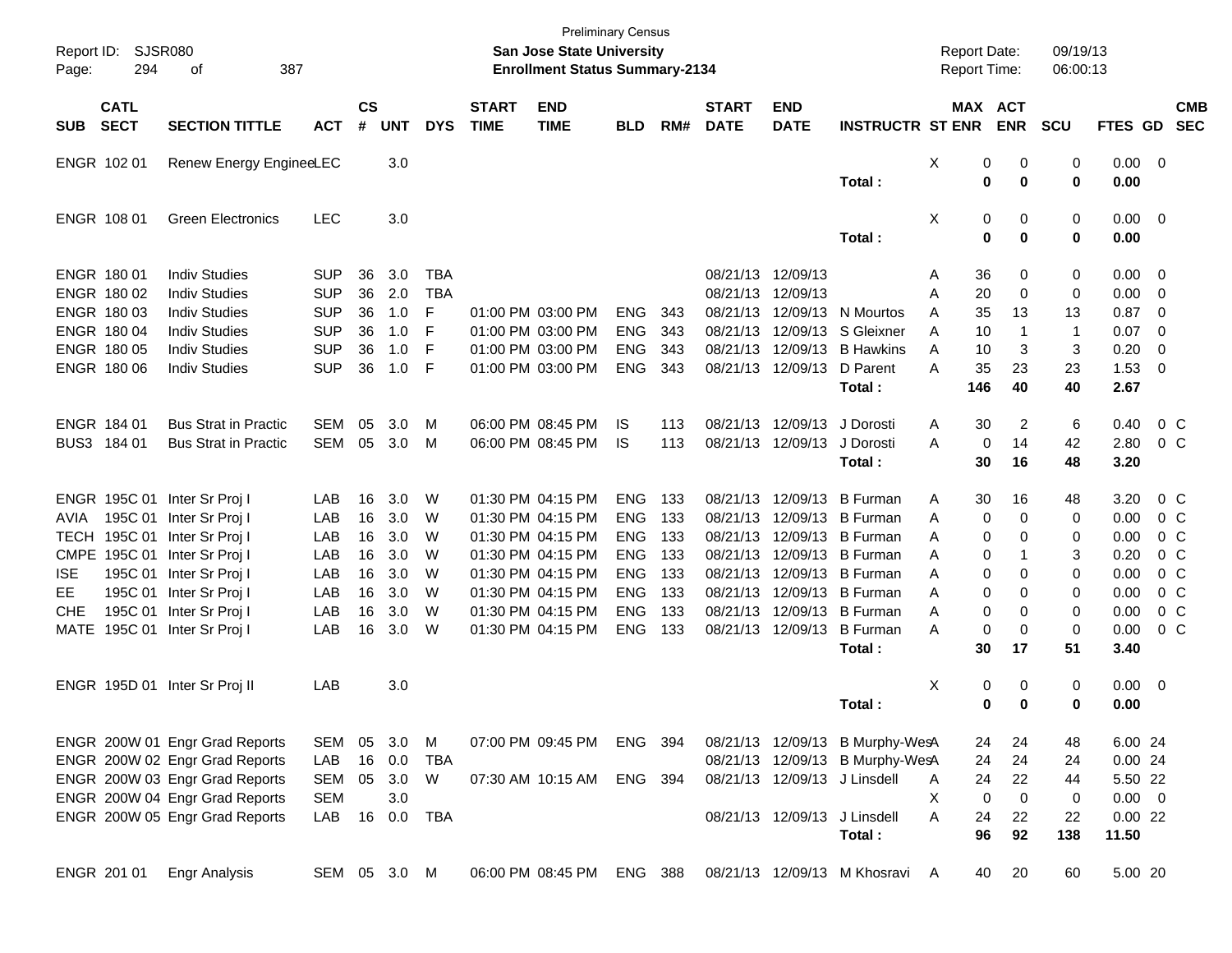| Report ID:<br>Page: | <b>SJSR080</b><br>294      | 387<br>оf                      |              |                |            |            |                             | <b>Preliminary Census</b><br><b>San Jose State University</b><br><b>Enrollment Status Summary-2134</b> |            |     |                             |                           |                                 |   | <b>Report Date:</b><br><b>Report Time:</b> |                | 09/19/13<br>06:00:13 |                 |                         |            |
|---------------------|----------------------------|--------------------------------|--------------|----------------|------------|------------|-----------------------------|--------------------------------------------------------------------------------------------------------|------------|-----|-----------------------------|---------------------------|---------------------------------|---|--------------------------------------------|----------------|----------------------|-----------------|-------------------------|------------|
| <b>SUB</b>          | <b>CATL</b><br><b>SECT</b> | <b>SECTION TITTLE</b>          | <b>ACT</b>   | <b>CS</b><br># | <b>UNT</b> | <b>DYS</b> | <b>START</b><br><b>TIME</b> | <b>END</b><br><b>TIME</b>                                                                              | <b>BLD</b> | RM# | <b>START</b><br><b>DATE</b> | <b>END</b><br><b>DATE</b> | <b>INSTRUCTR ST ENR</b>         |   | MAX ACT                                    | <b>ENR</b>     | <b>SCU</b>           | FTES GD SEC     |                         | <b>CMB</b> |
|                     | ENGR 102 01                | Renew Energy EngineeLEC        |              |                | 3.0        |            |                             |                                                                                                        |            |     |                             |                           | Total:                          | X | 0<br>0                                     | 0<br>0         | 0<br>$\mathbf 0$     | 0.00<br>0.00    | $\overline{0}$          |            |
|                     | ENGR 108 01                | <b>Green Electronics</b>       | <b>LEC</b>   |                | 3.0        |            |                             |                                                                                                        |            |     |                             |                           | Total:                          | X | 0<br>$\mathbf 0$                           | 0<br>0         | 0<br>$\bf{0}$        | 0.00<br>0.00    | $\overline{\mathbf{0}}$ |            |
|                     | ENGR 180 01                | <b>Indiv Studies</b>           | <b>SUP</b>   | 36             | 3.0        | <b>TBA</b> |                             |                                                                                                        |            |     | 08/21/13 12/09/13           |                           |                                 | A | 36                                         | 0              | 0                    | 0.00            | $\overline{0}$          |            |
|                     | ENGR 180 02                | <b>Indiv Studies</b>           | <b>SUP</b>   | 36             | 2.0        | <b>TBA</b> |                             |                                                                                                        |            |     | 08/21/13 12/09/13           |                           |                                 | A | 20                                         | 0              | 0                    | 0.00            | $\overline{0}$          |            |
|                     | ENGR 180 03                | <b>Indiv Studies</b>           | <b>SUP</b>   | 36             | 1.0        | F          |                             | 01:00 PM 03:00 PM                                                                                      | <b>ENG</b> | 343 |                             | 08/21/13 12/09/13         | N Mourtos                       | A | 35                                         | 13             | 13                   | 0.87            | $\overline{0}$          |            |
|                     | ENGR 180 04                | <b>Indiv Studies</b>           | <b>SUP</b>   | 36             | 1.0        | F          |                             | 01:00 PM 03:00 PM                                                                                      | <b>ENG</b> | 343 |                             | 08/21/13 12/09/13         | S Gleixner                      | A | 10                                         | $\mathbf 1$    | $\mathbf{1}$         | 0.07            | $\overline{0}$          |            |
|                     | ENGR 180 05                | <b>Indiv Studies</b>           | <b>SUP</b>   | 36             | 1.0        | F          |                             | 01:00 PM 03:00 PM                                                                                      | <b>ENG</b> | 343 |                             | 08/21/13 12/09/13         | <b>B</b> Hawkins                | A | 10                                         | 3              | 3                    | 0.20            | $\overline{0}$          |            |
|                     | ENGR 180 06                | <b>Indiv Studies</b>           | <b>SUP</b>   | 36             | 1.0        | F          |                             | 01:00 PM 03:00 PM                                                                                      | <b>ENG</b> | 343 |                             | 08/21/13 12/09/13         | D Parent<br>Total:              | A | 35<br>146                                  | 23<br>40       | 23<br>40             | 1.53<br>2.67    | $\overline{0}$          |            |
|                     | ENGR 184 01                | <b>Bus Strat in Practic</b>    | <b>SEM</b>   | 05             | 3.0        | M          |                             | 06:00 PM 08:45 PM                                                                                      | IS         | 113 |                             | 08/21/13 12/09/13         | J Dorosti                       | A | 30                                         | $\overline{2}$ | 6                    | 0.40            | $0\,C$                  |            |
|                     | BUS3 184 01                | <b>Bus Strat in Practic</b>    | <b>SEM</b>   | 05             | 3.0        | M          |                             | 06:00 PM 08:45 PM                                                                                      | <b>IS</b>  | 113 |                             | 08/21/13 12/09/13         | J Dorosti                       | A | 0                                          | 14             | 42                   | 2.80            | 0 <sup>o</sup>          |            |
|                     |                            |                                |              |                |            |            |                             |                                                                                                        |            |     |                             |                           | Total:                          |   | 30                                         | 16             | 48                   | 3.20            |                         |            |
|                     |                            | ENGR 195C 01 Inter Sr Proj I   | LAB          | 16             | 3.0        | W          |                             | 01:30 PM 04:15 PM                                                                                      | <b>ENG</b> | 133 |                             | 08/21/13 12/09/13         | <b>B</b> Furman                 | A | 30                                         | 16             | 48                   | 3.20            | 0 <sup>o</sup>          |            |
| AVIA                |                            | 195C 01 Inter Sr Proj I        | LAB          | 16             | 3.0        | W          |                             | 01:30 PM 04:15 PM                                                                                      | <b>ENG</b> | 133 |                             | 08/21/13 12/09/13         | <b>B</b> Furman                 | A | 0                                          | $\mathbf 0$    | 0                    | 0.00            | 0 <sup>o</sup>          |            |
| <b>TECH</b>         |                            | 195C 01 Inter Sr Proj I        | LAB          | 16             | 3.0        | W          |                             | 01:30 PM 04:15 PM                                                                                      | <b>ENG</b> | 133 |                             | 08/21/13 12/09/13         | <b>B</b> Furman                 | A | 0                                          | 0              | 0                    | 0.00            | $0\,C$                  |            |
|                     |                            | CMPE 195C 01 Inter Sr Proj I   | LAB          | 16             | 3.0        | W          |                             | 01:30 PM 04:15 PM                                                                                      | <b>ENG</b> | 133 |                             | 08/21/13 12/09/13         | <b>B</b> Furman                 | A | 0                                          | -1             | 3                    | 0.20            | $0\,C$                  |            |
| <b>ISE</b>          |                            | 195C 01 Inter Sr Proj I        | LAB          | 16             | 3.0        | W          |                             | 01:30 PM 04:15 PM                                                                                      | <b>ENG</b> | 133 |                             | 08/21/13 12/09/13         | <b>B</b> Furman                 | Α | 0                                          | 0              | $\mathbf 0$          | 0.00            | 0 <sup>o</sup>          |            |
| EE                  |                            | 195C 01 Inter Sr Proj I        | LAB          | 16             | 3.0        | W          |                             | 01:30 PM 04:15 PM                                                                                      | <b>ENG</b> | 133 |                             | 08/21/13 12/09/13         | <b>B</b> Furman                 | A | 0                                          | 0              | 0                    | 0.00            | $0\,C$                  |            |
| <b>CHE</b>          |                            | 195C 01 Inter Sr Proj I        | LAB          | 16             | 3.0        | W          |                             | 01:30 PM 04:15 PM                                                                                      | <b>ENG</b> | 133 |                             | 08/21/13 12/09/13         | <b>B</b> Furman                 | A | 0                                          | 0              | 0                    | 0.00            | $0\,C$                  |            |
|                     |                            | MATE 195C 01 Inter Sr Proj I   | LAB          | 16             | 3.0        | W          |                             | 01:30 PM 04:15 PM                                                                                      | <b>ENG</b> | 133 |                             | 08/21/13 12/09/13         | <b>B</b> Furman                 | A | $\mathbf 0$                                | $\mathbf 0$    | $\mathbf 0$          | 0.00            | 0 <sup>o</sup>          |            |
|                     |                            |                                |              |                |            |            |                             |                                                                                                        |            |     |                             |                           | Total:                          |   | 30                                         | 17             | 51                   | 3.40            |                         |            |
|                     |                            | ENGR 195D 01 Inter Sr Proj II  | LAB          |                | 3.0        |            |                             |                                                                                                        |            |     |                             |                           |                                 | X | 0                                          | 0              | 0                    | 0.00            | $\overline{\mathbf{0}}$ |            |
|                     |                            |                                |              |                |            |            |                             |                                                                                                        |            |     |                             |                           | Total:                          |   | 0                                          | $\bf{0}$       | $\bf{0}$             | 0.00            |                         |            |
|                     |                            | ENGR 200W 01 Engr Grad Reports | SEM          | 05             | 3.0        | M          |                             | 07:00 PM 09:45 PM                                                                                      | ENG 394    |     |                             |                           | 08/21/13 12/09/13 B Murphy-WesA |   | 24                                         | 24             | 48                   | 6.00 24         |                         |            |
|                     |                            | ENGR 200W 02 Engr Grad Reports | LAB          | 16             | 0.0        | TBA        |                             |                                                                                                        |            |     |                             |                           | 08/21/13 12/09/13 B Murphy-WesA |   | 24                                         | 24             | 24                   | 0.0024          |                         |            |
|                     |                            | ENGR 200W 03 Engr Grad Reports | SEM          |                | 05 3.0     | W          |                             | 07:30 AM 10:15 AM                                                                                      | ENG 394    |     |                             |                           | 08/21/13 12/09/13 J Linsdell    | Α | 24                                         | 22             | 44                   | 5.50 22         |                         |            |
|                     |                            | ENGR 200W 04 Engr Grad Reports | <b>SEM</b>   |                | 3.0        |            |                             |                                                                                                        |            |     |                             |                           |                                 | X | $\pmb{0}$                                  | $\mathbf 0$    | 0                    | $0.00 \t 0$     |                         |            |
|                     |                            | ENGR 200W 05 Engr Grad Reports | LAB          |                | 16 0.0     | TBA        |                             |                                                                                                        |            |     |                             |                           | 08/21/13 12/09/13 J Linsdell    | Α | 24<br>96                                   | 22<br>92       | 22<br>138            | 0.0022<br>11.50 |                         |            |
|                     |                            |                                |              |                |            |            |                             |                                                                                                        |            |     |                             |                           | Total:                          |   |                                            |                |                      |                 |                         |            |
|                     | ENGR 201 01                | <b>Engr Analysis</b>           | SEM 05 3.0 M |                |            |            |                             | 06:00 PM 08:45 PM                                                                                      | ENG 388    |     |                             |                           | 08/21/13 12/09/13 M Khosravi A  |   | 40                                         | 20             | 60                   | 5.00 20         |                         |            |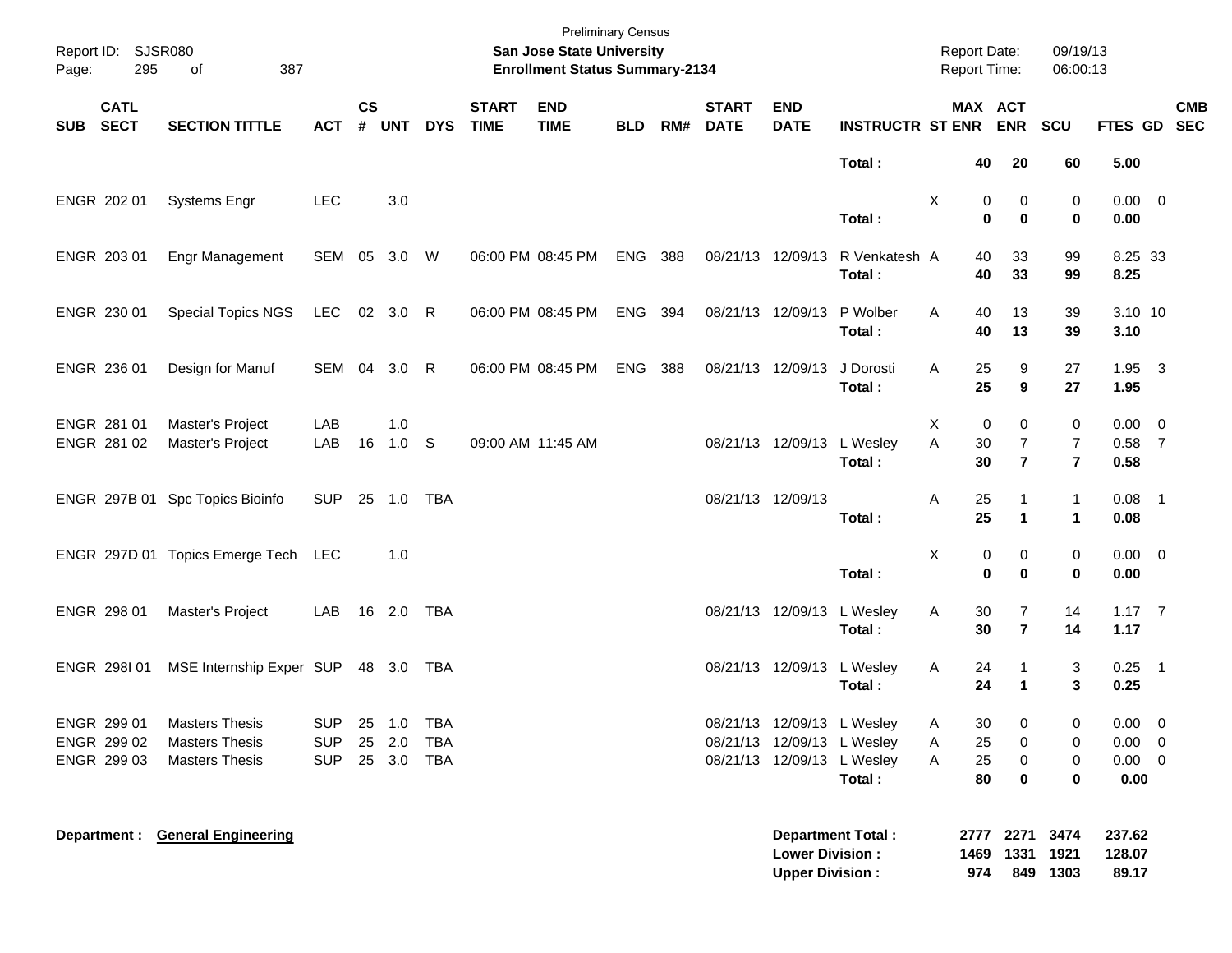| Report ID:<br>Page: | 295                        | <b>SJSR080</b><br>387<br>of                                                  |                                        |                |                         |                          |                             | <b>Preliminary Census</b><br>San Jose State University<br><b>Enrollment Status Summary-2134</b> |            |     |                             |                                                          |                                      |             | <b>Report Date:</b><br>Report Time: |                                         | 09/19/13<br>06:00:13                  |                                     |                               |            |
|---------------------|----------------------------|------------------------------------------------------------------------------|----------------------------------------|----------------|-------------------------|--------------------------|-----------------------------|-------------------------------------------------------------------------------------------------|------------|-----|-----------------------------|----------------------------------------------------------|--------------------------------------|-------------|-------------------------------------|-----------------------------------------|---------------------------------------|-------------------------------------|-------------------------------|------------|
| <b>SUB</b>          | <b>CATL</b><br><b>SECT</b> | <b>SECTION TITTLE</b>                                                        | <b>ACT</b>                             | <b>CS</b><br># | <b>UNT</b>              | <b>DYS</b>               | <b>START</b><br><b>TIME</b> | <b>END</b><br><b>TIME</b>                                                                       | <b>BLD</b> | RM# | <b>START</b><br><b>DATE</b> | <b>END</b><br><b>DATE</b>                                | <b>INSTRUCTR ST ENR</b>              |             | MAX ACT                             | <b>ENR</b>                              | <b>SCU</b>                            | FTES GD SEC                         |                               | <b>CMB</b> |
|                     |                            |                                                                              |                                        |                |                         |                          |                             |                                                                                                 |            |     |                             |                                                          | Total:                               |             | 40                                  | 20                                      | 60                                    | 5.00                                |                               |            |
|                     | ENGR 202 01                | <b>Systems Engr</b>                                                          | <b>LEC</b>                             |                | 3.0                     |                          |                             |                                                                                                 |            |     |                             |                                                          | Total:                               | Χ           | 0<br>$\bf{0}$                       | 0<br>$\mathbf 0$                        | 0<br>$\mathbf 0$                      | $0.00 \t 0$<br>0.00                 |                               |            |
|                     | ENGR 203 01                | <b>Engr Management</b>                                                       | SEM 05 3.0 W                           |                |                         |                          |                             | 06:00 PM 08:45 PM                                                                               | ENG        | 388 | 08/21/13 12/09/13           |                                                          | R Venkatesh A<br>Total:              |             | 40<br>40                            | 33<br>33                                | 99<br>99                              | 8.25 33<br>8.25                     |                               |            |
|                     | ENGR 230 01                | <b>Special Topics NGS</b>                                                    | LEC                                    |                | 02 3.0 R                |                          |                             | 06:00 PM 08:45 PM                                                                               | ENG 394    |     | 08/21/13 12/09/13           |                                                          | P Wolber<br>Total:                   | Α           | 40<br>40                            | 13<br>13                                | 39<br>39                              | 3.10 10<br>3.10                     |                               |            |
|                     | ENGR 236 01                | Design for Manuf                                                             | SEM 04 3.0 R                           |                |                         |                          |                             | 06:00 PM 08:45 PM                                                                               | ENG        | 388 | 08/21/13 12/09/13           |                                                          | J Dorosti<br>Total:                  | A           | 25<br>25                            | 9<br>$\boldsymbol{9}$                   | 27<br>27                              | $1.95 \quad 3$<br>1.95              |                               |            |
|                     | ENGR 281 01<br>ENGR 281 02 | Master's Project<br>Master's Project                                         | LAB<br>LAB                             | 16             | 1.0<br>1.0 <sub>S</sub> |                          |                             | 09:00 AM 11:45 AM                                                                               |            |     |                             | 08/21/13 12/09/13                                        | L Wesley<br>Total:                   | X<br>Α      | 0<br>30<br>30                       | 0<br>$\boldsymbol{7}$<br>$\overline{7}$ | 0<br>$\overline{7}$<br>$\overline{7}$ | $0.00 \t 0$<br>$0.58$ 7<br>0.58     |                               |            |
|                     |                            | ENGR 297B 01 Spc Topics Bioinfo                                              | <b>SUP</b>                             |                | 25 1.0                  | TBA                      |                             |                                                                                                 |            |     | 08/21/13 12/09/13           |                                                          | Total:                               | Α           | 25<br>25                            | $\blacktriangleleft$                    | $\mathbf{1}$<br>$\mathbf{1}$          | $0.08$ 1<br>0.08                    |                               |            |
|                     |                            | ENGR 297D 01 Topics Emerge Tech                                              | LEC                                    |                | 1.0                     |                          |                             |                                                                                                 |            |     |                             |                                                          | Total:                               | X           | 0<br>$\bf{0}$                       | 0<br>$\mathbf 0$                        | 0<br>$\mathbf 0$                      | $0.00 \t 0$<br>0.00                 |                               |            |
|                     | ENGR 298 01                | Master's Project                                                             | LAB                                    |                | 16 2.0                  | TBA                      |                             |                                                                                                 |            |     |                             | 08/21/13 12/09/13                                        | L Wesley<br>Total:                   | A           | 30<br>30                            | 7<br>$\overline{7}$                     | 14<br>14                              | $1.17 \quad 7$<br>1.17              |                               |            |
|                     | ENGR 298101                | MSE Internship Exper SUP 48 3.0                                              |                                        |                |                         | TBA                      |                             |                                                                                                 |            |     |                             | 08/21/13 12/09/13                                        | L Wesley<br>Total:                   | A           | 24<br>24                            | $\blacktriangleleft$                    | 3<br>3                                | $0.25$ 1<br>0.25                    |                               |            |
|                     | ENGR 299 02<br>ENGR 299 03 | ENGR 299 01 Masters Thesis<br><b>Masters Thesis</b><br><b>Masters Thesis</b> | SUP 25 1.0<br><b>SUP</b><br><b>SUP</b> | 25             | 2.0<br>25 3.0           | <b>TBA</b><br>TBA<br>TBA |                             |                                                                                                 |            |     |                             | 08/21/13 12/09/13 L Wesley<br>08/21/13 12/09/13 L Wesley | 08/21/13 12/09/13 L Wesley<br>Total: | Α<br>Α<br>Α | 30 <sup>°</sup><br>25<br>25<br>80   | $\mathbf 0$<br>0<br>0<br>$\mathbf 0$    | 0<br>0<br>0<br>$\bf{0}$               | 0.00<br>$0.00 \t 0$<br>0.00<br>0.00 | $\overline{0}$<br>$\mathbf 0$ |            |
|                     |                            | Department : General Engineering                                             |                                        |                |                         |                          |                             |                                                                                                 |            |     |                             | <b>Lower Division:</b><br><b>Upper Division:</b>         | <b>Department Total:</b>             |             | 1469<br>974                         | 2777 2271<br>1331                       | 3474<br>1921<br>849 1303              | 237.62<br>128.07<br>89.17           |                               |            |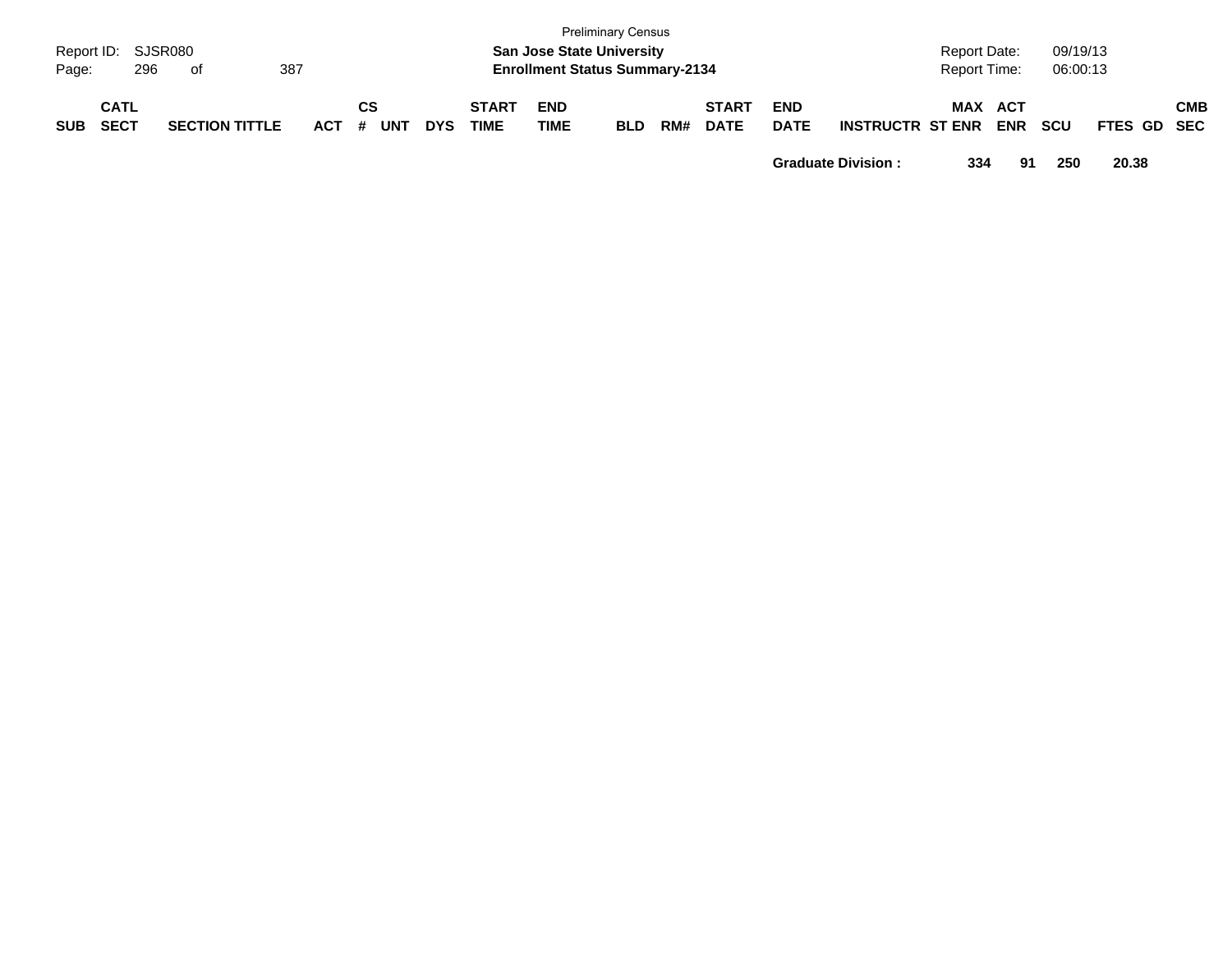| Page:      | Report ID: SJSR080<br>296  | . of                  | 387   |                  |            |                      |                    | <b>Preliminary Census</b><br><b>San Jose State University</b><br><b>Enrollment Status Summary-2134</b> |     |                             |                           |                         | Report Date:<br><b>Report Time:</b> |            | 09/19/13<br>06:00:13 |             |            |
|------------|----------------------------|-----------------------|-------|------------------|------------|----------------------|--------------------|--------------------------------------------------------------------------------------------------------|-----|-----------------------------|---------------------------|-------------------------|-------------------------------------|------------|----------------------|-------------|------------|
| <b>SUB</b> | <b>CATL</b><br><b>SECT</b> | <b>SECTION TITTLE</b> | ACT # | СS<br><b>UNT</b> | <b>DYS</b> | <b>START</b><br>TIME | <b>END</b><br>TIME | <b>BLD</b>                                                                                             | RM# | <b>START</b><br><b>DATE</b> | <b>END</b><br><b>DATE</b> | <b>INSTRUCTR ST ENR</b> | MAX ACT                             | <b>ENR</b> | <b>SCU</b>           | FTES GD SEC | <b>CMB</b> |

**Graduate Division : 334 91 250 20.38**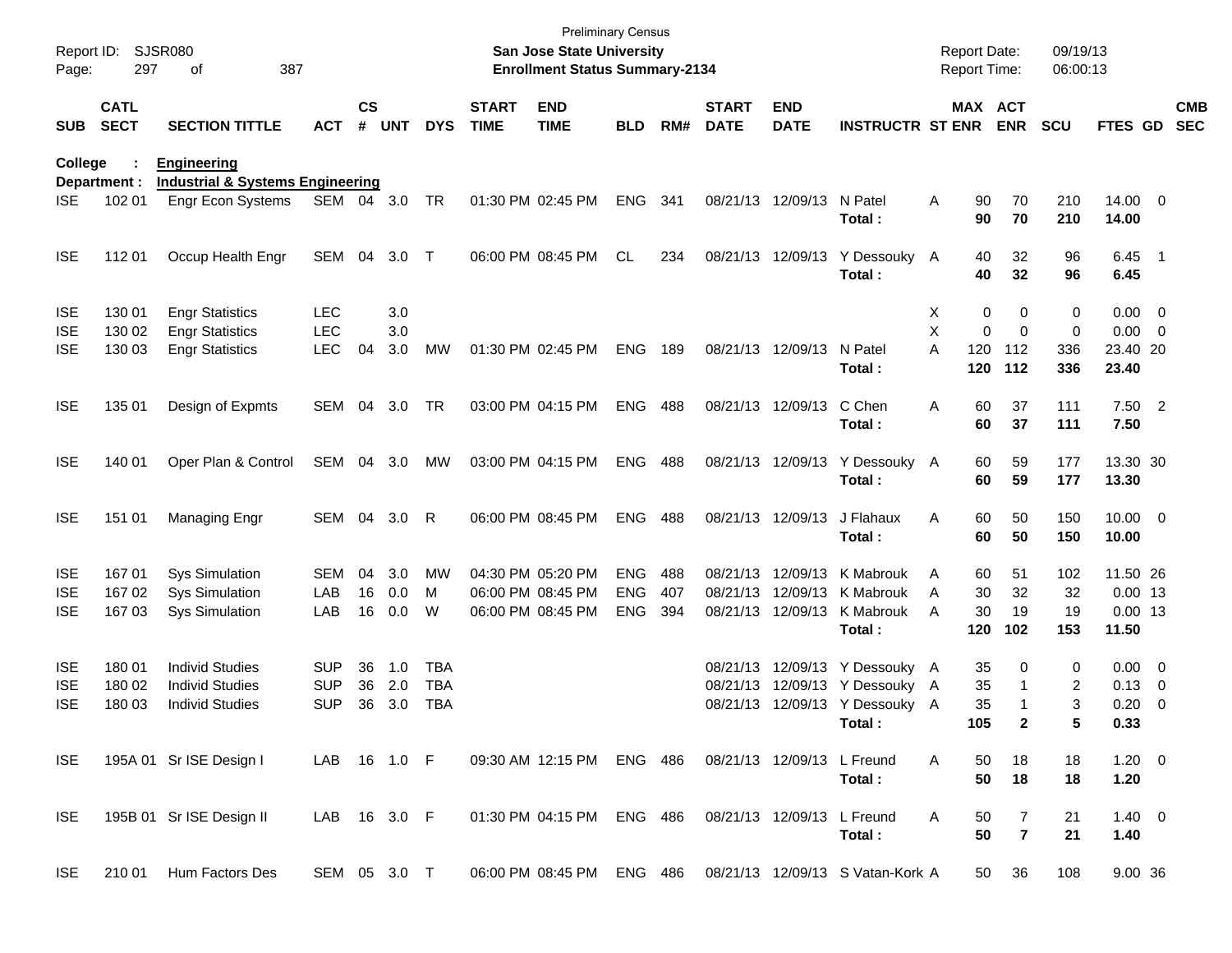| Report ID:<br>Page: | 297                        | <b>SJSR080</b><br>387<br>of                 |              |               |       |            |                             | <b>Preliminary Census</b><br>San Jose State University<br><b>Enrollment Status Summary-2134</b> |            |     |                             |                            |                                                            | Report Date:<br><b>Report Time:</b> |                       | 09/19/13<br>06:00:13 |                       |                          |                          |
|---------------------|----------------------------|---------------------------------------------|--------------|---------------|-------|------------|-----------------------------|-------------------------------------------------------------------------------------------------|------------|-----|-----------------------------|----------------------------|------------------------------------------------------------|-------------------------------------|-----------------------|----------------------|-----------------------|--------------------------|--------------------------|
| <b>SUB</b>          | <b>CATL</b><br><b>SECT</b> | <b>SECTION TITTLE</b>                       | <b>ACT</b>   | $\mathsf{cs}$ | # UNT | <b>DYS</b> | <b>START</b><br><b>TIME</b> | <b>END</b><br><b>TIME</b>                                                                       | <b>BLD</b> | RM# | <b>START</b><br><b>DATE</b> | <b>END</b><br><b>DATE</b>  | <b>INSTRUCTR ST ENR</b>                                    |                                     | MAX ACT<br><b>ENR</b> | <b>SCU</b>           | FTES GD               |                          | <b>CMB</b><br><b>SEC</b> |
| College             |                            | <b>Engineering</b>                          |              |               |       |            |                             |                                                                                                 |            |     |                             |                            |                                                            |                                     |                       |                      |                       |                          |                          |
|                     | Department :               | <b>Industrial &amp; Systems Engineering</b> |              |               |       |            |                             |                                                                                                 |            |     |                             |                            |                                                            |                                     |                       |                      |                       |                          |                          |
| <b>ISE</b>          | 102 01                     | <b>Engr Econ Systems</b>                    | SEM 04       |               | 3.0   | TR         |                             | 01:30 PM 02:45 PM                                                                               | ENG        | 341 |                             | 08/21/13 12/09/13          | N Patel<br>Total:                                          | 90<br>Α<br>90                       | 70<br>70              | 210<br>210           | 14.00 0<br>14.00      |                          |                          |
| <b>ISE</b>          | 11201                      | Occup Health Engr                           | SEM          | 04            | 3.0   | $\top$     |                             | 06:00 PM 08:45 PM                                                                               | CL         | 234 |                             | 08/21/13 12/09/13          | Y Dessouky A<br>Total:                                     | 40<br>40                            | 32<br>32              | 96<br>96             | $6.45$ 1<br>6.45      |                          |                          |
| <b>ISE</b>          | 130 01                     | <b>Engr Statistics</b>                      | LEC          |               | 3.0   |            |                             |                                                                                                 |            |     |                             |                            |                                                            | х                                   | 0<br>0                | 0                    | $0.00 \t 0$           |                          |                          |
| <b>ISE</b>          | 130 02                     | <b>Engr Statistics</b>                      | <b>LEC</b>   |               | 3.0   |            |                             |                                                                                                 |            |     |                             |                            |                                                            | X                                   | 0<br>$\mathbf 0$      | 0                    | $0.00 \t 0$           |                          |                          |
| <b>ISE</b>          | 130 03                     | <b>Engr Statistics</b>                      | <b>LEC</b>   | 04            | 3.0   | <b>MW</b>  |                             | 01:30 PM 02:45 PM                                                                               | <b>ENG</b> | 189 |                             | 08/21/13 12/09/13          | N Patel<br>Total:                                          | A<br>120<br>120                     | 112<br>112            | 336<br>336           | 23.40 20<br>23.40     |                          |                          |
| <b>ISE</b>          | 135 01                     | Design of Expmts                            | SEM          | 04            | 3.0   | TR         |                             | 03:00 PM 04:15 PM                                                                               | <b>ENG</b> | 488 |                             | 08/21/13 12/09/13          | C Chen<br>Total:                                           | Α<br>60<br>60                       | 37<br>37              | 111<br>111           | $7.50$ 2<br>7.50      |                          |                          |
| <b>ISE</b>          | 140 01                     | Oper Plan & Control                         | SEM          | 04            | 3.0   | MW         |                             | 03:00 PM 04:15 PM                                                                               | ENG        | 488 |                             |                            | 08/21/13 12/09/13 Y Dessouky A<br>Total:                   | 60<br>60                            | 59<br>59              | 177<br>177           | 13.30 30<br>13.30     |                          |                          |
| <b>ISE</b>          | 151 01                     | Managing Engr                               | SEM 04       |               | 3.0   | R          |                             | 06:00 PM 08:45 PM                                                                               | <b>ENG</b> | 488 |                             | 08/21/13 12/09/13          | J Flahaux<br>Total:                                        | 60<br>Α<br>60                       | 50<br>50              | 150<br>150           | $10.00 \t 0$<br>10.00 |                          |                          |
| <b>ISE</b>          | 16701                      | <b>Sys Simulation</b>                       | <b>SEM</b>   | 04            | 3.0   | MW         |                             | 04:30 PM 05:20 PM                                                                               | <b>ENG</b> | 488 |                             | 08/21/13 12/09/13          | K Mabrouk                                                  | 60<br>A                             | 51                    | 102                  | 11.50 26              |                          |                          |
| <b>ISE</b>          | 167 02                     | <b>Sys Simulation</b>                       | LAB          | 16            | 0.0   | м          |                             | 06:00 PM 08:45 PM                                                                               | <b>ENG</b> | 407 |                             | 08/21/13 12/09/13          | K Mabrouk                                                  | 30<br>A                             | 32                    | 32                   | $0.00$ 13             |                          |                          |
| <b>ISE</b>          | 167 03                     | <b>Sys Simulation</b>                       | LAB          | 16            | 0.0   | W          |                             | 06:00 PM 08:45 PM                                                                               | <b>ENG</b> | 394 |                             | 08/21/13 12/09/13          | K Mabrouk<br>Total:                                        | 30<br>A<br>120                      | 19<br>102             | 19<br>153            | $0.00$ 13<br>11.50    |                          |                          |
| <b>ISE</b>          | 18001                      | <b>Individ Studies</b>                      | <b>SUP</b>   | 36            | 1.0   | <b>TBA</b> |                             |                                                                                                 |            |     |                             |                            | 08/21/13 12/09/13 Y Dessouky A                             | 35                                  | 0                     | 0                    | $0.00 \t 0$           |                          |                          |
| <b>ISE</b>          | 180 02                     | <b>Individ Studies</b>                      | <b>SUP</b>   | 36            | 2.0   | <b>TBA</b> |                             |                                                                                                 |            |     |                             |                            | 08/21/13 12/09/13 Y Dessouky A                             | 35                                  |                       | 2                    | 0.13                  | $\overline{\phantom{0}}$ |                          |
| <b>ISE</b>          | 180 03                     | <b>Individ Studies</b>                      | <b>SUP</b>   | 36            | 3.0   | <b>TBA</b> |                             |                                                                                                 |            |     |                             |                            | 08/21/13 12/09/13 Y Dessouky A                             | 35                                  |                       | 3                    | 0.20                  | $\overline{\phantom{0}}$ |                          |
|                     |                            |                                             |              |               |       |            |                             |                                                                                                 |            |     |                             |                            | Total :                                                    | 105                                 |                       | 5                    | 0.33                  |                          |                          |
| ISE.                |                            | 195A 01 Sr ISE Design I                     | LAB 16 1.0 F |               |       |            |                             | 09:30 AM 12:15 PM ENG 486                                                                       |            |     |                             | 08/21/13 12/09/13 L Freund | Total:                                                     | 50<br>A<br>50                       | 18<br>18              | 18<br>18             | $1.20 \t 0$<br>1.20   |                          |                          |
| <b>ISE</b>          |                            | 195B 01 Sr ISE Design II                    | LAB 16 3.0 F |               |       |            |                             | 01:30 PM 04:15 PM ENG 486                                                                       |            |     |                             | 08/21/13 12/09/13 L Freund | Total:                                                     | A<br>50<br>50                       | 7<br>$\overline{7}$   | 21<br>21             | $1.40 \ 0$<br>1.40    |                          |                          |
| ISE                 |                            | 210 01 Hum Factors Des                      | SEM 05 3.0 T |               |       |            |                             |                                                                                                 |            |     |                             |                            | 06:00 PM 08:45 PM ENG 486 08/21/13 12/09/13 S Vatan-Kork A |                                     | 36<br>50              | 108                  | 9.00 36               |                          |                          |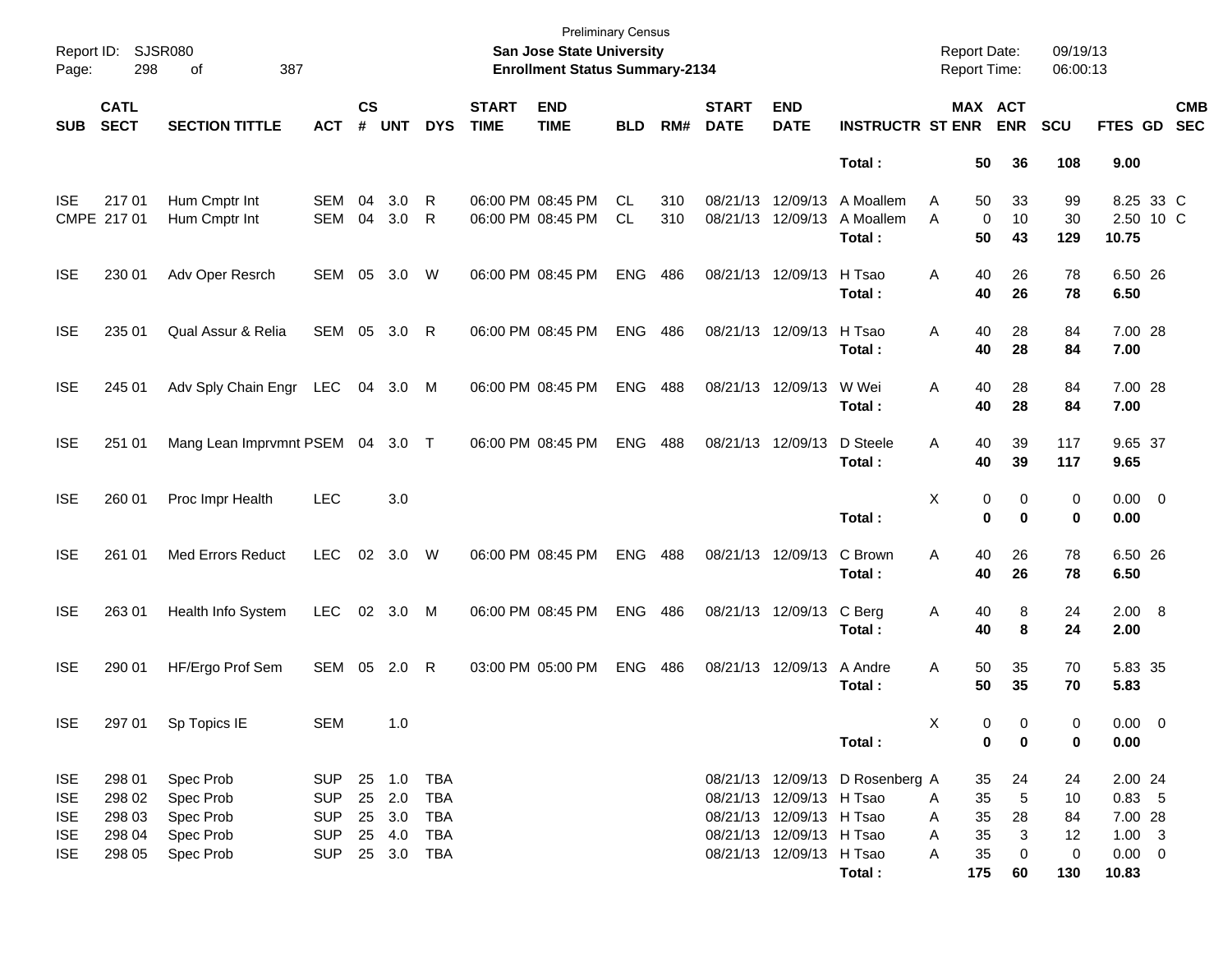| Page:                                                              | Report ID: SJSR080<br>298                      | 387<br>of                                                     |                                                             |                    |                                                        |                          |                             | <b>Preliminary Census</b><br>San Jose State University<br><b>Enrollment Status Summary-2134</b> |                 |            |                             |                                                                                                              |                                  | <b>Report Date:</b><br>Report Time: |                            |                         | 09/19/13<br>06:00:13      |                                                             |                          |
|--------------------------------------------------------------------|------------------------------------------------|---------------------------------------------------------------|-------------------------------------------------------------|--------------------|--------------------------------------------------------|--------------------------|-----------------------------|-------------------------------------------------------------------------------------------------|-----------------|------------|-----------------------------|--------------------------------------------------------------------------------------------------------------|----------------------------------|-------------------------------------|----------------------------|-------------------------|---------------------------|-------------------------------------------------------------|--------------------------|
| <b>SUB</b>                                                         | <b>CATL</b><br><b>SECT</b>                     | <b>SECTION TITTLE</b>                                         | <b>ACT</b>                                                  | $\mathsf{cs}$<br># | <b>UNT</b>                                             | <b>DYS</b>               | <b>START</b><br><b>TIME</b> | <b>END</b><br><b>TIME</b>                                                                       | <b>BLD</b>      | RM#        | <b>START</b><br><b>DATE</b> | <b>END</b><br><b>DATE</b>                                                                                    | <b>INSTRUCTR ST ENR</b>          | MAX ACT                             |                            | <b>ENR</b>              | <b>SCU</b>                | <b>FTES GD</b>                                              | <b>CMB</b><br><b>SEC</b> |
|                                                                    |                                                |                                                               |                                                             |                    |                                                        |                          |                             |                                                                                                 |                 |            |                             |                                                                                                              | Total:                           |                                     | 50                         | 36                      | 108                       | 9.00                                                        |                          |
| <b>ISE</b>                                                         | 21701<br>CMPE 217 01                           | Hum Cmptr Int<br>Hum Cmptr Int                                | <b>SEM</b><br>SEM                                           | 04<br>04           | 3.0<br>3.0                                             | R<br>R                   |                             | 06:00 PM 08:45 PM<br>06:00 PM 08:45 PM                                                          | CL<br><b>CL</b> | 310<br>310 | 08/21/13 12/09/13           | 08/21/13 12/09/13                                                                                            | A Moallem<br>A Moallem<br>Total: | Α<br>A                              | 50<br>0<br>50              | 33<br>10<br>43          | 99<br>30<br>129           | 8.25 33 C<br>2.50 10 C<br>10.75                             |                          |
| <b>ISE</b>                                                         | 230 01                                         | Adv Oper Resrch                                               | SEM                                                         | 05                 | 3.0                                                    | W                        |                             | 06:00 PM 08:45 PM                                                                               | <b>ENG</b>      | 486        | 08/21/13 12/09/13           |                                                                                                              | H Tsao<br>Total:                 | Α                                   | 40<br>40                   | 26<br>26                | 78<br>78                  | 6.50 26<br>6.50                                             |                          |
| <b>ISE</b>                                                         | 235 01                                         | Qual Assur & Relia                                            | SEM                                                         | 05                 | 3.0                                                    | $\mathsf{R}$             |                             | 06:00 PM 08:45 PM                                                                               | <b>ENG</b>      | 486        | 08/21/13 12/09/13           |                                                                                                              | H Tsao<br>Total:                 | Α                                   | 40<br>40                   | 28<br>28                | 84<br>84                  | 7.00 28<br>7.00                                             |                          |
| <b>ISE</b>                                                         | 245 01                                         | Adv Sply Chain Engr                                           | LEC                                                         | 04                 | 3.0                                                    | M                        |                             | 06:00 PM 08:45 PM                                                                               | <b>ENG</b>      | 488        | 08/21/13 12/09/13           |                                                                                                              | W Wei<br>Total:                  | Α                                   | 40<br>40                   | 28<br>28                | 84<br>84                  | 7.00 28<br>7.00                                             |                          |
| <b>ISE</b>                                                         | 251 01                                         | Mang Lean Imprvmnt PSEM 04 3.0 T                              |                                                             |                    |                                                        |                          |                             | 06:00 PM 08:45 PM                                                                               | <b>ENG</b>      | 488        | 08/21/13 12/09/13           |                                                                                                              | D Steele<br>Total:               | Α                                   | 40<br>40                   | 39<br>39                | 117<br>117                | 9.65 37<br>9.65                                             |                          |
| <b>ISE</b>                                                         | 260 01                                         | Proc Impr Health                                              | <b>LEC</b>                                                  |                    | 3.0                                                    |                          |                             |                                                                                                 |                 |            |                             |                                                                                                              | Total:                           | х                                   | 0<br>0                     | 0<br>$\bf{0}$           | 0<br>0                    | $0.00 \t 0$<br>0.00                                         |                          |
| <b>ISE</b>                                                         | 261 01                                         | <b>Med Errors Reduct</b>                                      | <b>LEC</b>                                                  | 02                 | 3.0                                                    | W                        |                             | 06:00 PM 08:45 PM                                                                               | <b>ENG</b>      | 488        | 08/21/13 12/09/13           |                                                                                                              | C Brown<br>Total:                | Α                                   | 40<br>40                   | 26<br>26                | 78<br>78                  | 6.50 26<br>6.50                                             |                          |
| <b>ISE</b>                                                         | 263 01                                         | Health Info System                                            | <b>LEC</b>                                                  |                    | 02 3.0                                                 | M                        |                             | 06:00 PM 08:45 PM                                                                               | <b>ENG</b>      | 486        | 08/21/13 12/09/13           |                                                                                                              | C Berg<br>Total:                 | A                                   | 40<br>40                   | 8<br>8                  | 24<br>24                  | 2.00 8<br>2.00                                              |                          |
| <b>ISE</b>                                                         | 290 01                                         | HF/Ergo Prof Sem                                              | SEM 05 2.0                                                  |                    |                                                        | $\mathsf{R}$             |                             | 03:00 PM 05:00 PM                                                                               | <b>ENG</b>      | 486        | 08/21/13 12/09/13           |                                                                                                              | A Andre<br>Total :               | Α                                   | 50<br>50                   | 35<br>35                | 70<br>70                  | 5.83 35<br>5.83                                             |                          |
| <b>ISE</b>                                                         | 297 01                                         | Sp Topics IE                                                  | SEM                                                         |                    | 1.0                                                    |                          |                             |                                                                                                 |                 |            |                             |                                                                                                              | Total :                          | X                                   | 0<br>0                     | - 0<br>$\bf{0}$         | $\Omega$<br>0             | $0.00 \t 0$<br>0.00                                         |                          |
| <b>ISE</b><br><b>ISE</b><br><b>ISE</b><br><b>ISE</b><br><b>ISE</b> | 298 01<br>298 02<br>298 03<br>298 04<br>298 05 | Spec Prob<br>Spec Prob<br>Spec Prob<br>Spec Prob<br>Spec Prob | SUP<br><b>SUP</b><br><b>SUP</b><br><b>SUP</b><br><b>SUP</b> |                    | 25 1.0 TBA<br>25 2.0<br>25 3.0<br>25 4.0<br>25 3.0 TBA | <b>TBA</b><br>TBA<br>TBA |                             |                                                                                                 |                 |            |                             | 08/21/13 12/09/13 H Tsao<br>08/21/13 12/09/13 H Tsao<br>08/21/13 12/09/13 H Tsao<br>08/21/13 12/09/13 H Tsao | 08/21/13 12/09/13 D Rosenberg A  | A<br>A<br>Α<br>Α                    | 35<br>35<br>35<br>35<br>35 | 24<br>5<br>28<br>3<br>0 | 24<br>10<br>84<br>12<br>0 | 2.00 24<br>$0.83$ 5<br>7.00 28<br>$1.00 \t3$<br>$0.00 \t 0$ |                          |
|                                                                    |                                                |                                                               |                                                             |                    |                                                        |                          |                             |                                                                                                 |                 |            |                             |                                                                                                              | Total:                           |                                     | 175                        | 60                      | 130                       | 10.83                                                       |                          |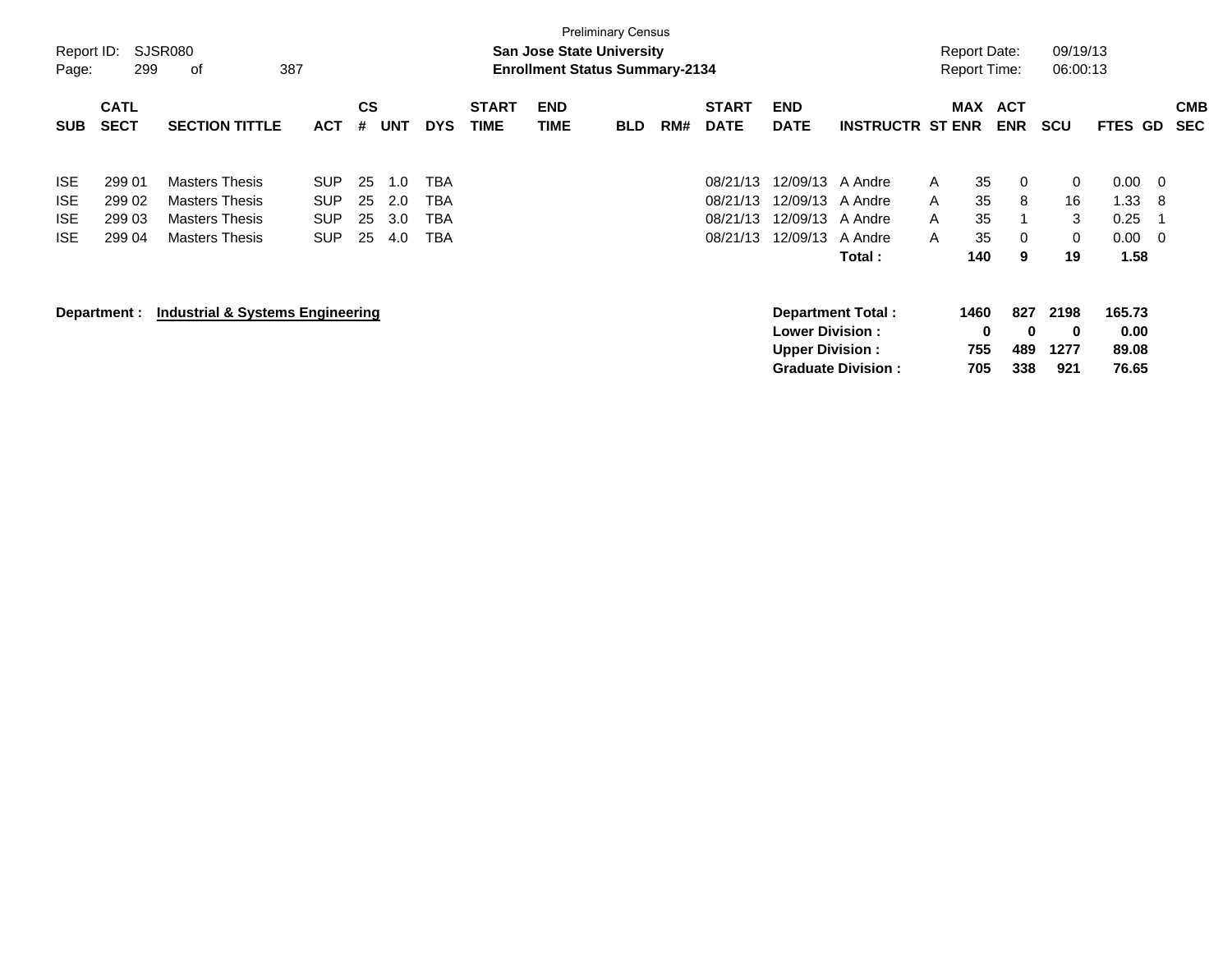| Report ID:<br>Page:                                  | 299                                  | SJSR080<br>387<br>οf                                                                             |                                                |                      |                          |                          |                             |                    | <b>Preliminary Census</b><br><b>San Jose State University</b><br><b>Enrollment Status Summary-2134</b> |     |                                              |                                                  |                                                       |                             | <b>Report Date:</b><br><b>Report Time:</b> |                          | 09/19/13<br>06:00:13            |                                      |                            |                          |
|------------------------------------------------------|--------------------------------------|--------------------------------------------------------------------------------------------------|------------------------------------------------|----------------------|--------------------------|--------------------------|-----------------------------|--------------------|--------------------------------------------------------------------------------------------------------|-----|----------------------------------------------|--------------------------------------------------|-------------------------------------------------------|-----------------------------|--------------------------------------------|--------------------------|---------------------------------|--------------------------------------|----------------------------|--------------------------|
| <b>SUB</b>                                           | <b>CATL</b><br><b>SECT</b>           | <b>SECTION TITTLE</b>                                                                            | <b>ACT</b>                                     | <b>CS</b><br>#       | <b>UNT</b>               | <b>DYS</b>               | <b>START</b><br><b>TIME</b> | <b>END</b><br>TIME | <b>BLD</b>                                                                                             | RM# | <b>START</b><br><b>DATE</b>                  | <b>END</b><br><b>DATE</b>                        | <b>INSTRUCTR ST ENR</b>                               |                             | <b>MAX</b>                                 | <b>ACT</b><br><b>ENR</b> | <b>SCU</b>                      | <b>FTES</b>                          | GD                         | <b>CMB</b><br><b>SEC</b> |
| <b>ISE</b><br><b>ISE</b><br><b>ISE</b><br><b>ISE</b> | 299 01<br>299 02<br>299 03<br>299 04 | <b>Masters Thesis</b><br><b>Masters Thesis</b><br><b>Masters Thesis</b><br><b>Masters Thesis</b> | SUP.<br><b>SUP</b><br><b>SUP</b><br><b>SUP</b> | 25<br>25<br>25<br>25 | 1.0<br>2.0<br>3.0<br>4.0 | TBA<br>TBA<br>TBA<br>TBA |                             |                    |                                                                                                        |     | 08/21/13<br>08/21/13<br>08/21/13<br>08/21/13 | 12/09/13<br>12/09/13<br>12/09/13<br>12/09/13     | A Andre<br>A Andre<br>A Andre<br>A Andre<br>Total :   | $\mathsf{A}$<br>A<br>A<br>A | 35<br>35<br>35<br>35<br>140                | 0<br>8<br>0<br>9         | 0<br>16<br>3<br>0<br>19         | 0.00<br>1.33<br>0.25<br>0.00<br>1.58 | - 0<br>8<br>$\overline{0}$ |                          |
|                                                      | Department :                         | <b>Industrial &amp; Systems Engineering</b>                                                      |                                                |                      |                          |                          |                             |                    |                                                                                                        |     |                                              | <b>Lower Division:</b><br><b>Upper Division:</b> | <b>Department Total:</b><br><b>Graduate Division:</b> |                             | 1460<br>$\bf{0}$<br>755<br>705             | 827<br>0<br>489<br>338   | 2198<br>$\bf{0}$<br>1277<br>921 | 165.73<br>0.00<br>89.08<br>76.65     |                            |                          |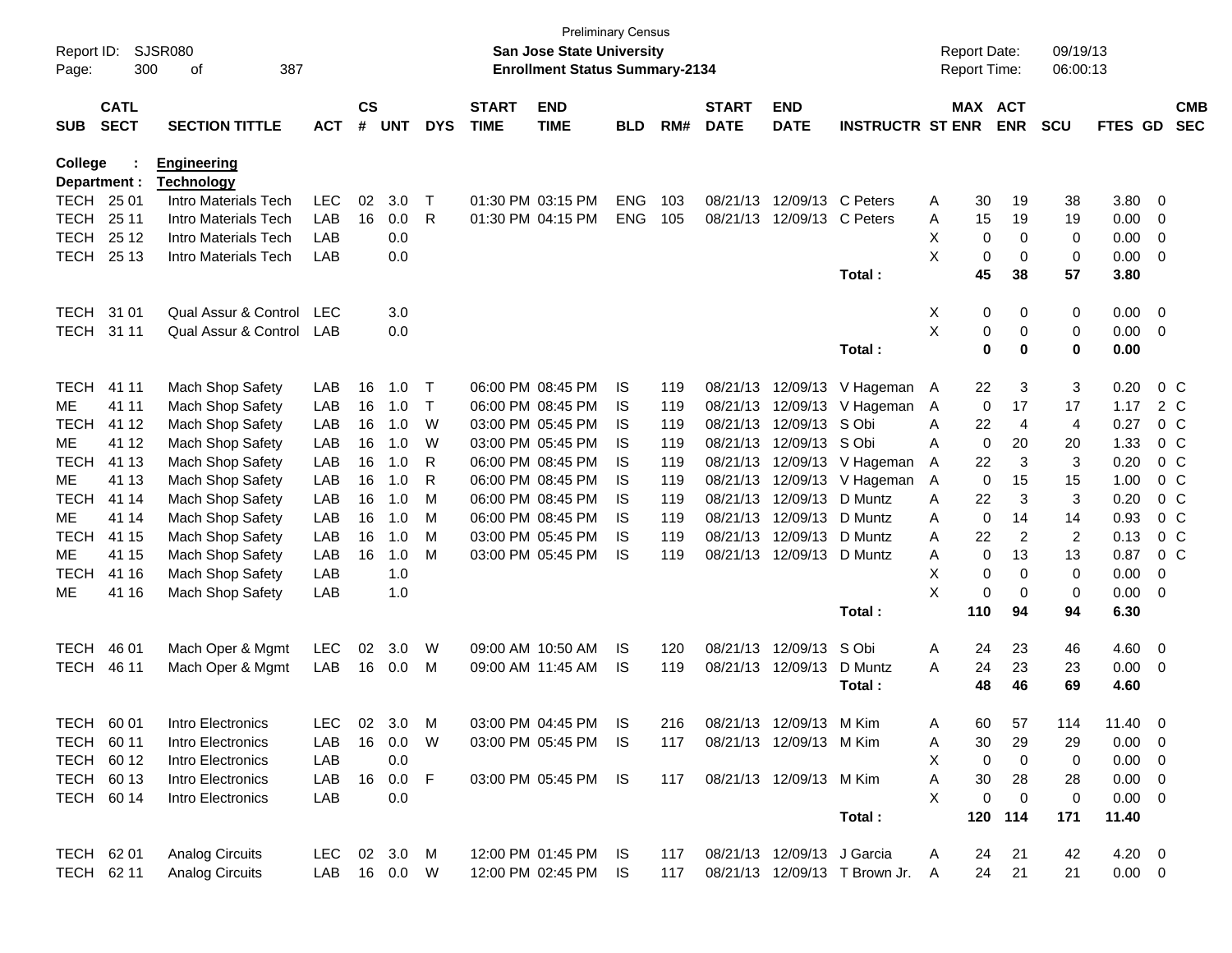| Report ID:<br>Page: | 300                        | SJSR080<br>387<br>οf                    |              |                    |            |             |                             | <b>San Jose State University</b><br><b>Enrollment Status Summary-2134</b> | <b>Preliminary Census</b> |      |                             |                            |                               |   | <b>Report Date:</b><br><b>Report Time:</b> |                | 09/19/13<br>06:00:13 |                |                |                          |
|---------------------|----------------------------|-----------------------------------------|--------------|--------------------|------------|-------------|-----------------------------|---------------------------------------------------------------------------|---------------------------|------|-----------------------------|----------------------------|-------------------------------|---|--------------------------------------------|----------------|----------------------|----------------|----------------|--------------------------|
| <b>SUB</b>          | <b>CATL</b><br><b>SECT</b> | <b>SECTION TITTLE</b>                   | <b>ACT</b>   | $\mathsf{cs}$<br># | <b>UNT</b> | <b>DYS</b>  | <b>START</b><br><b>TIME</b> | <b>END</b><br><b>TIME</b>                                                 | <b>BLD</b>                | RM#  | <b>START</b><br><b>DATE</b> | <b>END</b><br><b>DATE</b>  | <b>INSTRUCTR ST ENR</b>       |   | MAX ACT                                    | <b>ENR</b>     | <b>SCU</b>           | FTES GD        |                | <b>CMB</b><br><b>SEC</b> |
| College             | Department :               | <b>Engineering</b><br><b>Technology</b> |              |                    |            |             |                             |                                                                           |                           |      |                             |                            |                               |   |                                            |                |                      |                |                |                          |
| TECH                | 25 01                      | Intro Materials Tech                    | LEC          | 02                 | 3.0        | Т           |                             | 01:30 PM 03:15 PM                                                         | <b>ENG</b>                | 103  | 08/21/13                    |                            | 12/09/13 C Peters             | A | 30                                         | 19             | 38                   | 3.80           | 0              |                          |
| <b>TECH</b>         | 25 11                      | Intro Materials Tech                    | LAB          | 16                 | 0.0        | R           |                             | 01:30 PM 04:15 PM                                                         | <b>ENG</b>                | 105  | 08/21/13                    |                            | 12/09/13 C Peters             | Α | 15                                         | 19             | 19                   | 0.00           | 0              |                          |
| <b>TECH</b>         | 25 12                      | Intro Materials Tech                    | LAB          |                    | 0.0        |             |                             |                                                                           |                           |      |                             |                            |                               | X | 0                                          | 0              | 0                    | 0.00           | 0              |                          |
| <b>TECH</b>         | 25 13                      | Intro Materials Tech                    | LAB          |                    | 0.0        |             |                             |                                                                           |                           |      |                             |                            |                               | X | 0                                          | 0              | 0                    | 0.00           | 0              |                          |
|                     |                            |                                         |              |                    |            |             |                             |                                                                           |                           |      |                             |                            | Total:                        |   | 45                                         | 38             | 57                   | 3.80           |                |                          |
| <b>TECH</b>         | 31 01                      | Qual Assur & Control                    | LEC          |                    | 3.0        |             |                             |                                                                           |                           |      |                             |                            |                               | X | 0                                          | 0              | 0                    | 0.00           | $\overline{0}$ |                          |
| <b>TECH</b>         | 31 11                      | Qual Assur & Control                    | <b>LAB</b>   |                    | 0.0        |             |                             |                                                                           |                           |      |                             |                            |                               | Χ | 0                                          | 0              | 0                    | 0.00           | 0              |                          |
|                     |                            |                                         |              |                    |            |             |                             |                                                                           |                           |      |                             |                            | Total:                        |   | 0                                          | $\mathbf 0$    | 0                    | 0.00           |                |                          |
| <b>TECH</b>         | 41 11                      | Mach Shop Safety                        | LAB          | 16                 | 1.0        | Т           |                             | 06:00 PM 08:45 PM                                                         | IS.                       | 119  | 08/21/13                    | 12/09/13                   | V Hageman                     | A | 22                                         | 3              | 3                    | 0.20           |                | 0 <sup>C</sup>           |
| ME.                 | 41 11                      | Mach Shop Safety                        | LAB          | 16                 | 1.0        | $\top$      |                             | 06:00 PM 08:45 PM                                                         | IS.                       | 119  | 08/21/13                    | 12/09/13                   | V Hageman                     | A | 0                                          | 17             | 17                   | 1.17           |                | 2 C                      |
| <b>TECH</b>         | 41 12                      | Mach Shop Safety                        | LAB          | 16                 | 1.0        | W           |                             | 03:00 PM 05:45 PM                                                         | IS.                       | 119  | 08/21/13                    | 12/09/13                   | S Obi                         | A | 22                                         | 4              | 4                    | 0.27           |                | $0\,C$                   |
| ME.                 | 41 12                      | Mach Shop Safety                        | LAB          | 16                 | 1.0        | W           |                             | 03:00 PM 05:45 PM                                                         | IS.                       | 119  | 08/21/13                    | 12/09/13                   | S Obi                         | A | 0                                          | 20             | 20                   | 1.33           |                | $0\,C$                   |
| <b>TECH</b>         | 41 13                      | Mach Shop Safety                        | LAB          | 16                 | 1.0        | R           |                             | 06:00 PM 08:45 PM                                                         | IS.                       | 119  | 08/21/13                    | 12/09/13                   | V Hageman                     | A | 22                                         | 3              | 3                    | 0.20           |                | $0\,C$                   |
| ME.                 | 41 13                      | Mach Shop Safety                        | LAB          | 16                 | 1.0        | R           |                             | 06:00 PM 08:45 PM                                                         | IS.                       | 119  | 08/21/13                    | 12/09/13                   | V Hageman                     | A | 0                                          | 15             | 15                   | 1.00           |                | $0\,C$                   |
| <b>TECH</b>         | 41 14                      | Mach Shop Safety                        | LAB          | 16                 | 1.0        | М           |                             | 06:00 PM 08:45 PM                                                         | IS                        | 119  | 08/21/13                    | 12/09/13                   | D Muntz                       | A | 22                                         | 3              | 3                    | 0.20           |                | $0\,C$                   |
| ME.                 | 41 14                      | Mach Shop Safety                        | LAB          | 16                 | 1.0        | М           |                             | 06:00 PM 08:45 PM                                                         | IS.                       | 119  | 08/21/13                    | 12/09/13                   | D Muntz                       | A | $\mathbf 0$                                | 14             | 14                   | 0.93           |                | $0\,C$                   |
| <b>TECH</b>         | 41 15                      | Mach Shop Safety                        | LAB          | 16                 | 1.0        | М           |                             | 03:00 PM 05:45 PM                                                         | IS.                       | 119  | 08/21/13                    | 12/09/13                   | D Muntz                       | Α | 22                                         | $\overline{2}$ | 2                    | 0.13           |                | $0\,C$                   |
| ME.                 | 41 15                      | Mach Shop Safety                        | LAB          | 16                 | 1.0        | M           |                             | 03:00 PM 05:45 PM                                                         | IS.                       | 119  | 08/21/13                    | 12/09/13 D Muntz           |                               | A | 0                                          | 13             | 13                   | 0.87           |                | $0\,$ C                  |
| <b>TECH</b>         | 41 16                      | Mach Shop Safety                        | LAB          |                    | 1.0        |             |                             |                                                                           |                           |      |                             |                            |                               | х | 0                                          | 0              | 0                    | 0.00           | 0              |                          |
| ME                  | 41 16                      | Mach Shop Safety                        | LAB          |                    | 1.0        |             |                             |                                                                           |                           |      |                             |                            | Total:                        | X | 0<br>110                                   | 0<br>94        | 0<br>94              | 0.00<br>6.30   | 0              |                          |
|                     |                            |                                         |              |                    |            |             |                             |                                                                           |                           |      |                             |                            |                               |   |                                            |                |                      |                |                |                          |
| <b>TECH</b>         | 46 01                      | Mach Oper & Mgmt                        | <b>LEC</b>   | 02                 | 3.0        | W           |                             | 09:00 AM 10:50 AM                                                         | IS                        | 120  | 08/21/13                    | 12/09/13                   | S Obi                         | Α | 24                                         | 23             | 46                   | 4.60           | $\overline{0}$ |                          |
| <b>TECH</b>         | 46 11                      | Mach Oper & Mgmt                        | LAB          | 16                 | 0.0        | M           |                             | 09:00 AM 11:45 AM                                                         | IS.                       | 119  |                             | 08/21/13 12/09/13          | D Muntz                       | A | 24                                         | 23             | 23                   | 0.00           | 0              |                          |
|                     |                            |                                         |              |                    |            |             |                             |                                                                           |                           |      |                             |                            | Total:                        |   | 48                                         | 46             | 69                   | 4.60           |                |                          |
| <b>TECH</b>         | 60 01                      | Intro Electronics                       | LEC.         |                    | 02 3.0     | M           |                             | 03:00 PM 04:45 PM                                                         | IS.                       | 216. |                             | 08/21/13 12/09/13 M Kim    |                               | A | 60.                                        | 57             | 114                  | 11.40          | - 0            |                          |
|                     | TECH 60 11                 | Intro Electronics                       | LAB          | 16                 | 0.0        | W           |                             | 03:00 PM 05:45 PM IS                                                      |                           | 117  |                             | 08/21/13 12/09/13 M Kim    |                               | Α | 30                                         | 29             | 29                   | $0.00 \quad 0$ |                |                          |
| <b>TECH</b>         | 60 12                      | Intro Electronics                       | LAB          |                    | 0.0        |             |                             |                                                                           |                           |      |                             |                            |                               | X | $\Omega$                                   | 0              | 0                    | $0.00 \t 0$    |                |                          |
|                     | TECH 60 13                 | Intro Electronics                       | LAB          | 16                 | 0.0        | $\mathsf F$ |                             | 03:00 PM 05:45 PM IS                                                      |                           | 117  |                             | 08/21/13 12/09/13 M Kim    |                               | A | 30                                         | 28             | 28                   | $0.00 \quad 0$ |                |                          |
|                     | TECH 60 14                 | Intro Electronics                       | LAB          |                    | 0.0        |             |                             |                                                                           |                           |      |                             |                            |                               | X | $\Omega$                                   | 0              | 0                    | $0.00 \t 0$    |                |                          |
|                     |                            |                                         |              |                    |            |             |                             |                                                                           |                           |      |                             |                            | Total:                        |   | 120                                        | 114            | 171                  | 11.40          |                |                          |
|                     | TECH 62 01                 | <b>Analog Circuits</b>                  | LEC 02 3.0 M |                    |            |             |                             | 12:00 PM 01:45 PM IS                                                      |                           | 117  |                             | 08/21/13 12/09/13 J Garcia |                               | A | 24                                         | 21             | 42                   | $4.20 \ 0$     |                |                          |
|                     | TECH 62 11                 | Analog Circuits                         | LAB 16 0.0 W |                    |            |             |                             | 12:00 PM 02:45 PM                                                         | - IS                      | 117  |                             |                            | 08/21/13 12/09/13 T Brown Jr. | A | 24                                         | 21             | 21                   | $0.00 \t 0$    |                |                          |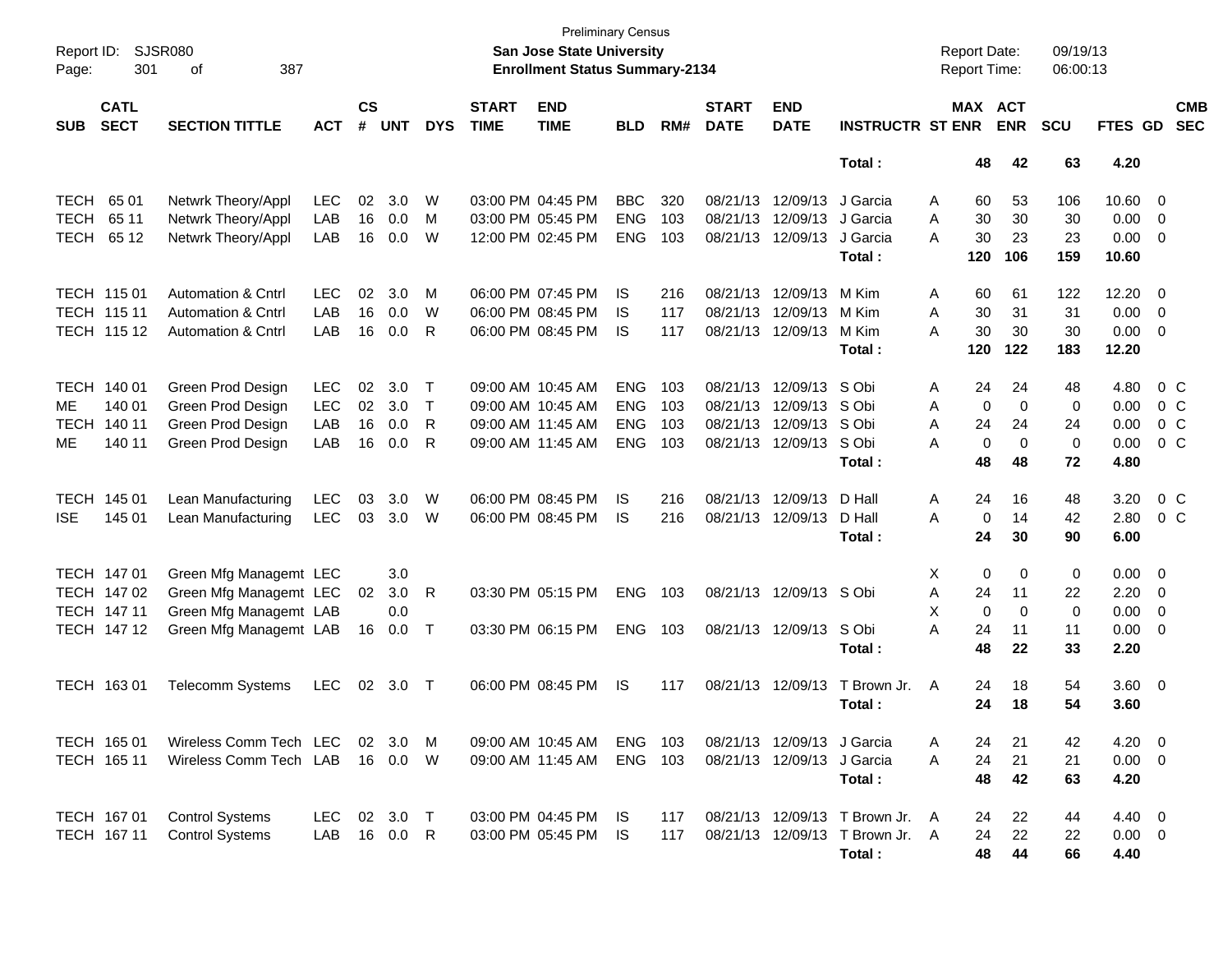| Report ID:<br>Page: | <b>SJSR080</b><br>301      |                               |            |                |                |              | <b>Preliminary Census</b><br>San Jose State University<br><b>Enrollment Status Summary-2134</b> |                           |            |       |                             |                            |                                 | <b>Report Date:</b><br><b>Report Time:</b> |     | 09/19/13<br>06:00:13  |             |                |                          |                          |
|---------------------|----------------------------|-------------------------------|------------|----------------|----------------|--------------|-------------------------------------------------------------------------------------------------|---------------------------|------------|-------|-----------------------------|----------------------------|---------------------------------|--------------------------------------------|-----|-----------------------|-------------|----------------|--------------------------|--------------------------|
| <b>SUB</b>          | <b>CATL</b><br><b>SECT</b> | <b>SECTION TITTLE</b>         | <b>ACT</b> | <b>CS</b><br># | <b>UNT</b>     | <b>DYS</b>   | <b>START</b><br><b>TIME</b>                                                                     | <b>END</b><br><b>TIME</b> | <b>BLD</b> | RM#   | <b>START</b><br><b>DATE</b> | <b>END</b><br><b>DATE</b>  | <b>INSTRUCTR ST ENR</b>         |                                            |     | MAX ACT<br><b>ENR</b> | <b>SCU</b>  | <b>FTES GD</b> |                          | <b>CMB</b><br><b>SEC</b> |
|                     |                            |                               |            |                |                |              |                                                                                                 |                           |            |       |                             |                            | Total:                          |                                            | 48  | 42                    | 63          | 4.20           |                          |                          |
| <b>TECH</b>         | 65 01                      | Netwrk Theory/Appl            | <b>LEC</b> | 02             | 3.0            | W            |                                                                                                 | 03:00 PM 04:45 PM         | <b>BBC</b> | 320   |                             | 08/21/13 12/09/13          | J Garcia                        | A                                          | 60  | 53                    | 106         | 10.60          | $\overline{\mathbf{0}}$  |                          |
| <b>TECH</b>         | 65 11                      | Netwrk Theory/Appl            | LAB        | 16             | 0.0            | М            |                                                                                                 | 03:00 PM 05:45 PM         | <b>ENG</b> | 103   |                             | 08/21/13 12/09/13          | J Garcia                        | Α                                          | 30  | 30                    | 30          | 0.00           | $\overline{0}$           |                          |
| <b>TECH</b>         | 65 12                      | Netwrk Theory/Appl            | LAB        | 16             | 0.0            | W            |                                                                                                 | 12:00 PM 02:45 PM         | <b>ENG</b> | 103   |                             | 08/21/13 12/09/13          | J Garcia                        | А                                          | 30  | 23                    | 23          | 0.00           | $\overline{\mathbf{0}}$  |                          |
|                     |                            |                               |            |                |                |              |                                                                                                 |                           |            |       |                             |                            | Total:                          |                                            | 120 | 106                   | 159         | 10.60          |                          |                          |
|                     | TECH 115 01                | <b>Automation &amp; Cntrl</b> | <b>LEC</b> | 02             | 3.0            | м            |                                                                                                 | 06:00 PM 07:45 PM         | IS         | 216   |                             | 08/21/13 12/09/13          | M Kim                           | Α                                          | 60  | 61                    | 122         | 12.20          | $\overline{\mathbf{0}}$  |                          |
|                     | TECH 115 11                | <b>Automation &amp; Cntrl</b> | LAB        | 16             | 0.0            | W            |                                                                                                 | 06:00 PM 08:45 PM         | IS         | 117   |                             | 08/21/13 12/09/13          | M Kim                           | A                                          | 30  | 31                    | 31          | 0.00           | $\overline{0}$           |                          |
|                     | TECH 115 12                | <b>Automation &amp; Cntrl</b> | LAB        | 16             | 0.0            | R            |                                                                                                 | 06:00 PM 08:45 PM         | IS         | 117   |                             | 08/21/13 12/09/13          | M Kim                           | Α                                          | 30  | 30                    | 30          | 0.00           | 0                        |                          |
|                     |                            |                               |            |                |                |              |                                                                                                 |                           |            |       |                             |                            | Total:                          |                                            | 120 | 122                   | 183         | 12.20          |                          |                          |
|                     | TECH 140 01                | Green Prod Design             | <b>LEC</b> | 02             | 3.0            | Τ            |                                                                                                 | 09:00 AM 10:45 AM         | <b>ENG</b> | 103   |                             | 08/21/13 12/09/13          | S Obi                           | Α                                          | 24  | 24                    | 48          | 4.80           | $0\,$ C                  |                          |
| МE                  | 140 01                     | Green Prod Design             | <b>LEC</b> | 02             | 3.0            | $\mathsf{T}$ |                                                                                                 | 09:00 AM 10:45 AM         | <b>ENG</b> | 103   |                             | 08/21/13 12/09/13          | S Obi                           | Α                                          | 0   | $\mathbf 0$           | 0           | 0.00           | 0 <sup>o</sup>           |                          |
| TECH                | 140 11                     | Green Prod Design             | LAB        | 16             | 0.0            | R            |                                                                                                 | 09:00 AM 11:45 AM         | <b>ENG</b> | 103   |                             | 08/21/13 12/09/13          | S Obi                           | A                                          | 24  | 24                    | 24          | 0.00           | 0 <sup>o</sup>           |                          |
| ME                  | 140 11                     | Green Prod Design             | LAB        | 16             | 0.0            | R.           |                                                                                                 | 09:00 AM 11:45 AM         | <b>ENG</b> | 103   |                             | 08/21/13 12/09/13          | S Obi                           | А                                          | 0   | $\mathbf 0$           | 0           | 0.00           | $0\,C$                   |                          |
|                     |                            |                               |            |                |                |              |                                                                                                 |                           |            |       |                             |                            | Total:                          |                                            | 48  | 48                    | 72          | 4.80           |                          |                          |
|                     | TECH 145 01                | Lean Manufacturing            | <b>LEC</b> | 03             | 3.0            | W            |                                                                                                 | 06:00 PM 08:45 PM         | IS         | 216   |                             | 08/21/13 12/09/13          | D Hall                          | Α                                          | 24  | 16                    | 48          | 3.20           | 0 <sup>o</sup>           |                          |
| <b>ISE</b>          | 145 01                     | Lean Manufacturing            | <b>LEC</b> | 03             | 3.0            | W            |                                                                                                 | 06:00 PM 08:45 PM         | IS         | 216   |                             | 08/21/13 12/09/13          | D Hall                          | A                                          | 0   | 14                    | 42          | 2.80           | $0\,C$                   |                          |
|                     |                            |                               |            |                |                |              |                                                                                                 |                           |            |       |                             |                            | Total:                          |                                            | 24  | 30                    | 90          | 6.00           |                          |                          |
|                     | TECH 147 01                | Green Mfg Managemt LEC        |            |                | 3.0            |              |                                                                                                 |                           |            |       |                             |                            |                                 | X                                          | 0   | 0                     | 0           | 0.00           | $\overline{\mathbf{0}}$  |                          |
|                     | TECH 147 02                | Green Mfg Managemt LEC        |            | 02             | 3.0            | R            |                                                                                                 | 03:30 PM 05:15 PM         | ENG        | 103   |                             | 08/21/13 12/09/13          | S Obi                           | Α                                          | 24  | 11                    | 22          | 2.20           | $\overline{\mathbf{0}}$  |                          |
|                     | TECH 147 11                | Green Mfg Managemt LAB        |            |                | 0.0            |              |                                                                                                 |                           |            |       |                             |                            |                                 | X                                          | 0   | $\mathbf 0$           | $\mathbf 0$ | 0.00           | $\mathbf 0$              |                          |
|                     | TECH 147 12                | Green Mfg Managemt LAB        |            | 16             | 0.0            | $\top$       |                                                                                                 | 03:30 PM 06:15 PM         | <b>ENG</b> | 103   |                             | 08/21/13 12/09/13          | S Obi                           | A                                          | 24  | 11                    | 11          | 0.00           | $\overline{\mathbf{0}}$  |                          |
|                     |                            |                               |            |                |                |              |                                                                                                 |                           |            |       |                             |                            | Total:                          |                                            | 48  | 22                    | 33          | 2.20           |                          |                          |
|                     | TECH 163 01                | <b>Telecomm Systems</b>       | <b>LEC</b> | 02             | 3.0            | $\top$       |                                                                                                 | 06:00 PM 08:45 PM         | <b>IS</b>  | 117   |                             | 08/21/13 12/09/13          | T Brown Jr.                     | A                                          | 24  | 18                    | 54          | 3.60 0         |                          |                          |
|                     |                            |                               |            |                |                |              |                                                                                                 |                           |            |       |                             |                            | Total:                          |                                            | 24  | 18                    | 54          | 3.60           |                          |                          |
|                     | TECH 165 01                | Wireless Comm Tech LEC        |            |                | $02 \quad 3.0$ | M            |                                                                                                 | 09:00 AM 10:45 AM         | ENG        | - 103 |                             | 08/21/13 12/09/13 J Garcia |                                 | A                                          | 24  | 21                    | 42          | 4.20           | $\overline{\phantom{0}}$ |                          |
|                     | TECH 165 11                | Wireless Comm Tech LAB        |            |                | 16 0.0         | W            |                                                                                                 | 09:00 AM 11:45 AM         | ENG        | 103   |                             | 08/21/13 12/09/13          | J Garcia                        | Α                                          | 24  | 21                    | 21          | $0.00 \t 0$    |                          |                          |
|                     |                            |                               |            |                |                |              |                                                                                                 |                           |            |       |                             |                            | Total:                          |                                            | 48  | 42                    | 63          | 4.20           |                          |                          |
|                     | TECH 167 01                | <b>Control Systems</b>        | LEC.       |                | 02 3.0         | $\top$       |                                                                                                 | 03:00 PM 04:45 PM         | IS.        | 117   |                             |                            | 08/21/13 12/09/13 T Brown Jr. A |                                            | 24  | 22                    | 44          | $4.40 \quad 0$ |                          |                          |
|                     | TECH 167 11                | <b>Control Systems</b>        | LAB        | 16             | 0.0            | R            |                                                                                                 | 03:00 PM 05:45 PM         | IS         | 117   |                             | 08/21/13 12/09/13          | T Brown Jr. A                   |                                            | 24  | 22                    | 22          | $0.00 \t 0$    |                          |                          |
|                     |                            |                               |            |                |                |              |                                                                                                 |                           |            |       |                             |                            | Total:                          |                                            | 48  | 44                    | 66          | 4.40           |                          |                          |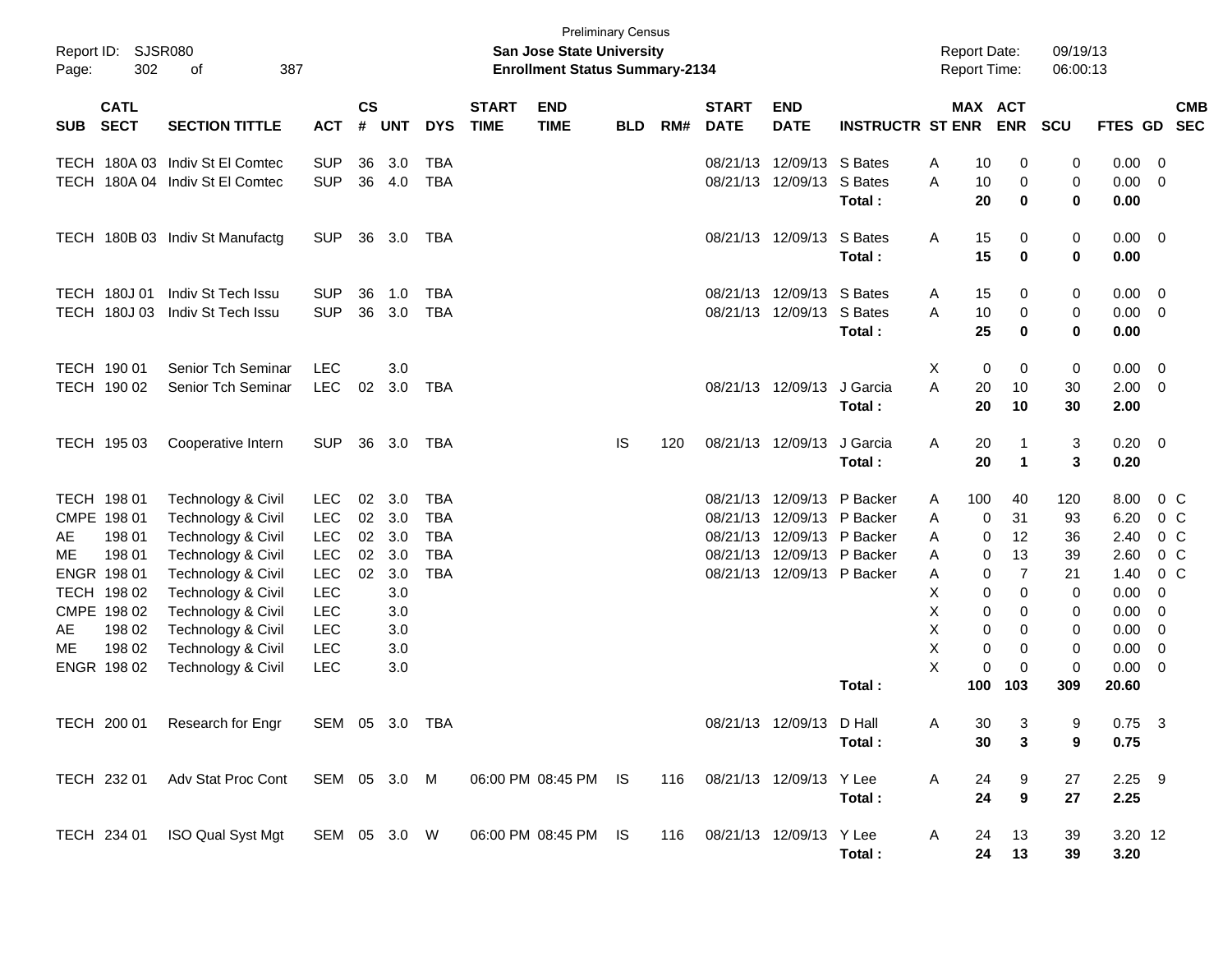| Page:                | Report ID: SJSR080<br>302                                                                                                      | 387<br>οf                                                                                                                                                                                                                |                                                                                                                            |                            |                                                                    |                                                                    |                             | San Jose State University<br><b>Enrollment Status Summary-2134</b> | <b>Preliminary Census</b> |     |                             |                                                                                                                                           |                         | <b>Report Date:</b><br><b>Report Time:</b>                   |                                                                                                                               | 09/19/13<br>06:00:13                                                            |                                                                                       |                                                                              |                          |
|----------------------|--------------------------------------------------------------------------------------------------------------------------------|--------------------------------------------------------------------------------------------------------------------------------------------------------------------------------------------------------------------------|----------------------------------------------------------------------------------------------------------------------------|----------------------------|--------------------------------------------------------------------|--------------------------------------------------------------------|-----------------------------|--------------------------------------------------------------------|---------------------------|-----|-----------------------------|-------------------------------------------------------------------------------------------------------------------------------------------|-------------------------|--------------------------------------------------------------|-------------------------------------------------------------------------------------------------------------------------------|---------------------------------------------------------------------------------|---------------------------------------------------------------------------------------|------------------------------------------------------------------------------|--------------------------|
| <b>SUB</b>           | <b>CATL</b><br><b>SECT</b>                                                                                                     | <b>SECTION TITTLE</b>                                                                                                                                                                                                    | <b>ACT</b>                                                                                                                 | $\mathsf{cs}$              | # UNT                                                              | <b>DYS</b>                                                         | <b>START</b><br><b>TIME</b> | <b>END</b><br><b>TIME</b>                                          | <b>BLD</b>                | RM# | <b>START</b><br><b>DATE</b> | <b>END</b><br><b>DATE</b>                                                                                                                 | <b>INSTRUCTR ST ENR</b> |                                                              | <b>MAX ACT</b><br><b>ENR</b>                                                                                                  | <b>SCU</b>                                                                      | <b>FTES GD</b>                                                                        |                                                                              | <b>CMB</b><br><b>SEC</b> |
|                      |                                                                                                                                | TECH 180A 03 Indiv St El Comtec<br>TECH 180A 04 Indiv St El Comtec                                                                                                                                                       | <b>SUP</b><br><b>SUP</b>                                                                                                   | 36<br>36                   | 3.0<br>4.0                                                         | <b>TBA</b><br><b>TBA</b>                                           |                             |                                                                    |                           |     |                             | 08/21/13 12/09/13 S Bates<br>08/21/13 12/09/13 S Bates                                                                                    | Total:                  | Α<br>10<br>A<br>10<br>20                                     | 0<br>0<br>0                                                                                                                   | 0<br>$\mathbf 0$<br>0                                                           | 0.00<br>0.00<br>0.00                                                                  | - 0<br>- 0                                                                   |                          |
|                      |                                                                                                                                | TECH 180B 03 Indiv St Manufactg                                                                                                                                                                                          | <b>SUP</b>                                                                                                                 | 36                         | 3.0                                                                | TBA                                                                |                             |                                                                    |                           |     |                             | 08/21/13 12/09/13 S Bates                                                                                                                 | Total:                  | Α<br>15<br>15                                                | 0<br>$\bf{0}$                                                                                                                 | 0<br>0                                                                          | $0.00 \ 0$<br>0.00                                                                    |                                                                              |                          |
|                      | TECH 180J 01<br>TECH 180J 03                                                                                                   | Indiv St Tech Issu<br>Indiv St Tech Issu                                                                                                                                                                                 | <b>SUP</b><br><b>SUP</b>                                                                                                   | 36<br>36                   | 1.0<br>3.0                                                         | TBA<br><b>TBA</b>                                                  |                             |                                                                    |                           |     |                             | 08/21/13 12/09/13 S Bates<br>08/21/13 12/09/13 S Bates                                                                                    | Total:                  | 15<br>A<br>A<br>10<br>25                                     | 0<br>0<br>0                                                                                                                   | 0<br>0<br>0                                                                     | 0.00<br>0.00<br>0.00                                                                  | $\overline{\mathbf{0}}$<br>$\overline{\mathbf{0}}$                           |                          |
|                      | TECH 190 01<br>TECH 190 02                                                                                                     | Senior Tch Seminar<br>Senior Tch Seminar                                                                                                                                                                                 | <b>LEC</b><br><b>LEC</b>                                                                                                   | 02                         | 3.0<br>3.0                                                         | TBA                                                                |                             |                                                                    |                           |     |                             | 08/21/13 12/09/13                                                                                                                         | J Garcia<br>Total:      | Χ<br>A<br>20<br>20                                           | 0<br>0<br>10<br>10                                                                                                            | 0<br>30<br>30                                                                   | 0.00<br>2.00<br>2.00                                                                  | $\overline{\mathbf{0}}$<br>$\overline{\mathbf{0}}$                           |                          |
|                      | TECH 195 03                                                                                                                    | Cooperative Intern                                                                                                                                                                                                       | <b>SUP</b>                                                                                                                 | 36                         | 3.0                                                                | TBA                                                                |                             |                                                                    | IS                        | 120 |                             | 08/21/13 12/09/13                                                                                                                         | J Garcia<br>Total:      | Α<br>20<br>20                                                | $\mathbf 1$<br>$\mathbf{1}$                                                                                                   | 3<br>3                                                                          | $0.20 \ 0$<br>0.20                                                                    |                                                                              |                          |
| AE<br>ME<br>AE<br>ME | TECH 198 01<br>CMPE 198 01<br>198 01<br>198 01<br>ENGR 198 01<br>TECH 198 02<br>CMPE 198 02<br>198 02<br>198 02<br>ENGR 198 02 | Technology & Civil<br>Technology & Civil<br>Technology & Civil<br>Technology & Civil<br>Technology & Civil<br>Technology & Civil<br>Technology & Civil<br>Technology & Civil<br>Technology & Civil<br>Technology & Civil | <b>LEC</b><br><b>LEC</b><br><b>LEC</b><br><b>LEC</b><br><b>LEC</b><br><b>LEC</b><br><b>LEC</b><br><b>LEC</b><br>LEC<br>LEC | 02<br>02<br>02<br>02<br>02 | 3.0<br>3.0<br>3.0<br>3.0<br>3.0<br>3.0<br>3.0<br>3.0<br>3.0<br>3.0 | <b>TBA</b><br><b>TBA</b><br><b>TBA</b><br><b>TBA</b><br><b>TBA</b> |                             |                                                                    |                           |     | 08/21/13                    | 08/21/13 12/09/13 P Backer<br>12/09/13 P Backer<br>08/21/13 12/09/13 P Backer<br>08/21/13 12/09/13 P Backer<br>08/21/13 12/09/13 P Backer | Total:                  | 100<br>A<br>A<br>A<br>A<br>A<br>X<br>X<br>X<br>X<br>X<br>100 | 40<br>31<br>0<br>12<br>0<br>13<br>0<br>$\overline{7}$<br>0<br>0<br>0<br>0<br>0<br>0<br>0<br>0<br>0<br>0<br>$\mathbf 0$<br>103 | 120<br>93<br>36<br>39<br>21<br>$\mathbf 0$<br>0<br>0<br>0<br>$\mathbf 0$<br>309 | 8.00<br>6.20<br>2.40<br>2.60<br>1.40<br>0.00<br>0.00<br>0.00<br>0.00<br>0.00<br>20.60 | $0\,$ C<br>0 C<br>0 C<br>0 <sup>o</sup><br>$0\,C$<br>0<br>0<br>0<br>0<br>- 0 |                          |
|                      | TECH 200 01                                                                                                                    | Research for Engr                                                                                                                                                                                                        | SEM 05 3.0 TBA                                                                                                             |                            |                                                                    |                                                                    |                             |                                                                    |                           |     |                             | 08/21/13 12/09/13 D Hall                                                                                                                  | Total:                  | Α<br>30<br>30                                                | 3<br>3                                                                                                                        | 9<br>9                                                                          | $0.75$ 3<br>0.75                                                                      |                                                                              |                          |
|                      | TECH 232 01                                                                                                                    | Adv Stat Proc Cont                                                                                                                                                                                                       | SEM 05 3.0 M                                                                                                               |                            |                                                                    |                                                                    |                             | 06:00 PM 08:45 PM IS                                               |                           | 116 |                             | 08/21/13 12/09/13 Y Lee                                                                                                                   | Total:                  | A<br>24<br>24                                                | 9<br>$\boldsymbol{9}$                                                                                                         | 27<br>27                                                                        | $2.25$ 9<br>2.25                                                                      |                                                                              |                          |
|                      | TECH 234 01                                                                                                                    | <b>ISO Qual Syst Mgt</b>                                                                                                                                                                                                 | SEM 05 3.0 W                                                                                                               |                            |                                                                    |                                                                    |                             | 06:00 PM 08:45 PM IS                                               |                           |     | 116 08/21/13 12/09/13 Y Lee |                                                                                                                                           | Total:                  | A                                                            | 13<br>24<br>24<br>13                                                                                                          | 39<br>39                                                                        | 3.20 12<br>3.20                                                                       |                                                                              |                          |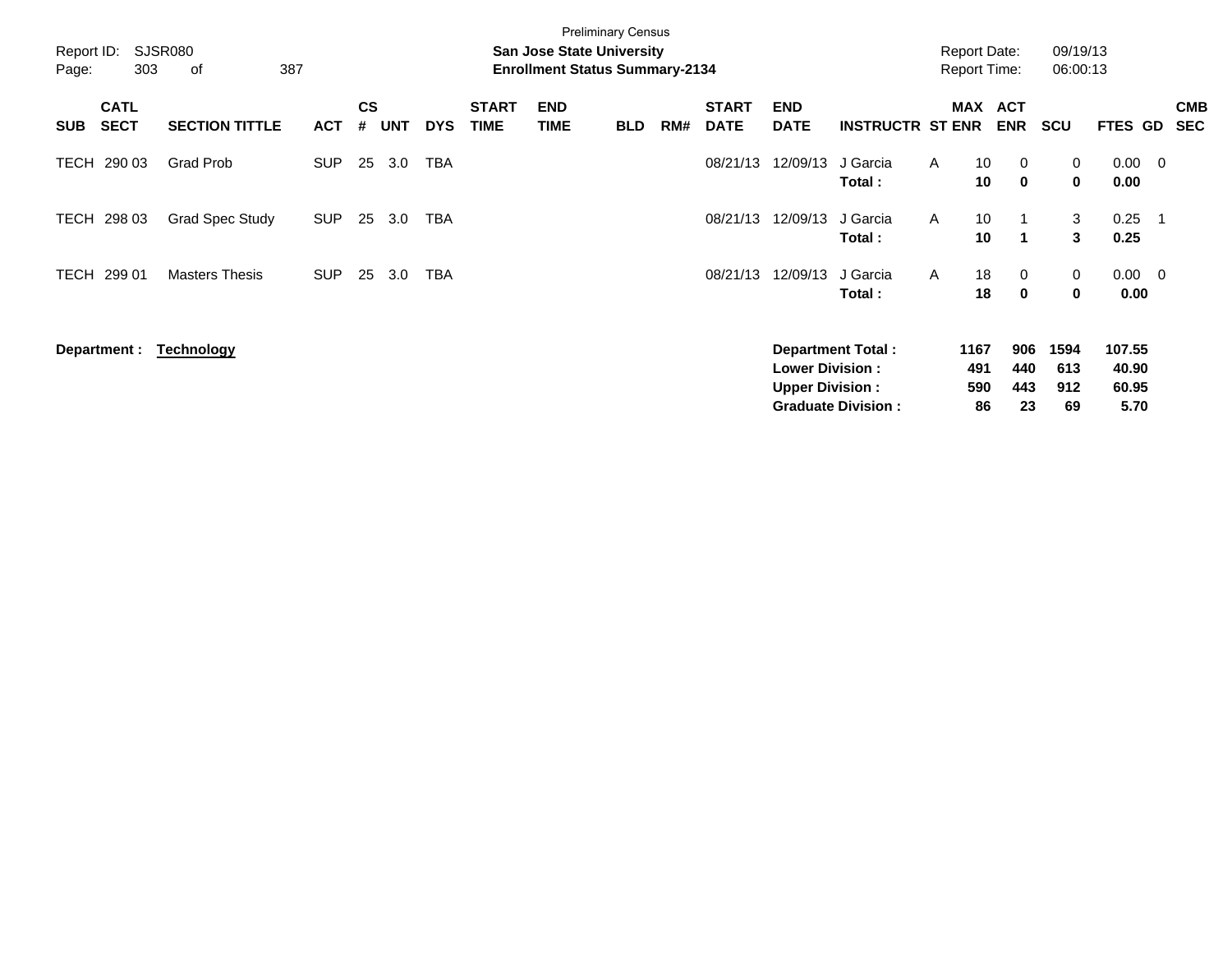| Report ID:<br>Page: | 303                        | SJSR080<br>387<br>οf   |            |                    |            |            |                             | <b>San Jose State University</b><br><b>Enrollment Status Summary-2134</b> | <b>Preliminary Census</b> |     |                             |                                                  |                           |              | <b>Report Date:</b><br><b>Report Time:</b> |                            | 09/19/13<br>06:00:13 |                          |                          |                          |
|---------------------|----------------------------|------------------------|------------|--------------------|------------|------------|-----------------------------|---------------------------------------------------------------------------|---------------------------|-----|-----------------------------|--------------------------------------------------|---------------------------|--------------|--------------------------------------------|----------------------------|----------------------|--------------------------|--------------------------|--------------------------|
| <b>SUB</b>          | <b>CATL</b><br><b>SECT</b> | <b>SECTION TITTLE</b>  | <b>ACT</b> | $\mathsf{cs}$<br># | <b>UNT</b> | <b>DYS</b> | <b>START</b><br><b>TIME</b> | <b>END</b><br><b>TIME</b>                                                 | <b>BLD</b>                | RM# | <b>START</b><br><b>DATE</b> | <b>END</b><br><b>DATE</b>                        | <b>INSTRUCTR ST ENR</b>   |              | MAX                                        | <b>ACT</b><br><b>ENR</b>   | SCU                  | <b>FTES GD</b>           |                          | <b>CMB</b><br><b>SEC</b> |
| TECH                | 290 03                     | Grad Prob              | <b>SUP</b> | 25                 | 3.0        | <b>TBA</b> |                             |                                                                           |                           |     | 08/21/13                    | 12/09/13                                         | J Garcia<br>Total:        | A            | 10<br>10                                   | $\mathbf 0$<br>$\mathbf 0$ | 0<br>0               | 0.00<br>0.00             | $\overline{\phantom{0}}$ |                          |
| TECH                | 298 03                     | <b>Grad Spec Study</b> | <b>SUP</b> | 25                 | 3.0        | <b>TBA</b> |                             |                                                                           |                           |     | 08/21/13                    | 12/09/13                                         | J Garcia<br>Total:        | A            | 10<br>10                                   | $\blacktriangleleft$       | 3<br>3               | 0.25<br>0.25             | $\overline{\phantom{1}}$ |                          |
| TECH                | 299 01                     | <b>Masters Thesis</b>  | <b>SUP</b> | 25                 | 3.0        | <b>TBA</b> |                             |                                                                           |                           |     | 08/21/13                    | 12/09/13                                         | J Garcia<br>Total:        | $\mathsf{A}$ | 18<br>18                                   | $\mathbf 0$<br>$\mathbf 0$ | 0<br>0               | $0.00 \t 0$<br>0.00      |                          |                          |
|                     | Department :               | <b>Technology</b>      |            |                    |            |            |                             |                                                                           |                           |     |                             | <b>Lower Division:</b><br><b>Upper Division:</b> | <b>Department Total:</b>  |              | 1167<br>491<br>590                         | 906<br>440<br>443          | 1594<br>613<br>912   | 107.55<br>40.90<br>60.95 |                          |                          |
|                     |                            |                        |            |                    |            |            |                             |                                                                           |                           |     |                             |                                                  | <b>Graduate Division:</b> |              | 86                                         | 23                         | 69                   | 5.70                     |                          |                          |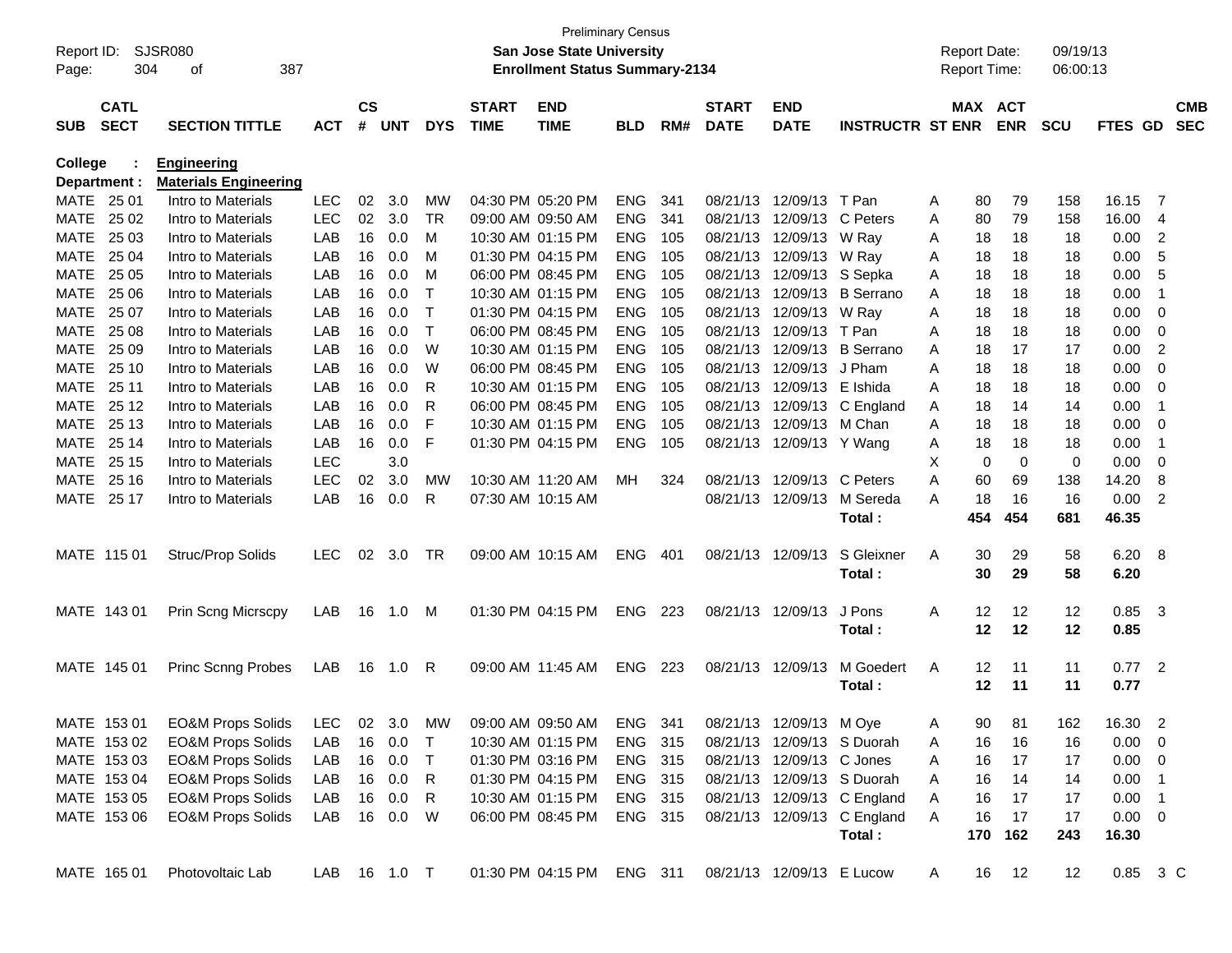|                |                            |                              |              |               |            |            |                             | <b>Preliminary Census</b>             |            |     |                           |                           |                             |   |                     |            |            |             |                            |            |
|----------------|----------------------------|------------------------------|--------------|---------------|------------|------------|-----------------------------|---------------------------------------|------------|-----|---------------------------|---------------------------|-----------------------------|---|---------------------|------------|------------|-------------|----------------------------|------------|
| Report ID:     |                            | SJSR080                      |              |               |            |            |                             | <b>San Jose State University</b>      |            |     |                           |                           |                             |   | <b>Report Date:</b> |            | 09/19/13   |             |                            |            |
| Page:          | 304                        | 387<br>оf                    |              |               |            |            |                             | <b>Enrollment Status Summary-2134</b> |            |     |                           |                           |                             |   | <b>Report Time:</b> |            | 06:00:13   |             |                            |            |
|                |                            |                              |              |               |            |            |                             |                                       |            |     |                           |                           |                             |   |                     |            |            |             |                            |            |
|                | <b>CATL</b><br><b>SECT</b> |                              |              | $\mathsf{cs}$ | <b>UNT</b> |            | <b>START</b><br><b>TIME</b> | <b>END</b>                            |            |     | <b>START</b>              | <b>END</b>                |                             |   | MAX ACT             |            |            |             |                            | <b>CMB</b> |
| <b>SUB</b>     |                            | <b>SECTION TITTLE</b>        | <b>ACT</b>   | #             |            | <b>DYS</b> |                             | <b>TIME</b>                           | <b>BLD</b> | RM# | <b>DATE</b>               | <b>DATE</b>               | <b>INSTRUCTR ST ENR</b>     |   |                     | <b>ENR</b> | <b>SCU</b> | FTES GD     |                            | <b>SEC</b> |
| <b>College</b> |                            | <b>Engineering</b>           |              |               |            |            |                             |                                       |            |     |                           |                           |                             |   |                     |            |            |             |                            |            |
|                | Department :               | <b>Materials Engineering</b> |              |               |            |            |                             |                                       |            |     |                           |                           |                             |   |                     |            |            |             |                            |            |
| <b>MATE</b>    | 25 01                      | Intro to Materials           | LEC          | 02            | 3.0        | MW         |                             | 04:30 PM 05:20 PM                     | <b>ENG</b> | 341 | 08/21/13                  | 12/09/13                  | T Pan                       | A | 80                  | 79         | 158        | 16.15       | -7                         |            |
| MATE           | 25 02                      | Intro to Materials           | <b>LEC</b>   | 02            | 3.0        | <b>TR</b>  |                             | 09:00 AM 09:50 AM                     | <b>ENG</b> | 341 | 08/21/13                  | 12/09/13                  | C Peters                    | A | 80                  | 79         | 158        | 16.00       | 4                          |            |
| MATE           | 25 03                      | Intro to Materials           | LAB          | 16            | 0.0        | M          |                             | 10:30 AM 01:15 PM                     | <b>ENG</b> | 105 | 08/21/13                  | 12/09/13                  | W Ray                       | A | 18                  | 18         | 18         | 0.00        | $\overline{c}$             |            |
| MATE           | 25 04                      | Intro to Materials           | LAB          | 16            | 0.0        | M          |                             | 01:30 PM 04:15 PM                     | <b>ENG</b> | 105 | 08/21/13                  | 12/09/13                  | W Ray                       | A | 18                  | 18         | 18         | 0.00        | 5                          |            |
| MATE           | 25 05                      | Intro to Materials           | LAB          | 16            | 0.0        | M          |                             | 06:00 PM 08:45 PM                     | <b>ENG</b> | 105 | 08/21/13                  | 12/09/13                  | S Sepka                     | A | 18                  | 18         | 18         | 0.00        | 5                          |            |
| MATE           | 25 06                      | Intro to Materials           | LAB          | 16            | 0.0        | Т          |                             | 10:30 AM 01:15 PM                     | <b>ENG</b> | 105 | 08/21/13                  | 12/09/13                  | <b>B</b> Serrano            | A | 18                  | 18         | 18         | 0.00        | $\overline{1}$             |            |
| MATE           | 25 07                      | Intro to Materials           | LAB          | 16            | 0.0        | Т          |                             | 01:30 PM 04:15 PM                     | <b>ENG</b> | 105 | 08/21/13                  | 12/09/13                  | W Ray                       | A | 18                  | 18         | 18         | 0.00        | 0                          |            |
| MATE           | 25 08                      | Intro to Materials           | LAB          | 16            | 0.0        | Т          |                             | 06:00 PM 08:45 PM                     | <b>ENG</b> | 105 | 08/21/13                  | 12/09/13                  | T Pan                       | Α | 18                  | 18         | 18         | 0.00        | 0                          |            |
| MATE           | 25 09                      | Intro to Materials           | LAB          | 16            | 0.0        | W          |                             | 10:30 AM 01:15 PM                     | <b>ENG</b> | 105 | 08/21/13                  | 12/09/13                  | <b>B</b> Serrano            | A | 18                  | 17         | 17         | 0.00        | 2                          |            |
| MATE           | 25 10                      | Intro to Materials           | LAB          | 16            | 0.0        | W          |                             | 06:00 PM 08:45 PM                     | <b>ENG</b> | 105 | 08/21/13                  | 12/09/13                  | J Pham                      | A | 18                  | 18         | 18         | 0.00        | 0                          |            |
| MATE           | 25 11                      | Intro to Materials           | LAB          | 16            | 0.0        | R          |                             | 10:30 AM 01:15 PM                     | <b>ENG</b> | 105 | 08/21/13                  | 12/09/13                  | E Ishida                    | A | 18                  | 18         | 18         | 0.00        | 0                          |            |
| MATE           | 25 12                      | Intro to Materials           | LAB          | 16            | 0.0        | R          |                             | 06:00 PM 08:45 PM                     | <b>ENG</b> | 105 | 08/21/13                  | 12/09/13                  | C England                   | A | 18                  | 14         | 14         | 0.00        | $\overline{1}$             |            |
| MATE           | 25 13                      | Intro to Materials           | LAB          | 16            | 0.0        | F          |                             | 10:30 AM 01:15 PM                     | <b>ENG</b> | 105 | 08/21/13                  | 12/09/13                  | M Chan                      | A | 18                  | 18         | 18         | 0.00        | 0                          |            |
| MATE           | 25 14                      | Intro to Materials           | LAB          | 16            | 0.0        | F          |                             | 01:30 PM 04:15 PM                     | <b>ENG</b> | 105 | 08/21/13                  | 12/09/13 Y Wang           |                             | A | 18                  | 18         | 18         | 0.00        | $\overline{1}$             |            |
| MATE           | 25 15                      | Intro to Materials           | LEC          |               | 3.0        |            |                             |                                       |            |     |                           |                           |                             | Х | 0                   | 0          | 0          | 0.00        | 0                          |            |
| MATE           | 25 16                      | Intro to Materials           | LEC          | 02            | 3.0        | МW         |                             | 10:30 AM 11:20 AM                     | MН         | 324 | 08/21/13                  | 12/09/13                  | C Peters                    | A | 60                  | 69         | 138        | 14.20       | 8                          |            |
| MATE           | 25 17                      | Intro to Materials           | LAB          | 16            | 0.0        | R          |                             | 07:30 AM 10:15 AM                     |            |     | 08/21/13                  | 12/09/13                  | M Sereda                    | A | 18                  | 16         | 16         | 0.00        | 2                          |            |
|                |                            |                              |              |               |            |            |                             |                                       |            |     |                           |                           | Total:                      |   | 454                 | 454        | 681        | 46.35       |                            |            |
|                | MATE 115 01                | Struc/Prop Solids            | <b>LEC</b>   | 02            | 3.0        | TR         |                             | 09:00 AM 10:15 AM                     | <b>ENG</b> | 401 | 08/21/13                  | 12/09/13                  | S Gleixner                  | Α | 30                  | 29         | 58         | 6.20        | - 8                        |            |
|                |                            |                              |              |               |            |            |                             |                                       |            |     |                           |                           | Total:                      |   | 30                  | 29         | 58         | 6.20        |                            |            |
|                |                            |                              |              |               |            |            |                             |                                       |            |     |                           |                           |                             |   |                     |            |            |             |                            |            |
|                | MATE 143 01                | <b>Prin Scng Micrscpy</b>    | LAB          | 16            | 1.0        | M          |                             | 01:30 PM 04:15 PM                     | <b>ENG</b> | 223 | 08/21/13                  | 12/09/13                  | J Pons                      | Α | 12                  | 12         | 12         | 0.85        | - 3                        |            |
|                |                            |                              |              |               |            |            |                             |                                       |            |     |                           |                           | Total:                      |   | 12                  | 12         | 12         | 0.85        |                            |            |
|                |                            |                              |              |               |            |            |                             |                                       |            |     |                           |                           |                             |   |                     |            |            |             |                            |            |
|                | MATE 145 01                | <b>Princ Scnng Probes</b>    | LAB          | 16            | 1.0        | R          |                             | 09:00 AM 11:45 AM                     | <b>ENG</b> | 223 | 08/21/13                  | 12/09/13                  | M Goedert                   | Α | 12                  | 11         | 11         | 0.77        | $\overline{\mathbf{2}}$    |            |
|                |                            |                              |              |               |            |            |                             |                                       |            |     |                           |                           | Total:                      |   | 12                  | 11         | 11         | 0.77        |                            |            |
|                | MATE 153 01                | <b>EO&amp;M Props Solids</b> | LEC          |               | 02 3.0     | MW         |                             | 09:00 AM 09:50 AM                     | ENG        | 341 |                           | 08/21/13 12/09/13 M Oye   |                             | A | 90                  | 81         | 162        | 16.30       | 2                          |            |
|                | MATE 153 02                | <b>EO&amp;M Props Solids</b> | LAB          |               | 16 0.0     | $\top$     |                             | 10:30 AM 01:15 PM                     | ENG 315    |     |                           |                           | 08/21/13 12/09/13 S Duorah  | A | 16                  | 16         | 16         | 0.00        | $\overline{\mathbf{0}}$    |            |
|                | MATE 153 03                | <b>EO&amp;M Props Solids</b> | LAB          |               | 16 0.0     | T          |                             | 01:30 PM 03:16 PM                     | ENG 315    |     |                           | 08/21/13 12/09/13 C Jones |                             | A | 16                  | 17         | 17         | 0.00        | $\overline{\phantom{0}}$   |            |
|                | MATE 153 04                | <b>EO&amp;M Props Solids</b> | LAB          |               | 16 0.0     | R          |                             | 01:30 PM 04:15 PM                     | ENG 315    |     |                           |                           | 08/21/13 12/09/13 S Duorah  | A | 16                  | 14         | 14         | 0.00        | $\overline{\phantom{0}}$ 1 |            |
|                | MATE 153 05                | <b>EO&amp;M Props Solids</b> | LAB          |               | 16 0.0     | R          |                             | 10:30 AM 01:15 PM                     | ENG 315    |     |                           |                           | 08/21/13 12/09/13 C England | Α | 16                  | 17         | 17         | 0.00        | $\blacksquare$             |            |
|                | MATE 153 06                | <b>EO&amp;M Props Solids</b> | LAB          |               | 16 0.0     | W          |                             | 06:00 PM 08:45 PM                     | ENG 315    |     |                           |                           | 08/21/13 12/09/13 C England | Α | 16                  | 17         | 17         | $0.00 \t 0$ |                            |            |
|                |                            |                              |              |               |            |            |                             |                                       |            |     |                           |                           | Total:                      |   | 170                 | 162        | 243        | 16.30       |                            |            |
|                |                            |                              |              |               |            |            |                             |                                       |            |     |                           |                           |                             |   |                     |            |            |             |                            |            |
|                | MATE 165 01                | Photovoltaic Lab             | LAB 16 1.0 T |               |            |            |                             | 01:30 PM 04:15 PM ENG 311             |            |     | 08/21/13 12/09/13 E Lucow |                           |                             | A | 16                  | 12         | 12         | 0.85 3 C    |                            |            |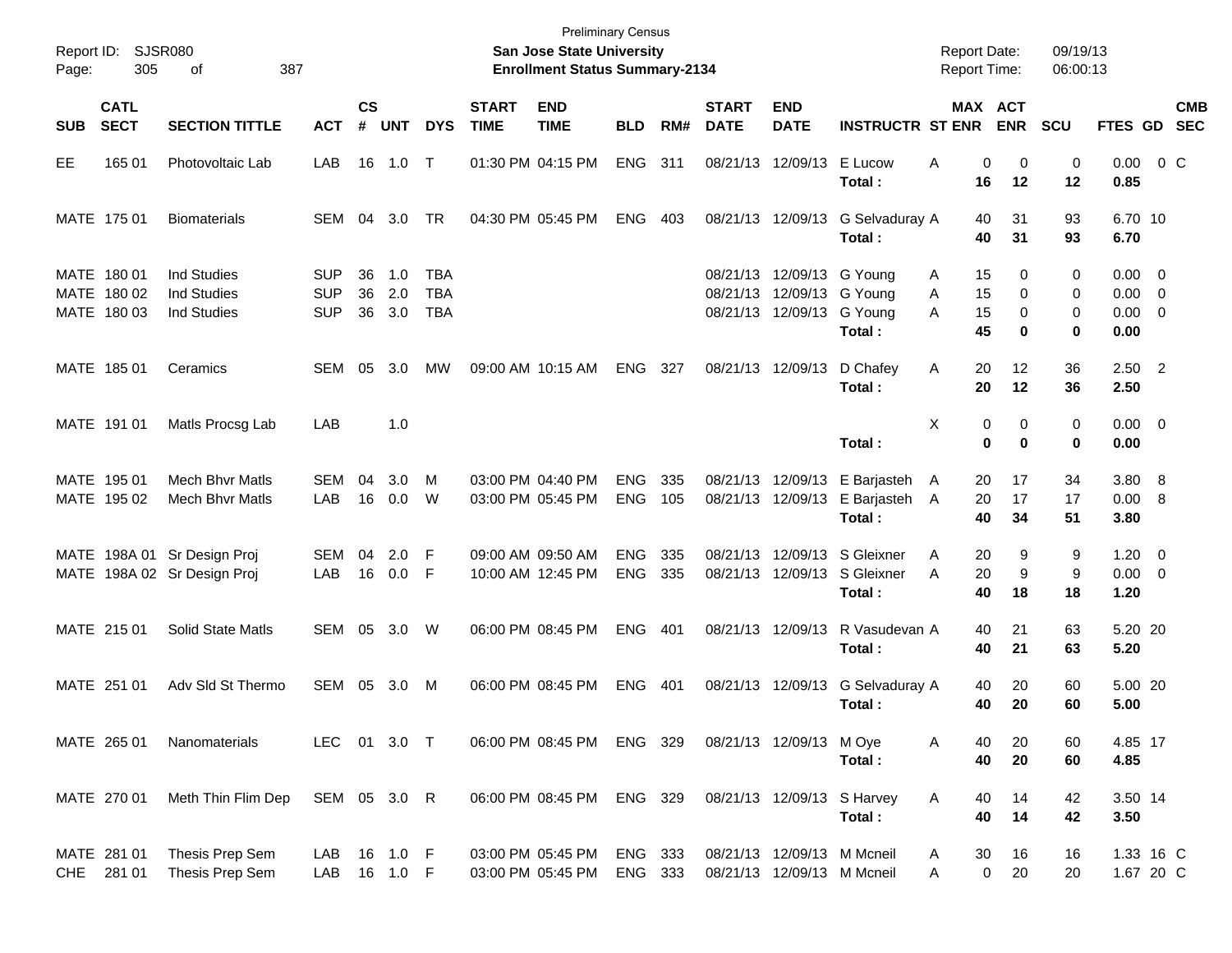| Report ID:<br>Page: | 305                                       | SJSR080<br>387<br>οf                                           |                                 |                |                      |                                 |                             | <b>Preliminary Census</b><br>San Jose State University<br><b>Enrollment Status Summary-2134</b> |                          |            |                             |                                                                                     |                                                                        | <b>Report Date:</b><br><b>Report Time:</b> |                         | 09/19/13<br>06:00:13 |                                                      |            |
|---------------------|-------------------------------------------|----------------------------------------------------------------|---------------------------------|----------------|----------------------|---------------------------------|-----------------------------|-------------------------------------------------------------------------------------------------|--------------------------|------------|-----------------------------|-------------------------------------------------------------------------------------|------------------------------------------------------------------------|--------------------------------------------|-------------------------|----------------------|------------------------------------------------------|------------|
| <b>SUB</b>          | <b>CATL</b><br><b>SECT</b>                | <b>SECTION TITTLE</b>                                          | <b>ACT</b>                      | <b>CS</b><br># | <b>UNT</b>           | <b>DYS</b>                      | <b>START</b><br><b>TIME</b> | <b>END</b><br><b>TIME</b>                                                                       | <b>BLD</b>               | RM#        | <b>START</b><br><b>DATE</b> | <b>END</b><br><b>DATE</b>                                                           | <b>INSTRUCTR ST ENR</b>                                                |                                            | MAX ACT<br><b>ENR</b>   | <b>SCU</b>           | FTES GD SEC                                          | <b>CMB</b> |
| EE                  | 165 01                                    | Photovoltaic Lab                                               | LAB                             | 16             | 1.0                  | $\top$                          |                             | 01:30 PM 04:15 PM                                                                               | <b>ENG</b>               | 311        |                             | 08/21/13 12/09/13                                                                   | E Lucow<br>Total:                                                      | 0<br>Α<br>16                               | 0<br>12                 | 0<br>12              | $0.00 \t 0 C$<br>0.85                                |            |
|                     | MATE 175 01                               | <b>Biomaterials</b>                                            | SEM                             | 04             | 3.0                  | TR                              |                             | 04:30 PM 05:45 PM                                                                               | <b>ENG</b>               | 403        |                             | 08/21/13 12/09/13                                                                   | G Selvaduray A<br>Total:                                               | 40<br>40                                   | 31<br>31                | 93<br>93             | 6.70 10<br>6.70                                      |            |
|                     | MATE 180 01<br>MATE 180 02<br>MATE 180 03 | <b>Ind Studies</b><br><b>Ind Studies</b><br><b>Ind Studies</b> | SUP<br><b>SUP</b><br><b>SUP</b> | 36<br>36<br>36 | 1.0<br>2.0<br>3.0    | TBA<br><b>TBA</b><br><b>TBA</b> |                             |                                                                                                 |                          |            |                             | 08/21/13 12/09/13 G Young<br>08/21/13 12/09/13 G Young<br>08/21/13 12/09/13 G Young | Total:                                                                 | 15<br>A<br>15<br>A<br>A<br>15<br>45        | 0<br>0<br>0<br>0        | 0<br>0<br>0<br>0     | $0.00 \quad 0$<br>$0.00 \t 0$<br>$0.00 \t 0$<br>0.00 |            |
|                     | MATE 185 01                               | Ceramics                                                       | SEM                             | 05             | 3.0                  | MW                              |                             | 09:00 AM 10:15 AM                                                                               | ENG                      | 327        |                             | 08/21/13 12/09/13                                                                   | D Chafey<br>Total:                                                     | 20<br>Α<br>20                              | 12<br>12                | 36<br>36             | $2.50$ 2<br>2.50                                     |            |
|                     | MATE 191 01                               | Matls Procsg Lab                                               | LAB                             |                | 1.0                  |                                 |                             |                                                                                                 |                          |            |                             |                                                                                     | Total:                                                                 | X<br>0<br>$\bf{0}$                         | 0<br>0                  | 0<br>0               | $0.00 \t 0$<br>0.00                                  |            |
|                     | MATE 195 01<br>MATE 195 02                | <b>Mech Bhyr Matls</b><br><b>Mech Bhvr Matls</b>               | SEM<br>LAB                      | 04<br>16       | 3.0<br>0.0           | м<br>W                          |                             | 03:00 PM 04:40 PM<br>03:00 PM 05:45 PM                                                          | <b>ENG</b><br><b>ENG</b> | 335<br>105 |                             | 08/21/13 12/09/13                                                                   | 08/21/13 12/09/13 E Barjasteh<br>E Barjasteh<br>Total:                 | 20<br>A<br>20<br>A<br>40                   | 17<br>17<br>34          | 34<br>17<br>51       | 3.80 8<br>0.00 8<br>3.80                             |            |
|                     |                                           | MATE 198A 01 Sr Design Proj<br>MATE 198A 02 Sr Design Proj     | SEM<br>LAB                      | 04<br>16       | 2.0<br>0.0           | F<br>F                          |                             | 09:00 AM 09:50 AM<br>10:00 AM 12:45 PM                                                          | <b>ENG</b><br><b>ENG</b> | 335<br>335 |                             |                                                                                     | 08/21/13 12/09/13 S Gleixner<br>08/21/13 12/09/13 S Gleixner<br>Total: | 20<br>A<br>20<br>A<br>40                   | 9<br>9<br>18            | 9<br>9<br>18         | $1.20 \t 0$<br>$0.00 \t 0$<br>1.20                   |            |
|                     | MATE 215 01                               | Solid State Matls                                              | SEM 05                          |                | 3.0 W                |                                 |                             | 06:00 PM 08:45 PM                                                                               | <b>ENG</b>               | 401        |                             | 08/21/13 12/09/13                                                                   | R Vasudevan A<br>Total:                                                | 40<br>40                                   | 21<br>21                | 63<br>63             | 5.20 20<br>5.20                                      |            |
|                     | MATE 251 01                               | Adv Sld St Thermo                                              | SEM                             | 05             | 3.0                  | М                               |                             | 06:00 PM 08:45 PM                                                                               | <b>ENG</b>               | 401        |                             | 08/21/13 12/09/13                                                                   | G Selvaduray A<br>Total:                                               | 40<br>40                                   | 20<br>20                | 60<br>60             | 5.00 20<br>5.00                                      |            |
|                     | MATE 265 01                               | Nanomaterials                                                  | LEC 01 3.0 T                    |                |                      |                                 |                             | 06:00 PM 08:45 PM ENG 329                                                                       |                          |            | 08/21/13 12/09/13 M Oye     |                                                                                     | Total:                                                                 | 40<br>A<br>40                              | 20<br>20                | 60<br>60             | 4.85 17<br>4.85                                      |            |
|                     | MATE 270 01                               | Meth Thin Flim Dep                                             | SEM 05 3.0 R                    |                |                      |                                 |                             | 06:00 PM 08:45 PM ENG 329                                                                       |                          |            |                             |                                                                                     | 08/21/13 12/09/13 S Harvey<br>Total:                                   | 40<br>Α<br>40                              | 14<br>14                | 42<br>42             | 3.50 14<br>3.50                                      |            |
| <b>CHE</b>          | MATE 281 01<br>281 01                     | Thesis Prep Sem<br>Thesis Prep Sem                             | LAB<br>LAB                      |                | 16 1.0 F<br>16 1.0 F |                                 |                             | 03:00 PM 05:45 PM<br>03:00 PM 05:45 PM                                                          | ENG 333<br>ENG 333       |            |                             | 08/21/13 12/09/13 M Mcneil<br>08/21/13 12/09/13 M Mcneil                            |                                                                        | 30<br>A<br>Α                               | 16<br>$\mathbf 0$<br>20 | 16<br>20             | 1.33 16 C<br>1.67 20 C                               |            |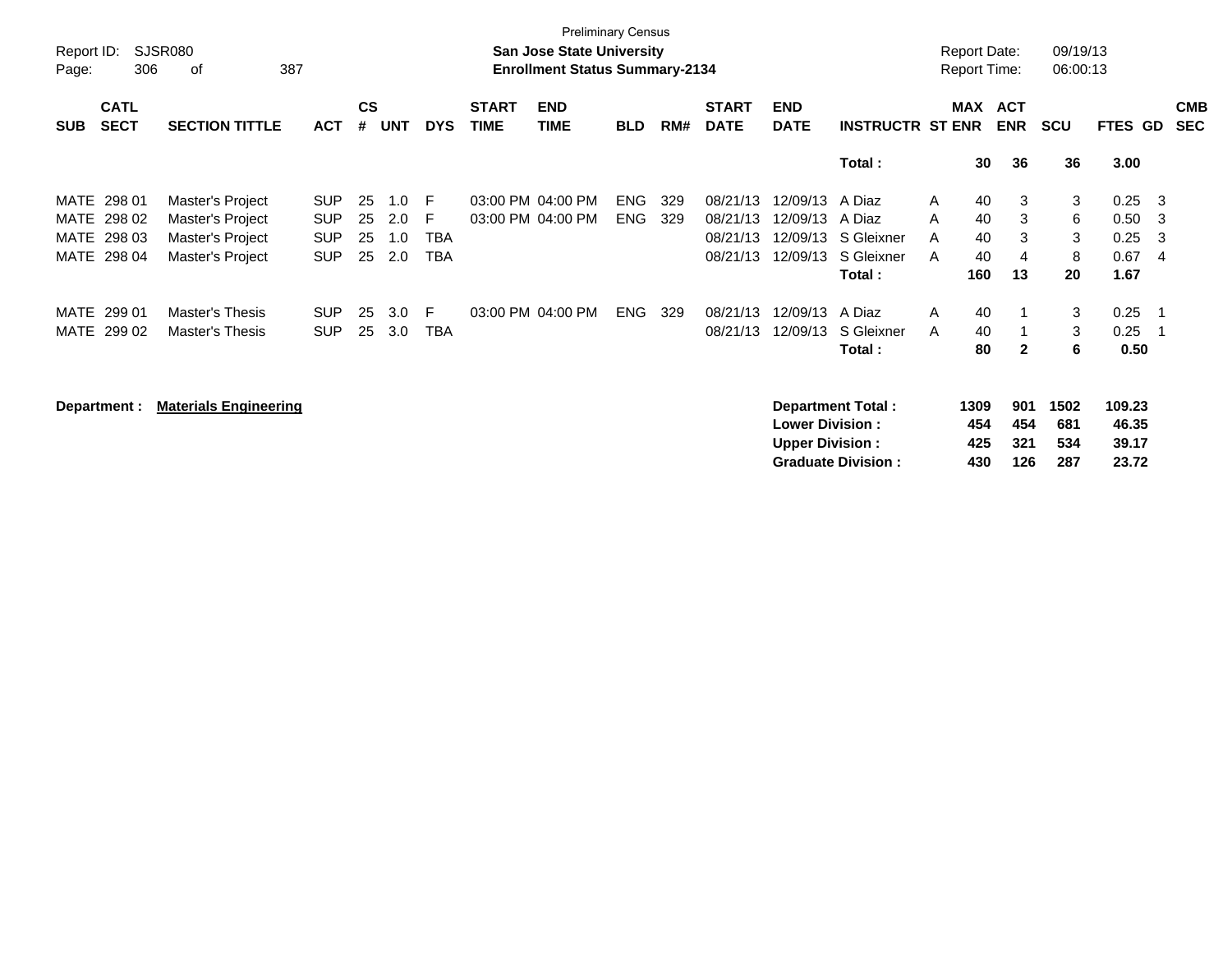| Report ID:<br>Page:  | 306                        | SJSR080<br>387<br>οf                                     |                                        |                    |                   |                  |                             | <b>Preliminary Census</b><br><b>San Jose State University</b><br><b>Enrollment Status Summary-2134</b> |                          |            |                                  |                                                  |                                                       |             | <b>Report Date:</b><br><b>Report Time:</b> |                          | 09/19/13<br>06:00:13      |                                   |                                  |                          |
|----------------------|----------------------------|----------------------------------------------------------|----------------------------------------|--------------------|-------------------|------------------|-----------------------------|--------------------------------------------------------------------------------------------------------|--------------------------|------------|----------------------------------|--------------------------------------------------|-------------------------------------------------------|-------------|--------------------------------------------|--------------------------|---------------------------|-----------------------------------|----------------------------------|--------------------------|
| <b>SUB</b>           | <b>CATL</b><br><b>SECT</b> | <b>SECTION TITTLE</b>                                    | <b>ACT</b>                             | $\mathsf{cs}$<br># | <b>UNT</b>        | <b>DYS</b>       | <b>START</b><br><b>TIME</b> | <b>END</b><br><b>TIME</b>                                                                              | <b>BLD</b>               | RM#        | <b>START</b><br><b>DATE</b>      | <b>END</b><br><b>DATE</b>                        | <b>INSTRUCTR ST ENR</b>                               |             | MAX                                        | <b>ACT</b><br><b>ENR</b> | <b>SCU</b>                | <b>FTES GD</b>                    |                                  | <b>CMB</b><br><b>SEC</b> |
|                      |                            |                                                          |                                        |                    |                   |                  |                             |                                                                                                        |                          |            |                                  |                                                  | Total:                                                |             | 30                                         | 36                       | 36                        | 3.00                              |                                  |                          |
| MATE<br>MATE<br>MATE | 298 01<br>298 02<br>298 03 | Master's Project<br>Master's Project<br>Master's Project | <b>SUP</b><br><b>SUP</b><br><b>SUP</b> | 25<br>25<br>25     | 1.0<br>2.0<br>1.0 | F<br>F<br>TBA    |                             | 03:00 PM 04:00 PM<br>03:00 PM 04:00 PM                                                                 | <b>ENG</b><br><b>ENG</b> | 329<br>329 | 08/21/13<br>08/21/13<br>08/21/13 | 12/09/13<br>12/09/13<br>12/09/13                 | A Diaz<br>A Diaz<br>S Gleixner                        | A<br>A<br>A | 40<br>40<br>40                             | 3<br>3<br>3              | 3<br>6<br>3               | 0.25<br>0.50<br>0.25              | - 3<br>- 3<br>-3                 |                          |
| MATE                 | 298 04                     | Master's Project                                         | <b>SUP</b>                             | 25                 | 2.0               | TBA              |                             |                                                                                                        |                          |            | 08/21/13                         | 12/09/13                                         | S Gleixner<br>Total:                                  | A           | 40<br>160                                  | 4<br>13                  | 8<br>20                   | 0.67<br>1.67                      | -4                               |                          |
| MATE<br>MATE         | 299 01<br>299 02           | Master's Thesis<br>Master's Thesis                       | <b>SUP</b><br><b>SUP</b>               | 25<br>25           | 3.0<br>3.0        | F.<br><b>TBA</b> |                             | 03:00 PM 04:00 PM                                                                                      | <b>ENG</b>               | 329        | 08/21/13<br>08/21/13             | 12/09/13<br>12/09/13                             | A Diaz<br>S Gleixner<br>Total:                        | A<br>A      | 40<br>40<br>80                             | $\mathbf{2}$             | 3<br>3<br>6               | 0.25<br>0.25<br>0.50              | $\overline{1}$<br>$\overline{1}$ |                          |
|                      | Department :               | <b>Materials Engineering</b>                             |                                        |                    |                   |                  |                             |                                                                                                        |                          |            |                                  | <b>Lower Division:</b><br><b>Upper Division:</b> | <b>Department Total:</b><br><b>Graduate Division:</b> |             | 1309<br>454<br>425<br>430                  | 901<br>454<br>321<br>126 | 1502<br>681<br>534<br>287 | 109.23<br>46.35<br>39.17<br>23.72 |                                  |                          |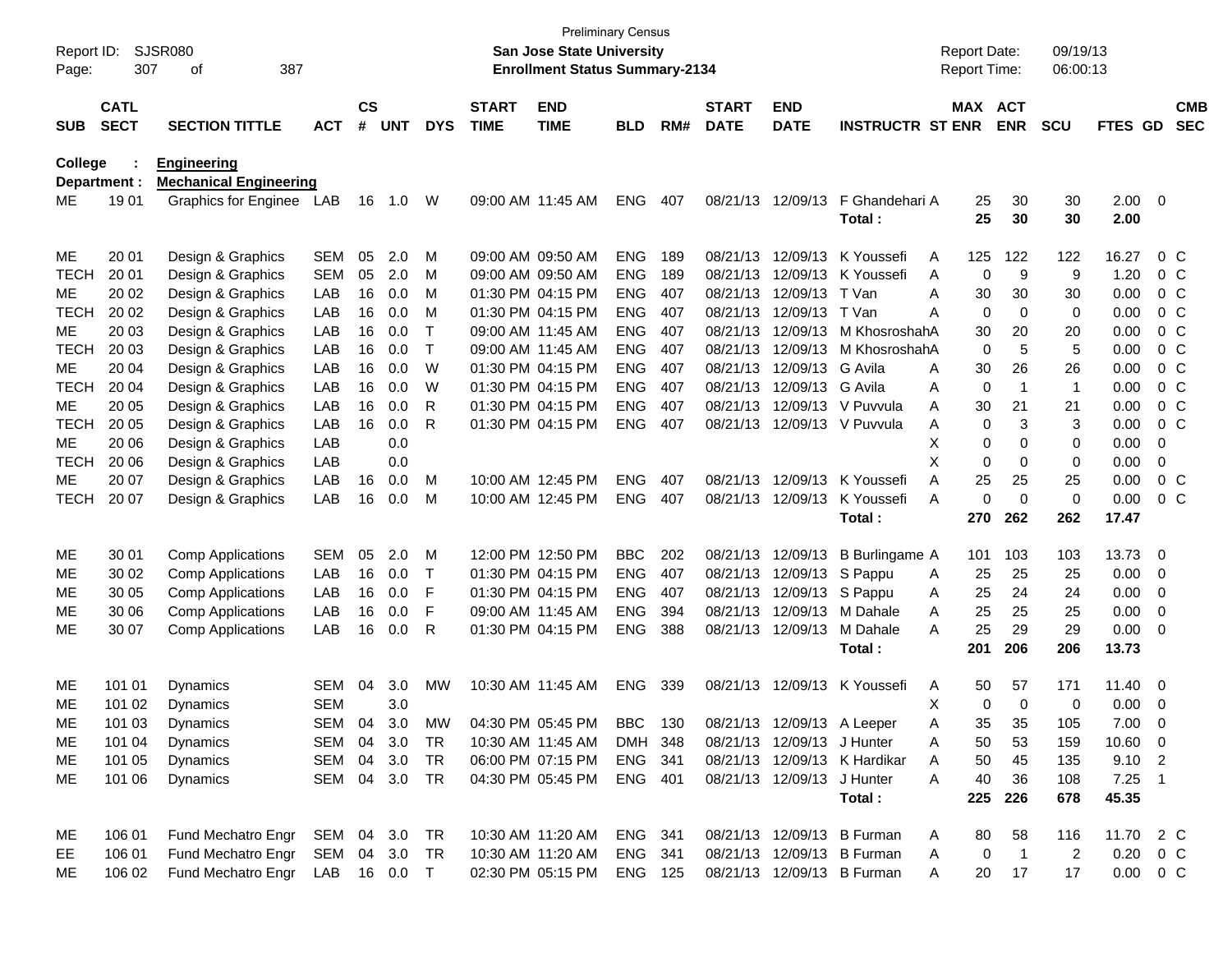| Report ID:<br>Page: | 307          | SJSR080<br>387<br>οf          |              |               |            |            |              | San Jose State University<br><b>Enrollment Status Summary-2134</b> | <b>Preliminary Census</b> |     |              |                            |                              | <b>Report Date:</b><br>Report Time: |                | 09/19/13<br>06:00:13 |               |                          |                |
|---------------------|--------------|-------------------------------|--------------|---------------|------------|------------|--------------|--------------------------------------------------------------------|---------------------------|-----|--------------|----------------------------|------------------------------|-------------------------------------|----------------|----------------------|---------------|--------------------------|----------------|
|                     |              |                               |              |               |            |            |              |                                                                    |                           |     |              |                            |                              |                                     |                |                      |               |                          |                |
|                     | <b>CATL</b>  |                               |              | $\mathsf{cs}$ |            |            | <b>START</b> | <b>END</b>                                                         |                           |     | <b>START</b> | <b>END</b>                 |                              | MAX ACT                             |                |                      |               |                          | <b>CMB</b>     |
| <b>SUB</b>          | <b>SECT</b>  | <b>SECTION TITTLE</b>         | <b>ACT</b>   | #             | <b>UNT</b> | <b>DYS</b> | <b>TIME</b>  | <b>TIME</b>                                                        | <b>BLD</b>                | RM# | <b>DATE</b>  | <b>DATE</b>                | <b>INSTRUCTR ST ENR</b>      |                                     | <b>ENR</b>     | <b>SCU</b>           | FTES GD       |                          | <b>SEC</b>     |
| <b>College</b>      |              | <b>Engineering</b>            |              |               |            |            |              |                                                                    |                           |     |              |                            |                              |                                     |                |                      |               |                          |                |
|                     | Department : | <b>Mechanical Engineering</b> |              |               |            |            |              |                                                                    |                           |     |              |                            |                              |                                     |                |                      |               |                          |                |
| ME                  | 1901         | Graphics for Enginee LAB      |              | 16            | 1.0        | W          |              | 09:00 AM 11:45 AM                                                  | <b>ENG</b>                | 407 |              | 08/21/13 12/09/13          | F Ghandehari A               | 25                                  | 30             | 30                   | $2.00 \t 0$   |                          |                |
|                     |              |                               |              |               |            |            |              |                                                                    |                           |     |              |                            | Total:                       | 25                                  | 30             | 30                   | 2.00          |                          |                |
| ME                  | 20 01        | Design & Graphics             | <b>SEM</b>   | 05            | 2.0        | M          |              | 09:00 AM 09:50 AM                                                  | <b>ENG</b>                | 189 |              | 08/21/13 12/09/13          | K Youssefi                   | 125<br>A                            | 122            | 122                  | 16.27         |                          | $0\,$ C        |
| <b>TECH</b>         | 20 01        | Design & Graphics             | <b>SEM</b>   | 05            | 2.0        | M          |              | 09:00 AM 09:50 AM                                                  | <b>ENG</b>                | 189 |              | 08/21/13 12/09/13          | K Youssefi                   | 0<br>Α                              | 9              | 9                    | 1.20          |                          | $0\,$ C        |
| ME                  | 20 02        | Design & Graphics             | LAB          | 16            | 0.0        | M          |              | 01:30 PM 04:15 PM                                                  | <b>ENG</b>                | 407 |              | 08/21/13 12/09/13          | T Van                        | Α<br>30                             | 30             | 30                   | 0.00          |                          | $0\,$ C        |
| <b>TECH</b>         | 20 02        | Design & Graphics             | LAB          | 16            | 0.0        | M          |              | 01:30 PM 04:15 PM                                                  | <b>ENG</b>                | 407 |              | 08/21/13 12/09/13          | T Van                        | Α<br>0                              | 0              | 0                    | 0.00          |                          | 0 <sup>o</sup> |
| ME                  | 20 03        | Design & Graphics             | LAB          | 16            | 0.0        | т          |              | 09:00 AM 11:45 AM                                                  | <b>ENG</b>                | 407 |              | 08/21/13 12/09/13          | M KhosroshahA                | 30                                  | 20             | 20                   | 0.00          |                          | 0 <sup>o</sup> |
| <b>TECH</b>         | 20 03        | Design & Graphics             | LAB          | 16            | 0.0        | Τ          |              | 09:00 AM 11:45 AM                                                  | <b>ENG</b>                | 407 |              | 08/21/13 12/09/13          | M KhosroshahA                | $\mathbf 0$                         | 5              | 5                    | 0.00          |                          | $0\,C$         |
| ME                  | 20 04        | Design & Graphics             | LAB          | 16            | 0.0        | W          |              | 01:30 PM 04:15 PM                                                  | <b>ENG</b>                | 407 |              | 08/21/13 12/09/13          | G Avila                      | Α<br>30                             | 26             | 26                   | 0.00          |                          | 0 <sup>o</sup> |
| <b>TECH</b>         | 20 04        | Design & Graphics             | LAB          | 16            | 0.0        | W          |              | 01:30 PM 04:15 PM                                                  | <b>ENG</b>                | 407 |              | 08/21/13 12/09/13          | G Avila                      | 0<br>Α                              | -1             | $\overline{1}$       | 0.00          |                          | 0 <sup>o</sup> |
| ME                  | 20 05        | Design & Graphics             | LAB          | 16            | 0.0        | R          |              | 01:30 PM 04:15 PM                                                  | <b>ENG</b>                | 407 |              | 08/21/13 12/09/13          | V Puvvula                    | Α<br>30                             | 21             | 21                   | 0.00          |                          | $0\,C$         |
| <b>TECH</b>         | 20 05        | Design & Graphics             | LAB          | 16            | 0.0        | R          |              | 01:30 PM 04:15 PM                                                  | <b>ENG</b>                | 407 |              |                            | 08/21/13 12/09/13 V Puvvula  | 0<br>A                              | 3              | 3                    | 0.00          |                          | $0\,C$         |
| ME                  | 20 06        | Design & Graphics             | LAB          |               | 0.0        |            |              |                                                                    |                           |     |              |                            |                              | 0<br>х                              | 0              | 0                    | 0.00          | 0                        |                |
| <b>TECH</b>         | 20 06        | Design & Graphics             | LAB          |               | 0.0        |            |              |                                                                    |                           |     |              |                            |                              | X<br>0                              | 0              | 0                    | 0.00          | 0                        |                |
| ME                  | 20 07        | Design & Graphics             | LAB          | 16            | 0.0        | M          |              | 10:00 AM 12:45 PM                                                  | <b>ENG</b>                | 407 |              | 08/21/13 12/09/13          | K Youssefi                   | Α<br>25                             | 25             | 25                   | 0.00          |                          | $0\,C$         |
| <b>TECH</b>         | 20 07        | Design & Graphics             | LAB          | 16            | 0.0        | M          |              | 10:00 AM 12:45 PM                                                  | <b>ENG</b>                | 407 |              | 08/21/13 12/09/13          | K Youssefi                   | 0<br>A                              | $\Omega$       | 0                    | 0.00          |                          | $0\,$ C        |
|                     |              |                               |              |               |            |            |              |                                                                    |                           |     |              |                            | Total:                       | 270                                 | 262            | 262                  | 17.47         |                          |                |
| ME                  | 30 01        | <b>Comp Applications</b>      | <b>SEM</b>   | 05            | 2.0        | M          |              | 12:00 PM 12:50 PM                                                  | <b>BBC</b>                | 202 |              | 08/21/13 12/09/13          | B Burlingame A               | 101                                 | 103            | 103                  | 13.73         | $\overline{\mathbf{0}}$  |                |
| MЕ                  | 30 02        | <b>Comp Applications</b>      | LAB          | 16            | 0.0        | Т          |              | 01:30 PM 04:15 PM                                                  | <b>ENG</b>                | 407 |              | 08/21/13 12/09/13          | S Pappu                      | 25<br>A                             | 25             | 25                   | 0.00          | 0                        |                |
| ME                  | 30 05        | <b>Comp Applications</b>      | LAB          | 16            | 0.0        | F          |              | 01:30 PM 04:15 PM                                                  | <b>ENG</b>                | 407 |              | 08/21/13 12/09/13          | S Pappu                      | 25<br>A                             | 24             | 24                   | 0.00          | 0                        |                |
| ME                  | 30 06        | <b>Comp Applications</b>      | LAB          | 16            | 0.0        | F          |              | 09:00 AM 11:45 AM                                                  | <b>ENG</b>                | 394 |              | 08/21/13 12/09/13          | M Dahale                     | 25<br>A                             | 25             | 25                   | 0.00          | 0                        |                |
| ME                  | 30 07        | <b>Comp Applications</b>      | LAB          | 16            | 0.0        | R          |              | 01:30 PM 04:15 PM                                                  | <b>ENG</b>                | 388 |              | 08/21/13 12/09/13          | M Dahale                     | 25<br>A                             | 29             | 29                   | 0.00          | $\overline{\mathbf{0}}$  |                |
|                     |              |                               |              |               |            |            |              |                                                                    |                           |     |              |                            | Total:                       | 201                                 | 206            | 206                  | 13.73         |                          |                |
| ME                  | 101 01       | Dynamics                      | <b>SEM</b>   | 04            | 3.0        | MW         |              | 10:30 AM 11:45 AM                                                  | <b>ENG</b>                | 339 |              | 08/21/13 12/09/13          | K Youssefi                   | Α<br>50                             | 57             | 171                  | 11.40         | $\overline{\phantom{0}}$ |                |
| ME                  | 101 02       | Dynamics                      | <b>SEM</b>   |               | 3.0        |            |              |                                                                    |                           |     |              |                            |                              | х<br>0                              | $\mathbf 0$    | 0                    | 0.00          | $\overline{0}$           |                |
| ME                  | 101 03       | Dynamics                      | SEM 04       |               | 3.0        | MW         |              | 04:30 PM 05:45 PM                                                  | BBC 130                   |     |              |                            | 08/21/13 12/09/13 A Leeper   | Α<br>35                             | 35             | 105                  | 7.00          | $\Omega$                 |                |
| ME                  | 101 04       | Dynamics                      | SEM 04 3.0   |               |            | TR         |              | 10:30 AM 11:45 AM                                                  | DMH 348                   |     |              | 08/21/13 12/09/13 J Hunter |                              | A<br>50                             | 53             | 159                  | $10.60$ 0     |                          |                |
| ME                  | 101 05       | Dynamics                      | SEM 04       |               | 3.0        | TR         |              | 06:00 PM 07:15 PM                                                  | ENG 341                   |     |              |                            | 08/21/13 12/09/13 K Hardikar | 50<br>A                             | 45             | 135                  | $9.10$ 2      |                          |                |
| ME                  | 101 06       | Dynamics                      | SEM 04 3.0   |               |            | TR         |              | 04:30 PM 05:45 PM                                                  | ENG 401                   |     |              | 08/21/13 12/09/13 J Hunter |                              | A<br>40                             | 36             | 108                  | $7.25$ 1      |                          |                |
|                     |              |                               |              |               |            |            |              |                                                                    |                           |     |              |                            | Total:                       | 225                                 | 226            | 678                  | 45.35         |                          |                |
| ME                  | 106 01       | Fund Mechatro Engr            | SEM 04 3.0   |               |            | TR         |              | 10:30 AM 11:20 AM                                                  | ENG 341                   |     |              |                            | 08/21/13 12/09/13 B Furman   | A<br>80                             | 58             | 116                  | 11.70 2 C     |                          |                |
| EE.                 | 106 01       | Fund Mechatro Engr            | SEM 04 3.0   |               |            | TR         |              | 10:30 AM 11:20 AM                                                  | ENG 341                   |     |              |                            | 08/21/13 12/09/13 B Furman   | 0<br>A                              | $\overline{1}$ | 2                    | $0.20 \t 0 C$ |                          |                |
| ME                  | 106 02       | Fund Mechatro Engr            | LAB 16 0.0 T |               |            |            |              | 02:30 PM 05:15 PM                                                  | <b>ENG 125</b>            |     |              |                            | 08/21/13 12/09/13 B Furman   | 20<br>A                             | 17             | 17                   | $0.00 \t 0 C$ |                          |                |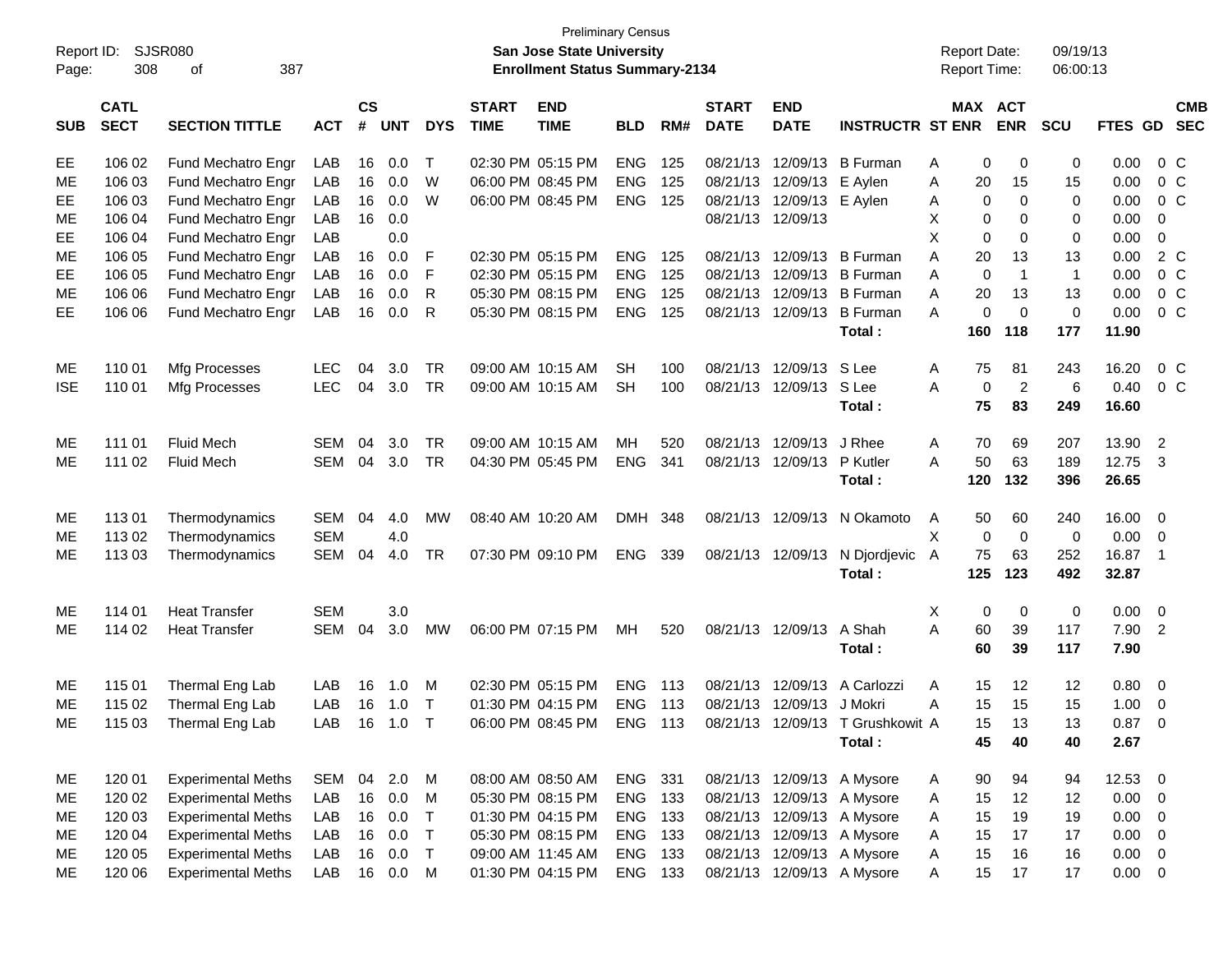| Report ID:<br>Page: | 308                        | <b>SJSR080</b><br>387<br>οf |            |                    |            |              |                             | San Jose State University<br><b>Enrollment Status Summary-2134</b> | <b>Preliminary Census</b> |     |                             |                           |                                  | <b>Report Date:</b><br><b>Report Time:</b> |                | 09/19/13<br>06:00:13 |             |                          |  |
|---------------------|----------------------------|-----------------------------|------------|--------------------|------------|--------------|-----------------------------|--------------------------------------------------------------------|---------------------------|-----|-----------------------------|---------------------------|----------------------------------|--------------------------------------------|----------------|----------------------|-------------|--------------------------|--|
| <b>SUB</b>          | <b>CATL</b><br><b>SECT</b> | <b>SECTION TITTLE</b>       | <b>ACT</b> | $\mathsf{cs}$<br># | <b>UNT</b> | <b>DYS</b>   | <b>START</b><br><b>TIME</b> | <b>END</b><br><b>TIME</b>                                          | <b>BLD</b>                | RM# | <b>START</b><br><b>DATE</b> | <b>END</b><br><b>DATE</b> | <b>INSTRUCTR ST ENR</b>          | MAX ACT                                    | <b>ENR</b>     | <b>SCU</b>           | FTES GD     | <b>CMB</b><br><b>SEC</b> |  |
| EE                  | 106 02                     | Fund Mechatro Engr          | LAB        | 16                 | 0.0        | $\top$       |                             | 02:30 PM 05:15 PM                                                  | <b>ENG</b>                | 125 | 08/21/13                    | 12/09/13                  | <b>B</b> Furman                  | 0<br>Α                                     | 0              | 0                    | 0.00        | $0\,C$                   |  |
| ME                  | 106 03                     | Fund Mechatro Engr          | LAB        | 16                 | 0.0        | W            |                             | 06:00 PM 08:45 PM                                                  | <b>ENG</b>                | 125 | 08/21/13                    | 12/09/13                  | E Aylen                          | Α<br>20                                    | 15             | 15                   | 0.00        | $0\,C$                   |  |
| EE                  | 106 03                     | Fund Mechatro Engr          | LAB        | 16                 | 0.0        | W            |                             | 06:00 PM 08:45 PM                                                  | <b>ENG</b>                | 125 | 08/21/13                    | 12/09/13 E Aylen          |                                  | 0<br>Α                                     | 0              | 0                    | 0.00        | $0\,C$                   |  |
| ME                  | 106 04                     | Fund Mechatro Engr          | LAB        | 16                 | 0.0        |              |                             |                                                                    |                           |     |                             | 08/21/13 12/09/13         |                                  | X.<br>0                                    | 0              | 0                    | 0.00        | 0                        |  |
| EE                  | 106 04                     | Fund Mechatro Engr          | LAB        |                    | 0.0        |              |                             |                                                                    |                           |     |                             |                           |                                  | X.<br>$\mathbf 0$                          | 0              | 0                    | 0.00        | $\mathbf 0$              |  |
| ME                  | 106 05                     | Fund Mechatro Engr          | LAB        | 16                 | 0.0        | F            |                             | 02:30 PM 05:15 PM                                                  | <b>ENG</b>                | 125 |                             | 08/21/13 12/09/13         | <b>B</b> Furman                  | Α<br>20                                    | 13             | 13                   | 0.00        | 2 C                      |  |
| EE                  | 106 05                     | Fund Mechatro Engr          | LAB        | 16                 | 0.0        | F            |                             | 02:30 PM 05:15 PM                                                  | <b>ENG</b>                | 125 | 08/21/13                    | 12/09/13                  | <b>B</b> Furman                  | A<br>$\mathbf 0$                           | $\overline{1}$ | $\mathbf{1}$         | 0.00        | 0 <sup>o</sup>           |  |
| ME                  | 106 06                     | Fund Mechatro Engr          | LAB        | 16                 | 0.0        | $\mathsf{R}$ |                             | 05:30 PM 08:15 PM                                                  | <b>ENG</b>                | 125 | 08/21/13                    | 12/09/13                  | <b>B</b> Furman                  | A<br>20                                    | 13             | 13                   | 0.00        | 0 <sup>o</sup>           |  |
| <b>EE</b>           | 106 06                     | Fund Mechatro Engr          | LAB        | 16                 | 0.0        | R            |                             | 05:30 PM 08:15 PM                                                  | <b>ENG</b>                | 125 |                             | 08/21/13 12/09/13         | <b>B</b> Furman                  | A<br>0                                     | $\Omega$       | $\mathbf 0$          | 0.00        | $0\,C$                   |  |
|                     |                            |                             |            |                    |            |              |                             |                                                                    |                           |     |                             |                           | Total:                           | 160                                        | 118            | 177                  | 11.90       |                          |  |
| ME                  | 110 01                     | Mfg Processes               | <b>LEC</b> | 04                 | 3.0        | <b>TR</b>    |                             | 09:00 AM 10:15 AM                                                  | <b>SH</b>                 | 100 | 08/21/13                    | 12/09/13                  | S Lee                            | 75<br>A                                    | 81             | 243                  | 16.20       | $0\,C$                   |  |
| <b>ISE</b>          | 110 01                     | Mfg Processes               | <b>LEC</b> | 04                 | 3.0        | <b>TR</b>    |                             | 09:00 AM 10:15 AM                                                  | <b>SH</b>                 | 100 |                             | 08/21/13 12/09/13         | S Lee                            | A<br>0                                     | $\overline{2}$ | 6                    | 0.40        | 0 <sup>o</sup>           |  |
|                     |                            |                             |            |                    |            |              |                             |                                                                    |                           |     |                             |                           | Total:                           | 75                                         | 83             | 249                  | 16.60       |                          |  |
| ME                  | 111 01                     | <b>Fluid Mech</b>           | SEM        | 04                 | 3.0        | <b>TR</b>    |                             | 09:00 AM 10:15 AM                                                  | MН                        | 520 | 08/21/13                    | 12/09/13                  | J Rhee                           | 70<br>A                                    | 69             | 207                  | 13.90       | $\overline{2}$           |  |
| ME                  | 111 02                     | <b>Fluid Mech</b>           | SEM        | 04                 | 3.0        | <b>TR</b>    |                             | 04:30 PM 05:45 PM                                                  | <b>ENG</b>                | 341 |                             | 08/21/13 12/09/13         | P Kutler                         | A<br>50                                    | 63             | 189                  | 12.75       | $\overline{\mathbf{3}}$  |  |
|                     |                            |                             |            |                    |            |              |                             |                                                                    |                           |     |                             |                           | Total:                           | 120                                        | 132            | 396                  | 26.65       |                          |  |
| МE                  | 11301                      | Thermodynamics              | SEM        | 04                 | 4.0        | MW           |                             | 08:40 AM 10:20 AM                                                  | DMH 348                   |     |                             |                           | 08/21/13 12/09/13 N Okamoto      | 50<br>A                                    | 60             | 240                  | 16.00       | 0                        |  |
| ME                  | 113 02                     | Thermodynamics              | <b>SEM</b> |                    | 4.0        |              |                             |                                                                    |                           |     |                             |                           |                                  | X<br>$\mathbf 0$                           | $\mathbf 0$    | $\mathbf 0$          | 0.00        | 0                        |  |
| ME                  | 113 03                     | Thermodynamics              | <b>SEM</b> | 04                 | 4.0        | <b>TR</b>    |                             | 07:30 PM 09:10 PM                                                  | ENG 339                   |     |                             | 08/21/13 12/09/13         | N Djordjevic                     | 75<br>A                                    | 63             | 252                  | 16.87       | $\overline{\phantom{0}}$ |  |
|                     |                            |                             |            |                    |            |              |                             |                                                                    |                           |     |                             |                           | Total:                           | 125                                        | 123            | 492                  | 32.87       |                          |  |
| ME                  | 114 01                     | <b>Heat Transfer</b>        | <b>SEM</b> |                    | 3.0        |              |                             |                                                                    |                           |     |                             |                           |                                  | X<br>0                                     | 0              | 0                    | 0.00        | $\overline{0}$           |  |
| ME                  | 114 02                     | <b>Heat Transfer</b>        | SEM        | 04                 | 3.0        | <b>MW</b>    |                             | 06:00 PM 07:15 PM                                                  | МH                        | 520 |                             | 08/21/13 12/09/13         | A Shah                           | A<br>60                                    | 39             | 117                  | 7.90        | $\overline{2}$           |  |
|                     |                            |                             |            |                    |            |              |                             |                                                                    |                           |     |                             |                           | Total:                           | 60                                         | 39             | 117                  | 7.90        |                          |  |
| МE                  | 115 01                     | Thermal Eng Lab             | LAB        | 16                 | 1.0        | M            |                             | 02:30 PM 05:15 PM                                                  | <b>ENG</b>                | 113 | 08/21/13                    | 12/09/13                  | A Carlozzi                       | 15<br>A                                    | 12             | 12                   | 0.80        | $\overline{\mathbf{0}}$  |  |
| ME                  | 115 02                     | Thermal Eng Lab             | LAB        | 16                 | 1.0        | $\top$       |                             | 01:30 PM 04:15 PM                                                  | <b>ENG</b>                | 113 |                             | 08/21/13 12/09/13 J Mokri |                                  | 15<br>Α                                    | 15             | 15                   | 1.00        | 0                        |  |
| ME                  | 115 03                     | Thermal Eng Lab             | LAB        | 16                 | $1.0$ T    |              |                             | 06:00 PM 08:45 PM ENG 113                                          |                           |     |                             |                           | 08/21/13 12/09/13 T Grushkowit A | 15                                         | 13             | 13                   | $0.87 \t 0$ |                          |  |
|                     |                            |                             |            |                    |            |              |                             |                                                                    |                           |     |                             |                           | Total:                           | 45                                         | 40             | 40                   | 2.67        |                          |  |
|                     |                            |                             |            |                    |            |              |                             |                                                                    |                           |     |                             |                           |                                  |                                            |                |                      |             |                          |  |
| ME                  | 120 01                     | <b>Experimental Meths</b>   | SEM        | 04                 | 2.0        | M            |                             | 08:00 AM 08:50 AM                                                  | ENG 331                   |     |                             |                           | 08/21/13 12/09/13 A Mysore       | 90<br>A                                    | 94             | 94                   | 12.53 0     |                          |  |
| ME                  | 120 02                     | <b>Experimental Meths</b>   | LAB        | 16                 | 0.0        | M            |                             | 05:30 PM 08:15 PM                                                  | ENG 133                   |     |                             |                           | 08/21/13 12/09/13 A Mysore       | 15<br>A                                    | 12             | 12                   | 0.00        | $\overline{0}$           |  |
| ME                  | 120 03                     | <b>Experimental Meths</b>   | LAB        | 16                 | 0.0        | $\top$       |                             | 01:30 PM 04:15 PM                                                  | ENG 133                   |     |                             | 08/21/13 12/09/13         | A Mysore                         | 15<br>Α                                    | 19             | 19                   | 0.00        | $\mathbf 0$              |  |
| ME                  | 120 04                     | <b>Experimental Meths</b>   | LAB        | 16                 | $0.0\,$    | $\top$       |                             | 05:30 PM 08:15 PM                                                  | ENG 133                   |     |                             | 08/21/13 12/09/13         | A Mysore                         | Α<br>15                                    | 17             | 17                   | 0.00        | $\mathbf 0$              |  |
| ME                  | 120 05                     | <b>Experimental Meths</b>   | LAB        | 16                 | 0.0        | $\top$       |                             | 09:00 AM 11:45 AM                                                  | ENG 133                   |     |                             | 08/21/13 12/09/13         | A Mysore                         | Α<br>15                                    | 16             | 16                   | 0.00        | $\overline{0}$           |  |
| ME                  | 120 06                     | <b>Experimental Meths</b>   | LAB        |                    | 16  0.0  M |              |                             | 01:30 PM 04:15 PM                                                  | ENG 133                   |     |                             |                           | 08/21/13 12/09/13 A Mysore       | 15<br>Α                                    | 17             | 17                   | $0.00 \t 0$ |                          |  |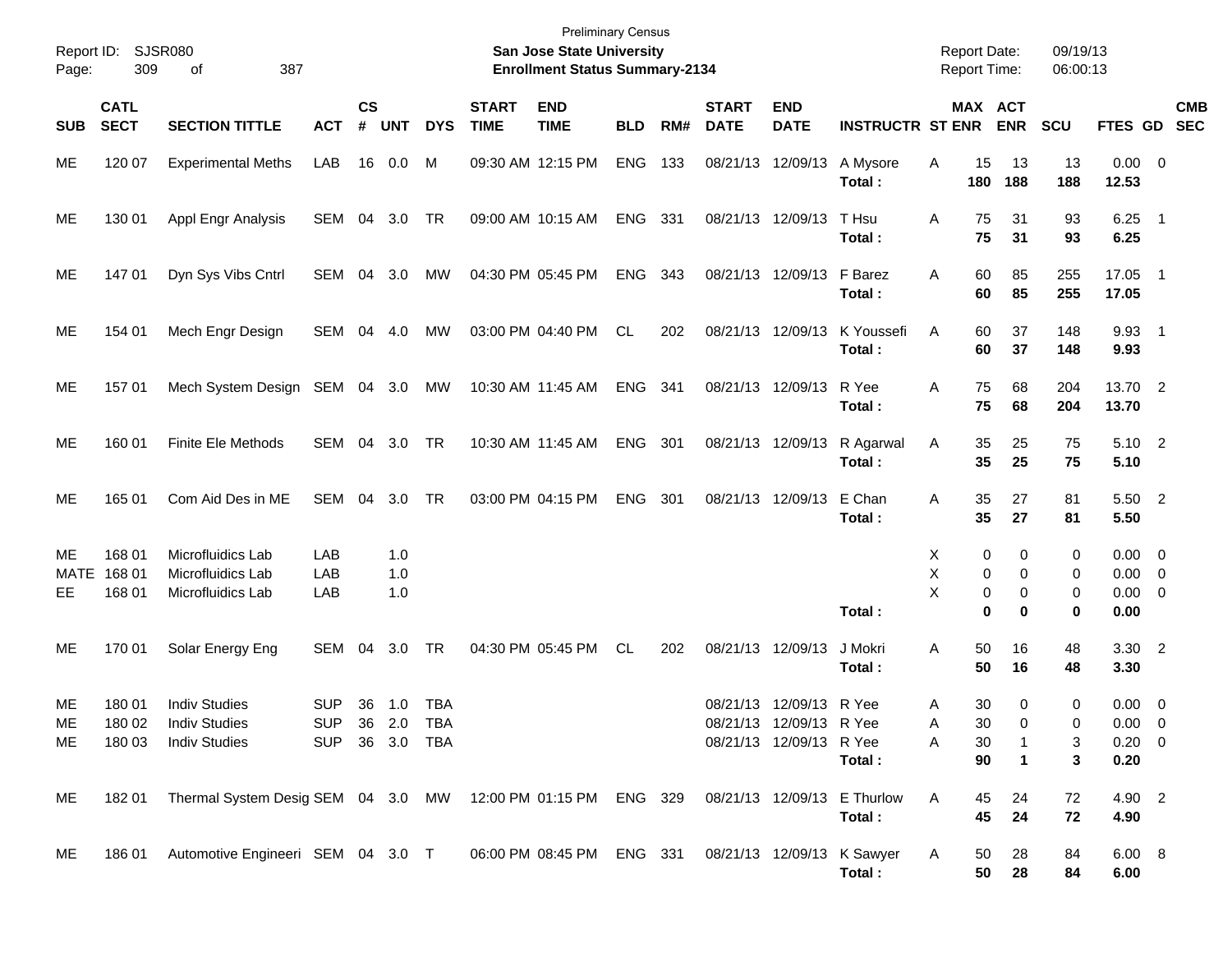| Report ID:<br>Page: | 309                        | <b>SJSR080</b><br>387<br>οf                                                                   |                |                |            |            |                             | <b>Preliminary Census</b><br>San Jose State University<br><b>Enrollment Status Summary-2134</b> |            |     |                             |                           |                         |   |           | <b>Report Date:</b><br><b>Report Time:</b> | 09/19/13<br>06:00:13 |                      |                          |
|---------------------|----------------------------|-----------------------------------------------------------------------------------------------|----------------|----------------|------------|------------|-----------------------------|-------------------------------------------------------------------------------------------------|------------|-----|-----------------------------|---------------------------|-------------------------|---|-----------|--------------------------------------------|----------------------|----------------------|--------------------------|
| <b>SUB</b>          | <b>CATL</b><br><b>SECT</b> | <b>SECTION TITTLE</b>                                                                         | <b>ACT</b>     | <b>CS</b><br># | <b>UNT</b> | <b>DYS</b> | <b>START</b><br><b>TIME</b> | <b>END</b><br><b>TIME</b>                                                                       | <b>BLD</b> | RM# | <b>START</b><br><b>DATE</b> | <b>END</b><br><b>DATE</b> | <b>INSTRUCTR ST ENR</b> |   |           | MAX ACT<br><b>ENR</b>                      | <b>SCU</b>           | FTES GD              | <b>CMB</b><br><b>SEC</b> |
| ME                  | 120 07                     | <b>Experimental Meths</b>                                                                     | LAB            |                | 16 0.0     | М          |                             | 09:30 AM 12:15 PM                                                                               | <b>ENG</b> | 133 |                             | 08/21/13 12/09/13         | A Mysore<br>Total:      | Α | 15<br>180 | 13<br>188                                  | 13<br>188            | $0.00 \t 0$<br>12.53 |                          |
| ME                  | 130 01                     | Appl Engr Analysis                                                                            | SEM 04         |                | 3.0        | TR         |                             | 09:00 AM 10:15 AM                                                                               | <b>ENG</b> | 331 |                             | 08/21/13 12/09/13         | T Hsu<br>Total:         | A | 75<br>75  | 31<br>31                                   | 93<br>93             | $6.25$ 1<br>6.25     |                          |
| ME                  | 147 01                     | Dyn Sys Vibs Cntrl                                                                            | SEM            | 04             | 3.0        | МW         |                             | 04:30 PM 05:45 PM                                                                               | ENG        | 343 |                             | 08/21/13 12/09/13         | F Barez<br>Total:       | A | 60<br>60  | 85<br>85                                   | 255<br>255           | 17.05 1<br>17.05     |                          |
| ME                  | 154 01                     | Mech Engr Design                                                                              | SEM 04         |                | 4.0        | MW         |                             | 03:00 PM 04:40 PM                                                                               | CL.        | 202 |                             | 08/21/13 12/09/13         | K Youssefi<br>Total:    | Α | 60<br>60  | 37<br>37                                   | 148<br>148           | 9.93 1<br>9.93       |                          |
| ME                  | 157 01                     | Mech System Design SEM 04 3.0                                                                 |                |                |            | МW         |                             | 10:30 AM 11:45 AM                                                                               | ENG        | 341 |                             | 08/21/13 12/09/13         | R Yee<br>Total:         | Α | 75<br>75  | 68<br>68                                   | 204<br>204           | 13.70 2<br>13.70     |                          |
| ME                  | 160 01                     | <b>Finite Ele Methods</b>                                                                     | SEM 04 3.0     |                |            | TR         |                             | 10:30 AM 11:45 AM                                                                               | <b>ENG</b> | 301 |                             | 08/21/13 12/09/13         | R Agarwal<br>Total:     | A | 35<br>35  | 25<br>25                                   | 75<br>75             | 5.10 2<br>5.10       |                          |
| ME                  | 165 01                     | Com Aid Des in ME                                                                             | SEM 04         |                | 3.0        | TR         |                             | 03:00 PM 04:15 PM                                                                               | <b>ENG</b> | 301 |                             | 08/21/13 12/09/13         | E Chan<br>Total:        | Α | 35<br>35  | 27<br>27                                   | 81<br>81             | 5.50 2<br>5.50       |                          |
| ME                  | 168 01                     | Microfluidics Lab                                                                             | LAB            |                | 1.0        |            |                             |                                                                                                 |            |     |                             |                           |                         | X | 0         | 0                                          | 0                    | $0.00 \t 0$          |                          |
| MATE                | 168 01                     | Microfluidics Lab                                                                             | LAB            |                | 1.0        |            |                             |                                                                                                 |            |     |                             |                           |                         | X | 0         | 0                                          | 0                    | $0.00 \t 0$          |                          |
| EE.                 | 168 01                     | Microfluidics Lab                                                                             | LAB            |                | 1.0        |            |                             |                                                                                                 |            |     |                             |                           |                         | X | 0         | 0                                          | 0                    | $0.00 \t 0$          |                          |
|                     |                            |                                                                                               |                |                |            |            |                             |                                                                                                 |            |     |                             |                           | Total:                  |   | 0         | $\bf{0}$                                   | 0                    | 0.00                 |                          |
| ME                  | 170 01                     | Solar Energy Eng                                                                              | SEM            | 04             | 3.0        | <b>TR</b>  |                             | 04:30 PM 05:45 PM                                                                               | CL.        | 202 |                             | 08/21/13 12/09/13         | J Mokri<br>Total:       | Α | 50<br>50  | 16<br>16                                   | 48<br>48             | 3.30 2<br>3.30       |                          |
| ME                  | 180 01                     | <b>Indiv Studies</b>                                                                          | <b>SUP</b>     | 36             | 1.0        | <b>TBA</b> |                             |                                                                                                 |            |     |                             | 08/21/13 12/09/13 R Yee   |                         | Α | 30        | 0                                          | 0                    | $0.00 \t 0$          |                          |
| ME.                 | 180 02                     | <b>Indiv Studies</b>                                                                          | <b>SUP</b>     |                | 36 2.0 TBA |            |                             |                                                                                                 |            |     |                             | 08/21/13 12/09/13 R Yee   |                         | A | 30        | 0                                          | 0                    | $0.00 \t 0$          |                          |
| ME.                 | 180 03                     | <b>Indiv Studies</b>                                                                          | SUP 36 3.0 TBA |                |            |            |                             |                                                                                                 |            |     |                             | 08/21/13 12/09/13 R Yee   |                         | Α | 30        |                                            | 3                    | $0.20 \ 0$           |                          |
|                     |                            |                                                                                               |                |                |            |            |                             |                                                                                                 |            |     |                             |                           | Total:                  |   | 90        | 1                                          | 3                    | 0.20                 |                          |
| ME                  | 182 01                     | Thermal System Desig SEM 04 3.0 MW 12:00 PM 01:15 PM ENG 329 08/21/13 12/09/13 E Thurlow      |                |                |            |            |                             |                                                                                                 |            |     |                             |                           |                         | A | 45        | 24                                         | 72                   | 4.90 2               |                          |
|                     |                            |                                                                                               |                |                |            |            |                             |                                                                                                 |            |     |                             |                           | Total:                  |   | 45        | 24                                         | 72                   | 4.90                 |                          |
| ME                  |                            | 186 01 Automotive Engineeri SEM 04 3.0 T 06:00 PM 08:45 PM ENG 331 08/21/13 12/09/13 K Sawyer |                |                |            |            |                             |                                                                                                 |            |     |                             |                           | Total:                  | A | 50<br>50  | 28<br>28                                   | 84<br>84             | 6.00 8<br>6.00       |                          |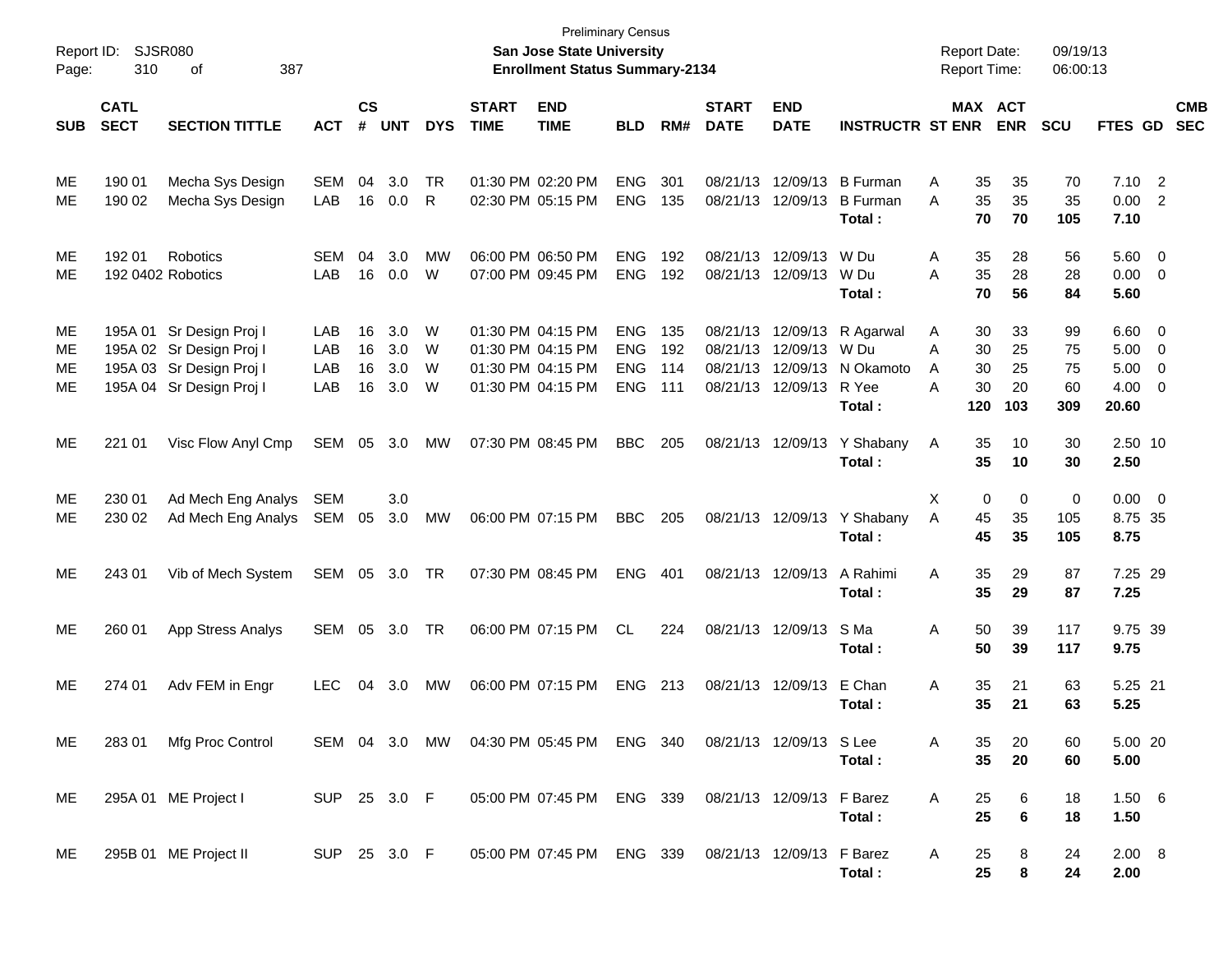| Report ID:<br>Page:   | 310                        | <b>SJSR080</b><br>387<br>оf                                                                                  |                          |                      |                          |                           |                             | <b>Preliminary Census</b><br><b>San Jose State University</b><br><b>Enrollment Status Summary-2134</b> |                                                      |                          |                                              |                                              |                                                   |                  |                             | <b>Report Date:</b><br><b>Report Time:</b> | 09/19/13<br>06:00:13        |                                       |                                                                              |                          |
|-----------------------|----------------------------|--------------------------------------------------------------------------------------------------------------|--------------------------|----------------------|--------------------------|---------------------------|-----------------------------|--------------------------------------------------------------------------------------------------------|------------------------------------------------------|--------------------------|----------------------------------------------|----------------------------------------------|---------------------------------------------------|------------------|-----------------------------|--------------------------------------------|-----------------------------|---------------------------------------|------------------------------------------------------------------------------|--------------------------|
| <b>SUB</b>            | <b>CATL</b><br><b>SECT</b> | <b>SECTION TITTLE</b>                                                                                        | <b>ACT</b>               | <b>CS</b><br>#       | <b>UNT</b>               | <b>DYS</b>                | <b>START</b><br><b>TIME</b> | <b>END</b><br><b>TIME</b>                                                                              | <b>BLD</b>                                           | RM#                      | <b>START</b><br><b>DATE</b>                  | <b>END</b><br><b>DATE</b>                    | <b>INSTRUCTR ST ENR</b>                           |                  |                             | MAX ACT<br><b>ENR</b>                      | <b>SCU</b>                  | FTES GD                               |                                                                              | <b>CMB</b><br><b>SEC</b> |
| ME<br>МE              | 190 01<br>190 02           | Mecha Sys Design<br>Mecha Sys Design                                                                         | <b>SEM</b><br>LAB        | 04<br>16             | 3.0<br>0.0               | <b>TR</b><br>$\mathsf{R}$ |                             | 01:30 PM 02:20 PM<br>02:30 PM 05:15 PM                                                                 | <b>ENG</b><br><b>ENG</b>                             | 301<br>135               | 08/21/13<br>08/21/13                         | 12/09/13<br>12/09/13                         | <b>B</b> Furman<br><b>B</b> Furman<br>Total:      | Α<br>A           | 35<br>35<br>70              | 35<br>35<br>70                             | 70<br>35<br>105             | 7.10<br>0.00<br>7.10                  | $\overline{2}$<br>$\overline{2}$                                             |                          |
| ME<br>МE              | 192 01                     | Robotics<br>192 0402 Robotics                                                                                | <b>SEM</b><br>LAB        | 04<br>16             | 3.0<br>0.0               | MW<br>W                   |                             | 06:00 PM 06:50 PM<br>07:00 PM 09:45 PM                                                                 | <b>ENG</b><br><b>ENG</b>                             | 192<br>192               | 08/21/13<br>08/21/13                         | 12/09/13<br>12/09/13                         | W Du<br>W Du<br>Total:                            | Α<br>A           | 35<br>35<br>70              | 28<br>28<br>56                             | 56<br>28<br>84              | 5.60<br>0.00<br>5.60                  | $\overline{0}$<br>$\overline{0}$                                             |                          |
| ME.<br>ME<br>ME<br>ME |                            | 195A 01 Sr Design Proj I<br>195A 02 Sr Design Proj I<br>195A 03 Sr Design Proj I<br>195A 04 Sr Design Proj I | LAB<br>LAB<br>LAB<br>LAB | 16<br>16<br>16<br>16 | 3.0<br>3.0<br>3.0<br>3.0 | W<br>W<br>W<br>W          |                             | 01:30 PM 04:15 PM<br>01:30 PM 04:15 PM<br>01:30 PM 04:15 PM<br>01:30 PM 04:15 PM                       | <b>ENG</b><br><b>ENG</b><br><b>ENG</b><br><b>ENG</b> | 135<br>192<br>114<br>111 | 08/21/13<br>08/21/13<br>08/21/13<br>08/21/13 | 12/09/13<br>12/09/13<br>12/09/13<br>12/09/13 | R Agarwal<br>W Du<br>N Okamoto<br>R Yee<br>Total: | Α<br>A<br>A<br>A | 30<br>30<br>30<br>30<br>120 | 33<br>25<br>25<br>20<br>103                | 99<br>75<br>75<br>60<br>309 | 6.60<br>5.00<br>5.00<br>4.00<br>20.60 | $\overline{\phantom{0}}$<br>$\overline{\mathbf{0}}$<br>$\overline{0}$<br>- 0 |                          |
| ME                    | 221 01                     | Visc Flow Anyl Cmp                                                                                           | SEM                      | 05                   | 3.0                      | МW                        |                             | 07:30 PM 08:45 PM                                                                                      | <b>BBC</b>                                           | 205                      | 08/21/13                                     | 12/09/13                                     | Y Shabany<br>Total:                               | Α                | 35<br>35                    | 10<br>10                                   | 30<br>30                    | 2.50 10<br>2.50                       |                                                                              |                          |
| ME<br>ME.             | 230 01<br>230 02           | Ad Mech Eng Analys<br>Ad Mech Eng Analys                                                                     | SEM<br>SEM               | 05                   | 3.0<br>3.0               | MW                        |                             | 06:00 PM 07:15 PM                                                                                      | <b>BBC</b>                                           | 205                      |                                              | 08/21/13 12/09/13                            | Y Shabany<br>Total:                               | Χ<br>A           | 0<br>45<br>45               | 0<br>35<br>35                              | 0<br>105<br>105             | 0.00<br>8.75 35<br>8.75               | $\overline{\phantom{0}}$                                                     |                          |
| ME                    | 243 01                     | Vib of Mech System                                                                                           | SEM                      | 05                   | 3.0                      | TR                        |                             | 07:30 PM 08:45 PM                                                                                      | <b>ENG</b>                                           | 401                      |                                              | 08/21/13 12/09/13                            | A Rahimi<br>Total:                                | A                | 35<br>35                    | 29<br>29                                   | 87<br>87                    | 7.25 29<br>7.25                       |                                                                              |                          |
| ME                    | 260 01                     | App Stress Analys                                                                                            | SEM                      | 05                   | 3.0                      | TR                        |                             | 06:00 PM 07:15 PM                                                                                      | CL.                                                  | 224                      |                                              | 08/21/13 12/09/13                            | S Ma<br>Total:                                    | A                | 50<br>50                    | 39<br>39                                   | 117<br>117                  | 9.75 39<br>9.75                       |                                                                              |                          |
| ME.                   | 274 01                     | Adv FEM in Engr                                                                                              | <b>LEC</b>               | 04                   | 3.0                      | МW                        |                             | 06:00 PM 07:15 PM                                                                                      | <b>ENG</b>                                           | 213                      | 08/21/13                                     | 12/09/13                                     | E Chan<br>Total:                                  | A                | 35<br>35                    | 21<br>21                                   | 63<br>63                    | 5.25 21<br>5.25                       |                                                                              |                          |
| ME.                   | 28301                      | Mfg Proc Control                                                                                             |                          |                      |                          |                           |                             | SEM 04 3.0 MW 04:30 PM 05:45 PM ENG 340                                                                |                                                      |                          |                                              | 08/21/13 12/09/13 SLee                       | Total:                                            | A                | 35<br>35                    | 20<br>20                                   | 60<br>60                    | 5.00 20<br>5.00                       |                                                                              |                          |
| ME.                   |                            | 295A 01 ME Project I                                                                                         | SUP 25 3.0 F             |                      |                          |                           |                             | 05:00 PM 07:45 PM ENG 339                                                                              |                                                      |                          | 08/21/13 12/09/13 F Barez                    |                                              | Total:                                            | A                | 25<br>25                    | 6<br>$\bf 6$                               | 18<br>18                    | 1.50 6<br>1.50                        |                                                                              |                          |
| ME.                   |                            | 295B 01 ME Project II                                                                                        | SUP 25 3.0 F             |                      |                          |                           |                             | 05:00 PM 07:45 PM ENG 339 08/21/13 12/09/13 F Barez                                                    |                                                      |                          |                                              |                                              | Total:                                            | A                | 25<br>25                    | 8<br>8                                     | 24<br>24                    | $2.00\quad 8$<br>2.00                 |                                                                              |                          |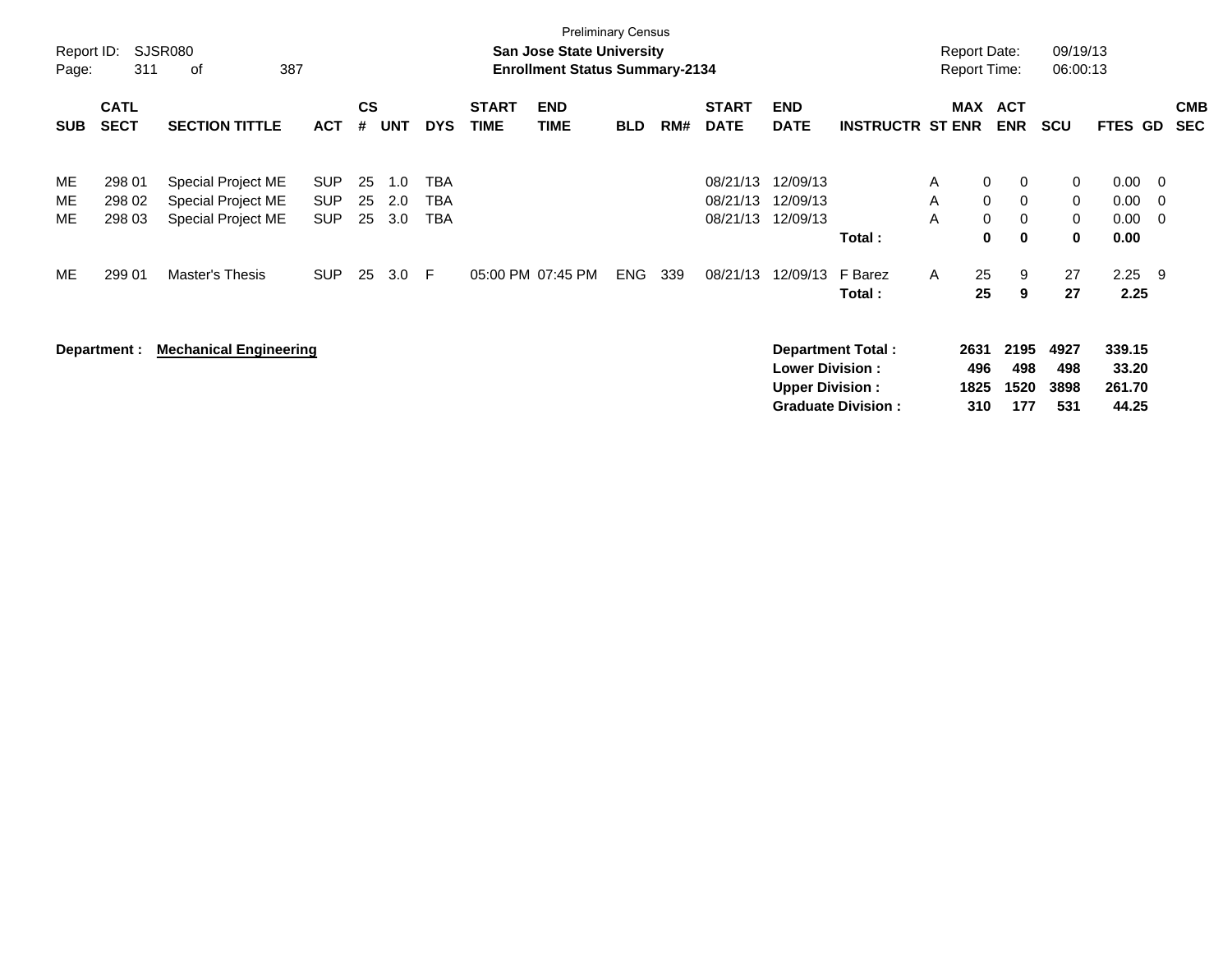| Report ID:<br>Page: | 311                        | SJSR080<br>387<br>οf                                           |                                        |                    |                   |                                 |                             | <b>Preliminary Census</b><br><b>San Jose State University</b><br><b>Enrollment Status Summary-2134</b> |            |     |                                  |                                                  |                                                       |              | <b>Report Date:</b><br><b>Report Time:</b>     |                                      | 09/19/13<br>06:00:13                 |                                    |                                       |                          |
|---------------------|----------------------------|----------------------------------------------------------------|----------------------------------------|--------------------|-------------------|---------------------------------|-----------------------------|--------------------------------------------------------------------------------------------------------|------------|-----|----------------------------------|--------------------------------------------------|-------------------------------------------------------|--------------|------------------------------------------------|--------------------------------------|--------------------------------------|------------------------------------|---------------------------------------|--------------------------|
| <b>SUB</b>          | <b>CATL</b><br><b>SECT</b> | <b>SECTION TITTLE</b>                                          | <b>ACT</b>                             | $\mathsf{cs}$<br># | UNT               | <b>DYS</b>                      | <b>START</b><br><b>TIME</b> | <b>END</b><br><b>TIME</b>                                                                              | <b>BLD</b> | RM# | <b>START</b><br><b>DATE</b>      | <b>END</b><br><b>DATE</b>                        | <b>INSTRUCTR ST ENR</b>                               |              | MAX                                            | <b>ACT</b><br>ENR                    | <b>SCU</b>                           | FTES GD                            |                                       | <b>CMB</b><br><b>SEC</b> |
| ME<br>ME<br>ME      | 298 01<br>298 02<br>298 03 | Special Project ME<br>Special Project ME<br>Special Project ME | <b>SUP</b><br><b>SUP</b><br><b>SUP</b> | 25<br>25<br>25     | 1.0<br>2.0<br>3.0 | TBA<br><b>TBA</b><br><b>TBA</b> |                             |                                                                                                        |            |     | 08/21/13<br>08/21/13<br>08/21/13 | 12/09/13<br>12/09/13<br>12/09/13                 | Total:                                                | A<br>A<br>A  | $\mathbf 0$<br>$\mathbf 0$<br>$\mathbf 0$<br>0 | 0<br>0<br>$\mathbf 0$<br>$\mathbf 0$ | 0<br>0<br>$\mathbf 0$<br>$\mathbf 0$ | 0.00<br>0.00<br>0.00<br>0.00       | $\overline{\mathbf{0}}$<br>- 0<br>- 0 |                          |
| ME                  | 299 01                     | Master's Thesis                                                | <b>SUP</b>                             | 25                 | 3.0               | F.                              |                             | 05:00 PM 07:45 PM                                                                                      | <b>ENG</b> | 339 | 08/21/13                         | 12/09/13                                         | F Barez<br>Total:                                     | $\mathsf{A}$ | 25<br>25                                       | 9<br>9                               | 27<br>27                             | 2.25<br>2.25                       | - 9                                   |                          |
|                     | Department :               | <b>Mechanical Engineering</b>                                  |                                        |                    |                   |                                 |                             |                                                                                                        |            |     |                                  | <b>Lower Division:</b><br><b>Upper Division:</b> | <b>Department Total:</b><br><b>Graduate Division:</b> |              | 2631<br>496<br>1825<br>310                     | 2195<br>498<br>1520<br>177           | 4927<br>498<br>3898<br>531           | 339.15<br>33.20<br>261.70<br>44.25 |                                       |                          |